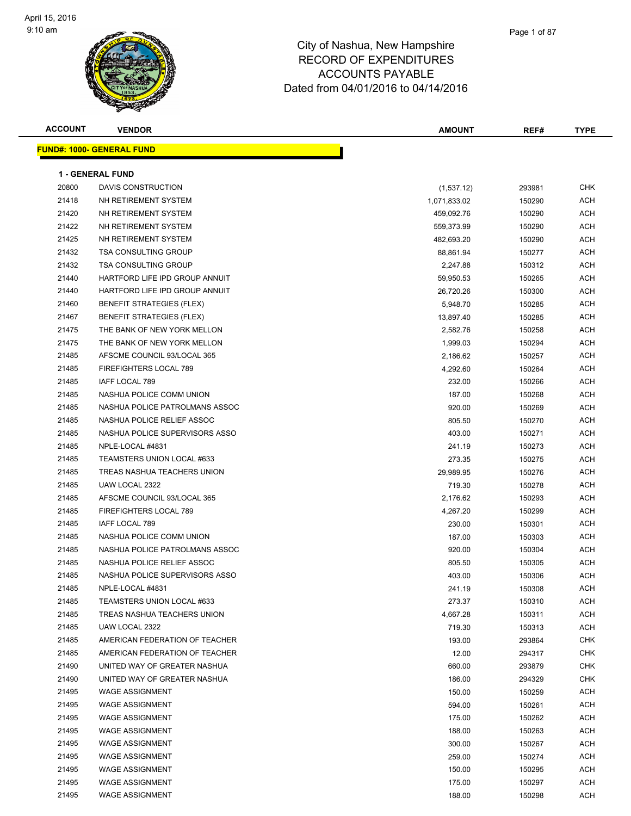#### Page 1 of 87

| <b>ACCOUNT</b> | <b>VENDOR</b>                                    | <b>AMOUNT</b>   | REF#             | <b>TYPE</b>              |
|----------------|--------------------------------------------------|-----------------|------------------|--------------------------|
|                | <b>FUND#: 1000- GENERAL FUND</b>                 |                 |                  |                          |
|                |                                                  |                 |                  |                          |
|                | <b>1 - GENERAL FUND</b>                          |                 |                  |                          |
| 20800          | DAVIS CONSTRUCTION                               | (1,537.12)      | 293981           | <b>CHK</b>               |
| 21418          | NH RETIREMENT SYSTEM                             | 1,071,833.02    | 150290           | ACH                      |
| 21420          | NH RETIREMENT SYSTEM                             | 459,092.76      | 150290           | ACH                      |
| 21422          | NH RETIREMENT SYSTEM                             | 559,373.99      | 150290           | <b>ACH</b>               |
| 21425          | NH RETIREMENT SYSTEM                             | 482,693.20      | 150290           | <b>ACH</b>               |
| 21432          | <b>TSA CONSULTING GROUP</b>                      | 88,861.94       | 150277           | <b>ACH</b>               |
| 21432          | <b>TSA CONSULTING GROUP</b>                      | 2,247.88        | 150312           | <b>ACH</b>               |
| 21440          | HARTFORD LIFE IPD GROUP ANNUIT                   | 59,950.53       | 150265           | ACH                      |
| 21440          | HARTFORD LIFE IPD GROUP ANNUIT                   | 26,720.26       | 150300           | ACH                      |
| 21460          | <b>BENEFIT STRATEGIES (FLEX)</b>                 | 5,948.70        | 150285           | <b>ACH</b>               |
| 21467          | <b>BENEFIT STRATEGIES (FLEX)</b>                 | 13,897.40       | 150285           | <b>ACH</b>               |
| 21475          | THE BANK OF NEW YORK MELLON                      | 2,582.76        | 150258           | ACH                      |
| 21475          | THE BANK OF NEW YORK MELLON                      | 1,999.03        | 150294           | <b>ACH</b>               |
| 21485          | AFSCME COUNCIL 93/LOCAL 365                      | 2,186.62        | 150257           | ACH                      |
| 21485          | <b>FIREFIGHTERS LOCAL 789</b>                    | 4,292.60        | 150264           | <b>ACH</b>               |
| 21485          | IAFF LOCAL 789                                   | 232.00          | 150266           | <b>ACH</b>               |
| 21485          | NASHUA POLICE COMM UNION                         | 187.00          | 150268           | <b>ACH</b>               |
| 21485          | NASHUA POLICE PATROLMANS ASSOC                   | 920.00          | 150269           | ACH                      |
| 21485          | NASHUA POLICE RELIEF ASSOC                       | 805.50          | 150270           | ACH                      |
| 21485          | NASHUA POLICE SUPERVISORS ASSO                   | 403.00          | 150271           | ACH                      |
| 21485          | NPLE-LOCAL #4831                                 | 241.19          | 150273           | <b>ACH</b>               |
| 21485          | TEAMSTERS UNION LOCAL #633                       | 273.35          | 150275           | <b>ACH</b>               |
| 21485          | TREAS NASHUA TEACHERS UNION                      | 29,989.95       | 150276           | <b>ACH</b>               |
| 21485          | UAW LOCAL 2322                                   | 719.30          | 150278           | ACH                      |
| 21485          | AFSCME COUNCIL 93/LOCAL 365                      | 2,176.62        | 150293           | ACH                      |
| 21485          | FIREFIGHTERS LOCAL 789                           | 4,267.20        | 150299           | ACH                      |
| 21485          | IAFF LOCAL 789                                   | 230.00          | 150301           | <b>ACH</b>               |
| 21485          | NASHUA POLICE COMM UNION                         | 187.00          | 150303           | <b>ACH</b>               |
| 21485          | NASHUA POLICE PATROLMANS ASSOC                   | 920.00          | 150304           | <b>ACH</b>               |
| 21485          | NASHUA POLICE RELIEF ASSOC                       | 805.50          | 150305           | ACH                      |
| 21485          | NASHUA POLICE SUPERVISORS ASSO                   | 403.00          | 150306           | ACH                      |
| 21485          | NPLE-LOCAL #4831                                 | 241.19          | 150308           | <b>ACH</b>               |
| 21485          | TEAMSTERS UNION LOCAL #633                       | 273.37          | 150310           | <b>ACH</b>               |
| 21485          | TREAS NASHUA TEACHERS UNION                      | 4,667.28        | 150311           | <b>ACH</b>               |
| 21485          | UAW LOCAL 2322<br>AMERICAN FEDERATION OF TEACHER | 719.30          | 150313           | ACH                      |
| 21485<br>21485 | AMERICAN FEDERATION OF TEACHER                   | 193.00          | 293864           | <b>CHK</b>               |
| 21490          | UNITED WAY OF GREATER NASHUA                     | 12.00<br>660.00 | 294317<br>293879 | <b>CHK</b><br><b>CHK</b> |
| 21490          | UNITED WAY OF GREATER NASHUA                     | 186.00          | 294329           | <b>CHK</b>               |
| 21495          | <b>WAGE ASSIGNMENT</b>                           | 150.00          | 150259           | ACH                      |
| 21495          | <b>WAGE ASSIGNMENT</b>                           | 594.00          | 150261           | ACH                      |
| 21495          | <b>WAGE ASSIGNMENT</b>                           | 175.00          | 150262           | <b>ACH</b>               |
| 21495          | <b>WAGE ASSIGNMENT</b>                           | 188.00          | 150263           | <b>ACH</b>               |
| 21495          | <b>WAGE ASSIGNMENT</b>                           | 300.00          | 150267           | <b>ACH</b>               |
| 21495          | <b>WAGE ASSIGNMENT</b>                           | 259.00          | 150274           | <b>ACH</b>               |
| 21495          | <b>WAGE ASSIGNMENT</b>                           | 150.00          | 150295           | ACH                      |
| 21495          | <b>WAGE ASSIGNMENT</b>                           | 175.00          | 150297           | ACH                      |
| 21495          | <b>WAGE ASSIGNMENT</b>                           | 188.00          | 150298           | ACH                      |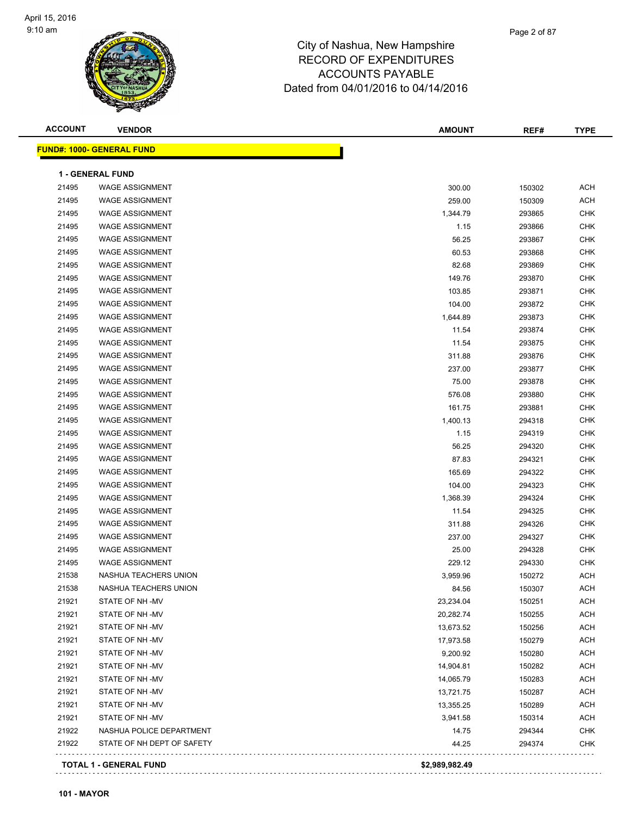#### Page 2 of 87

| <b>ACCOUNT</b> | <b>VENDOR</b>                    | <b>AMOUNT</b>  | REF#   | <b>TYPE</b> |
|----------------|----------------------------------|----------------|--------|-------------|
|                | <b>FUND#: 1000- GENERAL FUND</b> |                |        |             |
|                | <b>1 - GENERAL FUND</b>          |                |        |             |
| 21495          | <b>WAGE ASSIGNMENT</b>           | 300.00         | 150302 | <b>ACH</b>  |
| 21495          | <b>WAGE ASSIGNMENT</b>           | 259.00         | 150309 | <b>ACH</b>  |
| 21495          | <b>WAGE ASSIGNMENT</b>           | 1,344.79       | 293865 | <b>CHK</b>  |
| 21495          | <b>WAGE ASSIGNMENT</b>           | 1.15           | 293866 | <b>CHK</b>  |
| 21495          | <b>WAGE ASSIGNMENT</b>           | 56.25          | 293867 | <b>CHK</b>  |
| 21495          | <b>WAGE ASSIGNMENT</b>           | 60.53          | 293868 | <b>CHK</b>  |
| 21495          | <b>WAGE ASSIGNMENT</b>           | 82.68          | 293869 | <b>CHK</b>  |
| 21495          | <b>WAGE ASSIGNMENT</b>           | 149.76         | 293870 | <b>CHK</b>  |
| 21495          | <b>WAGE ASSIGNMENT</b>           | 103.85         | 293871 | <b>CHK</b>  |
| 21495          | <b>WAGE ASSIGNMENT</b>           | 104.00         | 293872 | <b>CHK</b>  |
| 21495          | <b>WAGE ASSIGNMENT</b>           | 1,644.89       | 293873 | <b>CHK</b>  |
| 21495          | <b>WAGE ASSIGNMENT</b>           | 11.54          | 293874 | <b>CHK</b>  |
| 21495          | <b>WAGE ASSIGNMENT</b>           | 11.54          | 293875 | <b>CHK</b>  |
| 21495          | <b>WAGE ASSIGNMENT</b>           | 311.88         | 293876 | <b>CHK</b>  |
| 21495          | <b>WAGE ASSIGNMENT</b>           | 237.00         | 293877 | <b>CHK</b>  |
| 21495          | <b>WAGE ASSIGNMENT</b>           | 75.00          | 293878 | <b>CHK</b>  |
| 21495          | <b>WAGE ASSIGNMENT</b>           | 576.08         | 293880 | <b>CHK</b>  |
| 21495          | <b>WAGE ASSIGNMENT</b>           | 161.75         | 293881 | <b>CHK</b>  |
| 21495          | <b>WAGE ASSIGNMENT</b>           | 1,400.13       | 294318 | <b>CHK</b>  |
| 21495          | <b>WAGE ASSIGNMENT</b>           | 1.15           | 294319 | <b>CHK</b>  |
| 21495          | <b>WAGE ASSIGNMENT</b>           | 56.25          | 294320 | <b>CHK</b>  |
| 21495          | <b>WAGE ASSIGNMENT</b>           | 87.83          | 294321 | <b>CHK</b>  |
| 21495          | <b>WAGE ASSIGNMENT</b>           | 165.69         | 294322 | <b>CHK</b>  |
| 21495          | <b>WAGE ASSIGNMENT</b>           | 104.00         | 294323 | <b>CHK</b>  |
| 21495          | <b>WAGE ASSIGNMENT</b>           | 1,368.39       | 294324 | <b>CHK</b>  |
| 21495          | <b>WAGE ASSIGNMENT</b>           | 11.54          | 294325 | <b>CHK</b>  |
| 21495          | <b>WAGE ASSIGNMENT</b>           | 311.88         | 294326 | CHK         |
| 21495          | <b>WAGE ASSIGNMENT</b>           | 237.00         | 294327 | <b>CHK</b>  |
| 21495          | <b>WAGE ASSIGNMENT</b>           | 25.00          | 294328 | <b>CHK</b>  |
| 21495          | <b>WAGE ASSIGNMENT</b>           | 229.12         | 294330 | <b>CHK</b>  |
| 21538          | NASHUA TEACHERS UNION            | 3,959.96       | 150272 | <b>ACH</b>  |
| 21538          | NASHUA TEACHERS UNION            | 84.56          | 150307 | <b>ACH</b>  |
| 21921          | STATE OF NH-MV                   | 23,234.04      | 150251 | ACH         |
| 21921          | STATE OF NH-MV                   | 20,282.74      | 150255 | ACH         |
| 21921          | STATE OF NH-MV                   | 13,673.52      | 150256 | ACH         |
| 21921          | STATE OF NH-MV                   | 17,973.58      | 150279 | ACH         |
| 21921          | STATE OF NH-MV                   | 9,200.92       | 150280 | ACH         |
| 21921          | STATE OF NH-MV                   | 14,904.81      | 150282 | <b>ACH</b>  |
| 21921          | STATE OF NH-MV                   | 14,065.79      | 150283 | <b>ACH</b>  |
| 21921          | STATE OF NH-MV                   | 13,721.75      | 150287 | ACH         |
| 21921          | STATE OF NH-MV                   | 13,355.25      | 150289 | ACH         |
| 21921          | STATE OF NH-MV                   | 3,941.58       | 150314 | ACH         |
| 21922          | NASHUA POLICE DEPARTMENT         | 14.75          | 294344 | CHK         |
| 21922          | STATE OF NH DEPT OF SAFETY       | 44.25          | 294374 | <b>CHK</b>  |
|                | <b>TOTAL 1 - GENERAL FUND</b>    | \$2,989,982.49 |        |             |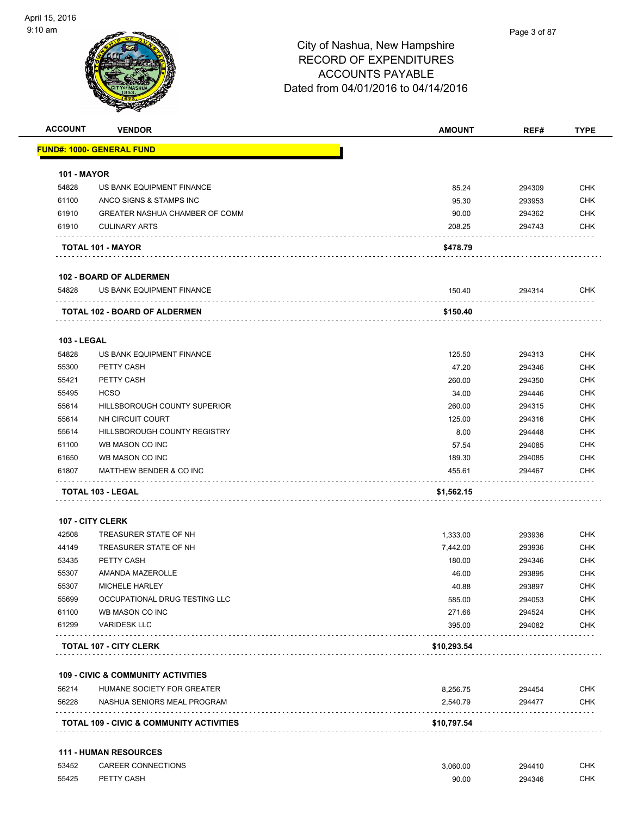| <b>ACCOUNT</b>     | <b>VENDOR</b>                         | <b>AMOUNT</b> | REF#   | <b>TYPE</b> |
|--------------------|---------------------------------------|---------------|--------|-------------|
|                    | <b>FUND#: 1000- GENERAL FUND</b>      |               |        |             |
| <b>101 - MAYOR</b> |                                       |               |        |             |
| 54828              | US BANK EQUIPMENT FINANCE             | 85.24         | 294309 | <b>CHK</b>  |
| 61100              | ANCO SIGNS & STAMPS INC               | 95.30         | 293953 | <b>CHK</b>  |
| 61910              | <b>GREATER NASHUA CHAMBER OF COMM</b> | 90.00         | 294362 | <b>CHK</b>  |
| 61910              | <b>CULINARY ARTS</b>                  | 208.25        | 294743 | <b>CHK</b>  |
|                    | TOTAL 101 - MAYOR                     | \$478.79      |        |             |
|                    | <b>102 - BOARD OF ALDERMEN</b>        |               |        |             |
| 54828              | US BANK EQUIPMENT FINANCE             | 150.40        | 294314 | <b>CHK</b>  |
|                    | <b>TOTAL 102 - BOARD OF ALDERMEN</b>  | \$150.40      |        |             |
| <b>103 - LEGAL</b> |                                       |               |        |             |
| 54828              | US BANK EQUIPMENT FINANCE             | 125.50        | 294313 | <b>CHK</b>  |
| 55300              | PETTY CASH                            | 47.20         | 294346 | <b>CHK</b>  |
| 55421              | PETTY CASH                            | 260.00        | 294350 | <b>CHK</b>  |
| 55495              | <b>HCSO</b>                           | 34.00         | 294446 | <b>CHK</b>  |
| 55614              | HILLSBOROUGH COUNTY SUPERIOR          | 260.00        | 294315 | <b>CHK</b>  |
| 55614              | NH CIRCUIT COURT                      | 125.00        | 294316 | <b>CHK</b>  |
| 55614              | HILLSBOROUGH COUNTY REGISTRY          | 8.00          | 294448 | <b>CHK</b>  |
| 61100              | WB MASON CO INC                       | 57.54         | 294085 | <b>CHK</b>  |
| 61650              | WB MASON CO INC                       | 189.30        | 294085 | <b>CHK</b>  |
| 61807              | MATTHEW BENDER & CO INC               | 455.61        | 294467 | <b>CHK</b>  |
|                    | TOTAL 103 - LEGAL                     | \$1,562.15    |        |             |
|                    | <b>107 - CITY CLERK</b>               |               |        |             |
| 42508              | TREASURER STATE OF NH                 | 1,333.00      | 293936 | <b>CHK</b>  |
| 44149              | TREASURER STATE OF NH                 | 7,442.00      | 293936 | <b>CHK</b>  |
| 53435              | PETTY CASH                            | 180.00        | 294346 | <b>CHK</b>  |
| 55307              | AMANDA MAZEROLLE                      | 46.00         | 293895 | <b>CHK</b>  |
| 55307              | MICHELE HARLEY                        | 40.88         | 293897 | <b>CHK</b>  |
| 55699              | OCCUPATIONAL DRUG TESTING LLC         | 585.00        | 294053 | <b>CHK</b>  |
| 61100              | WB MASON CO INC                       | 271.66        | 294524 | <b>CHK</b>  |
| 61299              | <b>VARIDESK LLC</b>                   | 395.00        | 294082 | <b>CHK</b>  |
|                    | <b>TOTAL 107 - CITY CLERK</b>         | \$10,293.54   |        |             |

|       | <b>TOTAL 109 - CIVIC &amp; COMMUNITY ACTIVITIES</b> | \$10,797.54 |        |     |
|-------|-----------------------------------------------------|-------------|--------|-----|
| 56228 | NASHUA SENIORS MEAL PROGRAM                         | 2.540.79    | 294477 | CHK |
| 56214 | HUMANE SOCIETY FOR GREATER                          | 8.256.75    | 294454 | СНК |

#### **111 - HUMAN RESOURCES**

| 53452 | CAREER CONNECTIONS | 3.060.00 | 294410 | СНК |
|-------|--------------------|----------|--------|-----|
| 55425 | PETTY CASH         | 90.00    | 294346 | CHK |
|       |                    | .        |        |     |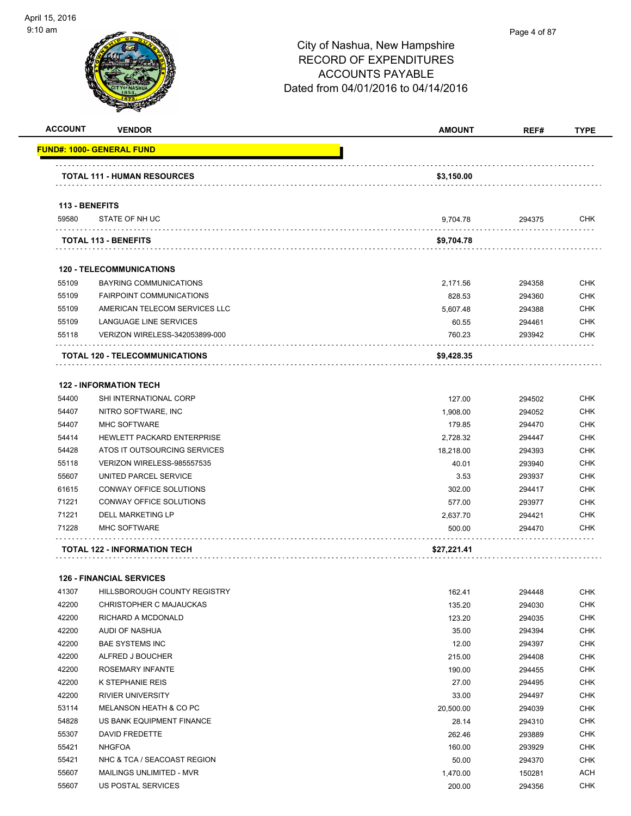| <b>ACCOUNT</b> | <b>VENDOR</b>                         | <b>AMOUNT</b> | REF#   | <b>TYPE</b> |
|----------------|---------------------------------------|---------------|--------|-------------|
|                | <u> FUND#: 1000- GENERAL FUND</u>     |               |        |             |
|                | <b>TOTAL 111 - HUMAN RESOURCES</b>    | \$3,150.00    |        |             |
| 113 - BENEFITS |                                       |               |        |             |
| 59580          | STATE OF NH UC                        | 9,704.78      | 294375 | CHK         |
|                | <b>TOTAL 113 - BENEFITS</b>           | \$9,704.78    |        |             |
|                | <b>120 - TELECOMMUNICATIONS</b>       |               |        |             |
| 55109          | <b>BAYRING COMMUNICATIONS</b>         | 2,171.56      | 294358 | <b>CHK</b>  |
| 55109          | <b>FAIRPOINT COMMUNICATIONS</b>       | 828.53        | 294360 | CHK         |
| 55109          | AMERICAN TELECOM SERVICES LLC         | 5,607.48      | 294388 | CHK         |
| 55109          | LANGUAGE LINE SERVICES                | 60.55         | 294461 | <b>CHK</b>  |
| 55118          | VERIZON WIRELESS-342053899-000        | 760.23        | 293942 | <b>CHK</b>  |
|                | <b>TOTAL 120 - TELECOMMUNICATIONS</b> | \$9,428.35    |        |             |
|                | <b>122 - INFORMATION TECH</b>         |               |        |             |
| 54400          | SHI INTERNATIONAL CORP                | 127.00        | 294502 | <b>CHK</b>  |
| 54407          | NITRO SOFTWARE, INC                   | 1.908.00      | 294052 | <b>CHK</b>  |
| 54407          | MHC SOFTWARE                          | 179.85        | 294470 | <b>CHK</b>  |
| 54414          | HEWLETT PACKARD ENTERPRISE            | 2,728.32      | 294447 | <b>CHK</b>  |
| 54428          | ATOS IT OUTSOURCING SERVICES          | 18,218.00     | 294393 | CHK         |
| 55118          | VERIZON WIRELESS-985557535            | 40.01         | 293940 | <b>CHK</b>  |
| 55607          | UNITED PARCEL SERVICE                 | 3.53          | 293937 | <b>CHK</b>  |
| 61615          | CONWAY OFFICE SOLUTIONS               | 302.00        | 294417 | <b>CHK</b>  |
| 71221          | CONWAY OFFICE SOLUTIONS               | 577.00        | 293977 | CHK         |
| 71221          | <b>DELL MARKETING LP</b>              |               |        | CHK         |
| 71228          | <b>MHC SOFTWARE</b>                   | 2,637.70      | 294421 |             |
|                |                                       | 500.00        | 294470 | CHK         |
|                | TOTAL 122 - INFORMATION TECH          | \$27,221.41   |        |             |
|                | <b>126 - FINANCIAL SERVICES</b>       |               |        |             |
| 41307          | HILLSBOROUGH COUNTY REGISTRY          | 162.41        | 294448 | <b>CHK</b>  |
| 42200          | CHRISTOPHER C MAJAUCKAS               | 135.20        | 294030 | <b>CHK</b>  |
| 42200          | RICHARD A MCDONALD                    | 123.20        | 294035 | <b>CHK</b>  |
| 42200          | AUDI OF NASHUA                        | 35.00         | 294394 | <b>CHK</b>  |
| 42200          | <b>BAE SYSTEMS INC</b>                | 12.00         | 294397 | <b>CHK</b>  |
| 42200          | ALFRED J BOUCHER                      | 215.00        | 294408 | <b>CHK</b>  |
| 42200          | ROSEMARY INFANTE                      | 190.00        | 294455 | <b>CHK</b>  |
| 42200          | K STEPHANIE REIS                      | 27.00         | 294495 | <b>CHK</b>  |
| 42200          | <b>RIVIER UNIVERSITY</b>              | 33.00         | 294497 | <b>CHK</b>  |
| 53114          | MELANSON HEATH & CO PC                | 20,500.00     | 294039 | <b>CHK</b>  |
| 54828          | US BANK EQUIPMENT FINANCE             | 28.14         | 294310 | <b>CHK</b>  |
| 55307          | DAVID FREDETTE                        | 262.46        | 293889 | <b>CHK</b>  |
| 55421          | <b>NHGFOA</b>                         | 160.00        | 293929 | CHK         |
| 55421          | NHC & TCA / SEACOAST REGION           | 50.00         | 294370 | <b>CHK</b>  |
| 55607          | MAILINGS UNLIMITED - MVR              | 1,470.00      | 150281 | <b>ACH</b>  |

US POSTAL SERVICES 200.00 294356 CHK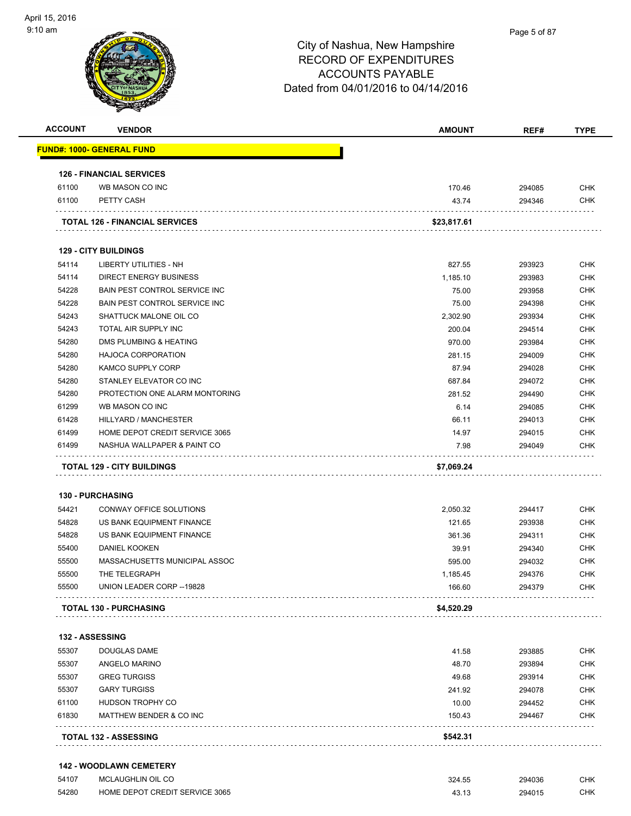

| <b>ACCOUNT</b> | <b>VENDOR</b>                         | <b>AMOUNT</b>      | REF#             | <b>TYPE</b> |
|----------------|---------------------------------------|--------------------|------------------|-------------|
|                | <u> FUND#: 1000- GENERAL FUND</u>     |                    |                  |             |
|                | <b>126 - FINANCIAL SERVICES</b>       |                    |                  |             |
| 61100          | WB MASON CO INC                       | 170.46             | 294085           | <b>CHK</b>  |
| 61100          | PETTY CASH                            | 43.74              | 294346           | CHK         |
|                | <b>TOTAL 126 - FINANCIAL SERVICES</b> | \$23,817.61        |                  |             |
|                | <b>129 - CITY BUILDINGS</b>           |                    |                  |             |
| 54114          | LIBERTY UTILITIES - NH                | 827.55             | 293923           | CHK         |
| 54114          | <b>DIRECT ENERGY BUSINESS</b>         | 1,185.10           | 293983           | <b>CHK</b>  |
| 54228          | BAIN PEST CONTROL SERVICE INC         | 75.00              | 293958           | <b>CHK</b>  |
| 54228          | BAIN PEST CONTROL SERVICE INC         | 75.00              | 294398           | <b>CHK</b>  |
| 54243          | SHATTUCK MALONE OIL CO                | 2,302.90           | 293934           | <b>CHK</b>  |
| 54243          | TOTAL AIR SUPPLY INC                  | 200.04             | 294514           | <b>CHK</b>  |
| 54280          | DMS PLUMBING & HEATING                | 970.00             | 293984           | <b>CHK</b>  |
| 54280          | <b>HAJOCA CORPORATION</b>             | 281.15             | 294009           | <b>CHK</b>  |
| 54280          | <b>KAMCO SUPPLY CORP</b>              | 87.94              | 294028           | <b>CHK</b>  |
| 54280          | STANLEY ELEVATOR CO INC               | 687.84             | 294072           | <b>CHK</b>  |
| 54280          | PROTECTION ONE ALARM MONTORING        | 281.52             | 294490           | <b>CHK</b>  |
| 61299          | WB MASON CO INC                       | 6.14               | 294085           | <b>CHK</b>  |
| 61428          | HILLYARD / MANCHESTER                 | 66.11              | 294013           | <b>CHK</b>  |
| 61499          | HOME DEPOT CREDIT SERVICE 3065        | 14.97              | 294015           | CHK         |
| 61499          | NASHUA WALLPAPER & PAINT CO           | 7.98               | 294049           | <b>CHK</b>  |
|                | <b>TOTAL 129 - CITY BUILDINGS</b>     | \$7,069.24         |                  |             |
|                | <b>130 - PURCHASING</b>               |                    |                  |             |
| 54421          | CONWAY OFFICE SOLUTIONS               | 2,050.32           | 294417           | <b>CHK</b>  |
| 54828          | US BANK EQUIPMENT FINANCE             |                    |                  | CHK         |
| 54828          | US BANK EQUIPMENT FINANCE             | 121.65<br>361.36   | 293938           | <b>CHK</b>  |
| 55400          | <b>DANIEL KOOKEN</b>                  | 39.91              | 294311           | <b>CHK</b>  |
| 55500          | MASSACHUSETTS MUNICIPAL ASSOC         | 595.00             | 294340<br>294032 | CHK         |
| 55500          | THE TELEGRAPH                         |                    | 294376           | <b>CHK</b>  |
| 55500          | UNION LEADER CORP--19828              | 1,185.45<br>166.60 | 294379           | <b>CHK</b>  |
|                | <b>TOTAL 130 - PURCHASING</b>         | \$4,520.29         |                  |             |
|                |                                       |                    |                  |             |
|                | <b>132 - ASSESSING</b>                |                    |                  |             |
| 55307          | DOUGLAS DAME                          | 41.58              | 293885           | <b>CHK</b>  |
| 55307          | ANGELO MARINO                         | 48.70              | 293894           | <b>CHK</b>  |
| 55307          | <b>GREG TURGISS</b>                   | 49.68              | 293914           | <b>CHK</b>  |
| 55307          | <b>GARY TURGISS</b>                   | 241.92             | 294078           | <b>CHK</b>  |
| 61100          | HUDSON TROPHY CO                      | 10.00              | 294452           | <b>CHK</b>  |
| 61830          | MATTHEW BENDER & CO INC               | 150.43             | 294467           | <b>CHK</b>  |
|                | <b>TOTAL 132 - ASSESSING</b>          | \$542.31           |                  |             |
|                | <b>142 - WOODLAWN CEMETERY</b>        |                    |                  |             |
| 54107          | MCLAUGHLIN OIL CO                     | 324.55             | 294036           | <b>CHK</b>  |

HOME DEPOT CREDIT SERVICE 3065 43.13 294015 CHK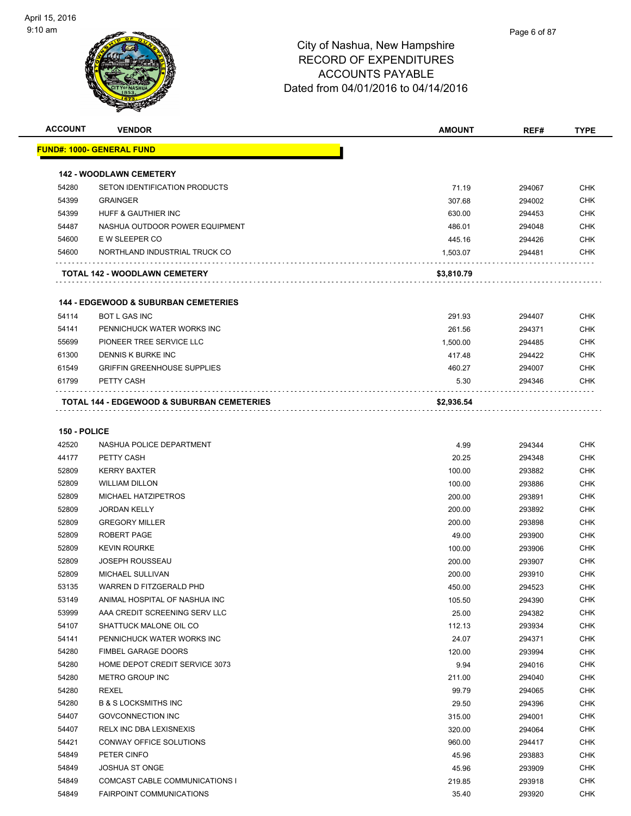

| <b>ACCOUNT</b> | <b>VENDOR</b>                                   | <b>AMOUNT</b> | REF#   | <b>TYPE</b> |
|----------------|-------------------------------------------------|---------------|--------|-------------|
|                | <u> FUND#: 1000- GENERAL FUND</u>               |               |        |             |
|                |                                                 |               |        |             |
|                | <b>142 - WOODLAWN CEMETERY</b>                  |               |        |             |
| 54280          | SETON IDENTIFICATION PRODUCTS                   | 71.19         | 294067 | <b>CHK</b>  |
| 54399          | <b>GRAINGER</b>                                 | 307.68        | 294002 | <b>CHK</b>  |
| 54399          | HUFF & GAUTHIER INC                             | 630.00        | 294453 | <b>CHK</b>  |
| 54487          | NASHUA OUTDOOR POWER EQUIPMENT                  | 486.01        | 294048 | <b>CHK</b>  |
| 54600          | E W SLEEPER CO                                  | 445.16        | 294426 | <b>CHK</b>  |
| 54600          | NORTHLAND INDUSTRIAL TRUCK CO                   | 1,503.07      | 294481 | <b>CHK</b>  |
|                | TOTAL 142 - WOODLAWN CEMETERY                   | \$3,810.79    |        |             |
|                | <b>144 - EDGEWOOD &amp; SUBURBAN CEMETERIES</b> |               |        |             |
| 54114          | <b>BOT L GAS INC</b>                            | 291.93        | 294407 | <b>CHK</b>  |
| 54141          | PENNICHUCK WATER WORKS INC                      | 261.56        | 294371 | <b>CHK</b>  |
| 55699          | PIONEER TREE SERVICE LLC                        | 1,500.00      | 294485 | <b>CHK</b>  |
| 61300          | DENNIS K BURKE INC                              | 417.48        | 294422 | <b>CHK</b>  |
| 61549          | <b>GRIFFIN GREENHOUSE SUPPLIES</b>              | 460.27        | 294007 | <b>CHK</b>  |
| 61799          | PETTY CASH                                      | 5.30          | 294346 | <b>CHK</b>  |
|                | TOTAL 144 - EDGEWOOD & SUBURBAN CEMETERIES      | \$2,936.54    |        |             |
|                |                                                 |               |        |             |
| 150 - POLICE   |                                                 |               |        |             |
| 42520          | NASHUA POLICE DEPARTMENT                        | 4.99          | 294344 | <b>CHK</b>  |
| 44177          | PETTY CASH                                      | 20.25         | 294348 | <b>CHK</b>  |
| 52809          | <b>KERRY BAXTER</b>                             | 100.00        | 293882 | <b>CHK</b>  |
| 52809          | <b>WILLIAM DILLON</b>                           | 100.00        | 293886 | <b>CHK</b>  |
| 52809          | MICHAEL HATZIPETROS                             | 200.00        | 293891 | <b>CHK</b>  |
| 52809          | <b>JORDAN KELLY</b>                             | 200.00        | 293892 | <b>CHK</b>  |
| 52809          | <b>GREGORY MILLER</b>                           | 200.00        | 293898 | <b>CHK</b>  |
| 52809          | ROBERT PAGE                                     | 49.00         | 293900 | <b>CHK</b>  |
| 52809          | <b>KEVIN ROURKE</b>                             | 100.00        | 293906 | <b>CHK</b>  |
| 52809          | <b>JOSEPH ROUSSEAU</b>                          | 200.00        | 293907 | <b>CHK</b>  |
| 52809          | <b>MICHAEL SULLIVAN</b>                         | 200.00        | 293910 | CHK         |
| 53135          | WARREN D FITZGERALD PHD                         | 450.00        | 294523 | <b>CHK</b>  |
| 53149          | ANIMAL HOSPITAL OF NASHUA INC                   | 105.50        | 294390 | <b>CHK</b>  |
| 53999          | AAA CREDIT SCREENING SERV LLC                   | 25.00         | 294382 | <b>CHK</b>  |
| 54107          | SHATTUCK MALONE OIL CO                          | 112.13        | 293934 | <b>CHK</b>  |
| 54141          | PENNICHUCK WATER WORKS INC                      | 24.07         | 294371 | <b>CHK</b>  |
| 54280          | FIMBEL GARAGE DOORS                             | 120.00        | 293994 | <b>CHK</b>  |
| 54280          | HOME DEPOT CREDIT SERVICE 3073                  | 9.94          | 294016 | <b>CHK</b>  |
| 54280          | METRO GROUP INC                                 | 211.00        | 294040 | <b>CHK</b>  |
| 54280          | REXEL                                           | 99.79         | 294065 | <b>CHK</b>  |
| 54280          | <b>B &amp; S LOCKSMITHS INC</b>                 | 29.50         | 294396 | <b>CHK</b>  |
| 54407          | <b>GOVCONNECTION INC</b>                        | 315.00        | 294001 | <b>CHK</b>  |
| 54407          | RELX INC DBA LEXISNEXIS                         | 320.00        | 294064 | <b>CHK</b>  |
| 54421          | CONWAY OFFICE SOLUTIONS                         | 960.00        | 294417 | <b>CHK</b>  |
| 54849          | PETER CINFO                                     | 45.96         | 293883 | <b>CHK</b>  |
| 54849          | <b>JOSHUA ST ONGE</b>                           | 45.96         | 293909 | <b>CHK</b>  |
| 54849          | COMCAST CABLE COMMUNICATIONS I                  | 219.85        | 293918 | <b>CHK</b>  |
| 54849          | <b>FAIRPOINT COMMUNICATIONS</b>                 | 35.40         | 293920 | <b>CHK</b>  |
|                |                                                 |               |        |             |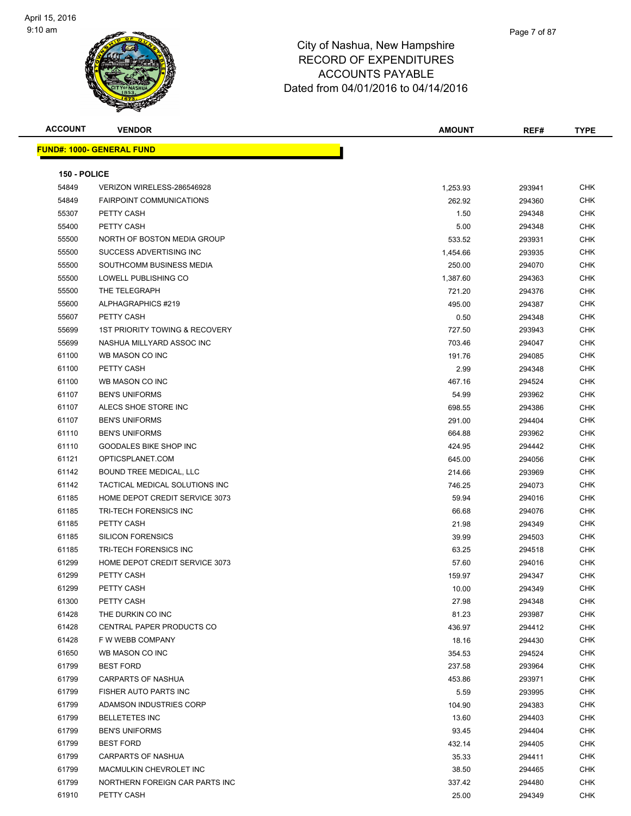| <b>ACCOUNT</b> | <b>VENDOR</b>                             | <b>AMOUNT</b> | REF#   | <b>TYPE</b> |
|----------------|-------------------------------------------|---------------|--------|-------------|
|                | <b>FUND#: 1000- GENERAL FUND</b>          |               |        |             |
|                |                                           |               |        |             |
| 150 - POLICE   |                                           |               |        |             |
| 54849          | VERIZON WIRELESS-286546928                | 1,253.93      | 293941 | <b>CHK</b>  |
| 54849          | <b>FAIRPOINT COMMUNICATIONS</b>           | 262.92        | 294360 | <b>CHK</b>  |
| 55307          | PETTY CASH                                | 1.50          | 294348 | CHK         |
| 55400          | PETTY CASH                                | 5.00          | 294348 | CHK         |
| 55500          | NORTH OF BOSTON MEDIA GROUP               | 533.52        | 293931 | <b>CHK</b>  |
| 55500          | SUCCESS ADVERTISING INC                   | 1,454.66      | 293935 | CHK         |
| 55500          | SOUTHCOMM BUSINESS MEDIA                  | 250.00        | 294070 | <b>CHK</b>  |
| 55500          | LOWELL PUBLISHING CO                      | 1,387.60      | 294363 | <b>CHK</b>  |
| 55500          | THE TELEGRAPH                             | 721.20        | 294376 | <b>CHK</b>  |
| 55600          | ALPHAGRAPHICS #219                        | 495.00        | 294387 | CHK         |
| 55607          | PETTY CASH                                | 0.50          | 294348 | CHK         |
| 55699          | <b>1ST PRIORITY TOWING &amp; RECOVERY</b> | 727.50        | 293943 | <b>CHK</b>  |
| 55699          | NASHUA MILLYARD ASSOC INC                 | 703.46        | 294047 | CHK         |
| 61100          | WB MASON CO INC                           | 191.76        | 294085 | CHK         |
| 61100          | PETTY CASH                                | 2.99          | 294348 | CHK         |
| 61100          | WB MASON CO INC                           | 467.16        | 294524 | <b>CHK</b>  |
| 61107          | <b>BEN'S UNIFORMS</b>                     | 54.99         | 293962 | CHK         |
| 61107          | ALECS SHOE STORE INC                      | 698.55        | 294386 | <b>CHK</b>  |
| 61107          | <b>BEN'S UNIFORMS</b>                     | 291.00        | 294404 | <b>CHK</b>  |
| 61110          | <b>BEN'S UNIFORMS</b>                     | 664.88        | 293962 | <b>CHK</b>  |
| 61110          | <b>GOODALES BIKE SHOP INC</b>             | 424.95        | 294442 | <b>CHK</b>  |
| 61121          | OPTICSPLANET.COM                          | 645.00        | 294056 | <b>CHK</b>  |
| 61142          | BOUND TREE MEDICAL, LLC                   | 214.66        | 293969 | <b>CHK</b>  |
| 61142          | TACTICAL MEDICAL SOLUTIONS INC            | 746.25        | 294073 | <b>CHK</b>  |
| 61185          | HOME DEPOT CREDIT SERVICE 3073            | 59.94         | 294016 | <b>CHK</b>  |
| 61185          | TRI-TECH FORENSICS INC                    | 66.68         | 294076 | <b>CHK</b>  |
| 61185          | PETTY CASH                                | 21.98         | 294349 | <b>CHK</b>  |
| 61185          | <b>SILICON FORENSICS</b>                  | 39.99         | 294503 | <b>CHK</b>  |
| 61185          | TRI-TECH FORENSICS INC                    | 63.25         | 294518 | <b>CHK</b>  |
| 61299          | HOME DEPOT CREDIT SERVICE 3073            | 57.60         | 294016 | <b>CHK</b>  |
| 61299          | PETTY CASH                                | 159.97        | 294347 | <b>CHK</b>  |
| 61299          | PETTY CASH                                | 10.00         | 294349 | <b>CHK</b>  |
| 61300          | PETTY CASH                                | 27.98         | 294348 | <b>CHK</b>  |
| 61428          | THE DURKIN CO INC                         | 81.23         | 293987 | <b>CHK</b>  |
| 61428          | CENTRAL PAPER PRODUCTS CO                 | 436.97        | 294412 | <b>CHK</b>  |
| 61428          | F W WEBB COMPANY                          | 18.16         | 294430 | <b>CHK</b>  |
| 61650          | WB MASON CO INC                           | 354.53        | 294524 | CHK         |
| 61799          | <b>BEST FORD</b>                          | 237.58        | 293964 | CHK         |
| 61799          | CARPARTS OF NASHUA                        | 453.86        | 293971 | <b>CHK</b>  |
| 61799          | FISHER AUTO PARTS INC                     |               |        |             |
|                | ADAMSON INDUSTRIES CORP                   | 5.59          | 293995 | CHK         |
| 61799          | <b>BELLETETES INC</b>                     | 104.90        | 294383 | CHK         |
| 61799          |                                           | 13.60         | 294403 | <b>CHK</b>  |
| 61799          | <b>BEN'S UNIFORMS</b>                     | 93.45         | 294404 | CHK         |
| 61799          | <b>BEST FORD</b>                          | 432.14        | 294405 | <b>CHK</b>  |
| 61799          | CARPARTS OF NASHUA                        | 35.33         | 294411 | <b>CHK</b>  |
| 61799          | MACMULKIN CHEVROLET INC                   | 38.50         | 294465 | CHK         |
| 61799          | NORTHERN FOREIGN CAR PARTS INC            | 337.42        | 294480 | CHK         |
| 61910          | PETTY CASH                                | 25.00         | 294349 | CHK         |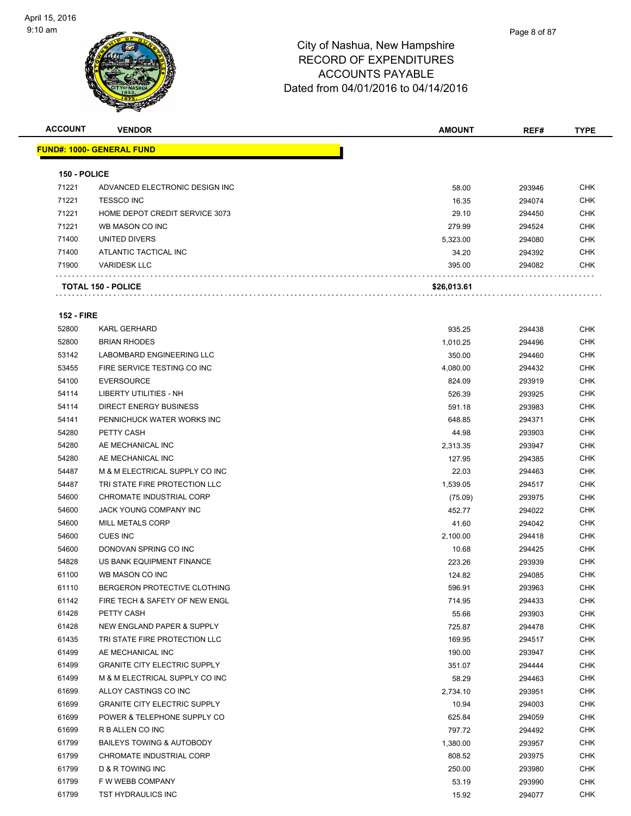

| <b>ACCOUNT</b>    | <b>VENDOR</b>                        | <b>AMOUNT</b> | REF#   | <b>TYPE</b> |
|-------------------|--------------------------------------|---------------|--------|-------------|
|                   | <b>FUND#: 1000- GENERAL FUND</b>     |               |        |             |
| 150 - POLICE      |                                      |               |        |             |
| 71221             | ADVANCED ELECTRONIC DESIGN INC       | 58.00         | 293946 | <b>CHK</b>  |
| 71221             | <b>TESSCO INC</b>                    | 16.35         | 294074 | <b>CHK</b>  |
| 71221             | HOME DEPOT CREDIT SERVICE 3073       | 29.10         | 294450 | <b>CHK</b>  |
| 71221             | WB MASON CO INC                      | 279.99        | 294524 | <b>CHK</b>  |
| 71400             | UNITED DIVERS                        | 5,323.00      | 294080 | <b>CHK</b>  |
| 71400             | ATLANTIC TACTICAL INC                | 34.20         | 294392 | <b>CHK</b>  |
| 71900             | <b>VARIDESK LLC</b>                  | 395.00        | 294082 | <b>CHK</b>  |
|                   | <b>TOTAL 150 - POLICE</b>            | \$26,013.61   |        |             |
| <b>152 - FIRE</b> |                                      |               |        |             |
| 52800             | <b>KARL GERHARD</b>                  | 935.25        | 294438 | <b>CHK</b>  |
| 52800             | <b>BRIAN RHODES</b>                  | 1,010.25      | 294496 | <b>CHK</b>  |
| 53142             | LABOMBARD ENGINEERING LLC            | 350.00        | 294460 | <b>CHK</b>  |
| 53455             | FIRE SERVICE TESTING CO INC          | 4,080.00      | 294432 | <b>CHK</b>  |
| 54100             | <b>EVERSOURCE</b>                    | 824.09        | 293919 | <b>CHK</b>  |
| 54114             | LIBERTY UTILITIES - NH               | 526.39        | 293925 | <b>CHK</b>  |
| 54114             | DIRECT ENERGY BUSINESS               | 591.18        | 293983 | <b>CHK</b>  |
| 54141             | PENNICHUCK WATER WORKS INC           | 648.85        | 294371 | <b>CHK</b>  |
| 54280             | PETTY CASH                           | 44.98         | 293903 | <b>CHK</b>  |
| 54280             | AE MECHANICAL INC                    | 2,313.35      | 293947 | <b>CHK</b>  |
| 54280             | AE MECHANICAL INC                    | 127.95        | 294385 | <b>CHK</b>  |
| 54487             | M & M ELECTRICAL SUPPLY CO INC       | 22.03         | 294463 | <b>CHK</b>  |
| 54487             | TRI STATE FIRE PROTECTION LLC        | 1,539.05      | 294517 | <b>CHK</b>  |
| 54600             | CHROMATE INDUSTRIAL CORP             | (75.09)       | 293975 | <b>CHK</b>  |
| 54600             | JACK YOUNG COMPANY INC               | 452.77        | 294022 | <b>CHK</b>  |
| 54600             | <b>MILL METALS CORP</b>              | 41.60         | 294042 | <b>CHK</b>  |
| 54600             | <b>CUES INC</b>                      | 2,100.00      | 294418 | <b>CHK</b>  |
| 54600             | DONOVAN SPRING CO INC                | 10.68         | 294425 | <b>CHK</b>  |
| 54828             | US BANK EQUIPMENT FINANCE            | 223.26        | 293939 | <b>CHK</b>  |
| 61100             | WB MASON CO INC                      | 124.82        | 294085 | <b>CHK</b>  |
| 61110             | BERGERON PROTECTIVE CLOTHING         | 596.91        | 293963 | <b>CHK</b>  |
| 61142             | FIRE TECH & SAFETY OF NEW ENGL       | 714.95        | 294433 | <b>CHK</b>  |
| 61428             | PETTY CASH                           | 55.66         | 293903 | <b>CHK</b>  |
| 61428             | NEW ENGLAND PAPER & SUPPLY           | 725.87        | 294478 | <b>CHK</b>  |
| 61435             | TRI STATE FIRE PROTECTION LLC        | 169.95        | 294517 | <b>CHK</b>  |
| 61499             | AE MECHANICAL INC                    | 190.00        | 293947 | <b>CHK</b>  |
| 61499             | <b>GRANITE CITY ELECTRIC SUPPLY</b>  | 351.07        | 294444 | <b>CHK</b>  |
| 61499             | M & M ELECTRICAL SUPPLY CO INC       | 58.29         | 294463 | <b>CHK</b>  |
| 61699             | ALLOY CASTINGS CO INC                | 2,734.10      | 293951 | CHK         |
| 61699             | <b>GRANITE CITY ELECTRIC SUPPLY</b>  | 10.94         | 294003 | <b>CHK</b>  |
| 61699             | POWER & TELEPHONE SUPPLY CO          | 625.84        | 294059 | <b>CHK</b>  |
| 61699             | R B ALLEN CO INC                     | 797.72        | 294492 | <b>CHK</b>  |
| 61799             | <b>BAILEYS TOWING &amp; AUTOBODY</b> | 1,380.00      | 293957 | <b>CHK</b>  |
| 61799             | CHROMATE INDUSTRIAL CORP             | 808.52        | 293975 | <b>CHK</b>  |
| 61799             | D & R TOWING INC                     | 250.00        | 293980 | <b>CHK</b>  |
| 61799             | F W WEBB COMPANY                     | 53.19         | 293990 | <b>CHK</b>  |
| 61799             | TST HYDRAULICS INC                   | 15.92         | 294077 | <b>CHK</b>  |
|                   |                                      |               |        |             |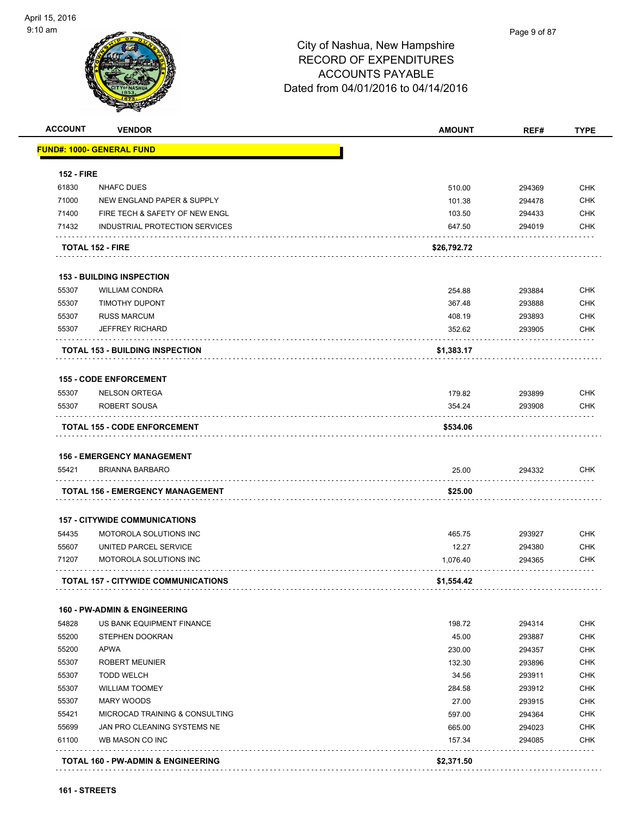

| <b>ACCOUNT</b>                   | <b>VENDOR</b>                                               | <b>AMOUNT</b> | REF#             | <b>TYPE</b>                                                        |
|----------------------------------|-------------------------------------------------------------|---------------|------------------|--------------------------------------------------------------------|
|                                  | <b>FUND#: 1000- GENERAL FUND</b>                            |               |                  |                                                                    |
| <b>152 - FIRE</b>                |                                                             |               |                  |                                                                    |
| 61830                            | <b>NHAFC DUES</b>                                           | 510.00        | 294369           | <b>CHK</b>                                                         |
| 71000                            | NEW ENGLAND PAPER & SUPPLY                                  | 101.38        | 294478           | <b>CHK</b>                                                         |
| 71400                            | FIRE TECH & SAFETY OF NEW ENGL                              | 103.50        | 294433           | <b>CHK</b>                                                         |
| 71432                            | INDUSTRIAL PROTECTION SERVICES                              | 647.50        | 294019           | <b>CHK</b>                                                         |
|                                  | <b>TOTAL 152 - FIRE</b>                                     | \$26,792.72   |                  |                                                                    |
|                                  | <b>153 - BUILDING INSPECTION</b>                            |               |                  |                                                                    |
| 55307                            | <b>WILLIAM CONDRA</b>                                       | 254.88        | 293884           | <b>CHK</b>                                                         |
| 55307                            | <b>TIMOTHY DUPONT</b>                                       | 367.48        | 293888           | <b>CHK</b>                                                         |
| 55307                            | <b>RUSS MARCUM</b>                                          | 408.19        | 293893           | <b>CHK</b>                                                         |
| 55307                            | <b>JEFFREY RICHARD</b>                                      | 352.62        | 293905           | <b>CHK</b>                                                         |
|                                  | <b>TOTAL 153 - BUILDING INSPECTION</b>                      | \$1,383.17    |                  |                                                                    |
|                                  | <b>155 - CODE ENFORCEMENT</b>                               |               |                  |                                                                    |
| 55307                            | <b>NELSON ORTEGA</b>                                        | 179.82        | 293899           | <b>CHK</b>                                                         |
| 55307                            | ROBERT SOUSA                                                | 354.24        | 293908           | <b>CHK</b>                                                         |
|                                  | <b>TOTAL 155 - CODE ENFORCEMENT</b>                         | \$534.06      |                  |                                                                    |
|                                  |                                                             |               |                  |                                                                    |
| 55421                            | <b>156 - EMERGENCY MANAGEMENT</b><br><b>BRIANNA BARBARO</b> | 25.00         | 294332           | <b>CHK</b>                                                         |
|                                  |                                                             |               |                  |                                                                    |
|                                  | TOTAL 156 - EMERGENCY MANAGEMENT                            | \$25.00       |                  |                                                                    |
|                                  | <b>157 - CITYWIDE COMMUNICATIONS</b>                        |               |                  |                                                                    |
| 54435                            | MOTOROLA SOLUTIONS INC                                      | 465.75        | 293927           | <b>CHK</b>                                                         |
| 55607                            | UNITED PARCEL SERVICE                                       | 12.27         | 294380           | <b>CHK</b>                                                         |
| 71207                            | MOTOROLA SOLUTIONS INC                                      | 1,076.40      | 294365           | <b>CHK</b>                                                         |
|                                  | <b>TOTAL 157 - CITYWIDE COMMUNICATIONS</b>                  | \$1,554.42    |                  |                                                                    |
|                                  | <b>160 - PW-ADMIN &amp; ENGINEERING</b>                     |               |                  |                                                                    |
| 54828                            | US BANK EQUIPMENT FINANCE                                   | 198.72        | 294314           | <b>CHK</b>                                                         |
| 55200                            | STEPHEN DOOKRAN                                             | 45.00         | 293887           | <b>CHK</b>                                                         |
| 55200                            | <b>APWA</b>                                                 | 230.00        | 294357           | <b>CHK</b>                                                         |
|                                  | <b>ROBERT MEUNIER</b>                                       | 132.30        | 293896           | <b>CHK</b>                                                         |
| 55307                            |                                                             | 34.56         | 293911           | <b>CHK</b>                                                         |
|                                  | <b>TODD WELCH</b>                                           |               |                  |                                                                    |
|                                  | <b>WILLIAM TOOMEY</b>                                       | 284.58        | 293912           |                                                                    |
|                                  | <b>MARY WOODS</b>                                           | 27.00         | 293915           |                                                                    |
| 55307<br>55307<br>55307<br>55421 | MICROCAD TRAINING & CONSULTING                              | 597.00        | 294364           |                                                                    |
| 55699                            | JAN PRO CLEANING SYSTEMS NE                                 | 665.00        |                  |                                                                    |
| 61100                            | WB MASON CO INC                                             | 157.34        | 294023<br>294085 | <b>CHK</b><br><b>CHK</b><br><b>CHK</b><br><b>CHK</b><br><b>CHK</b> |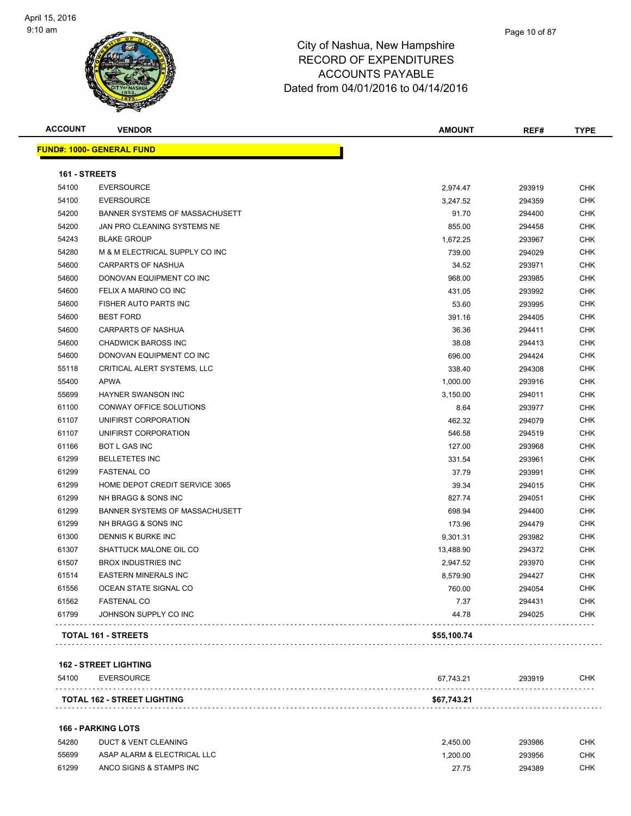

| <b>ACCOUNT</b> | <b>VENDOR</b>                    | <b>AMOUNT</b> | REF#   | <b>TYPE</b> |
|----------------|----------------------------------|---------------|--------|-------------|
|                | <b>FUND#: 1000- GENERAL FUND</b> |               |        |             |
| 161 - STREETS  |                                  |               |        |             |
| 54100          | <b>EVERSOURCE</b>                | 2,974.47      | 293919 | <b>CHK</b>  |
| 54100          | <b>EVERSOURCE</b>                | 3,247.52      | 294359 | <b>CHK</b>  |
| 54200          | BANNER SYSTEMS OF MASSACHUSETT   | 91.70         | 294400 | <b>CHK</b>  |
| 54200          | JAN PRO CLEANING SYSTEMS NE      | 855.00        | 294458 | <b>CHK</b>  |
| 54243          | <b>BLAKE GROUP</b>               | 1,672.25      | 293967 | <b>CHK</b>  |
| 54280          | M & M ELECTRICAL SUPPLY CO INC   | 739.00        | 294029 | <b>CHK</b>  |
| 54600          | <b>CARPARTS OF NASHUA</b>        | 34.52         | 293971 | <b>CHK</b>  |
| 54600          | DONOVAN EQUIPMENT CO INC         | 968.00        | 293985 | <b>CHK</b>  |
| 54600          | FELIX A MARINO CO INC            | 431.05        | 293992 | <b>CHK</b>  |
| 54600          | FISHER AUTO PARTS INC            | 53.60         | 293995 | <b>CHK</b>  |
| 54600          | <b>BEST FORD</b>                 | 391.16        | 294405 | <b>CHK</b>  |
| 54600          | <b>CARPARTS OF NASHUA</b>        | 36.36         | 294411 | <b>CHK</b>  |
| 54600          | <b>CHADWICK BAROSS INC</b>       | 38.08         | 294413 | <b>CHK</b>  |
| 54600          | DONOVAN EQUIPMENT CO INC         | 696.00        | 294424 | <b>CHK</b>  |
| 55118          | CRITICAL ALERT SYSTEMS, LLC      | 338.40        | 294308 | <b>CHK</b>  |
| 55400          | <b>APWA</b>                      | 1,000.00      | 293916 | <b>CHK</b>  |
| 55699          | HAYNER SWANSON INC               | 3,150.00      | 294011 | <b>CHK</b>  |
| 61100          | CONWAY OFFICE SOLUTIONS          | 8.64          | 293977 | <b>CHK</b>  |
| 61107          | UNIFIRST CORPORATION             | 462.32        | 294079 | <b>CHK</b>  |
| 61107          | UNIFIRST CORPORATION             | 546.58        | 294519 | <b>CHK</b>  |
| 61166          | <b>BOT L GAS INC</b>             | 127.00        | 293968 | <b>CHK</b>  |
| 61299          | <b>BELLETETES INC</b>            | 331.54        | 293961 | <b>CHK</b>  |
| 61299          | <b>FASTENAL CO</b>               | 37.79         | 293991 | <b>CHK</b>  |
| 61299          | HOME DEPOT CREDIT SERVICE 3065   | 39.34         | 294015 | <b>CHK</b>  |
| 61299          | NH BRAGG & SONS INC              | 827.74        | 294051 | <b>CHK</b>  |
| 61299          | BANNER SYSTEMS OF MASSACHUSETT   | 698.94        | 294400 | <b>CHK</b>  |
| 61299          | NH BRAGG & SONS INC              | 173.96        | 294479 | <b>CHK</b>  |
| 61300          | DENNIS K BURKE INC               | 9,301.31      | 293982 | <b>CHK</b>  |
| 61307          | SHATTUCK MALONE OIL CO           | 13,488.90     | 294372 | <b>CHK</b>  |
| 61507          | <b>BROX INDUSTRIES INC</b>       | 2,947.52      | 293970 | <b>CHK</b>  |
| 61514          | <b>EASTERN MINERALS INC</b>      | 8,579.90      | 294427 | <b>CHK</b>  |
| 61556          | OCEAN STATE SIGNAL CO            | 760.00        | 294054 | <b>CHK</b>  |
| 61562          | <b>FASTENAL CO</b>               | 7.37          | 294431 | <b>CHK</b>  |
| 61799          | JOHNSON SUPPLY CO INC            | 44.78         | 294025 | <b>CHK</b>  |
|                | <b>TOTAL 161 - STREETS</b>       | \$55,100.74   |        |             |

#### **162 - STREET LIGHTING**

| 54100 | EVERSOURCE                         | 67.743.21   | 293919 | СНК |
|-------|------------------------------------|-------------|--------|-----|
|       | <b>TOTAL 162 - STREET LIGHTING</b> | \$67,743.21 |        |     |
|       |                                    |             |        |     |

#### **166 - PARKING LOTS**

| 54280 | DUCT & VENT CLEANING        | 2.450.00 | 293986 | СНК |
|-------|-----------------------------|----------|--------|-----|
| 55699 | ASAP ALARM & ELECTRICAL LLC | .200.00  | 293956 | СНК |
| 61299 | ANCO SIGNS & STAMPS INC     | 27.75    | 294389 | СНК |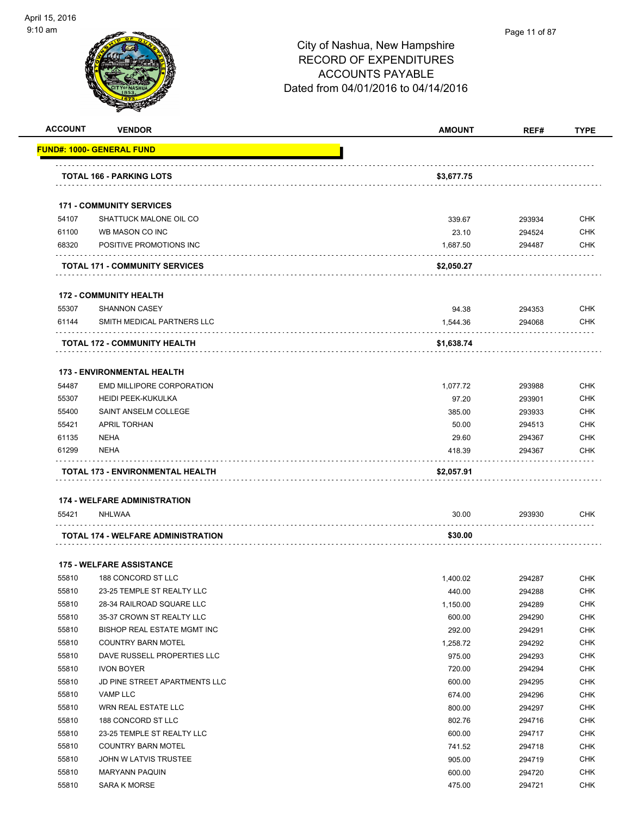

#### Page 11 of 87

| <b>ACCOUNT</b> | <b>VENDOR</b>                         | AMOUNT     | REF#   | <b>TYPE</b> |
|----------------|---------------------------------------|------------|--------|-------------|
|                | <u> FUND#: 1000- GENERAL FUND</u>     |            |        |             |
|                | <b>TOTAL 166 - PARKING LOTS</b>       | \$3,677.75 |        |             |
|                | <b>171 - COMMUNITY SERVICES</b>       |            |        |             |
| 54107          | SHATTUCK MALONE OIL CO                | 339.67     | 293934 | <b>CHK</b>  |
| 61100          | WB MASON CO INC                       | 23.10      | 294524 | <b>CHK</b>  |
| 68320          | POSITIVE PROMOTIONS INC               | 1,687.50   | 294487 | <b>CHK</b>  |
|                | <b>TOTAL 171 - COMMUNITY SERVICES</b> | \$2,050.27 |        |             |
|                | <b>172 - COMMUNITY HEALTH</b>         |            |        |             |
| 55307          | <b>SHANNON CASEY</b>                  | 94.38      | 294353 | <b>CHK</b>  |
| 61144          | SMITH MEDICAL PARTNERS LLC            | 1,544.36   | 294068 | <b>CHK</b>  |
|                | TOTAL 172 - COMMUNITY HEALTH          | \$1,638.74 |        |             |
|                | <b>173 - ENVIRONMENTAL HEALTH</b>     |            |        |             |
| 54487          | <b>EMD MILLIPORE CORPORATION</b>      | 1,077.72   | 293988 | <b>CHK</b>  |
| 55307          | <b>HEIDI PEEK-KUKULKA</b>             | 97.20      | 293901 | <b>CHK</b>  |
| 55400          | SAINT ANSELM COLLEGE                  | 385.00     | 293933 | <b>CHK</b>  |
| 55421          | <b>APRIL TORHAN</b>                   | 50.00      | 294513 | <b>CHK</b>  |
| 61135          | <b>NEHA</b>                           | 29.60      | 294367 | <b>CHK</b>  |
| 61299          | <b>NEHA</b>                           | 418.39     | 294367 | <b>CHK</b>  |
|                | TOTAL 173 - ENVIRONMENTAL HEALTH      | \$2,057.91 |        |             |
|                | <b>174 - WELFARE ADMINISTRATION</b>   |            |        |             |
| 55421          | NHLWAA                                | 30.00      | 293930 | <b>CHK</b>  |
|                | TOTAL 174 - WELFARE ADMINISTRATION    | \$30.00    |        |             |
|                | <b>175 - WELFARE ASSISTANCE</b>       |            |        |             |
| 55810          | 188 CONCORD ST LLC                    | 1,400.02   | 294287 | <b>CHK</b>  |
| 55810          | 23-25 TEMPLE ST REALTY LLC            | 440.00     | 294288 | <b>CHK</b>  |
| 55810          | 28-34 RAILROAD SQUARE LLC             | 1,150.00   | 294289 | <b>CHK</b>  |
| 55810          | 35-37 CROWN ST REALTY LLC             | 600.00     | 294290 | <b>CHK</b>  |
| 55810          | BISHOP REAL ESTATE MGMT INC           | 292.00     | 294291 | <b>CHK</b>  |
| 55810          | <b>COUNTRY BARN MOTEL</b>             | 1,258.72   | 294292 | <b>CHK</b>  |
| 55810          | DAVE RUSSELL PROPERTIES LLC           | 975.00     | 294293 | <b>CHK</b>  |
| 55810          | <b>IVON BOYER</b>                     | 720.00     | 294294 | <b>CHK</b>  |
| 55810          | JD PINE STREET APARTMENTS LLC         | 600.00     | 294295 | <b>CHK</b>  |
| 55810          | VAMP LLC                              | 674.00     | 294296 | <b>CHK</b>  |
| 55810          | WRN REAL ESTATE LLC                   | 800.00     | 294297 | <b>CHK</b>  |
| 55810          | 188 CONCORD ST LLC                    | 802.76     | 294716 | <b>CHK</b>  |
| 55810          | 23-25 TEMPLE ST REALTY LLC            | 600.00     | 294717 | <b>CHK</b>  |
| 55810          | <b>COUNTRY BARN MOTEL</b>             | 741.52     | 294718 | <b>CHK</b>  |
| 55810          | JOHN W LATVIS TRUSTEE                 | 905.00     | 294719 | CHK         |
| 55810          | <b>MARYANN PAQUIN</b>                 | 600.00     | 294720 | <b>CHK</b>  |
| 55810          | <b>SARA K MORSE</b>                   | 475.00     | 294721 | <b>CHK</b>  |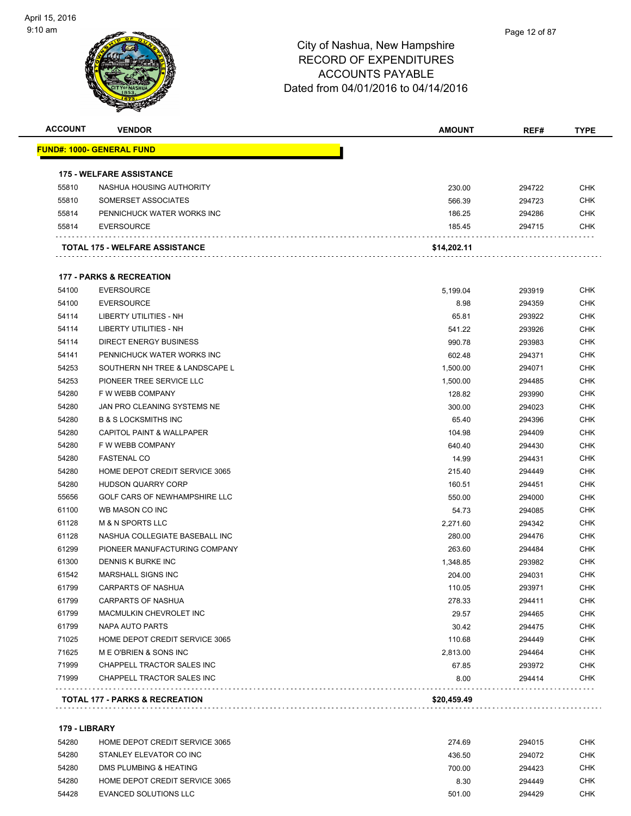| <b>ACCOUNT</b> | <b>VENDOR</b>                        | <b>AMOUNT</b> | REF#   | <b>TYPE</b> |
|----------------|--------------------------------------|---------------|--------|-------------|
|                | <u> FUND#: 1000- GENERAL FUND</u>    |               |        |             |
|                | <b>175 - WELFARE ASSISTANCE</b>      |               |        |             |
| 55810          | NASHUA HOUSING AUTHORITY             | 230.00        | 294722 | <b>CHK</b>  |
| 55810          | SOMERSET ASSOCIATES                  | 566.39        | 294723 | <b>CHK</b>  |
| 55814          | PENNICHUCK WATER WORKS INC           | 186.25        | 294286 | CHK         |
| 55814          | <b>EVERSOURCE</b>                    | 185.45        | 294715 | CHK         |
|                | TOTAL 175 - WELFARE ASSISTANCE       | \$14,202.11   |        |             |
|                | <b>177 - PARKS &amp; RECREATION</b>  |               |        |             |
| 54100          | <b>EVERSOURCE</b>                    | 5,199.04      | 293919 | <b>CHK</b>  |
| 54100          | <b>EVERSOURCE</b>                    | 8.98          | 294359 | CHK         |
| 54114          | LIBERTY UTILITIES - NH               | 65.81         | 293922 | <b>CHK</b>  |
| 54114          | <b>LIBERTY UTILITIES - NH</b>        | 541.22        | 293926 | <b>CHK</b>  |
| 54114          | <b>DIRECT ENERGY BUSINESS</b>        | 990.78        | 293983 | CHK         |
| 54141          | PENNICHUCK WATER WORKS INC           | 602.48        | 294371 | <b>CHK</b>  |
| 54253          | SOUTHERN NH TREE & LANDSCAPE L       | 1,500.00      | 294071 | CHK         |
| 54253          | PIONEER TREE SERVICE LLC             | 1,500.00      | 294485 | <b>CHK</b>  |
| 54280          | F W WEBB COMPANY                     | 128.82        | 293990 | <b>CHK</b>  |
| 54280          | JAN PRO CLEANING SYSTEMS NE          | 300.00        | 294023 | CHK         |
| 54280          | <b>B &amp; S LOCKSMITHS INC</b>      | 65.40         | 294396 | <b>CHK</b>  |
| 54280          | <b>CAPITOL PAINT &amp; WALLPAPER</b> | 104.98        | 294409 | CHK         |
| 54280          | F W WEBB COMPANY                     | 640.40        | 294430 | CHK         |
| 54280          | <b>FASTENAL CO</b>                   | 14.99         | 294431 | <b>CHK</b>  |
| 54280          | HOME DEPOT CREDIT SERVICE 3065       | 215.40        | 294449 | CHK         |
| 54280          | HUDSON QUARRY CORP                   | 160.51        | 294451 | CHK         |
| 55656          | GOLF CARS OF NEWHAMPSHIRE LLC        | 550.00        | 294000 | <b>CHK</b>  |
| 61100          | WB MASON CO INC                      | 54.73         | 294085 | CHK         |
| 61128          | <b>M &amp; N SPORTS LLC</b>          | 2,271.60      | 294342 | <b>CHK</b>  |
| 61128          | NASHUA COLLEGIATE BASEBALL INC       | 280.00        | 294476 | <b>CHK</b>  |
| 61299          | PIONEER MANUFACTURING COMPANY        | 263.60        | 294484 | CHK         |
| 61300          | DENNIS K BURKE INC                   | 1,348.85      | 293982 | <b>CHK</b>  |
| 61542          | MARSHALL SIGNS INC                   | 204.00        | 294031 | CHK         |
| 61799          | <b>CARPARTS OF NASHUA</b>            | 110.05        | 293971 | <b>CHK</b>  |
| 61799          | CARPARTS OF NASHUA                   | 278.33        | 294411 | CHK         |
| 61799          | MACMULKIN CHEVROLET INC              | 29.57         | 294465 | <b>CHK</b>  |
| 61799          | NAPA AUTO PARTS                      | 30.42         | 294475 | <b>CHK</b>  |
| 71025          | HOME DEPOT CREDIT SERVICE 3065       | 110.68        | 294449 | <b>CHK</b>  |
| 71625          | M E O'BRIEN & SONS INC               | 2,813.00      | 294464 | <b>CHK</b>  |
| 71999          | CHAPPELL TRACTOR SALES INC           | 67.85         | 293972 | <b>CHK</b>  |
| 71999          | CHAPPELL TRACTOR SALES INC           | 8.00          | 294414 | <b>CHK</b>  |
|                |                                      | \$20,459.49   |        |             |
|                | TOTAL 177 - PARKS & RECREATION       |               |        |             |

#### **179 - LIBRARY**

| 54280 | HOME DEPOT CREDIT SERVICE 3065 | 274.69 | 294015 | <b>CHK</b> |
|-------|--------------------------------|--------|--------|------------|
| 54280 | STANLEY ELEVATOR CO INC        | 436.50 | 294072 | <b>CHK</b> |
| 54280 | DMS PLUMBING & HEATING         | 700.00 | 294423 | <b>CHK</b> |
| 54280 | HOME DEPOT CREDIT SERVICE 3065 | 8.30   | 294449 | CHK        |
| 54428 | EVANCED SOLUTIONS LLC          | 501.00 | 294429 | CHK        |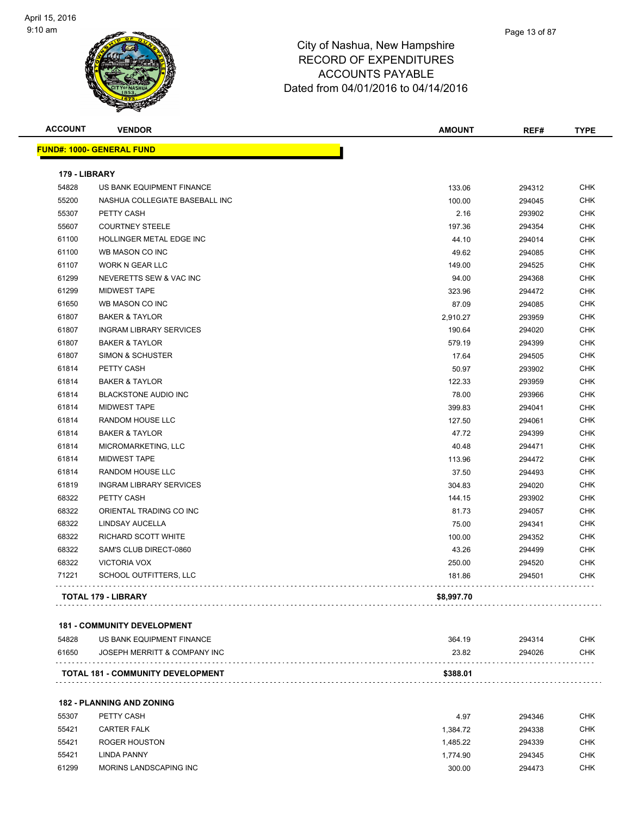

| <b>ACCOUNT</b> | <b>VENDOR</b>                    | <b>AMOUNT</b> | REF#   | <b>TYPE</b> |
|----------------|----------------------------------|---------------|--------|-------------|
|                | <b>FUND#: 1000- GENERAL FUND</b> |               |        |             |
| 179 - LIBRARY  |                                  |               |        |             |
| 54828          | US BANK EQUIPMENT FINANCE        | 133.06        | 294312 | <b>CHK</b>  |
| 55200          | NASHUA COLLEGIATE BASEBALL INC   | 100.00        | 294045 | <b>CHK</b>  |
| 55307          | PETTY CASH                       | 2.16          | 293902 | <b>CHK</b>  |
| 55607          | <b>COURTNEY STEELE</b>           | 197.36        | 294354 | <b>CHK</b>  |
| 61100          | HOLLINGER METAL EDGE INC         | 44.10         | 294014 | <b>CHK</b>  |
| 61100          | WB MASON CO INC                  | 49.62         | 294085 | <b>CHK</b>  |
| 61107          | <b>WORK N GEAR LLC</b>           | 149.00        | 294525 | <b>CHK</b>  |
| 61299          | NEVERETTS SEW & VAC INC          | 94.00         | 294368 | <b>CHK</b>  |
| 61299          | <b>MIDWEST TAPE</b>              | 323.96        | 294472 | <b>CHK</b>  |
| 61650          | WB MASON CO INC                  | 87.09         | 294085 | <b>CHK</b>  |
| 61807          | <b>BAKER &amp; TAYLOR</b>        | 2,910.27      | 293959 | <b>CHK</b>  |
| 61807          | <b>INGRAM LIBRARY SERVICES</b>   | 190.64        | 294020 | <b>CHK</b>  |
| 61807          | <b>BAKER &amp; TAYLOR</b>        | 579.19        | 294399 | <b>CHK</b>  |
| 61807          | <b>SIMON &amp; SCHUSTER</b>      | 17.64         | 294505 | <b>CHK</b>  |
| 61814          | PETTY CASH                       | 50.97         | 293902 | <b>CHK</b>  |
| 61814          | <b>BAKER &amp; TAYLOR</b>        | 122.33        | 293959 | <b>CHK</b>  |
| 61814          | <b>BLACKSTONE AUDIO INC</b>      | 78.00         | 293966 | <b>CHK</b>  |
| 61814          | <b>MIDWEST TAPE</b>              | 399.83        | 294041 | <b>CHK</b>  |
| 61814          | RANDOM HOUSE LLC                 | 127.50        | 294061 | <b>CHK</b>  |
| 61814          | <b>BAKER &amp; TAYLOR</b>        | 47.72         | 294399 | <b>CHK</b>  |
| 61814          | MICROMARKETING, LLC              | 40.48         | 294471 | <b>CHK</b>  |
| 61814          | <b>MIDWEST TAPE</b>              | 113.96        | 294472 | <b>CHK</b>  |
| 61814          | RANDOM HOUSE LLC                 | 37.50         | 294493 | <b>CHK</b>  |
| 61819          | <b>INGRAM LIBRARY SERVICES</b>   | 304.83        | 294020 | <b>CHK</b>  |
| 68322          | PETTY CASH                       | 144.15        | 293902 | <b>CHK</b>  |
| 68322          | ORIENTAL TRADING CO INC          | 81.73         | 294057 | <b>CHK</b>  |
| 68322          | <b>LINDSAY AUCELLA</b>           | 75.00         | 294341 | <b>CHK</b>  |
| 68322          | RICHARD SCOTT WHITE              | 100.00        | 294352 | <b>CHK</b>  |
| 68322          | SAM'S CLUB DIRECT-0860           | 43.26         | 294499 | <b>CHK</b>  |
| 68322          | <b>VICTORIA VOX</b>              | 250.00        | 294520 | CHK         |
| 71221          | SCHOOL OUTFITTERS, LLC           | 181.86        | 294501 | <b>CHK</b>  |
|                |                                  |               |        |             |

|       | <b>TOTAL 181 - COMMUNITY DEVELOPMENT</b> | \$388.01 |        |            |
|-------|------------------------------------------|----------|--------|------------|
| 61650 | JOSEPH MERRITT & COMPANY INC             | 23.82    | 294026 | <b>CHK</b> |
| 54828 | US BANK EQUIPMENT FINANCE                | 364.19   | 294314 | СНК        |

**182 - PLANNING AND ZONING**

| 55307 | PETTY CASH             | 4.97     | 294346 | <b>CHK</b> |
|-------|------------------------|----------|--------|------------|
| 55421 | <b>CARTER FALK</b>     | 1.384.72 | 294338 | CHK        |
| 55421 | ROGER HOUSTON          | 1.485.22 | 294339 | <b>CHK</b> |
| 55421 | LINDA PANNY            | 1.774.90 | 294345 | CHK        |
| 61299 | MORINS LANDSCAPING INC | 300.00   | 294473 | CHK        |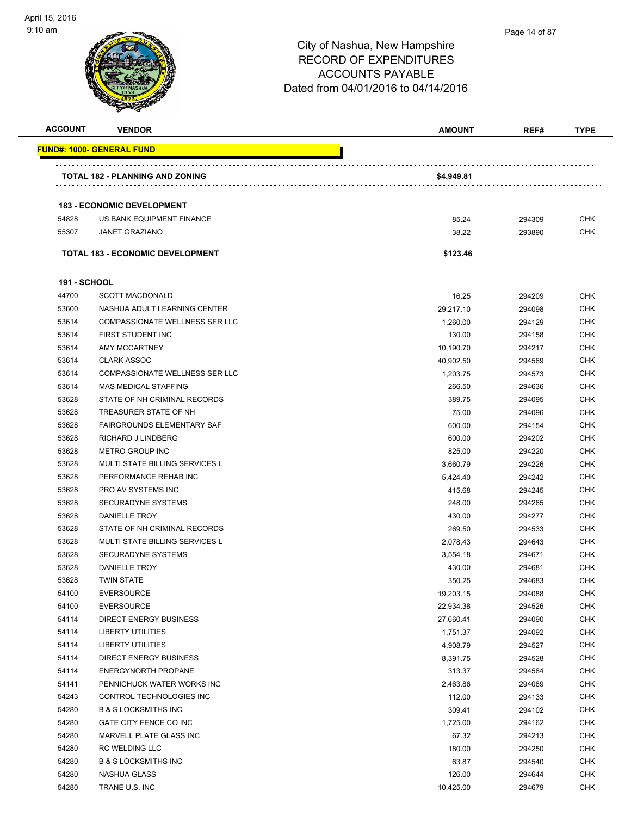| <b>ACCOUNT</b>      | <b>VENDOR</b>                           | <b>AMOUNT</b> | REF#   | <b>TYPE</b> |
|---------------------|-----------------------------------------|---------------|--------|-------------|
|                     | <b>FUND#: 1000- GENERAL FUND</b>        |               |        |             |
|                     | TOTAL 182 - PLANNING AND ZONING         | \$4,949.81    |        |             |
|                     |                                         |               |        |             |
|                     | <b>183 - ECONOMIC DEVELOPMENT</b>       |               |        |             |
| 54828               | US BANK EQUIPMENT FINANCE               | 85.24         | 294309 | CHK         |
| 55307               | <b>JANET GRAZIANO</b>                   | 38.22         | 293890 | CHK         |
|                     | <b>TOTAL 183 - ECONOMIC DEVELOPMENT</b> | \$123.46      |        |             |
| <b>191 - SCHOOL</b> |                                         |               |        |             |
| 44700               | <b>SCOTT MACDONALD</b>                  | 16.25         | 294209 | CHK         |
| 53600               | NASHUA ADULT LEARNING CENTER            | 29,217.10     | 294098 | <b>CHK</b>  |
| 53614               | COMPASSIONATE WELLNESS SER LLC          | 1,260.00      | 294129 | CHK         |
| 53614               | FIRST STUDENT INC                       | 130.00        | 294158 | <b>CHK</b>  |
| 53614               | <b>AMY MCCARTNEY</b>                    | 10,190.70     | 294217 | <b>CHK</b>  |
| 53614               | <b>CLARK ASSOC</b>                      | 40,902.50     | 294569 | CHK         |
| 53614               | COMPASSIONATE WELLNESS SER LLC          | 1,203.75      | 294573 | <b>CHK</b>  |
| 53614               | <b>MAS MEDICAL STAFFING</b>             | 266.50        | 294636 | <b>CHK</b>  |
| 53628               | STATE OF NH CRIMINAL RECORDS            | 389.75        | 294095 | <b>CHK</b>  |
| 53628               | TREASURER STATE OF NH                   | 75.00         | 294096 | <b>CHK</b>  |
| 53628               | <b>FAIRGROUNDS ELEMENTARY SAF</b>       | 600.00        | 294154 | CHK         |
| 53628               | RICHARD J LINDBERG                      | 600.00        | 294202 | CHK         |
| 53628               | <b>METRO GROUP INC</b>                  | 825.00        | 294220 | CHK         |
| 53628               | <b>MULTI STATE BILLING SERVICES L</b>   | 3,660.79      | 294226 | CHK         |
| 53628               | PERFORMANCE REHAB INC                   | 5,424.40      | 294242 | <b>CHK</b>  |
| 53628               | PRO AV SYSTEMS INC                      | 415.68        | 294245 | <b>CHK</b>  |
| 53628               | <b>SECURADYNE SYSTEMS</b>               | 248.00        | 294265 | CHK         |
| 53628               | <b>DANIELLE TROY</b>                    | 430.00        | 294277 | <b>CHK</b>  |
| 53628               | STATE OF NH CRIMINAL RECORDS            | 269.50        | 294533 | <b>CHK</b>  |
| 53628               | MULTI STATE BILLING SERVICES L          | 2,078.43      | 294643 | <b>CHK</b>  |
| 53628               | <b>SECURADYNE SYSTEMS</b>               | 3,554.18      | 294671 | CHK         |
| 53628               | <b>DANIELLE TROY</b>                    | 430.00        | 294681 | CHK         |
| 53628               | <b>TWIN STATE</b>                       | 350.25        | 294683 | CHK         |
| 54100               | <b>EVERSOURCE</b>                       | 19,203.15     | 294088 | <b>CHK</b>  |
| 54100               | <b>EVERSOURCE</b>                       | 22,934.38     | 294526 | <b>CHK</b>  |
| 54114               | <b>DIRECT ENERGY BUSINESS</b>           | 27,660.41     | 294090 | <b>CHK</b>  |
| 54114               | <b>LIBERTY UTILITIES</b>                | 1,751.37      | 294092 | <b>CHK</b>  |
| 54114               | <b>LIBERTY UTILITIES</b>                | 4,908.79      | 294527 | <b>CHK</b>  |
| 54114               | <b>DIRECT ENERGY BUSINESS</b>           | 8,391.75      | 294528 | <b>CHK</b>  |
| 54114               | ENERGYNORTH PROPANE                     | 313.37        | 294584 | <b>CHK</b>  |
| 54141               | PENNICHUCK WATER WORKS INC              | 2,463.86      | 294089 | <b>CHK</b>  |
| 54243               | CONTROL TECHNOLOGIES INC                | 112.00        | 294133 | <b>CHK</b>  |
| 54280               | <b>B &amp; S LOCKSMITHS INC</b>         | 309.41        | 294102 | CHK         |
| 54280               | GATE CITY FENCE CO INC                  | 1,725.00      | 294162 | <b>CHK</b>  |
| 54280               | MARVELL PLATE GLASS INC                 | 67.32         | 294213 | <b>CHK</b>  |
| 54280               | RC WELDING LLC                          | 180.00        | 294250 | <b>CHK</b>  |
| 54280               | <b>B &amp; S LOCKSMITHS INC</b>         | 63.87         | 294540 | <b>CHK</b>  |
| 54280               | NASHUA GLASS                            | 126.00        | 294644 | <b>CHK</b>  |
| 54280               | TRANE U.S. INC                          | 10,425.00     | 294679 | <b>CHK</b>  |
|                     |                                         |               |        |             |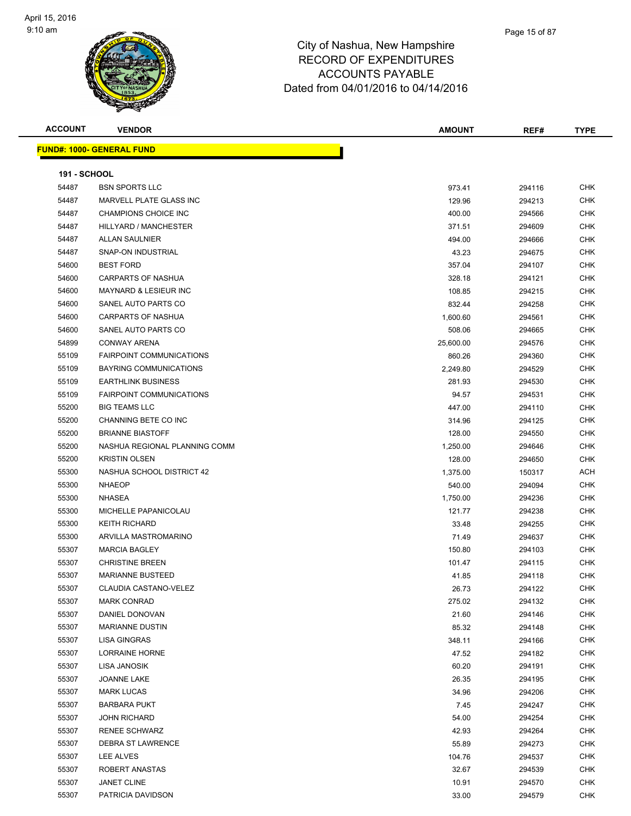#### Page 15 of 87

| <b>ACCOUNT</b>      | <b>VENDOR</b>                    | <b>AMOUNT</b> | REF#   | <b>TYPE</b> |
|---------------------|----------------------------------|---------------|--------|-------------|
|                     | <b>FUND#: 1000- GENERAL FUND</b> |               |        |             |
|                     |                                  |               |        |             |
| <b>191 - SCHOOL</b> |                                  |               |        |             |
| 54487               | <b>BSN SPORTS LLC</b>            | 973.41        | 294116 | <b>CHK</b>  |
| 54487               | MARVELL PLATE GLASS INC          | 129.96        | 294213 | <b>CHK</b>  |
| 54487               | CHAMPIONS CHOICE INC             | 400.00        | 294566 | <b>CHK</b>  |
| 54487               | HILLYARD / MANCHESTER            | 371.51        | 294609 | CHK         |
| 54487               | <b>ALLAN SAULNIER</b>            | 494.00        | 294666 | CHK         |
| 54487               | <b>SNAP-ON INDUSTRIAL</b>        | 43.23         | 294675 | <b>CHK</b>  |
| 54600               | <b>BEST FORD</b>                 | 357.04        | 294107 | <b>CHK</b>  |
| 54600               | CARPARTS OF NASHUA               | 328.18        | 294121 | <b>CHK</b>  |
| 54600               | <b>MAYNARD &amp; LESIEUR INC</b> | 108.85        | 294215 | <b>CHK</b>  |
| 54600               | SANEL AUTO PARTS CO              | 832.44        | 294258 | <b>CHK</b>  |
| 54600               | <b>CARPARTS OF NASHUA</b>        | 1,600.60      | 294561 | <b>CHK</b>  |
| 54600               | SANEL AUTO PARTS CO              | 508.06        | 294665 | <b>CHK</b>  |
| 54899               | <b>CONWAY ARENA</b>              | 25,600.00     | 294576 | <b>CHK</b>  |
| 55109               | <b>FAIRPOINT COMMUNICATIONS</b>  | 860.26        | 294360 | <b>CHK</b>  |
| 55109               | <b>BAYRING COMMUNICATIONS</b>    | 2,249.80      | 294529 | <b>CHK</b>  |
| 55109               | <b>EARTHLINK BUSINESS</b>        | 281.93        | 294530 | <b>CHK</b>  |
| 55109               | <b>FAIRPOINT COMMUNICATIONS</b>  | 94.57         | 294531 | <b>CHK</b>  |
| 55200               | <b>BIG TEAMS LLC</b>             | 447.00        | 294110 | <b>CHK</b>  |
| 55200               | CHANNING BETE CO INC             | 314.96        | 294125 | <b>CHK</b>  |
| 55200               | <b>BRIANNE BIASTOFF</b>          | 128.00        | 294550 | <b>CHK</b>  |
| 55200               | NASHUA REGIONAL PLANNING COMM    | 1,250.00      | 294646 | <b>CHK</b>  |
| 55200               | <b>KRISTIN OLSEN</b>             | 128.00        | 294650 | CHK         |
| 55300               | NASHUA SCHOOL DISTRICT 42        | 1,375.00      | 150317 | <b>ACH</b>  |
| 55300               | <b>NHAEOP</b>                    | 540.00        | 294094 | CHK         |
| 55300               | <b>NHASEA</b>                    | 1,750.00      | 294236 | CHK         |
| 55300               | MICHELLE PAPANICOLAU             | 121.77        | 294238 | CHK         |
| 55300               | <b>KEITH RICHARD</b>             | 33.48         | 294255 | <b>CHK</b>  |
| 55300               | ARVILLA MASTROMARINO             | 71.49         | 294637 | <b>CHK</b>  |
| 55307               | <b>MARCIA BAGLEY</b>             | 150.80        | 294103 | <b>CHK</b>  |
| 55307               | <b>CHRISTINE BREEN</b>           | 101.47        | 294115 | <b>CHK</b>  |
| 55307               | <b>MARIANNE BUSTEED</b>          | 41.85         | 294118 | <b>CHK</b>  |
| 55307               | CLAUDIA CASTANO-VELEZ            | 26.73         | 294122 | <b>CHK</b>  |
| 55307               | <b>MARK CONRAD</b>               | 275.02        | 294132 | <b>CHK</b>  |
| 55307               | DANIEL DONOVAN                   | 21.60         | 294146 | <b>CHK</b>  |
| 55307               | <b>MARIANNE DUSTIN</b>           | 85.32         | 294148 | <b>CHK</b>  |
| 55307               | LISA GINGRAS                     | 348.11        | 294166 | <b>CHK</b>  |
| 55307               | LORRAINE HORNE                   | 47.52         | 294182 | <b>CHK</b>  |
| 55307               | LISA JANOSIK                     | 60.20         | 294191 | <b>CHK</b>  |
| 55307               | <b>JOANNE LAKE</b>               | 26.35         | 294195 | <b>CHK</b>  |
| 55307               | <b>MARK LUCAS</b>                | 34.96         | 294206 | CHK         |
| 55307               | <b>BARBARA PUKT</b>              | 7.45          | 294247 | CHK         |
| 55307               | <b>JOHN RICHARD</b>              | 54.00         | 294254 | <b>CHK</b>  |
| 55307               | <b>RENEE SCHWARZ</b>             | 42.93         | 294264 | <b>CHK</b>  |
| 55307               | DEBRA ST LAWRENCE                | 55.89         | 294273 | <b>CHK</b>  |
| 55307               | LEE ALVES                        | 104.76        | 294537 | <b>CHK</b>  |
| 55307               | ROBERT ANASTAS                   | 32.67         | 294539 | <b>CHK</b>  |
| 55307               | JANET CLINE                      | 10.91         | 294570 | <b>CHK</b>  |
| 55307               | PATRICIA DAVIDSON                | 33.00         | 294579 | <b>CHK</b>  |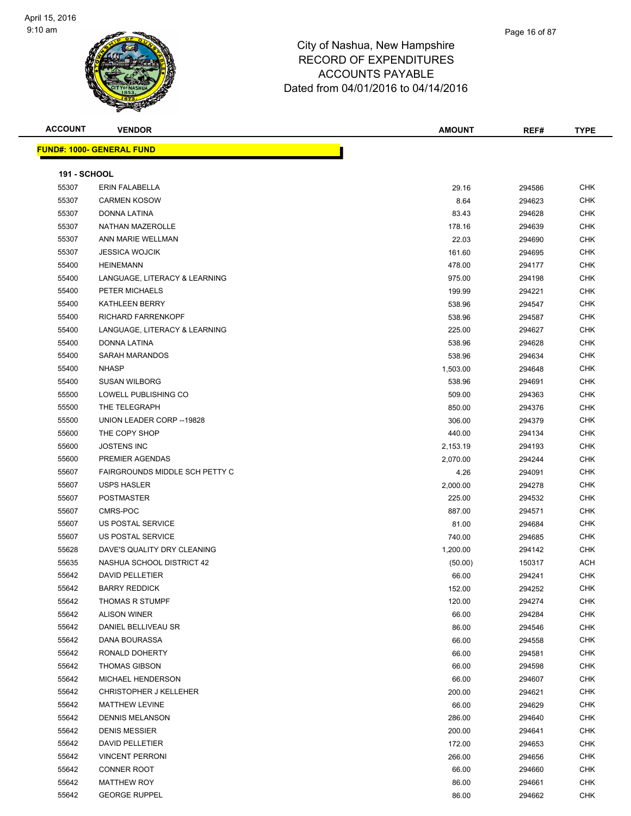| <b>ACCOUNT</b>      | <b>VENDOR</b>                    | <b>AMOUNT</b> | REF#   | <b>TYPE</b> |
|---------------------|----------------------------------|---------------|--------|-------------|
|                     | <b>FUND#: 1000- GENERAL FUND</b> |               |        |             |
|                     |                                  |               |        |             |
| <b>191 - SCHOOL</b> |                                  |               |        |             |
| 55307               | <b>ERIN FALABELLA</b>            | 29.16         | 294586 | <b>CHK</b>  |
| 55307               | <b>CARMEN KOSOW</b>              | 8.64          | 294623 | <b>CHK</b>  |
| 55307               | DONNA LATINA                     | 83.43         | 294628 | CHK         |
| 55307               | NATHAN MAZEROLLE                 | 178.16        | 294639 | CHK         |
| 55307               | ANN MARIE WELLMAN                | 22.03         | 294690 | CHK         |
| 55307               | <b>JESSICA WOJCIK</b>            | 161.60        | 294695 | CHK         |
| 55400               | <b>HEINEMANN</b>                 | 478.00        | 294177 | <b>CHK</b>  |
| 55400               | LANGUAGE, LITERACY & LEARNING    | 975.00        | 294198 | <b>CHK</b>  |
| 55400               | PETER MICHAELS                   | 199.99        | 294221 | <b>CHK</b>  |
| 55400               | <b>KATHLEEN BERRY</b>            | 538.96        | 294547 | <b>CHK</b>  |
| 55400               | RICHARD FARRENKOPF               | 538.96        | 294587 | CHK         |
| 55400               | LANGUAGE, LITERACY & LEARNING    | 225.00        | 294627 | <b>CHK</b>  |
| 55400               | DONNA LATINA                     | 538.96        | 294628 | CHK         |
| 55400               | <b>SARAH MARANDOS</b>            | 538.96        | 294634 | CHK         |
| 55400               | <b>NHASP</b>                     | 1,503.00      | 294648 | CHK         |
| 55400               | <b>SUSAN WILBORG</b>             | 538.96        | 294691 | CHK         |
| 55500               | LOWELL PUBLISHING CO             | 509.00        | 294363 | CHK         |
| 55500               | THE TELEGRAPH                    | 850.00        | 294376 | <b>CHK</b>  |
| 55500               | UNION LEADER CORP -- 19828       | 306.00        | 294379 | <b>CHK</b>  |
| 55600               | THE COPY SHOP                    | 440.00        | 294134 | <b>CHK</b>  |
| 55600               | <b>JOSTENS INC</b>               | 2,153.19      | 294193 | <b>CHK</b>  |
| 55600               | PREMIER AGENDAS                  | 2,070.00      | 294244 | <b>CHK</b>  |
| 55607               | FAIRGROUNDS MIDDLE SCH PETTY C   | 4.26          | 294091 | <b>CHK</b>  |
| 55607               | <b>USPS HASLER</b>               | 2,000.00      | 294278 | CHK         |
| 55607               | <b>POSTMASTER</b>                | 225.00        | 294532 | CHK         |
| 55607               | CMRS-POC                         | 887.00        | 294571 | CHK         |
| 55607               | <b>US POSTAL SERVICE</b>         | 81.00         | 294684 | CHK         |
| 55607               | <b>US POSTAL SERVICE</b>         | 740.00        | 294685 | CHK         |
| 55628               | DAVE'S QUALITY DRY CLEANING      | 1,200.00      | 294142 | <b>CHK</b>  |
| 55635               | NASHUA SCHOOL DISTRICT 42        | (50.00)       | 150317 | ACH         |
| 55642               | <b>DAVID PELLETIER</b>           | 66.00         | 294241 | <b>CHK</b>  |
| 55642               | <b>BARRY REDDICK</b>             | 152.00        | 294252 | <b>CHK</b>  |
| 55642               | <b>THOMAS R STUMPF</b>           | 120.00        | 294274 | <b>CHK</b>  |
| 55642               | <b>ALISON WINER</b>              | 66.00         | 294284 | <b>CHK</b>  |
| 55642               | DANIEL BELLIVEAU SR              | 86.00         | 294546 | CHK         |
| 55642               | DANA BOURASSA                    | 66.00         | 294558 | CHK         |
| 55642               | RONALD DOHERTY                   | 66.00         | 294581 | <b>CHK</b>  |
| 55642               | <b>THOMAS GIBSON</b>             | 66.00         | 294598 | CHK         |
| 55642               | MICHAEL HENDERSON                | 66.00         | 294607 | <b>CHK</b>  |
| 55642               | <b>CHRISTOPHER J KELLEHER</b>    | 200.00        | 294621 | <b>CHK</b>  |
| 55642               | <b>MATTHEW LEVINE</b>            | 66.00         | 294629 | <b>CHK</b>  |
| 55642               | <b>DENNIS MELANSON</b>           | 286.00        | 294640 | <b>CHK</b>  |
| 55642               | <b>DENIS MESSIER</b>             | 200.00        | 294641 | <b>CHK</b>  |
| 55642               | DAVID PELLETIER                  | 172.00        | 294653 | CHK         |
| 55642               | <b>VINCENT PERRONI</b>           | 266.00        | 294656 | CHK         |
| 55642               | <b>CONNER ROOT</b>               | 66.00         | 294660 | CHK         |
| 55642               | <b>MATTHEW ROY</b>               | 86.00         | 294661 | CHK         |
| 55642               | <b>GEORGE RUPPEL</b>             | 86.00         | 294662 | <b>CHK</b>  |
|                     |                                  |               |        |             |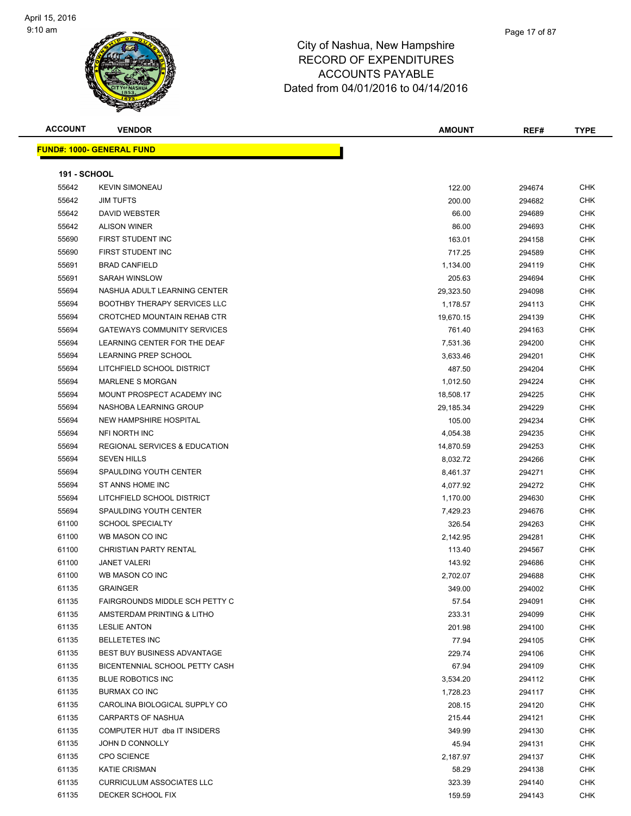

| <b>ACCOUNT</b>      | <b>VENDOR</b>                            | <b>AMOUNT</b> | REF#   | <b>TYPE</b> |
|---------------------|------------------------------------------|---------------|--------|-------------|
|                     | <u> FUND#: 1000- GENERAL FUND</u>        |               |        |             |
|                     |                                          |               |        |             |
| <b>191 - SCHOOL</b> |                                          |               |        |             |
| 55642               | <b>KEVIN SIMONEAU</b>                    | 122.00        | 294674 | <b>CHK</b>  |
| 55642               | <b>JIM TUFTS</b>                         | 200.00        | 294682 | CHK         |
| 55642               | DAVID WEBSTER                            | 66.00         | 294689 | CHK         |
| 55642               | <b>ALISON WINER</b>                      | 86.00         | 294693 | CHK         |
| 55690               | FIRST STUDENT INC                        | 163.01        | 294158 | CHK         |
| 55690               | FIRST STUDENT INC                        | 717.25        | 294589 | CHK         |
| 55691               | <b>BRAD CANFIELD</b>                     | 1,134.00      | 294119 | <b>CHK</b>  |
| 55691               | SARAH WINSLOW                            | 205.63        | 294694 | <b>CHK</b>  |
| 55694               | NASHUA ADULT LEARNING CENTER             | 29,323.50     | 294098 | CHK         |
| 55694               | <b>BOOTHBY THERAPY SERVICES LLC</b>      | 1,178.57      | 294113 | CHK         |
| 55694               | CROTCHED MOUNTAIN REHAB CTR              | 19,670.15     | 294139 | <b>CHK</b>  |
| 55694               | <b>GATEWAYS COMMUNITY SERVICES</b>       | 761.40        | 294163 | <b>CHK</b>  |
| 55694               | LEARNING CENTER FOR THE DEAF             | 7,531.36      | 294200 | <b>CHK</b>  |
| 55694               | LEARNING PREP SCHOOL                     | 3,633.46      | 294201 | <b>CHK</b>  |
| 55694               | LITCHFIELD SCHOOL DISTRICT               | 487.50        | 294204 | CHK         |
| 55694               | <b>MARLENE S MORGAN</b>                  | 1,012.50      | 294224 | CHK         |
| 55694               | MOUNT PROSPECT ACADEMY INC               | 18,508.17     | 294225 | CHK         |
| 55694               | NASHOBA LEARNING GROUP                   | 29,185.34     | 294229 | CHK         |
| 55694               | <b>NEW HAMPSHIRE HOSPITAL</b>            | 105.00        | 294234 | CHK         |
| 55694               | NFI NORTH INC                            | 4,054.38      | 294235 | CHK         |
| 55694               | <b>REGIONAL SERVICES &amp; EDUCATION</b> | 14,870.59     | 294253 | CHK         |
| 55694               | <b>SEVEN HILLS</b>                       | 8,032.72      | 294266 | <b>CHK</b>  |
| 55694               | SPAULDING YOUTH CENTER                   | 8,461.37      | 294271 | CHK         |
| 55694               | ST ANNS HOME INC                         | 4,077.92      | 294272 | CHK         |
| 55694               | LITCHFIELD SCHOOL DISTRICT               | 1,170.00      | 294630 | <b>CHK</b>  |
| 55694               | SPAULDING YOUTH CENTER                   | 7,429.23      | 294676 | CHK         |
| 61100               | <b>SCHOOL SPECIALTY</b>                  | 326.54        | 294263 | CHK         |
| 61100               | WB MASON CO INC                          | 2,142.95      | 294281 | CHK         |
| 61100               | <b>CHRISTIAN PARTY RENTAL</b>            | 113.40        | 294567 | <b>CHK</b>  |
| 61100               | <b>JANET VALERI</b>                      | 143.92        | 294686 | CHK         |
| 61100               | WB MASON CO INC                          | 2,702.07      | 294688 | CHK         |
| 61135               | <b>GRAINGER</b>                          | 349.00        | 294002 | <b>CHK</b>  |
| 61135               | FAIRGROUNDS MIDDLE SCH PETTY C           | 57.54         | 294091 | CHK         |
| 61135               | AMSTERDAM PRINTING & LITHO               | 233.31        | 294099 | CHK         |
| 61135               | <b>LESLIE ANTON</b>                      | 201.98        | 294100 | CHK         |
| 61135               | <b>BELLETETES INC</b>                    | 77.94         | 294105 | CHK         |
| 61135               | BEST BUY BUSINESS ADVANTAGE              | 229.74        | 294106 | <b>CHK</b>  |
| 61135               | BICENTENNIAL SCHOOL PETTY CASH           | 67.94         | 294109 | CHK         |
| 61135               | <b>BLUE ROBOTICS INC</b>                 | 3,534.20      | 294112 | CHK         |
| 61135               | BURMAX CO INC                            | 1,728.23      | 294117 | <b>CHK</b>  |
| 61135               | CAROLINA BIOLOGICAL SUPPLY CO            | 208.15        | 294120 | <b>CHK</b>  |
| 61135               | <b>CARPARTS OF NASHUA</b>                | 215.44        | 294121 | <b>CHK</b>  |
| 61135               | COMPUTER HUT dba IT INSIDERS             | 349.99        | 294130 | <b>CHK</b>  |
| 61135               | JOHN D CONNOLLY                          | 45.94         | 294131 | <b>CHK</b>  |
| 61135               | <b>CPO SCIENCE</b>                       | 2,187.97      | 294137 | <b>CHK</b>  |
| 61135               | <b>KATIE CRISMAN</b>                     | 58.29         | 294138 | CHK         |
| 61135               | <b>CURRICULUM ASSOCIATES LLC</b>         | 323.39        | 294140 | CHK         |
| 61135               | DECKER SCHOOL FIX                        | 159.59        | 294143 | <b>CHK</b>  |
|                     |                                          |               |        |             |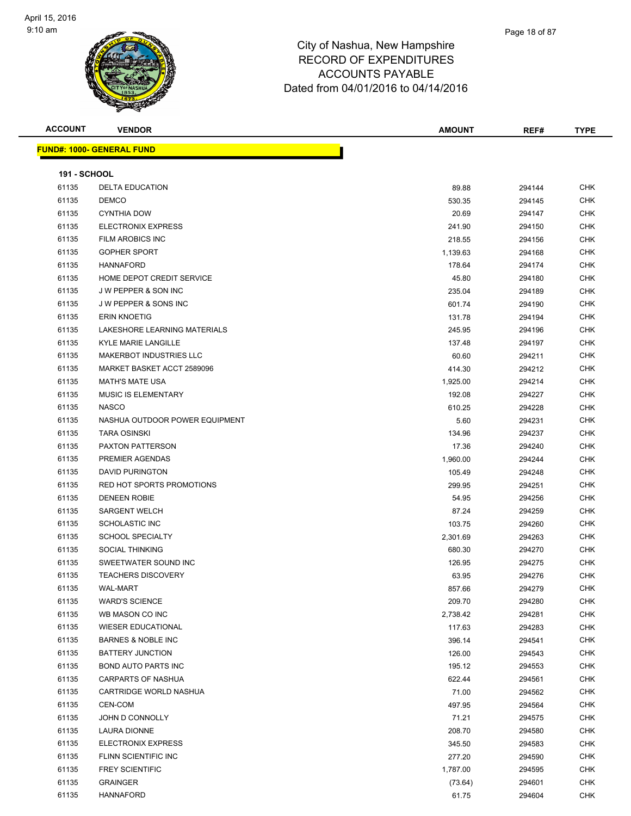

| <u> FUND#: 1000- GENERAL FUND</u><br><b>191 - SCHOOL</b><br><b>CHK</b><br>61135<br><b>DELTA EDUCATION</b><br>89.88<br>294144<br>61135<br><b>DEMCO</b><br><b>CHK</b><br>530.35<br>294145<br>61135<br><b>CYNTHIA DOW</b><br>20.69<br><b>CHK</b><br>294147<br>61135<br><b>ELECTRONIX EXPRESS</b><br>CHK<br>241.90<br>294150<br>61135<br>FILM AROBICS INC<br>218.55<br>294156<br><b>CHK</b><br>61135<br><b>GOPHER SPORT</b><br>CHK<br>1,139.63<br>294168<br>61135<br><b>HANNAFORD</b><br>178.64<br><b>CHK</b><br>294174<br>61135<br>HOME DEPOT CREDIT SERVICE<br>45.80<br><b>CHK</b><br>294180<br>61135<br><b>JW PEPPER &amp; SON INC</b><br>235.04<br><b>CHK</b><br>294189<br>61135<br>J W PEPPER & SONS INC<br><b>CHK</b><br>601.74<br>294190<br>61135<br><b>ERIN KNOETIG</b><br><b>CHK</b><br>131.78<br>294194<br>61135<br>LAKESHORE LEARNING MATERIALS<br>245.95<br><b>CHK</b><br>294196<br>61135<br><b>KYLE MARIE LANGILLE</b><br><b>CHK</b><br>137.48<br>294197<br>61135<br>60.60<br><b>MAKERBOT INDUSTRIES LLC</b><br>294211<br><b>CHK</b><br>61135<br>MARKET BASKET ACCT 2589096<br><b>CHK</b><br>414.30<br>294212<br>61135<br><b>MATH'S MATE USA</b><br>1,925.00<br>294214<br><b>CHK</b><br>61135<br><b>MUSIC IS ELEMENTARY</b><br>CHK<br>192.08<br>294227<br>61135<br><b>NASCO</b><br>610.25<br>294228<br><b>CHK</b><br>61135<br>NASHUA OUTDOOR POWER EQUIPMENT<br>5.60<br>CHK<br>294231<br>61135<br><b>TARA OSINSKI</b><br>134.96<br>294237<br>CHK<br>61135<br>PAXTON PATTERSON<br><b>CHK</b><br>17.36<br>294240<br>61135<br>PREMIER AGENDAS<br><b>CHK</b><br>1,960.00<br>294244<br>61135<br><b>DAVID PURINGTON</b><br>CHK<br>105.49<br>294248<br>61135<br>RED HOT SPORTS PROMOTIONS<br>299.95<br>294251<br><b>CHK</b><br>61135<br><b>CHK</b><br><b>DENEEN ROBIE</b><br>54.95<br>294256<br>61135<br><b>SARGENT WELCH</b><br><b>CHK</b><br>87.24<br>294259<br>61135<br><b>SCHOLASTIC INC</b><br>103.75<br>294260<br><b>CHK</b><br>61135<br><b>SCHOOL SPECIALTY</b><br>CHK<br>2,301.69<br>294263<br>61135<br><b>SOCIAL THINKING</b><br>680.30<br>294270<br><b>CHK</b><br>61135<br>SWEETWATER SOUND INC<br>126.95<br>CHK<br>294275<br>61135<br>63.95<br><b>CHK</b><br><b>TEACHERS DISCOVERY</b><br>294276<br>61135<br>WAL-MART<br>857.66<br>294279<br>CHK<br>61135<br><b>WARD'S SCIENCE</b><br>209.70<br><b>CHK</b><br>294280<br>61135<br><b>CHK</b><br>WB MASON CO INC<br>2,738.42<br>294281<br>61135<br><b>WIESER EDUCATIONAL</b><br><b>CHK</b><br>117.63<br>294283<br>61135<br><b>CHK</b><br><b>BARNES &amp; NOBLE INC</b><br>396.14<br>294541<br>61135<br><b>BATTERY JUNCTION</b><br>126.00<br>294543<br><b>CHK</b><br>61135<br><b>BOND AUTO PARTS INC</b><br><b>CHK</b><br>195.12<br>294553<br>61135<br>CARPARTS OF NASHUA<br>622.44<br><b>CHK</b><br>294561<br>61135<br>CARTRIDGE WORLD NASHUA<br>71.00<br><b>CHK</b><br>294562<br>61135<br>CEN-COM<br>497.95<br>CHK<br>294564<br>61135<br>JOHN D CONNOLLY<br>71.21<br><b>CHK</b><br>294575<br>61135<br>LAURA DIONNE<br>208.70<br><b>CHK</b><br>294580<br>61135<br>ELECTRONIX EXPRESS<br>345.50<br><b>CHK</b><br>294583<br>61135<br><b>CHK</b><br>FLINN SCIENTIFIC INC<br>277.20<br>294590<br>61135<br><b>FREY SCIENTIFIC</b><br>1,787.00<br>294595<br><b>CHK</b><br>61135<br><b>CHK</b><br><b>GRAINGER</b><br>(73.64)<br>294601 | <b>ACCOUNT</b> | <b>VENDOR</b>    | <b>AMOUNT</b> | REF#   | <b>TYPE</b> |
|--------------------------------------------------------------------------------------------------------------------------------------------------------------------------------------------------------------------------------------------------------------------------------------------------------------------------------------------------------------------------------------------------------------------------------------------------------------------------------------------------------------------------------------------------------------------------------------------------------------------------------------------------------------------------------------------------------------------------------------------------------------------------------------------------------------------------------------------------------------------------------------------------------------------------------------------------------------------------------------------------------------------------------------------------------------------------------------------------------------------------------------------------------------------------------------------------------------------------------------------------------------------------------------------------------------------------------------------------------------------------------------------------------------------------------------------------------------------------------------------------------------------------------------------------------------------------------------------------------------------------------------------------------------------------------------------------------------------------------------------------------------------------------------------------------------------------------------------------------------------------------------------------------------------------------------------------------------------------------------------------------------------------------------------------------------------------------------------------------------------------------------------------------------------------------------------------------------------------------------------------------------------------------------------------------------------------------------------------------------------------------------------------------------------------------------------------------------------------------------------------------------------------------------------------------------------------------------------------------------------------------------------------------------------------------------------------------------------------------------------------------------------------------------------------------------------------------------------------------------------------------------------------------------------------------------------------------------------------------------------------------------------------------------------------------------------------------------------------------------------------------------------------------------------------------------------------------------------------------------------------------------------------------------------|----------------|------------------|---------------|--------|-------------|
|                                                                                                                                                                                                                                                                                                                                                                                                                                                                                                                                                                                                                                                                                                                                                                                                                                                                                                                                                                                                                                                                                                                                                                                                                                                                                                                                                                                                                                                                                                                                                                                                                                                                                                                                                                                                                                                                                                                                                                                                                                                                                                                                                                                                                                                                                                                                                                                                                                                                                                                                                                                                                                                                                                                                                                                                                                                                                                                                                                                                                                                                                                                                                                                                                                                                                            |                |                  |               |        |             |
|                                                                                                                                                                                                                                                                                                                                                                                                                                                                                                                                                                                                                                                                                                                                                                                                                                                                                                                                                                                                                                                                                                                                                                                                                                                                                                                                                                                                                                                                                                                                                                                                                                                                                                                                                                                                                                                                                                                                                                                                                                                                                                                                                                                                                                                                                                                                                                                                                                                                                                                                                                                                                                                                                                                                                                                                                                                                                                                                                                                                                                                                                                                                                                                                                                                                                            |                |                  |               |        |             |
|                                                                                                                                                                                                                                                                                                                                                                                                                                                                                                                                                                                                                                                                                                                                                                                                                                                                                                                                                                                                                                                                                                                                                                                                                                                                                                                                                                                                                                                                                                                                                                                                                                                                                                                                                                                                                                                                                                                                                                                                                                                                                                                                                                                                                                                                                                                                                                                                                                                                                                                                                                                                                                                                                                                                                                                                                                                                                                                                                                                                                                                                                                                                                                                                                                                                                            |                |                  |               |        |             |
|                                                                                                                                                                                                                                                                                                                                                                                                                                                                                                                                                                                                                                                                                                                                                                                                                                                                                                                                                                                                                                                                                                                                                                                                                                                                                                                                                                                                                                                                                                                                                                                                                                                                                                                                                                                                                                                                                                                                                                                                                                                                                                                                                                                                                                                                                                                                                                                                                                                                                                                                                                                                                                                                                                                                                                                                                                                                                                                                                                                                                                                                                                                                                                                                                                                                                            |                |                  |               |        |             |
|                                                                                                                                                                                                                                                                                                                                                                                                                                                                                                                                                                                                                                                                                                                                                                                                                                                                                                                                                                                                                                                                                                                                                                                                                                                                                                                                                                                                                                                                                                                                                                                                                                                                                                                                                                                                                                                                                                                                                                                                                                                                                                                                                                                                                                                                                                                                                                                                                                                                                                                                                                                                                                                                                                                                                                                                                                                                                                                                                                                                                                                                                                                                                                                                                                                                                            |                |                  |               |        |             |
|                                                                                                                                                                                                                                                                                                                                                                                                                                                                                                                                                                                                                                                                                                                                                                                                                                                                                                                                                                                                                                                                                                                                                                                                                                                                                                                                                                                                                                                                                                                                                                                                                                                                                                                                                                                                                                                                                                                                                                                                                                                                                                                                                                                                                                                                                                                                                                                                                                                                                                                                                                                                                                                                                                                                                                                                                                                                                                                                                                                                                                                                                                                                                                                                                                                                                            |                |                  |               |        |             |
|                                                                                                                                                                                                                                                                                                                                                                                                                                                                                                                                                                                                                                                                                                                                                                                                                                                                                                                                                                                                                                                                                                                                                                                                                                                                                                                                                                                                                                                                                                                                                                                                                                                                                                                                                                                                                                                                                                                                                                                                                                                                                                                                                                                                                                                                                                                                                                                                                                                                                                                                                                                                                                                                                                                                                                                                                                                                                                                                                                                                                                                                                                                                                                                                                                                                                            |                |                  |               |        |             |
|                                                                                                                                                                                                                                                                                                                                                                                                                                                                                                                                                                                                                                                                                                                                                                                                                                                                                                                                                                                                                                                                                                                                                                                                                                                                                                                                                                                                                                                                                                                                                                                                                                                                                                                                                                                                                                                                                                                                                                                                                                                                                                                                                                                                                                                                                                                                                                                                                                                                                                                                                                                                                                                                                                                                                                                                                                                                                                                                                                                                                                                                                                                                                                                                                                                                                            |                |                  |               |        |             |
|                                                                                                                                                                                                                                                                                                                                                                                                                                                                                                                                                                                                                                                                                                                                                                                                                                                                                                                                                                                                                                                                                                                                                                                                                                                                                                                                                                                                                                                                                                                                                                                                                                                                                                                                                                                                                                                                                                                                                                                                                                                                                                                                                                                                                                                                                                                                                                                                                                                                                                                                                                                                                                                                                                                                                                                                                                                                                                                                                                                                                                                                                                                                                                                                                                                                                            |                |                  |               |        |             |
|                                                                                                                                                                                                                                                                                                                                                                                                                                                                                                                                                                                                                                                                                                                                                                                                                                                                                                                                                                                                                                                                                                                                                                                                                                                                                                                                                                                                                                                                                                                                                                                                                                                                                                                                                                                                                                                                                                                                                                                                                                                                                                                                                                                                                                                                                                                                                                                                                                                                                                                                                                                                                                                                                                                                                                                                                                                                                                                                                                                                                                                                                                                                                                                                                                                                                            |                |                  |               |        |             |
|                                                                                                                                                                                                                                                                                                                                                                                                                                                                                                                                                                                                                                                                                                                                                                                                                                                                                                                                                                                                                                                                                                                                                                                                                                                                                                                                                                                                                                                                                                                                                                                                                                                                                                                                                                                                                                                                                                                                                                                                                                                                                                                                                                                                                                                                                                                                                                                                                                                                                                                                                                                                                                                                                                                                                                                                                                                                                                                                                                                                                                                                                                                                                                                                                                                                                            |                |                  |               |        |             |
|                                                                                                                                                                                                                                                                                                                                                                                                                                                                                                                                                                                                                                                                                                                                                                                                                                                                                                                                                                                                                                                                                                                                                                                                                                                                                                                                                                                                                                                                                                                                                                                                                                                                                                                                                                                                                                                                                                                                                                                                                                                                                                                                                                                                                                                                                                                                                                                                                                                                                                                                                                                                                                                                                                                                                                                                                                                                                                                                                                                                                                                                                                                                                                                                                                                                                            |                |                  |               |        |             |
|                                                                                                                                                                                                                                                                                                                                                                                                                                                                                                                                                                                                                                                                                                                                                                                                                                                                                                                                                                                                                                                                                                                                                                                                                                                                                                                                                                                                                                                                                                                                                                                                                                                                                                                                                                                                                                                                                                                                                                                                                                                                                                                                                                                                                                                                                                                                                                                                                                                                                                                                                                                                                                                                                                                                                                                                                                                                                                                                                                                                                                                                                                                                                                                                                                                                                            |                |                  |               |        |             |
|                                                                                                                                                                                                                                                                                                                                                                                                                                                                                                                                                                                                                                                                                                                                                                                                                                                                                                                                                                                                                                                                                                                                                                                                                                                                                                                                                                                                                                                                                                                                                                                                                                                                                                                                                                                                                                                                                                                                                                                                                                                                                                                                                                                                                                                                                                                                                                                                                                                                                                                                                                                                                                                                                                                                                                                                                                                                                                                                                                                                                                                                                                                                                                                                                                                                                            |                |                  |               |        |             |
|                                                                                                                                                                                                                                                                                                                                                                                                                                                                                                                                                                                                                                                                                                                                                                                                                                                                                                                                                                                                                                                                                                                                                                                                                                                                                                                                                                                                                                                                                                                                                                                                                                                                                                                                                                                                                                                                                                                                                                                                                                                                                                                                                                                                                                                                                                                                                                                                                                                                                                                                                                                                                                                                                                                                                                                                                                                                                                                                                                                                                                                                                                                                                                                                                                                                                            |                |                  |               |        |             |
|                                                                                                                                                                                                                                                                                                                                                                                                                                                                                                                                                                                                                                                                                                                                                                                                                                                                                                                                                                                                                                                                                                                                                                                                                                                                                                                                                                                                                                                                                                                                                                                                                                                                                                                                                                                                                                                                                                                                                                                                                                                                                                                                                                                                                                                                                                                                                                                                                                                                                                                                                                                                                                                                                                                                                                                                                                                                                                                                                                                                                                                                                                                                                                                                                                                                                            |                |                  |               |        |             |
|                                                                                                                                                                                                                                                                                                                                                                                                                                                                                                                                                                                                                                                                                                                                                                                                                                                                                                                                                                                                                                                                                                                                                                                                                                                                                                                                                                                                                                                                                                                                                                                                                                                                                                                                                                                                                                                                                                                                                                                                                                                                                                                                                                                                                                                                                                                                                                                                                                                                                                                                                                                                                                                                                                                                                                                                                                                                                                                                                                                                                                                                                                                                                                                                                                                                                            |                |                  |               |        |             |
|                                                                                                                                                                                                                                                                                                                                                                                                                                                                                                                                                                                                                                                                                                                                                                                                                                                                                                                                                                                                                                                                                                                                                                                                                                                                                                                                                                                                                                                                                                                                                                                                                                                                                                                                                                                                                                                                                                                                                                                                                                                                                                                                                                                                                                                                                                                                                                                                                                                                                                                                                                                                                                                                                                                                                                                                                                                                                                                                                                                                                                                                                                                                                                                                                                                                                            |                |                  |               |        |             |
|                                                                                                                                                                                                                                                                                                                                                                                                                                                                                                                                                                                                                                                                                                                                                                                                                                                                                                                                                                                                                                                                                                                                                                                                                                                                                                                                                                                                                                                                                                                                                                                                                                                                                                                                                                                                                                                                                                                                                                                                                                                                                                                                                                                                                                                                                                                                                                                                                                                                                                                                                                                                                                                                                                                                                                                                                                                                                                                                                                                                                                                                                                                                                                                                                                                                                            |                |                  |               |        |             |
|                                                                                                                                                                                                                                                                                                                                                                                                                                                                                                                                                                                                                                                                                                                                                                                                                                                                                                                                                                                                                                                                                                                                                                                                                                                                                                                                                                                                                                                                                                                                                                                                                                                                                                                                                                                                                                                                                                                                                                                                                                                                                                                                                                                                                                                                                                                                                                                                                                                                                                                                                                                                                                                                                                                                                                                                                                                                                                                                                                                                                                                                                                                                                                                                                                                                                            |                |                  |               |        |             |
|                                                                                                                                                                                                                                                                                                                                                                                                                                                                                                                                                                                                                                                                                                                                                                                                                                                                                                                                                                                                                                                                                                                                                                                                                                                                                                                                                                                                                                                                                                                                                                                                                                                                                                                                                                                                                                                                                                                                                                                                                                                                                                                                                                                                                                                                                                                                                                                                                                                                                                                                                                                                                                                                                                                                                                                                                                                                                                                                                                                                                                                                                                                                                                                                                                                                                            |                |                  |               |        |             |
|                                                                                                                                                                                                                                                                                                                                                                                                                                                                                                                                                                                                                                                                                                                                                                                                                                                                                                                                                                                                                                                                                                                                                                                                                                                                                                                                                                                                                                                                                                                                                                                                                                                                                                                                                                                                                                                                                                                                                                                                                                                                                                                                                                                                                                                                                                                                                                                                                                                                                                                                                                                                                                                                                                                                                                                                                                                                                                                                                                                                                                                                                                                                                                                                                                                                                            |                |                  |               |        |             |
|                                                                                                                                                                                                                                                                                                                                                                                                                                                                                                                                                                                                                                                                                                                                                                                                                                                                                                                                                                                                                                                                                                                                                                                                                                                                                                                                                                                                                                                                                                                                                                                                                                                                                                                                                                                                                                                                                                                                                                                                                                                                                                                                                                                                                                                                                                                                                                                                                                                                                                                                                                                                                                                                                                                                                                                                                                                                                                                                                                                                                                                                                                                                                                                                                                                                                            |                |                  |               |        |             |
|                                                                                                                                                                                                                                                                                                                                                                                                                                                                                                                                                                                                                                                                                                                                                                                                                                                                                                                                                                                                                                                                                                                                                                                                                                                                                                                                                                                                                                                                                                                                                                                                                                                                                                                                                                                                                                                                                                                                                                                                                                                                                                                                                                                                                                                                                                                                                                                                                                                                                                                                                                                                                                                                                                                                                                                                                                                                                                                                                                                                                                                                                                                                                                                                                                                                                            |                |                  |               |        |             |
|                                                                                                                                                                                                                                                                                                                                                                                                                                                                                                                                                                                                                                                                                                                                                                                                                                                                                                                                                                                                                                                                                                                                                                                                                                                                                                                                                                                                                                                                                                                                                                                                                                                                                                                                                                                                                                                                                                                                                                                                                                                                                                                                                                                                                                                                                                                                                                                                                                                                                                                                                                                                                                                                                                                                                                                                                                                                                                                                                                                                                                                                                                                                                                                                                                                                                            |                |                  |               |        |             |
|                                                                                                                                                                                                                                                                                                                                                                                                                                                                                                                                                                                                                                                                                                                                                                                                                                                                                                                                                                                                                                                                                                                                                                                                                                                                                                                                                                                                                                                                                                                                                                                                                                                                                                                                                                                                                                                                                                                                                                                                                                                                                                                                                                                                                                                                                                                                                                                                                                                                                                                                                                                                                                                                                                                                                                                                                                                                                                                                                                                                                                                                                                                                                                                                                                                                                            |                |                  |               |        |             |
|                                                                                                                                                                                                                                                                                                                                                                                                                                                                                                                                                                                                                                                                                                                                                                                                                                                                                                                                                                                                                                                                                                                                                                                                                                                                                                                                                                                                                                                                                                                                                                                                                                                                                                                                                                                                                                                                                                                                                                                                                                                                                                                                                                                                                                                                                                                                                                                                                                                                                                                                                                                                                                                                                                                                                                                                                                                                                                                                                                                                                                                                                                                                                                                                                                                                                            |                |                  |               |        |             |
|                                                                                                                                                                                                                                                                                                                                                                                                                                                                                                                                                                                                                                                                                                                                                                                                                                                                                                                                                                                                                                                                                                                                                                                                                                                                                                                                                                                                                                                                                                                                                                                                                                                                                                                                                                                                                                                                                                                                                                                                                                                                                                                                                                                                                                                                                                                                                                                                                                                                                                                                                                                                                                                                                                                                                                                                                                                                                                                                                                                                                                                                                                                                                                                                                                                                                            |                |                  |               |        |             |
|                                                                                                                                                                                                                                                                                                                                                                                                                                                                                                                                                                                                                                                                                                                                                                                                                                                                                                                                                                                                                                                                                                                                                                                                                                                                                                                                                                                                                                                                                                                                                                                                                                                                                                                                                                                                                                                                                                                                                                                                                                                                                                                                                                                                                                                                                                                                                                                                                                                                                                                                                                                                                                                                                                                                                                                                                                                                                                                                                                                                                                                                                                                                                                                                                                                                                            |                |                  |               |        |             |
|                                                                                                                                                                                                                                                                                                                                                                                                                                                                                                                                                                                                                                                                                                                                                                                                                                                                                                                                                                                                                                                                                                                                                                                                                                                                                                                                                                                                                                                                                                                                                                                                                                                                                                                                                                                                                                                                                                                                                                                                                                                                                                                                                                                                                                                                                                                                                                                                                                                                                                                                                                                                                                                                                                                                                                                                                                                                                                                                                                                                                                                                                                                                                                                                                                                                                            |                |                  |               |        |             |
|                                                                                                                                                                                                                                                                                                                                                                                                                                                                                                                                                                                                                                                                                                                                                                                                                                                                                                                                                                                                                                                                                                                                                                                                                                                                                                                                                                                                                                                                                                                                                                                                                                                                                                                                                                                                                                                                                                                                                                                                                                                                                                                                                                                                                                                                                                                                                                                                                                                                                                                                                                                                                                                                                                                                                                                                                                                                                                                                                                                                                                                                                                                                                                                                                                                                                            |                |                  |               |        |             |
|                                                                                                                                                                                                                                                                                                                                                                                                                                                                                                                                                                                                                                                                                                                                                                                                                                                                                                                                                                                                                                                                                                                                                                                                                                                                                                                                                                                                                                                                                                                                                                                                                                                                                                                                                                                                                                                                                                                                                                                                                                                                                                                                                                                                                                                                                                                                                                                                                                                                                                                                                                                                                                                                                                                                                                                                                                                                                                                                                                                                                                                                                                                                                                                                                                                                                            |                |                  |               |        |             |
|                                                                                                                                                                                                                                                                                                                                                                                                                                                                                                                                                                                                                                                                                                                                                                                                                                                                                                                                                                                                                                                                                                                                                                                                                                                                                                                                                                                                                                                                                                                                                                                                                                                                                                                                                                                                                                                                                                                                                                                                                                                                                                                                                                                                                                                                                                                                                                                                                                                                                                                                                                                                                                                                                                                                                                                                                                                                                                                                                                                                                                                                                                                                                                                                                                                                                            |                |                  |               |        |             |
|                                                                                                                                                                                                                                                                                                                                                                                                                                                                                                                                                                                                                                                                                                                                                                                                                                                                                                                                                                                                                                                                                                                                                                                                                                                                                                                                                                                                                                                                                                                                                                                                                                                                                                                                                                                                                                                                                                                                                                                                                                                                                                                                                                                                                                                                                                                                                                                                                                                                                                                                                                                                                                                                                                                                                                                                                                                                                                                                                                                                                                                                                                                                                                                                                                                                                            |                |                  |               |        |             |
|                                                                                                                                                                                                                                                                                                                                                                                                                                                                                                                                                                                                                                                                                                                                                                                                                                                                                                                                                                                                                                                                                                                                                                                                                                                                                                                                                                                                                                                                                                                                                                                                                                                                                                                                                                                                                                                                                                                                                                                                                                                                                                                                                                                                                                                                                                                                                                                                                                                                                                                                                                                                                                                                                                                                                                                                                                                                                                                                                                                                                                                                                                                                                                                                                                                                                            |                |                  |               |        |             |
|                                                                                                                                                                                                                                                                                                                                                                                                                                                                                                                                                                                                                                                                                                                                                                                                                                                                                                                                                                                                                                                                                                                                                                                                                                                                                                                                                                                                                                                                                                                                                                                                                                                                                                                                                                                                                                                                                                                                                                                                                                                                                                                                                                                                                                                                                                                                                                                                                                                                                                                                                                                                                                                                                                                                                                                                                                                                                                                                                                                                                                                                                                                                                                                                                                                                                            |                |                  |               |        |             |
|                                                                                                                                                                                                                                                                                                                                                                                                                                                                                                                                                                                                                                                                                                                                                                                                                                                                                                                                                                                                                                                                                                                                                                                                                                                                                                                                                                                                                                                                                                                                                                                                                                                                                                                                                                                                                                                                                                                                                                                                                                                                                                                                                                                                                                                                                                                                                                                                                                                                                                                                                                                                                                                                                                                                                                                                                                                                                                                                                                                                                                                                                                                                                                                                                                                                                            |                |                  |               |        |             |
|                                                                                                                                                                                                                                                                                                                                                                                                                                                                                                                                                                                                                                                                                                                                                                                                                                                                                                                                                                                                                                                                                                                                                                                                                                                                                                                                                                                                                                                                                                                                                                                                                                                                                                                                                                                                                                                                                                                                                                                                                                                                                                                                                                                                                                                                                                                                                                                                                                                                                                                                                                                                                                                                                                                                                                                                                                                                                                                                                                                                                                                                                                                                                                                                                                                                                            |                |                  |               |        |             |
|                                                                                                                                                                                                                                                                                                                                                                                                                                                                                                                                                                                                                                                                                                                                                                                                                                                                                                                                                                                                                                                                                                                                                                                                                                                                                                                                                                                                                                                                                                                                                                                                                                                                                                                                                                                                                                                                                                                                                                                                                                                                                                                                                                                                                                                                                                                                                                                                                                                                                                                                                                                                                                                                                                                                                                                                                                                                                                                                                                                                                                                                                                                                                                                                                                                                                            |                |                  |               |        |             |
|                                                                                                                                                                                                                                                                                                                                                                                                                                                                                                                                                                                                                                                                                                                                                                                                                                                                                                                                                                                                                                                                                                                                                                                                                                                                                                                                                                                                                                                                                                                                                                                                                                                                                                                                                                                                                                                                                                                                                                                                                                                                                                                                                                                                                                                                                                                                                                                                                                                                                                                                                                                                                                                                                                                                                                                                                                                                                                                                                                                                                                                                                                                                                                                                                                                                                            |                |                  |               |        |             |
|                                                                                                                                                                                                                                                                                                                                                                                                                                                                                                                                                                                                                                                                                                                                                                                                                                                                                                                                                                                                                                                                                                                                                                                                                                                                                                                                                                                                                                                                                                                                                                                                                                                                                                                                                                                                                                                                                                                                                                                                                                                                                                                                                                                                                                                                                                                                                                                                                                                                                                                                                                                                                                                                                                                                                                                                                                                                                                                                                                                                                                                                                                                                                                                                                                                                                            |                |                  |               |        |             |
|                                                                                                                                                                                                                                                                                                                                                                                                                                                                                                                                                                                                                                                                                                                                                                                                                                                                                                                                                                                                                                                                                                                                                                                                                                                                                                                                                                                                                                                                                                                                                                                                                                                                                                                                                                                                                                                                                                                                                                                                                                                                                                                                                                                                                                                                                                                                                                                                                                                                                                                                                                                                                                                                                                                                                                                                                                                                                                                                                                                                                                                                                                                                                                                                                                                                                            |                |                  |               |        |             |
|                                                                                                                                                                                                                                                                                                                                                                                                                                                                                                                                                                                                                                                                                                                                                                                                                                                                                                                                                                                                                                                                                                                                                                                                                                                                                                                                                                                                                                                                                                                                                                                                                                                                                                                                                                                                                                                                                                                                                                                                                                                                                                                                                                                                                                                                                                                                                                                                                                                                                                                                                                                                                                                                                                                                                                                                                                                                                                                                                                                                                                                                                                                                                                                                                                                                                            |                |                  |               |        |             |
|                                                                                                                                                                                                                                                                                                                                                                                                                                                                                                                                                                                                                                                                                                                                                                                                                                                                                                                                                                                                                                                                                                                                                                                                                                                                                                                                                                                                                                                                                                                                                                                                                                                                                                                                                                                                                                                                                                                                                                                                                                                                                                                                                                                                                                                                                                                                                                                                                                                                                                                                                                                                                                                                                                                                                                                                                                                                                                                                                                                                                                                                                                                                                                                                                                                                                            |                |                  |               |        |             |
|                                                                                                                                                                                                                                                                                                                                                                                                                                                                                                                                                                                                                                                                                                                                                                                                                                                                                                                                                                                                                                                                                                                                                                                                                                                                                                                                                                                                                                                                                                                                                                                                                                                                                                                                                                                                                                                                                                                                                                                                                                                                                                                                                                                                                                                                                                                                                                                                                                                                                                                                                                                                                                                                                                                                                                                                                                                                                                                                                                                                                                                                                                                                                                                                                                                                                            |                |                  |               |        |             |
|                                                                                                                                                                                                                                                                                                                                                                                                                                                                                                                                                                                                                                                                                                                                                                                                                                                                                                                                                                                                                                                                                                                                                                                                                                                                                                                                                                                                                                                                                                                                                                                                                                                                                                                                                                                                                                                                                                                                                                                                                                                                                                                                                                                                                                                                                                                                                                                                                                                                                                                                                                                                                                                                                                                                                                                                                                                                                                                                                                                                                                                                                                                                                                                                                                                                                            |                |                  |               |        |             |
|                                                                                                                                                                                                                                                                                                                                                                                                                                                                                                                                                                                                                                                                                                                                                                                                                                                                                                                                                                                                                                                                                                                                                                                                                                                                                                                                                                                                                                                                                                                                                                                                                                                                                                                                                                                                                                                                                                                                                                                                                                                                                                                                                                                                                                                                                                                                                                                                                                                                                                                                                                                                                                                                                                                                                                                                                                                                                                                                                                                                                                                                                                                                                                                                                                                                                            |                |                  |               |        |             |
|                                                                                                                                                                                                                                                                                                                                                                                                                                                                                                                                                                                                                                                                                                                                                                                                                                                                                                                                                                                                                                                                                                                                                                                                                                                                                                                                                                                                                                                                                                                                                                                                                                                                                                                                                                                                                                                                                                                                                                                                                                                                                                                                                                                                                                                                                                                                                                                                                                                                                                                                                                                                                                                                                                                                                                                                                                                                                                                                                                                                                                                                                                                                                                                                                                                                                            |                |                  |               |        |             |
|                                                                                                                                                                                                                                                                                                                                                                                                                                                                                                                                                                                                                                                                                                                                                                                                                                                                                                                                                                                                                                                                                                                                                                                                                                                                                                                                                                                                                                                                                                                                                                                                                                                                                                                                                                                                                                                                                                                                                                                                                                                                                                                                                                                                                                                                                                                                                                                                                                                                                                                                                                                                                                                                                                                                                                                                                                                                                                                                                                                                                                                                                                                                                                                                                                                                                            |                |                  |               |        |             |
|                                                                                                                                                                                                                                                                                                                                                                                                                                                                                                                                                                                                                                                                                                                                                                                                                                                                                                                                                                                                                                                                                                                                                                                                                                                                                                                                                                                                                                                                                                                                                                                                                                                                                                                                                                                                                                                                                                                                                                                                                                                                                                                                                                                                                                                                                                                                                                                                                                                                                                                                                                                                                                                                                                                                                                                                                                                                                                                                                                                                                                                                                                                                                                                                                                                                                            |                |                  |               |        |             |
|                                                                                                                                                                                                                                                                                                                                                                                                                                                                                                                                                                                                                                                                                                                                                                                                                                                                                                                                                                                                                                                                                                                                                                                                                                                                                                                                                                                                                                                                                                                                                                                                                                                                                                                                                                                                                                                                                                                                                                                                                                                                                                                                                                                                                                                                                                                                                                                                                                                                                                                                                                                                                                                                                                                                                                                                                                                                                                                                                                                                                                                                                                                                                                                                                                                                                            | 61135          | <b>HANNAFORD</b> | 61.75         | 294604 | <b>CHK</b>  |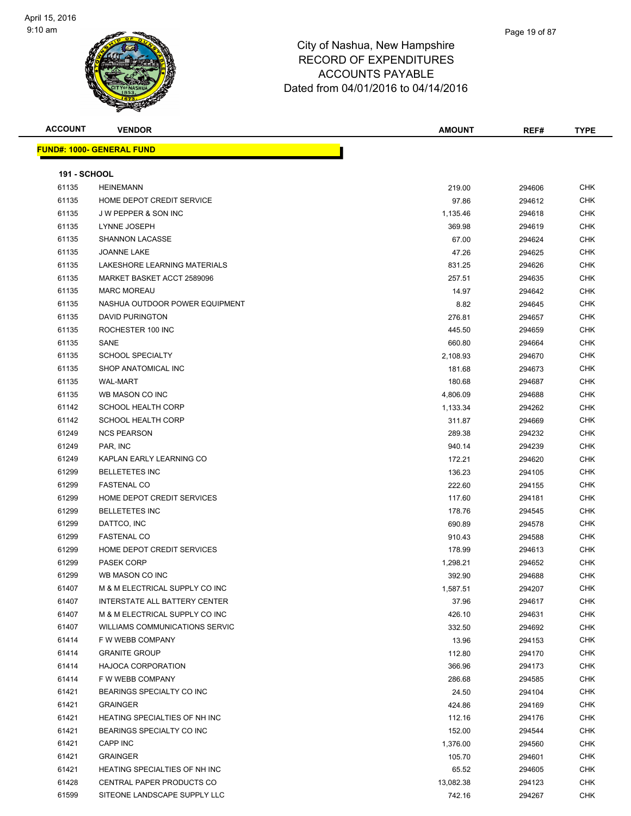| <b>ACCOUNT</b>      | <b>VENDOR</b>                         | <b>AMOUNT</b> | REF#   | <b>TYPE</b> |
|---------------------|---------------------------------------|---------------|--------|-------------|
|                     | <u> FUND#: 1000- GENERAL FUND</u>     |               |        |             |
|                     |                                       |               |        |             |
| <b>191 - SCHOOL</b> |                                       |               |        |             |
| 61135               | <b>HEINEMANN</b>                      | 219.00        | 294606 | <b>CHK</b>  |
| 61135               | HOME DEPOT CREDIT SERVICE             | 97.86         | 294612 | CHK         |
| 61135               | <b>JW PEPPER &amp; SON INC</b>        | 1,135.46      | 294618 | <b>CHK</b>  |
| 61135               | LYNNE JOSEPH                          | 369.98        | 294619 | CHK         |
| 61135               | SHANNON LACASSE                       | 67.00         | 294624 | CHK         |
| 61135               | <b>JOANNE LAKE</b>                    | 47.26         | 294625 | CHK         |
| 61135               | LAKESHORE LEARNING MATERIALS          | 831.25        | 294626 | CHK         |
| 61135               | MARKET BASKET ACCT 2589096            | 257.51        | 294635 | <b>CHK</b>  |
| 61135               | <b>MARC MOREAU</b>                    | 14.97         | 294642 | CHK         |
| 61135               | NASHUA OUTDOOR POWER EQUIPMENT        | 8.82          | 294645 | CHK         |
| 61135               | <b>DAVID PURINGTON</b>                | 276.81        | 294657 | CHK         |
| 61135               | ROCHESTER 100 INC                     | 445.50        | 294659 | <b>CHK</b>  |
| 61135               | SANE                                  | 660.80        | 294664 | CHK         |
| 61135               | <b>SCHOOL SPECIALTY</b>               | 2,108.93      | 294670 | CHK         |
| 61135               | SHOP ANATOMICAL INC                   | 181.68        | 294673 | CHK         |
| 61135               | <b>WAL-MART</b>                       | 180.68        | 294687 | CHK         |
| 61135               | WB MASON CO INC                       | 4,806.09      | 294688 | CHK         |
| 61142               | <b>SCHOOL HEALTH CORP</b>             | 1,133.34      | 294262 | CHK         |
| 61142               | <b>SCHOOL HEALTH CORP</b>             | 311.87        | 294669 | CHK         |
| 61249               | <b>NCS PEARSON</b>                    | 289.38        | 294232 | <b>CHK</b>  |
| 61249               | PAR, INC                              | 940.14        | 294239 | CHK         |
| 61249               | KAPLAN EARLY LEARNING CO              | 172.21        | 294620 | <b>CHK</b>  |
| 61299               | <b>BELLETETES INC</b>                 | 136.23        | 294105 | <b>CHK</b>  |
| 61299               | <b>FASTENAL CO</b>                    | 222.60        | 294155 | CHK         |
| 61299               | HOME DEPOT CREDIT SERVICES            | 117.60        | 294181 | CHK         |
| 61299               | <b>BELLETETES INC</b>                 | 178.76        | 294545 | CHK         |
| 61299               | DATTCO, INC                           | 690.89        | 294578 | CHK         |
| 61299               | <b>FASTENAL CO</b>                    | 910.43        | 294588 | CHK         |
| 61299               | HOME DEPOT CREDIT SERVICES            | 178.99        | 294613 | CHK         |
| 61299               | <b>PASEK CORP</b>                     | 1,298.21      | 294652 | <b>CHK</b>  |
| 61299               | WB MASON CO INC                       | 392.90        | 294688 | CHK         |
| 61407               | M & M ELECTRICAL SUPPLY CO INC        | 1,587.51      | 294207 | <b>CHK</b>  |
| 61407               | <b>INTERSTATE ALL BATTERY CENTER</b>  | 37.96         | 294617 | <b>CHK</b>  |
| 61407               | M & M ELECTRICAL SUPPLY CO INC        | 426.10        | 294631 | CHK         |
| 61407               | <b>WILLIAMS COMMUNICATIONS SERVIC</b> | 332.50        | 294692 | CHK         |
| 61414               | F W WEBB COMPANY                      | 13.96         | 294153 | <b>CHK</b>  |
| 61414               | <b>GRANITE GROUP</b>                  | 112.80        | 294170 | <b>CHK</b>  |
| 61414               | <b>HAJOCA CORPORATION</b>             | 366.96        | 294173 | <b>CHK</b>  |
| 61414               | F W WEBB COMPANY                      | 286.68        | 294585 | CHK         |
| 61421               | BEARINGS SPECIALTY CO INC             | 24.50         | 294104 | <b>CHK</b>  |
| 61421               | <b>GRAINGER</b>                       | 424.86        | 294169 | <b>CHK</b>  |
| 61421               | HEATING SPECIALTIES OF NH INC         | 112.16        | 294176 | <b>CHK</b>  |
| 61421               | BEARINGS SPECIALTY CO INC             | 152.00        | 294544 | <b>CHK</b>  |
| 61421               | CAPP INC                              | 1,376.00      | 294560 | CHK         |
| 61421               | <b>GRAINGER</b>                       | 105.70        | 294601 | CHK         |
| 61421               | HEATING SPECIALTIES OF NH INC         | 65.52         | 294605 | <b>CHK</b>  |
| 61428               | CENTRAL PAPER PRODUCTS CO             | 13,082.38     | 294123 | CHK         |
| 61599               | SITEONE LANDSCAPE SUPPLY LLC          | 742.16        | 294267 | CHK         |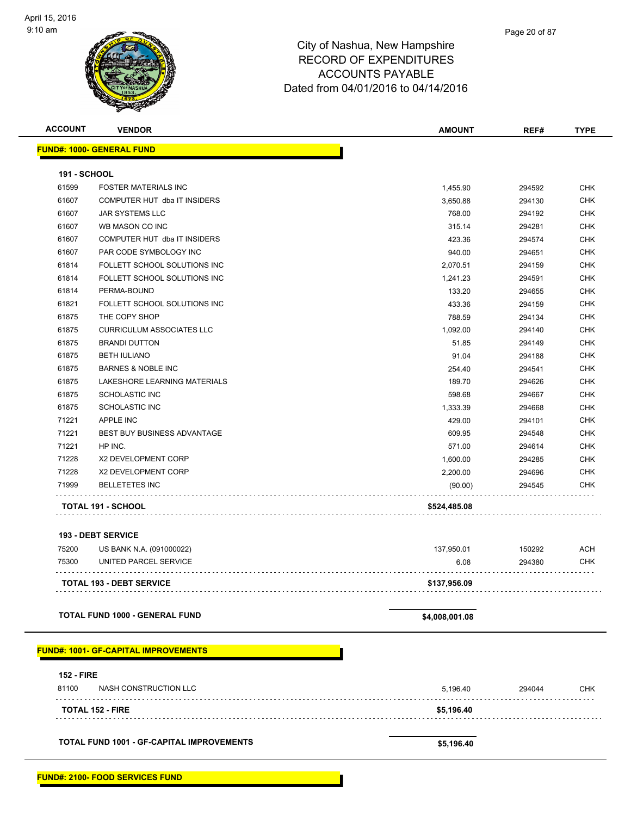| <b>ACCOUNT</b>      | <b>VENDOR</b>                    | <b>AMOUNT</b> | REF#   | <b>TYPE</b> |
|---------------------|----------------------------------|---------------|--------|-------------|
|                     | <b>FUND#: 1000- GENERAL FUND</b> |               |        |             |
| <b>191 - SCHOOL</b> |                                  |               |        |             |
| 61599               | <b>FOSTER MATERIALS INC</b>      | 1,455.90      | 294592 | CHK         |
| 61607               | COMPUTER HUT dba IT INSIDERS     | 3,650.88      | 294130 | <b>CHK</b>  |
| 61607               | <b>JAR SYSTEMS LLC</b>           | 768.00        | 294192 | <b>CHK</b>  |
| 61607               | WB MASON CO INC                  | 315.14        | 294281 | <b>CHK</b>  |
| 61607               | COMPUTER HUT dba IT INSIDERS     | 423.36        | 294574 | <b>CHK</b>  |
| 61607               | PAR CODE SYMBOLOGY INC           | 940.00        | 294651 | <b>CHK</b>  |
| 61814               | FOLLETT SCHOOL SOLUTIONS INC     | 2,070.51      | 294159 | <b>CHK</b>  |
| 61814               | FOLLETT SCHOOL SOLUTIONS INC     | 1,241.23      | 294591 | <b>CHK</b>  |
| 61814               | PERMA-BOUND                      | 133.20        | 294655 | <b>CHK</b>  |
| 61821               | FOLLETT SCHOOL SOLUTIONS INC     | 433.36        | 294159 | <b>CHK</b>  |
| 61875               | THE COPY SHOP                    | 788.59        | 294134 | <b>CHK</b>  |
| 61875               | <b>CURRICULUM ASSOCIATES LLC</b> | 1,092.00      | 294140 | <b>CHK</b>  |
| 61875               | <b>BRANDI DUTTON</b>             | 51.85         | 294149 | <b>CHK</b>  |
| 61875               | <b>BETH IULIANO</b>              | 91.04         | 294188 | <b>CHK</b>  |
| 61875               | <b>BARNES &amp; NOBLE INC</b>    | 254.40        | 294541 | <b>CHK</b>  |
| 61875               | LAKESHORE LEARNING MATERIALS     | 189.70        | 294626 | <b>CHK</b>  |
| 61875               | <b>SCHOLASTIC INC</b>            | 598.68        | 294667 | <b>CHK</b>  |
| 61875               | <b>SCHOLASTIC INC</b>            | 1,333.39      | 294668 | <b>CHK</b>  |
| 71221               | <b>APPLE INC</b>                 | 429.00        | 294101 | <b>CHK</b>  |
| 71221               | BEST BUY BUSINESS ADVANTAGE      | 609.95        | 294548 | CHK         |
| 71221               | HP INC.                          | 571.00        | 294614 | CHK         |
| 71228               | X2 DEVELOPMENT CORP              | 1,600.00      | 294285 | <b>CHK</b>  |
| 71228               | X2 DEVELOPMENT CORP              | 2,200.00      | 294696 | <b>CHK</b>  |
| 71999               | <b>BELLETETES INC</b>            | (90.00)       | 294545 | CHK         |
|                     | TOTAL 191 - SCHOOL               | \$524,485.08  |        |             |
|                     | <b>193 - DEBT SERVICE</b>        |               |        |             |
|                     |                                  |               |        |             |
| 75200               | US BANK N.A. (091000022)         | 137,950.01    | 150292 | <b>ACH</b>  |
| 75300               | UNITED PARCEL SERVICE            | 6.08          | 294380 | <b>CHK</b>  |
|                     | <b>TOTAL 193 - DEBT SERVICE</b>  | \$137,956.09  |        |             |

**TOTAL FUND 1000 - GENERAL FUND \$4,008,001.08** 

**FUND#: 1001- GF-CAPITAL IMPROVEMENTS**

| <b>152 - FIRE</b> |                         |            |        |            |
|-------------------|-------------------------|------------|--------|------------|
| 81100             | NASH CONSTRUCTION LLC   | 5,196.40   | 294044 | <b>CHK</b> |
|                   | <b>TOTAL 152 - FIRE</b> | \$5,196.40 |        |            |
|                   |                         |            |        |            |

**TOTAL FUND 1001 - GF-CAPITAL IMPROVEMENTS \$5,196.40**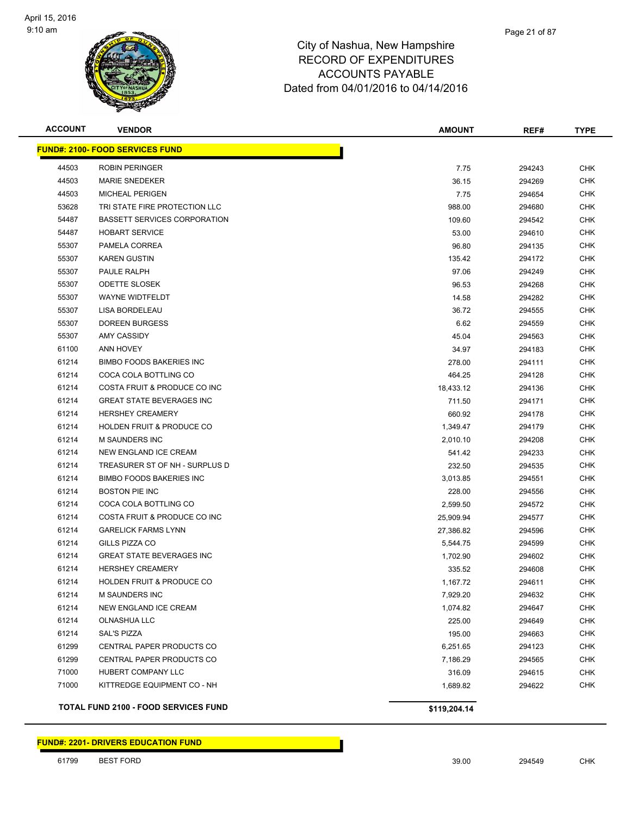

| <b>ACCOUNT</b> | <b>VENDOR</b>                               | <b>AMOUNT</b> | REF#   | <b>TYPE</b> |
|----------------|---------------------------------------------|---------------|--------|-------------|
|                | <b>FUND#: 2100- FOOD SERVICES FUND</b>      |               |        |             |
| 44503          | <b>ROBIN PERINGER</b>                       | 7.75          | 294243 | <b>CHK</b>  |
| 44503          | <b>MARIE SNEDEKER</b>                       | 36.15         | 294269 | <b>CHK</b>  |
| 44503          | <b>MICHEAL PERIGEN</b>                      | 7.75          | 294654 | <b>CHK</b>  |
| 53628          | TRI STATE FIRE PROTECTION LLC               | 988.00        | 294680 | <b>CHK</b>  |
| 54487          | <b>BASSETT SERVICES CORPORATION</b>         | 109.60        | 294542 | <b>CHK</b>  |
| 54487          | <b>HOBART SERVICE</b>                       | 53.00         | 294610 | <b>CHK</b>  |
| 55307          | PAMELA CORREA                               | 96.80         | 294135 | <b>CHK</b>  |
| 55307          | <b>KAREN GUSTIN</b>                         | 135.42        | 294172 | <b>CHK</b>  |
| 55307          | PAULE RALPH                                 | 97.06         | 294249 | <b>CHK</b>  |
| 55307          | <b>ODETTE SLOSEK</b>                        | 96.53         | 294268 | <b>CHK</b>  |
| 55307          | WAYNE WIDTFELDT                             | 14.58         | 294282 | <b>CHK</b>  |
| 55307          | LISA BORDELEAU                              | 36.72         | 294555 | <b>CHK</b>  |
| 55307          | <b>DOREEN BURGESS</b>                       | 6.62          | 294559 | <b>CHK</b>  |
| 55307          | AMY CASSIDY                                 | 45.04         | 294563 | <b>CHK</b>  |
| 61100          | <b>ANN HOVEY</b>                            | 34.97         | 294183 | <b>CHK</b>  |
| 61214          | <b>BIMBO FOODS BAKERIES INC</b>             | 278.00        | 294111 | <b>CHK</b>  |
| 61214          | COCA COLA BOTTLING CO                       | 464.25        | 294128 | <b>CHK</b>  |
| 61214          | COSTA FRUIT & PRODUCE CO INC                | 18,433.12     | 294136 | <b>CHK</b>  |
| 61214          | <b>GREAT STATE BEVERAGES INC</b>            | 711.50        | 294171 | <b>CHK</b>  |
| 61214          | <b>HERSHEY CREAMERY</b>                     | 660.92        | 294178 | <b>CHK</b>  |
| 61214          | <b>HOLDEN FRUIT &amp; PRODUCE CO</b>        | 1,349.47      | 294179 | <b>CHK</b>  |
| 61214          | M SAUNDERS INC                              | 2,010.10      | 294208 | <b>CHK</b>  |
| 61214          | NEW ENGLAND ICE CREAM                       | 541.42        | 294233 | <b>CHK</b>  |
| 61214          | TREASURER ST OF NH - SURPLUS D              | 232.50        | 294535 | <b>CHK</b>  |
| 61214          | <b>BIMBO FOODS BAKERIES INC</b>             | 3,013.85      | 294551 | <b>CHK</b>  |
| 61214          | <b>BOSTON PIE INC</b>                       | 228.00        | 294556 | <b>CHK</b>  |
| 61214          | COCA COLA BOTTLING CO                       | 2,599.50      | 294572 | <b>CHK</b>  |
| 61214          | COSTA FRUIT & PRODUCE CO INC                | 25,909.94     | 294577 | <b>CHK</b>  |
| 61214          | <b>GARELICK FARMS LYNN</b>                  | 27,386.82     | 294596 | <b>CHK</b>  |
| 61214          | GILLS PIZZA CO                              | 5,544.75      | 294599 | CHK         |
| 61214          | <b>GREAT STATE BEVERAGES INC</b>            | 1,702.90      | 294602 | <b>CHK</b>  |
| 61214          | <b>HERSHEY CREAMERY</b>                     | 335.52        | 294608 | CHK         |
| 61214          | <b>HOLDEN FRUIT &amp; PRODUCE CO</b>        | 1,167.72      | 294611 | <b>CHK</b>  |
| 61214          | M SAUNDERS INC                              | 7,929.20      | 294632 | <b>CHK</b>  |
| 61214          | NEW ENGLAND ICE CREAM                       | 1,074.82      | 294647 | <b>CHK</b>  |
| 61214          | <b>OLNASHUA LLC</b>                         | 225.00        | 294649 | <b>CHK</b>  |
| 61214          | <b>SAL'S PIZZA</b>                          | 195.00        | 294663 | <b>CHK</b>  |
| 61299          | CENTRAL PAPER PRODUCTS CO                   | 6,251.65      | 294123 | <b>CHK</b>  |
| 61299          | CENTRAL PAPER PRODUCTS CO                   | 7,186.29      | 294565 | <b>CHK</b>  |
| 71000          | HUBERT COMPANY LLC                          | 316.09        | 294615 | <b>CHK</b>  |
| 71000          | KITTREDGE EQUIPMENT CO - NH                 | 1,689.82      | 294622 | <b>CHK</b>  |
|                | <b>TOTAL FUND 2100 - FOOD SERVICES FUND</b> | \$119,204.14  |        |             |

#### **FUND#: 2201- DRIVERS EDUCATION FUND**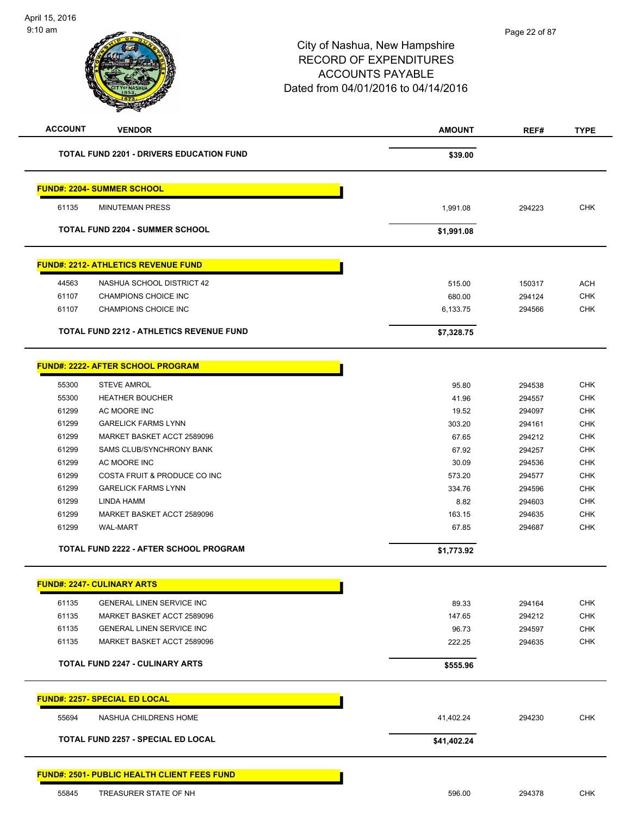| <b>ACCOUNT</b> | <b>VENDOR</b>                                      | <b>AMOUNT</b> | REF#   | <b>TYPE</b> |
|----------------|----------------------------------------------------|---------------|--------|-------------|
|                | <b>TOTAL FUND 2201 - DRIVERS EDUCATION FUND</b>    | \$39.00       |        |             |
|                | <b>FUND#: 2204- SUMMER SCHOOL</b>                  |               |        |             |
| 61135          | <b>MINUTEMAN PRESS</b>                             | 1,991.08      | 294223 | <b>CHK</b>  |
|                | <b>TOTAL FUND 2204 - SUMMER SCHOOL</b>             | \$1,991.08    |        |             |
|                | <b>FUND#: 2212- ATHLETICS REVENUE FUND</b>         |               |        |             |
| 44563          | NASHUA SCHOOL DISTRICT 42                          | 515.00        | 150317 | <b>ACH</b>  |
| 61107          | CHAMPIONS CHOICE INC                               | 680.00        | 294124 | <b>CHK</b>  |
| 61107          | CHAMPIONS CHOICE INC                               | 6,133.75      | 294566 | <b>CHK</b>  |
|                | <b>TOTAL FUND 2212 - ATHLETICS REVENUE FUND</b>    | \$7,328.75    |        |             |
|                | FUND#: 2222- AFTER SCHOOL PROGRAM                  |               |        |             |
| 55300          | <b>STEVE AMROL</b>                                 | 95.80         | 294538 | <b>CHK</b>  |
| 55300          | <b>HEATHER BOUCHER</b>                             | 41.96         | 294557 | <b>CHK</b>  |
| 61299          | AC MOORE INC                                       | 19.52         | 294097 | <b>CHK</b>  |
| 61299          | <b>GARELICK FARMS LYNN</b>                         | 303.20        | 294161 | <b>CHK</b>  |
| 61299          | MARKET BASKET ACCT 2589096                         | 67.65         | 294212 | <b>CHK</b>  |
| 61299          | SAMS CLUB/SYNCHRONY BANK                           | 67.92         | 294257 | <b>CHK</b>  |
| 61299          | AC MOORE INC                                       | 30.09         | 294536 | <b>CHK</b>  |
| 61299          | COSTA FRUIT & PRODUCE CO INC                       | 573.20        | 294577 | <b>CHK</b>  |
| 61299          | <b>GARELICK FARMS LYNN</b>                         | 334.76        | 294596 | <b>CHK</b>  |
| 61299          | LINDA HAMM                                         | 8.82          | 294603 | <b>CHK</b>  |
| 61299          | MARKET BASKET ACCT 2589096                         | 163.15        | 294635 | <b>CHK</b>  |
| 61299          | <b>WAL-MART</b>                                    | 67.85         | 294687 | <b>CHK</b>  |
|                | <b>TOTAL FUND 2222 - AFTER SCHOOL PROGRAM</b>      | \$1,773.92    |        |             |
|                | <b>FUND#: 2247- CULINARY ARTS</b>                  |               |        |             |
| 61135          | <b>GENERAL LINEN SERVICE INC</b>                   | 89.33         | 294164 | <b>CHK</b>  |
| 61135          | MARKET BASKET ACCT 2589096                         | 147.65        | 294212 | <b>CHK</b>  |
| 61135          | <b>GENERAL LINEN SERVICE INC</b>                   | 96.73         | 294597 | <b>CHK</b>  |
| 61135          | MARKET BASKET ACCT 2589096                         | 222.25        | 294635 | <b>CHK</b>  |
|                | <b>TOTAL FUND 2247 - CULINARY ARTS</b>             | \$555.96      |        |             |
|                | <u> FUND#: 2257- SPECIAL ED LOCAL</u>              |               |        |             |
| 55694          | NASHUA CHILDRENS HOME                              | 41,402.24     | 294230 | <b>CHK</b>  |
|                | <b>TOTAL FUND 2257 - SPECIAL ED LOCAL</b>          | \$41,402.24   |        |             |
|                | <b>FUND#: 2501- PUBLIC HEALTH CLIENT FEES FUND</b> |               |        |             |
| 55845          | TREASURER STATE OF NH                              | 596.00        | 294378 | <b>CHK</b>  |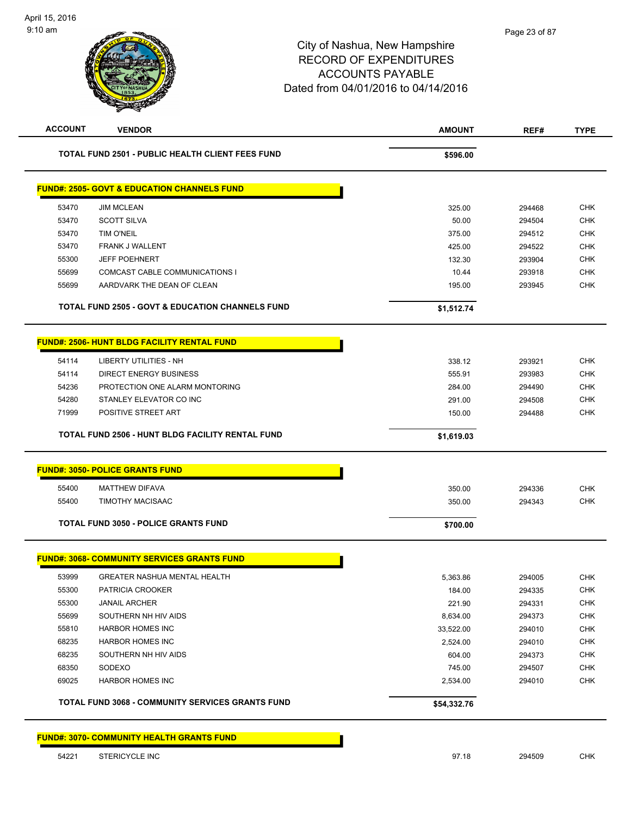| <b>ACCOUNT</b> | <b>VENDOR</b>                                               | <b>AMOUNT</b> | REF#   | <b>TYPE</b> |
|----------------|-------------------------------------------------------------|---------------|--------|-------------|
|                | <b>TOTAL FUND 2501 - PUBLIC HEALTH CLIENT FEES FUND</b>     | \$596.00      |        |             |
|                | <b>FUND#: 2505- GOVT &amp; EDUCATION CHANNELS FUND</b>      |               |        |             |
| 53470          | <b>JIM MCLEAN</b>                                           | 325.00        | 294468 | <b>CHK</b>  |
| 53470          | <b>SCOTT SILVA</b>                                          | 50.00         | 294504 | <b>CHK</b>  |
| 53470          | TIM O'NEIL                                                  | 375.00        | 294512 | <b>CHK</b>  |
| 53470          | FRANK J WALLENT                                             | 425.00        | 294522 | <b>CHK</b>  |
| 55300          | <b>JEFF POEHNERT</b>                                        | 132.30        | 293904 | <b>CHK</b>  |
| 55699          | COMCAST CABLE COMMUNICATIONS I                              | 10.44         | 293918 | <b>CHK</b>  |
| 55699          | AARDVARK THE DEAN OF CLEAN                                  | 195.00        | 293945 | <b>CHK</b>  |
|                | <b>TOTAL FUND 2505 - GOVT &amp; EDUCATION CHANNELS FUND</b> | \$1,512.74    |        |             |
|                | <b>FUND#: 2506- HUNT BLDG FACILITY RENTAL FUND</b>          |               |        |             |
| 54114          | LIBERTY UTILITIES - NH                                      | 338.12        | 293921 | <b>CHK</b>  |
| 54114          | <b>DIRECT ENERGY BUSINESS</b>                               | 555.91        | 293983 | <b>CHK</b>  |
| 54236          | PROTECTION ONE ALARM MONTORING                              | 284.00        | 294490 | <b>CHK</b>  |
| 54280          | STANLEY ELEVATOR CO INC                                     | 291.00        | 294508 | <b>CHK</b>  |
| 71999          | POSITIVE STREET ART                                         | 150.00        | 294488 | <b>CHK</b>  |
|                | TOTAL FUND 2506 - HUNT BLDG FACILITY RENTAL FUND            | \$1,619.03    |        |             |
|                | <b>FUND#: 3050- POLICE GRANTS FUND</b>                      |               |        |             |
| 55400          | <b>MATTHEW DIFAVA</b>                                       | 350.00        | 294336 | <b>CHK</b>  |
| 55400          | TIMOTHY MACISAAC                                            | 350.00        | 294343 | <b>CHK</b>  |
|                |                                                             |               |        |             |
|                | <b>TOTAL FUND 3050 - POLICE GRANTS FUND</b>                 | \$700.00      |        |             |
|                | <b>FUND#: 3068- COMMUNITY SERVICES GRANTS FUND</b>          |               |        |             |
| 53999          | GREATER NASHUA MENTAL HEALTH                                | 5,363.86      | 294005 | <b>CHK</b>  |
| 55300          | PATRICIA CROOKER                                            | 184.00        | 294335 | <b>CHK</b>  |
| 55300          | <b>JANAIL ARCHER</b>                                        | 221.90        | 294331 | <b>CHK</b>  |
| 55699          | SOUTHERN NH HIV AIDS                                        | 8,634.00      | 294373 | <b>CHK</b>  |
| 55810          | <b>HARBOR HOMES INC</b>                                     | 33,522.00     | 294010 | <b>CHK</b>  |
| 68235          | <b>HARBOR HOMES INC</b>                                     | 2,524.00      | 294010 | <b>CHK</b>  |
| 68235          | SOUTHERN NH HIV AIDS                                        | 604.00        | 294373 | <b>CHK</b>  |
| 68350          | SODEXO                                                      | 745.00        | 294507 | <b>CHK</b>  |
| 69025          | <b>HARBOR HOMES INC</b>                                     | 2,534.00      | 294010 | <b>CHK</b>  |
|                | TOTAL FUND 3068 - COMMUNITY SERVICES GRANTS FUND            | \$54,332.76   |        |             |
|                | <b>FUND#: 3070- COMMUNITY HEALTH GRANTS FUND</b>            |               |        |             |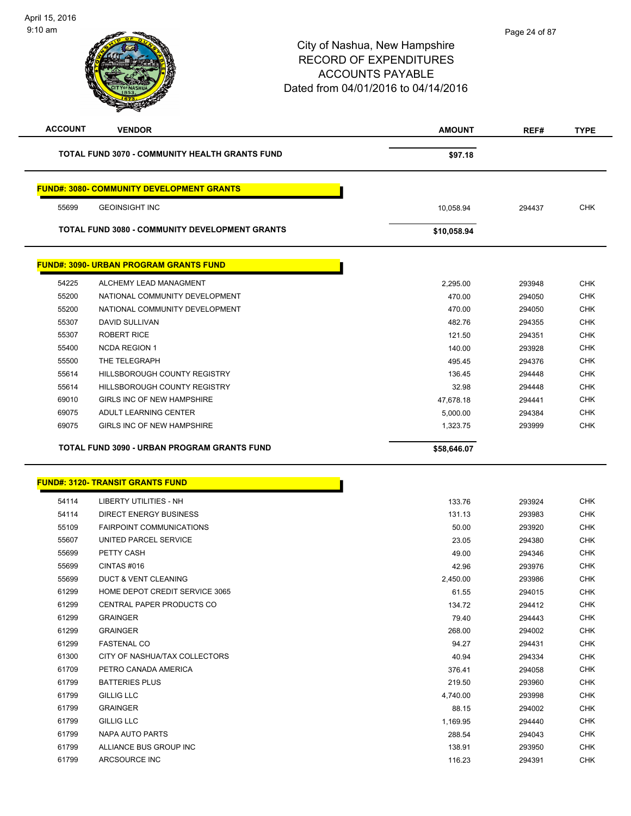| <b>ACCOUNT</b> | <b>VENDOR</b>                                         | <b>AMOUNT</b> | REF#   | <b>TYPE</b> |
|----------------|-------------------------------------------------------|---------------|--------|-------------|
|                | <b>TOTAL FUND 3070 - COMMUNITY HEALTH GRANTS FUND</b> | \$97.18       |        |             |
|                | <b>FUND#: 3080- COMMUNITY DEVELOPMENT GRANTS</b>      |               |        |             |
| 55699          | <b>GEOINSIGHT INC</b>                                 | 10,058.94     | 294437 | <b>CHK</b>  |
|                | <b>TOTAL FUND 3080 - COMMUNITY DEVELOPMENT GRANTS</b> | \$10,058.94   |        |             |
|                | <b>FUND#: 3090- URBAN PROGRAM GRANTS FUND</b>         |               |        |             |
| 54225          | ALCHEMY LEAD MANAGMENT                                | 2,295.00      | 293948 | <b>CHK</b>  |
| 55200          | NATIONAL COMMUNITY DEVELOPMENT                        | 470.00        | 294050 | <b>CHK</b>  |
| 55200          | NATIONAL COMMUNITY DEVELOPMENT                        | 470.00        | 294050 | <b>CHK</b>  |
| 55307          | <b>DAVID SULLIVAN</b>                                 | 482.76        | 294355 | <b>CHK</b>  |
| 55307          | <b>ROBERT RICE</b>                                    | 121.50        | 294351 | <b>CHK</b>  |
| 55400          | <b>NCDA REGION 1</b>                                  | 140.00        | 293928 | <b>CHK</b>  |
| 55500          | THE TELEGRAPH                                         | 495.45        | 294376 | <b>CHK</b>  |
| 55614          | HILLSBOROUGH COUNTY REGISTRY                          | 136.45        | 294448 | <b>CHK</b>  |
| 55614          | HILLSBOROUGH COUNTY REGISTRY                          | 32.98         | 294448 | <b>CHK</b>  |
| 69010          | GIRLS INC OF NEW HAMPSHIRE                            | 47,678.18     | 294441 | <b>CHK</b>  |
| 69075          | ADULT LEARNING CENTER                                 | 5,000.00      | 294384 | <b>CHK</b>  |
| 69075          | GIRLS INC OF NEW HAMPSHIRE                            | 1,323.75      | 293999 | <b>CHK</b>  |
|                |                                                       |               |        |             |
|                | TOTAL FUND 3090 - URBAN PROGRAM GRANTS FUND           | \$58,646.07   |        |             |
|                | <b>FUND#: 3120- TRANSIT GRANTS FUND</b>               |               |        |             |
| 54114          | LIBERTY UTILITIES - NH                                | 133.76        | 293924 | <b>CHK</b>  |
| 54114          | <b>DIRECT ENERGY BUSINESS</b>                         | 131.13        | 293983 | <b>CHK</b>  |
| 55109          | <b>FAIRPOINT COMMUNICATIONS</b>                       | 50.00         | 293920 | <b>CHK</b>  |
| 55607          | UNITED PARCEL SERVICE                                 | 23.05         | 294380 | <b>CHK</b>  |
| 55699          | PETTY CASH                                            | 49.00         | 294346 | <b>CHK</b>  |
| 55699          | CINTAS#016                                            | 42.96         | 293976 | <b>CHK</b>  |
| 55699          | DUCT & VENT CLEANING                                  | 2,450.00      | 293986 | CHK         |
| 61299          | HOME DEPOT CREDIT SERVICE 3065                        | 61.55         | 294015 | <b>CHK</b>  |
| 61299          | CENTRAL PAPER PRODUCTS CO                             | 134.72        | 294412 | <b>CHK</b>  |
| 61299          | <b>GRAINGER</b>                                       | 79.40         | 294443 | <b>CHK</b>  |
| 61299          | <b>GRAINGER</b>                                       | 268.00        | 294002 | <b>CHK</b>  |
| 61299          | <b>FASTENAL CO</b>                                    | 94.27         | 294431 | <b>CHK</b>  |
| 61300          | CITY OF NASHUA/TAX COLLECTORS                         | 40.94         | 294334 | <b>CHK</b>  |
| 61709          | PETRO CANADA AMERICA                                  | 376.41        | 294058 | <b>CHK</b>  |
| 61799          | <b>BATTERIES PLUS</b>                                 | 219.50        | 293960 | <b>CHK</b>  |
| 61799          | GILLIG LLC                                            | 4,740.00      | 293998 | <b>CHK</b>  |
| 61799          | <b>GRAINGER</b>                                       | 88.15         | 294002 | <b>CHK</b>  |
| 61799          | <b>GILLIG LLC</b>                                     | 1,169.95      | 294440 | <b>CHK</b>  |
| 61799          | NAPA AUTO PARTS                                       | 288.54        | 294043 | <b>CHK</b>  |
| 61799          | ALLIANCE BUS GROUP INC                                | 138.91        | 293950 | <b>CHK</b>  |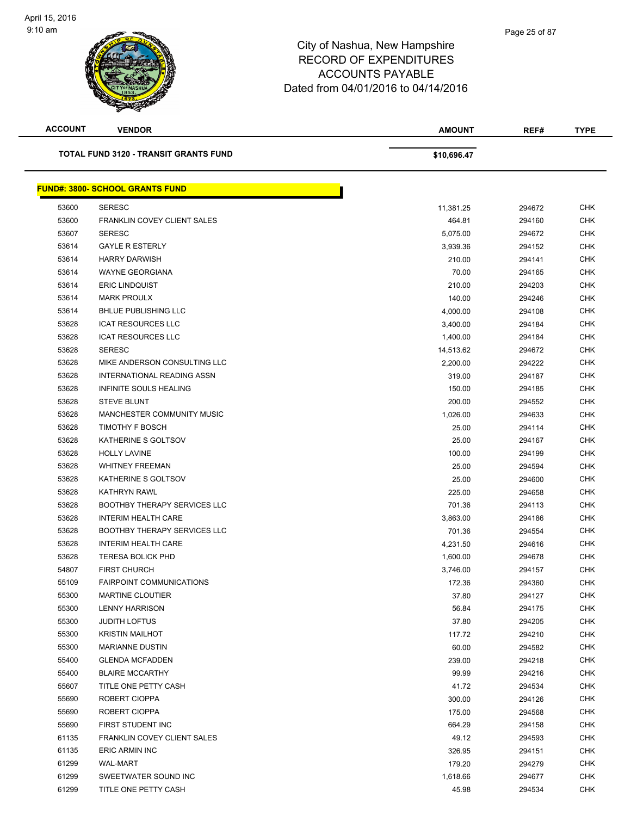

| <b>ACCOUNT</b> | <b>VENDOR</b>                                | <b>AMOUNT</b> | REF#   | <b>TYPE</b> |
|----------------|----------------------------------------------|---------------|--------|-------------|
|                | <b>TOTAL FUND 3120 - TRANSIT GRANTS FUND</b> | \$10,696.47   |        |             |
|                | <b>FUND#: 3800- SCHOOL GRANTS FUND</b>       |               |        |             |
| 53600          | <b>SERESC</b>                                | 11,381.25     | 294672 | <b>CHK</b>  |
| 53600          | FRANKLIN COVEY CLIENT SALES                  | 464.81        | 294160 | <b>CHK</b>  |
| 53607          | <b>SERESC</b>                                | 5,075.00      | 294672 | <b>CHK</b>  |
| 53614          | <b>GAYLE R ESTERLY</b>                       | 3,939.36      | 294152 | <b>CHK</b>  |
| 53614          | <b>HARRY DARWISH</b>                         | 210.00        | 294141 | <b>CHK</b>  |
| 53614          | <b>WAYNE GEORGIANA</b>                       | 70.00         | 294165 | <b>CHK</b>  |
| 53614          | <b>ERIC LINDQUIST</b>                        | 210.00        | 294203 | <b>CHK</b>  |
| 53614          | <b>MARK PROULX</b>                           | 140.00        | 294246 | CHK         |
| 53614          | <b>BHLUE PUBLISHING LLC</b>                  | 4,000.00      | 294108 | CHK         |
| 53628          | <b>ICAT RESOURCES LLC</b>                    | 3,400.00      | 294184 | <b>CHK</b>  |
| 53628          | <b>ICAT RESOURCES LLC</b>                    | 1,400.00      | 294184 | CHK         |
| 53628          | <b>SERESC</b>                                | 14,513.62     | 294672 | <b>CHK</b>  |
| 53628          | MIKE ANDERSON CONSULTING LLC                 | 2,200.00      | 294222 | <b>CHK</b>  |
| 53628          | INTERNATIONAL READING ASSN                   | 319.00        | 294187 | CHK         |
| 53628          | INFINITE SOULS HEALING                       | 150.00        | 294185 | <b>CHK</b>  |
| 53628          | <b>STEVE BLUNT</b>                           | 200.00        | 294552 | <b>CHK</b>  |
| 53628          | <b>MANCHESTER COMMUNITY MUSIC</b>            | 1,026.00      | 294633 | <b>CHK</b>  |
| 53628          | <b>TIMOTHY F BOSCH</b>                       | 25.00         | 294114 | <b>CHK</b>  |
| 53628          | KATHERINE S GOLTSOV                          | 25.00         | 294167 | CHK         |
| 53628          | <b>HOLLY LAVINE</b>                          | 100.00        | 294199 | <b>CHK</b>  |
| 53628          | <b>WHITNEY FREEMAN</b>                       | 25.00         | 294594 | <b>CHK</b>  |
| 53628          | KATHERINE S GOLTSOV                          | 25.00         | 294600 | <b>CHK</b>  |
| 53628          | <b>KATHRYN RAWL</b>                          | 225.00        | 294658 | <b>CHK</b>  |
| 53628          | <b>BOOTHBY THERAPY SERVICES LLC</b>          | 701.36        | 294113 | <b>CHK</b>  |
| 53628          | <b>INTERIM HEALTH CARE</b>                   | 3,863.00      | 294186 | <b>CHK</b>  |
| 53628          | <b>BOOTHBY THERAPY SERVICES LLC</b>          | 701.36        | 294554 | <b>CHK</b>  |
| 53628          | <b>INTERIM HEALTH CARE</b>                   | 4,231.50      | 294616 | <b>CHK</b>  |
| 53628          | <b>TERESA BOLICK PHD</b>                     | 1,600.00      | 294678 | <b>CHK</b>  |
| 54807          | <b>FIRST CHURCH</b>                          | 3,746.00      | 294157 | <b>CHK</b>  |
| 55109          | <b>FAIRPOINT COMMUNICATIONS</b>              | 172.36        | 294360 | <b>CHK</b>  |
| 55300          | <b>MARTINE CLOUTIER</b>                      | 37.80         | 294127 | <b>CHK</b>  |
| 55300          | <b>LENNY HARRISON</b>                        | 56.84         | 294175 | <b>CHK</b>  |
| 55300          | <b>JUDITH LOFTUS</b>                         | 37.80         | 294205 | <b>CHK</b>  |
| 55300          | <b>KRISTIN MAILHOT</b>                       | 117.72        | 294210 | <b>CHK</b>  |
| 55300          | <b>MARIANNE DUSTIN</b>                       | 60.00         | 294582 | <b>CHK</b>  |
| 55400          | <b>GLENDA MCFADDEN</b>                       | 239.00        | 294218 | CHK         |
| 55400          | <b>BLAIRE MCCARTHY</b>                       | 99.99         | 294216 | <b>CHK</b>  |
| 55607          | TITLE ONE PETTY CASH                         | 41.72         | 294534 | CHK         |
| 55690          | ROBERT CIOPPA                                | 300.00        | 294126 | <b>CHK</b>  |
| 55690          | ROBERT CIOPPA                                | 175.00        | 294568 | CHK         |
| 55690          | FIRST STUDENT INC                            | 664.29        | 294158 | CHK         |
| 61135          | FRANKLIN COVEY CLIENT SALES                  | 49.12         | 294593 | CHK         |
| 61135          | <b>ERIC ARMIN INC</b>                        | 326.95        | 294151 | CHK         |
| 61299          | <b>WAL-MART</b>                              | 179.20        | 294279 | CHK         |
| 61299          | SWEETWATER SOUND INC                         | 1,618.66      | 294677 | <b>CHK</b>  |
| 61299          | TITLE ONE PETTY CASH                         | 45.98         | 294534 | <b>CHK</b>  |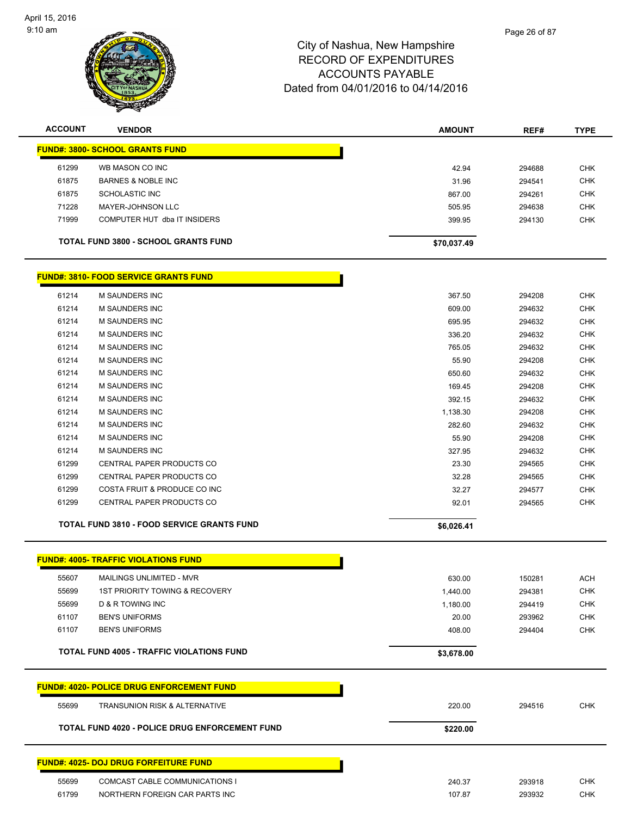

| <b>ACCOUNT</b> | <b>VENDOR</b>                                     | <b>AMOUNT</b> | REF#   | <b>TYPE</b> |
|----------------|---------------------------------------------------|---------------|--------|-------------|
|                | <b>FUND#: 3800- SCHOOL GRANTS FUND</b>            |               |        |             |
| 61299          | WB MASON CO INC                                   | 42.94         | 294688 | <b>CHK</b>  |
| 61875          | <b>BARNES &amp; NOBLE INC</b>                     | 31.96         | 294541 | <b>CHK</b>  |
| 61875          | <b>SCHOLASTIC INC</b>                             | 867.00        | 294261 | <b>CHK</b>  |
| 71228          | <b>MAYER-JOHNSON LLC</b>                          | 505.95        | 294638 | <b>CHK</b>  |
| 71999          | COMPUTER HUT dba IT INSIDERS                      | 399.95        | 294130 | <b>CHK</b>  |
|                | <b>TOTAL FUND 3800 - SCHOOL GRANTS FUND</b>       | \$70,037.49   |        |             |
|                | <b>FUND#: 3810- FOOD SERVICE GRANTS FUND</b>      |               |        |             |
| 61214          | M SAUNDERS INC                                    | 367.50        | 294208 | <b>CHK</b>  |
| 61214          | <b>M SAUNDERS INC</b>                             | 609.00        | 294632 | <b>CHK</b>  |
| 61214          | <b>M SAUNDERS INC</b>                             | 695.95        | 294632 | <b>CHK</b>  |
| 61214          | <b>M SAUNDERS INC</b>                             | 336.20        | 294632 | <b>CHK</b>  |
| 61214          | <b>M SAUNDERS INC</b>                             | 765.05        | 294632 | <b>CHK</b>  |
| 61214          | <b>M SAUNDERS INC</b>                             | 55.90         | 294208 | <b>CHK</b>  |
| 61214          | <b>M SAUNDERS INC</b>                             | 650.60        | 294632 | <b>CHK</b>  |
| 61214          | <b>M SAUNDERS INC</b>                             | 169.45        | 294208 | <b>CHK</b>  |
| 61214          | <b>M SAUNDERS INC</b>                             | 392.15        | 294632 | <b>CHK</b>  |
| 61214          | <b>M SAUNDERS INC</b>                             | 1,138.30      | 294208 | <b>CHK</b>  |
| 61214          | <b>M SAUNDERS INC</b>                             | 282.60        | 294632 | <b>CHK</b>  |
| 61214          | M SAUNDERS INC                                    | 55.90         | 294208 | <b>CHK</b>  |
| 61214          | <b>M SAUNDERS INC</b>                             | 327.95        | 294632 | <b>CHK</b>  |
| 61299          | CENTRAL PAPER PRODUCTS CO                         | 23.30         | 294565 | <b>CHK</b>  |
| 61299          | CENTRAL PAPER PRODUCTS CO                         | 32.28         | 294565 | <b>CHK</b>  |
| 61299          | COSTA FRUIT & PRODUCE CO INC                      | 32.27         | 294577 | <b>CHK</b>  |
| 61299          | CENTRAL PAPER PRODUCTS CO                         | 92.01         | 294565 | <b>CHK</b>  |
|                | <b>TOTAL FUND 3810 - FOOD SERVICE GRANTS FUND</b> | \$6,026.41    |        |             |
|                | <b>FUND#: 4005- TRAFFIC VIOLATIONS FUND</b>       |               |        |             |
| 55607          | MAILINGS UNLIMITED - MVR                          | 630.00        | 150281 | ACH         |
| 55699          | 1ST PRIORITY TOWING & RECOVERY                    | 1,440.00      | 294381 | <b>CHK</b>  |
| 55699          | <b>D &amp; R TOWING INC</b>                       | 1,180.00      | 294419 | <b>CHK</b>  |
| 61107          | <b>BEN'S UNIFORMS</b>                             | 20.00         | 293962 | <b>CHK</b>  |
| 61107          | <b>BEN'S UNIFORMS</b>                             | 408.00        | 294404 | <b>CHK</b>  |
|                | <b>TOTAL FUND 4005 - TRAFFIC VIOLATIONS FUND</b>  | \$3,678.00    |        |             |
|                | <b>FUND#: 4020- POLICE DRUG ENFORCEMENT FUND</b>  |               |        |             |
| 55699          | TRANSUNION RISK & ALTERNATIVE                     | 220.00        | 294516 | <b>CHK</b>  |
|                | TOTAL FUND 4020 - POLICE DRUG ENFORCEMENT FUND    | \$220.00      |        |             |
|                |                                                   |               |        |             |

#### **FUND#: 4025- DOJ DRUG FORFEITURE FUND**

| 55699 | COMCAST CABLE COMMUNICATIONS I | 240.37 | 293918 |  |
|-------|--------------------------------|--------|--------|--|
| 61799 | NORTHERN FOREIGN CAR PARTS INC | 107.87 | 293932 |  |
|       |                                |        |        |  |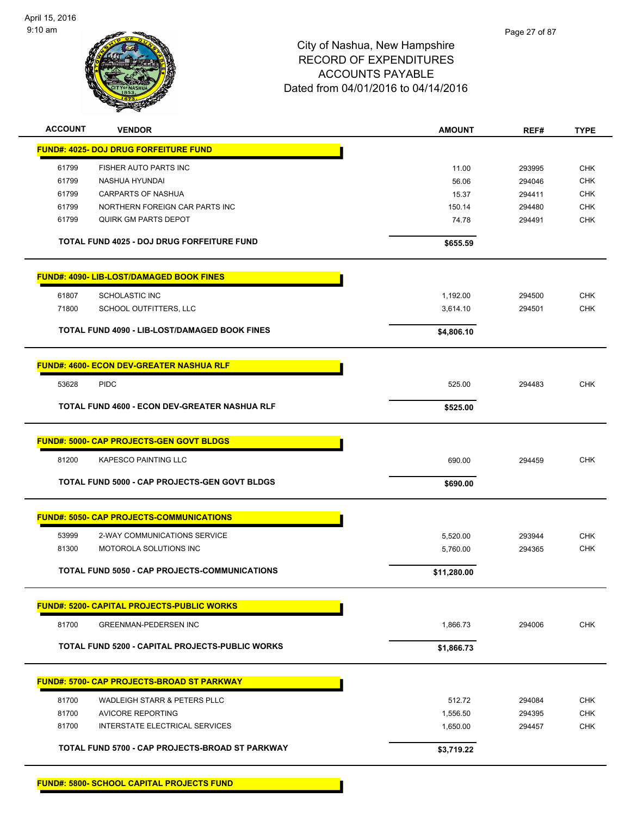

| <b>ACCOUNT</b> | <b>VENDOR</b>                                          | <b>AMOUNT</b> | REF#   | <b>TYPE</b> |
|----------------|--------------------------------------------------------|---------------|--------|-------------|
|                | <b>FUND#: 4025- DOJ DRUG FORFEITURE FUND</b>           |               |        |             |
| 61799          | FISHER AUTO PARTS INC                                  | 11.00         | 293995 | <b>CHK</b>  |
| 61799          | NASHUA HYUNDAI                                         | 56.06         | 294046 | <b>CHK</b>  |
| 61799          | <b>CARPARTS OF NASHUA</b>                              | 15.37         | 294411 | <b>CHK</b>  |
| 61799          | NORTHERN FOREIGN CAR PARTS INC                         | 150.14        | 294480 | <b>CHK</b>  |
| 61799          | <b>QUIRK GM PARTS DEPOT</b>                            | 74.78         | 294491 | <b>CHK</b>  |
|                |                                                        |               |        |             |
|                | <b>TOTAL FUND 4025 - DOJ DRUG FORFEITURE FUND</b>      | \$655.59      |        |             |
|                | <b>FUND#: 4090- LIB-LOST/DAMAGED BOOK FINES</b>        |               |        |             |
| 61807          | <b>SCHOLASTIC INC</b>                                  | 1,192.00      | 294500 | <b>CHK</b>  |
| 71800          | SCHOOL OUTFITTERS, LLC                                 | 3,614.10      | 294501 | <b>CHK</b>  |
|                |                                                        |               |        |             |
|                | <b>TOTAL FUND 4090 - LIB-LOST/DAMAGED BOOK FINES</b>   | \$4,806.10    |        |             |
|                | <b>FUND#: 4600- ECON DEV-GREATER NASHUA RLF</b>        |               |        |             |
| 53628          | <b>PIDC</b>                                            | 525.00        | 294483 | <b>CHK</b>  |
|                | <b>TOTAL FUND 4600 - ECON DEV-GREATER NASHUA RLF</b>   | \$525.00      |        |             |
|                |                                                        |               |        |             |
|                | <b>FUND#: 5000- CAP PROJECTS-GEN GOVT BLDGS</b>        |               |        |             |
| 81200          | <b>KAPESCO PAINTING LLC</b>                            | 690.00        | 294459 | <b>CHK</b>  |
|                | <b>TOTAL FUND 5000 - CAP PROJECTS-GEN GOVT BLDGS</b>   | \$690.00      |        |             |
|                | <b>FUND#: 5050- CAP PROJECTS-COMMUNICATIONS</b>        |               |        |             |
| 53999          | 2-WAY COMMUNICATIONS SERVICE                           | 5,520.00      | 293944 | <b>CHK</b>  |
| 81300          | MOTOROLA SOLUTIONS INC                                 | 5,760.00      | 294365 | <b>CHK</b>  |
|                |                                                        |               |        |             |
|                | TOTAL FUND 5050 - CAP PROJECTS-COMMUNICATIONS          | \$11,280.00   |        |             |
|                | <b>FUND#: 5200- CAPITAL PROJECTS-PUBLIC WORKS</b>      |               |        |             |
| 81700          | <b>GREENMAN-PEDERSEN INC</b>                           | 1,866.73      | 294006 | <b>CHK</b>  |
|                | <b>TOTAL FUND 5200 - CAPITAL PROJECTS-PUBLIC WORKS</b> | \$1,866.73    |        |             |
|                |                                                        |               |        |             |
|                | <u> FUND#: 5700- CAP PROJECTS-BROAD ST PARKWAY</u>     |               |        |             |
| 81700          | <b>WADLEIGH STARR &amp; PETERS PLLC</b>                | 512.72        | 294084 | <b>CHK</b>  |
| 81700          | <b>AVICORE REPORTING</b>                               | 1,556.50      | 294395 | <b>CHK</b>  |
| 81700          | INTERSTATE ELECTRICAL SERVICES                         | 1,650.00      | 294457 | CHK         |
|                | TOTAL FUND 5700 - CAP PROJECTS-BROAD ST PARKWAY        | \$3,719.22    |        |             |
|                |                                                        |               |        |             |

**FUND#: 5800- SCHOOL CAPITAL PROJECTS FUND**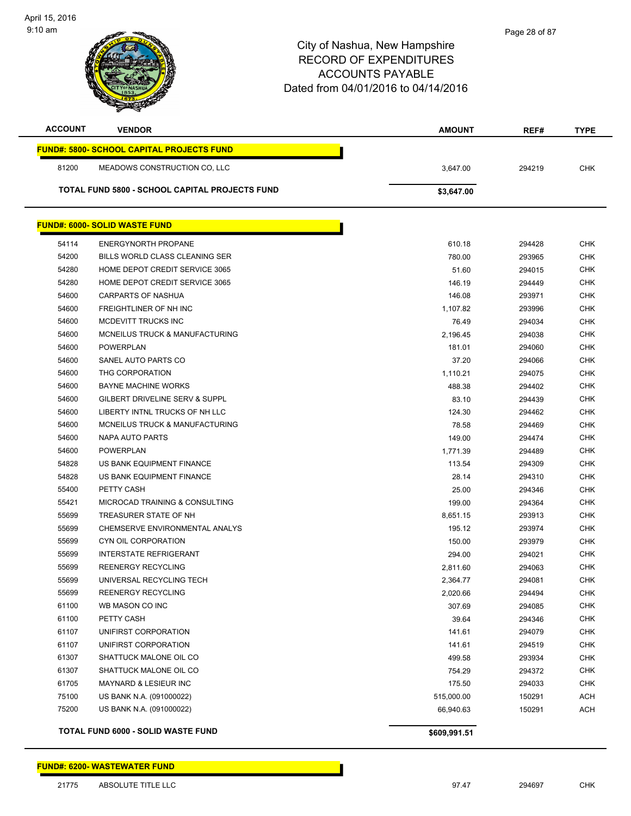

| <b>ACCOUNT</b> | <b>VENDOR</b>                                    | <b>AMOUNT</b> | REF#   | <b>TYPE</b> |
|----------------|--------------------------------------------------|---------------|--------|-------------|
|                | <b>FUND#: 5800- SCHOOL CAPITAL PROJECTS FUND</b> |               |        |             |
| 81200          | MEADOWS CONSTRUCTION CO, LLC                     | 3,647.00      | 294219 | <b>CHK</b>  |
|                | TOTAL FUND 5800 - SCHOOL CAPITAL PROJECTS FUND   | \$3,647.00    |        |             |
|                |                                                  |               |        |             |
|                | <b>FUND#: 6000- SOLID WASTE FUND</b>             |               |        |             |
| 54114          | <b>ENERGYNORTH PROPANE</b>                       | 610.18        | 294428 | <b>CHK</b>  |
| 54200          | BILLS WORLD CLASS CLEANING SER                   | 780.00        | 293965 | <b>CHK</b>  |
| 54280          | HOME DEPOT CREDIT SERVICE 3065                   | 51.60         | 294015 | <b>CHK</b>  |
| 54280          | HOME DEPOT CREDIT SERVICE 3065                   | 146.19        | 294449 | <b>CHK</b>  |
| 54600          | <b>CARPARTS OF NASHUA</b>                        | 146.08        | 293971 | <b>CHK</b>  |
| 54600          | FREIGHTLINER OF NH INC                           | 1,107.82      | 293996 | <b>CHK</b>  |
| 54600          | MCDEVITT TRUCKS INC                              | 76.49         | 294034 | <b>CHK</b>  |
| 54600          | MCNEILUS TRUCK & MANUFACTURING                   | 2,196.45      | 294038 | <b>CHK</b>  |
| 54600          | <b>POWERPLAN</b>                                 | 181.01        | 294060 | CHK         |
| 54600          | SANEL AUTO PARTS CO                              | 37.20         | 294066 | <b>CHK</b>  |
| 54600          | THG CORPORATION                                  | 1,110.21      | 294075 | <b>CHK</b>  |
| 54600          | <b>BAYNE MACHINE WORKS</b>                       | 488.38        | 294402 | <b>CHK</b>  |
| 54600          | <b>GILBERT DRIVELINE SERV &amp; SUPPL</b>        | 83.10         | 294439 | <b>CHK</b>  |
| 54600          | LIBERTY INTNL TRUCKS OF NH LLC                   | 124.30        | 294462 | <b>CHK</b>  |
| 54600          | MCNEILUS TRUCK & MANUFACTURING                   | 78.58         | 294469 | <b>CHK</b>  |
| 54600          | NAPA AUTO PARTS                                  | 149.00        | 294474 | <b>CHK</b>  |
| 54600          | <b>POWERPLAN</b>                                 | 1,771.39      | 294489 | CHK         |
| 54828          | US BANK EQUIPMENT FINANCE                        | 113.54        | 294309 | CHK         |
| 54828          | US BANK EQUIPMENT FINANCE                        | 28.14         | 294310 | CHK         |
| 55400          | PETTY CASH                                       | 25.00         | 294346 | CHK         |
| 55421          | MICROCAD TRAINING & CONSULTING                   | 199.00        | 294364 | <b>CHK</b>  |
| 55699          | TREASURER STATE OF NH                            | 8,651.15      | 293913 | CHK         |
| 55699          | CHEMSERVE ENVIRONMENTAL ANALYS                   | 195.12        | 293974 | CHK         |
| 55699          | CYN OIL CORPORATION                              | 150.00        | 293979 | <b>CHK</b>  |
| 55699          | <b>INTERSTATE REFRIGERANT</b>                    | 294.00        | 294021 | CHK         |
| 55699          | <b>REENERGY RECYCLING</b>                        | 2,811.60      | 294063 | <b>CHK</b>  |
| 55699          | UNIVERSAL RECYCLING TECH                         | 2,364.77      | 294081 | <b>CHK</b>  |
| 55699          | <b>REENERGY RECYCLING</b>                        | 2,020.66      | 294494 | <b>CHK</b>  |
| 61100          | WB MASON CO INC                                  | 307.69        | 294085 | <b>CHK</b>  |
| 61100          | PETTY CASH                                       | 39.64         | 294346 | <b>CHK</b>  |
| 61107          | UNIFIRST CORPORATION                             | 141.61        | 294079 | <b>CHK</b>  |
| 61107          | UNIFIRST CORPORATION                             | 141.61        | 294519 | <b>CHK</b>  |
| 61307          | SHATTUCK MALONE OIL CO                           | 499.58        | 293934 | <b>CHK</b>  |
| 61307          | SHATTUCK MALONE OIL CO                           | 754.29        | 294372 | <b>CHK</b>  |
| 61705          | MAYNARD & LESIEUR INC                            | 175.50        | 294033 | <b>CHK</b>  |
| 75100          | US BANK N.A. (091000022)                         | 515,000.00    | 150291 | <b>ACH</b>  |
| 75200          | US BANK N.A. (091000022)                         | 66,940.63     | 150291 | <b>ACH</b>  |
|                |                                                  |               |        |             |
|                | <b>TOTAL FUND 6000 - SOLID WASTE FUND</b>        | \$609,991.51  |        |             |

#### **FUND#: 6200- WASTEWATER FUND**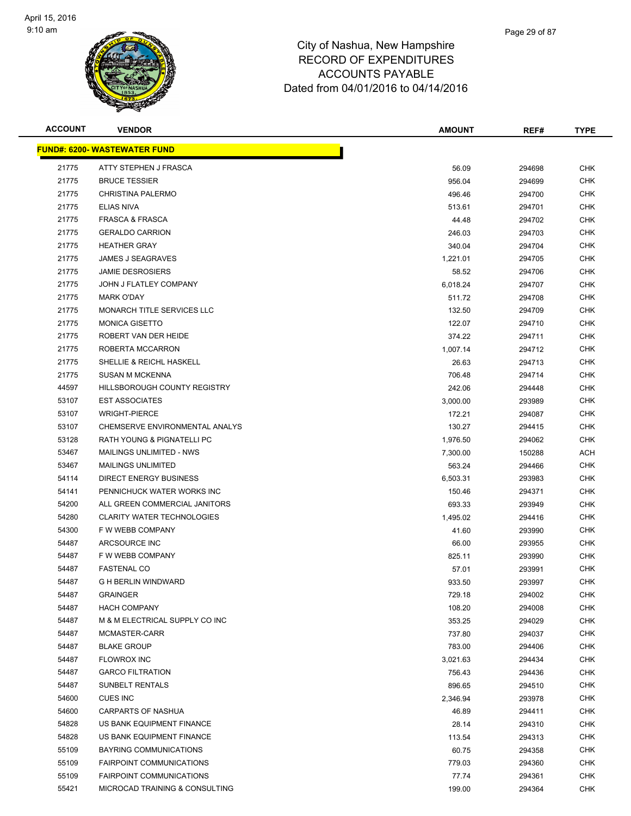

| <b>ACCOUNT</b> | <b>VENDOR</b>                        | <b>AMOUNT</b> | REF#   | <b>TYPE</b> |
|----------------|--------------------------------------|---------------|--------|-------------|
|                | <u> FUND#: 6200- WASTEWATER FUND</u> |               |        |             |
| 21775          | ATTY STEPHEN J FRASCA                | 56.09         | 294698 | <b>CHK</b>  |
| 21775          | <b>BRUCE TESSIER</b>                 | 956.04        | 294699 | CHK         |
| 21775          | <b>CHRISTINA PALERMO</b>             | 496.46        | 294700 | CHK         |
| 21775          | <b>ELIAS NIVA</b>                    | 513.61        | 294701 | <b>CHK</b>  |
| 21775          | <b>FRASCA &amp; FRASCA</b>           | 44.48         | 294702 | <b>CHK</b>  |
| 21775          | <b>GERALDO CARRION</b>               | 246.03        | 294703 | <b>CHK</b>  |
| 21775          | <b>HEATHER GRAY</b>                  | 340.04        | 294704 | <b>CHK</b>  |
| 21775          | JAMES J SEAGRAVES                    | 1,221.01      | 294705 | CHK         |
| 21775          | <b>JAMIE DESROSIERS</b>              | 58.52         | 294706 | <b>CHK</b>  |
| 21775          | JOHN J FLATLEY COMPANY               | 6,018.24      | 294707 | <b>CHK</b>  |
| 21775          | <b>MARK O'DAY</b>                    | 511.72        | 294708 | CHK         |
| 21775          | MONARCH TITLE SERVICES LLC           | 132.50        | 294709 | CHK         |
| 21775          | <b>MONICA GISETTO</b>                | 122.07        | 294710 | CHK         |
| 21775          | ROBERT VAN DER HEIDE                 | 374.22        | 294711 | CHK         |
| 21775          | ROBERTA MCCARRON                     | 1,007.14      | 294712 | <b>CHK</b>  |
| 21775          | SHELLIE & REICHL HASKELL             | 26.63         | 294713 | <b>CHK</b>  |
| 21775          | <b>SUSAN M MCKENNA</b>               | 706.48        | 294714 | <b>CHK</b>  |
| 44597          | HILLSBOROUGH COUNTY REGISTRY         | 242.06        | 294448 | <b>CHK</b>  |
| 53107          | <b>EST ASSOCIATES</b>                | 3,000.00      | 293989 | <b>CHK</b>  |
| 53107          | <b>WRIGHT-PIERCE</b>                 | 172.21        | 294087 | <b>CHK</b>  |
| 53107          | CHEMSERVE ENVIRONMENTAL ANALYS       | 130.27        | 294415 | CHK         |
| 53128          | RATH YOUNG & PIGNATELLI PC           | 1,976.50      | 294062 | CHK         |
| 53467          | MAILINGS UNLIMITED - NWS             | 7,300.00      | 150288 | ACH         |
| 53467          | <b>MAILINGS UNLIMITED</b>            | 563.24        | 294466 | CHK         |
| 54114          | DIRECT ENERGY BUSINESS               | 6,503.31      | 293983 | CHK         |
| 54141          | PENNICHUCK WATER WORKS INC           | 150.46        | 294371 | CHK         |
| 54200          | ALL GREEN COMMERCIAL JANITORS        | 693.33        | 293949 | CHK         |
| 54280          | <b>CLARITY WATER TECHNOLOGIES</b>    | 1,495.02      | 294416 | <b>CHK</b>  |
| 54300          | F W WEBB COMPANY                     | 41.60         | 293990 | <b>CHK</b>  |
| 54487          | ARCSOURCE INC                        | 66.00         | 293955 | CHK         |
| 54487          | F W WEBB COMPANY                     | 825.11        | 293990 | CHK         |
| 54487          | <b>FASTENAL CO</b>                   | 57.01         | 293991 | CHK         |
| 54487          | <b>G H BERLIN WINDWARD</b>           | 933.50        | 293997 | <b>CHK</b>  |
| 54487          | <b>GRAINGER</b>                      | 729.18        | 294002 | <b>CHK</b>  |
| 54487          | <b>HACH COMPANY</b>                  | 108.20        | 294008 | CHK         |
| 54487          | M & M ELECTRICAL SUPPLY CO INC       | 353.25        | 294029 | <b>CHK</b>  |
| 54487          | MCMASTER-CARR                        | 737.80        | 294037 | <b>CHK</b>  |
| 54487          | <b>BLAKE GROUP</b>                   | 783.00        | 294406 | <b>CHK</b>  |
| 54487          | <b>FLOWROX INC</b>                   | 3,021.63      | 294434 | <b>CHK</b>  |
| 54487          | <b>GARCO FILTRATION</b>              | 756.43        | 294436 | <b>CHK</b>  |
| 54487          | SUNBELT RENTALS                      | 896.65        | 294510 | CHK         |
| 54600          | <b>CUES INC</b>                      | 2,346.94      | 293978 | <b>CHK</b>  |
| 54600          | CARPARTS OF NASHUA                   | 46.89         | 294411 | CHK         |
| 54828          | US BANK EQUIPMENT FINANCE            | 28.14         | 294310 | CHK         |
| 54828          | US BANK EQUIPMENT FINANCE            | 113.54        | 294313 | CHK         |
| 55109          | BAYRING COMMUNICATIONS               | 60.75         | 294358 | CHK         |
| 55109          | <b>FAIRPOINT COMMUNICATIONS</b>      | 779.03        | 294360 | <b>CHK</b>  |
| 55109          | <b>FAIRPOINT COMMUNICATIONS</b>      | 77.74         | 294361 | <b>CHK</b>  |
| 55421          | MICROCAD TRAINING & CONSULTING       | 199.00        | 294364 | <b>CHK</b>  |
|                |                                      |               |        |             |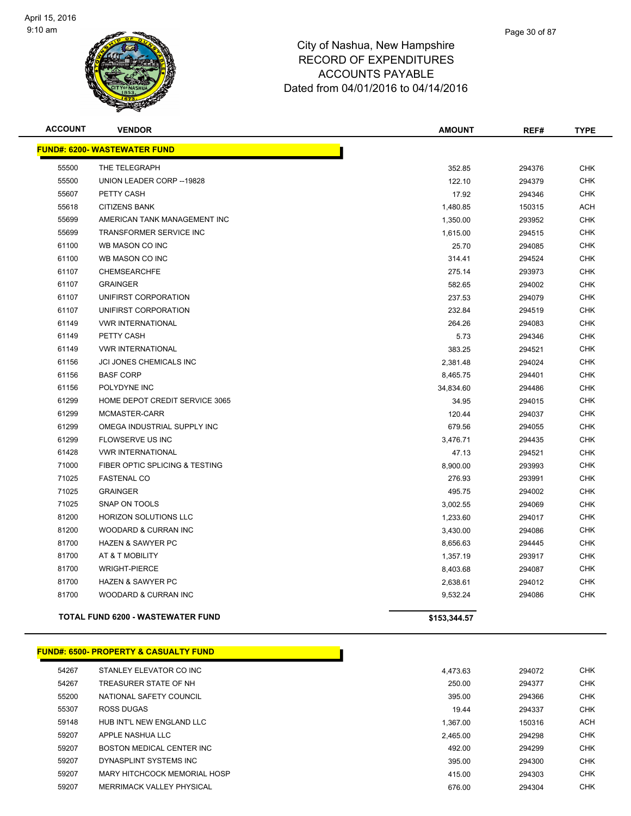

| <b>ACCOUNT</b> | <b>VENDOR</b>                            | <b>AMOUNT</b> | REF#   | <b>TYPE</b> |
|----------------|------------------------------------------|---------------|--------|-------------|
|                | <b>FUND#: 6200- WASTEWATER FUND</b>      |               |        |             |
| 55500          | THE TELEGRAPH                            | 352.85        | 294376 | <b>CHK</b>  |
| 55500          | UNION LEADER CORP -- 19828               | 122.10        | 294379 | <b>CHK</b>  |
| 55607          | PETTY CASH                               | 17.92         | 294346 | <b>CHK</b>  |
| 55618          | <b>CITIZENS BANK</b>                     | 1,480.85      | 150315 | <b>ACH</b>  |
| 55699          | AMERICAN TANK MANAGEMENT INC             | 1,350.00      | 293952 | <b>CHK</b>  |
| 55699          | <b>TRANSFORMER SERVICE INC</b>           | 1,615.00      | 294515 | <b>CHK</b>  |
| 61100          | WB MASON CO INC                          | 25.70         | 294085 | <b>CHK</b>  |
| 61100          | WB MASON CO INC                          | 314.41        | 294524 | <b>CHK</b>  |
| 61107          | <b>CHEMSEARCHFE</b>                      | 275.14        | 293973 | <b>CHK</b>  |
| 61107          | <b>GRAINGER</b>                          | 582.65        | 294002 | <b>CHK</b>  |
| 61107          | UNIFIRST CORPORATION                     | 237.53        | 294079 | <b>CHK</b>  |
| 61107          | UNIFIRST CORPORATION                     | 232.84        | 294519 | <b>CHK</b>  |
| 61149          | <b>VWR INTERNATIONAL</b>                 | 264.26        | 294083 | <b>CHK</b>  |
| 61149          | PETTY CASH                               | 5.73          | 294346 | <b>CHK</b>  |
| 61149          | <b>VWR INTERNATIONAL</b>                 | 383.25        | 294521 | <b>CHK</b>  |
| 61156          | JCI JONES CHEMICALS INC                  | 2,381.48      | 294024 | <b>CHK</b>  |
| 61156          | <b>BASF CORP</b>                         | 8,465.75      | 294401 | <b>CHK</b>  |
| 61156          | POLYDYNE INC                             | 34,834.60     | 294486 | <b>CHK</b>  |
| 61299          | HOME DEPOT CREDIT SERVICE 3065           | 34.95         | 294015 | <b>CHK</b>  |
| 61299          | MCMASTER-CARR                            | 120.44        | 294037 | <b>CHK</b>  |
| 61299          | OMEGA INDUSTRIAL SUPPLY INC              | 679.56        | 294055 | <b>CHK</b>  |
| 61299          | FLOWSERVE US INC                         | 3,476.71      | 294435 | <b>CHK</b>  |
| 61428          | <b>VWR INTERNATIONAL</b>                 | 47.13         | 294521 | <b>CHK</b>  |
| 71000          | FIBER OPTIC SPLICING & TESTING           | 8,900.00      | 293993 | <b>CHK</b>  |
| 71025          | <b>FASTENAL CO</b>                       | 276.93        | 293991 | <b>CHK</b>  |
| 71025          | <b>GRAINGER</b>                          | 495.75        | 294002 | <b>CHK</b>  |
| 71025          | SNAP ON TOOLS                            | 3,002.55      | 294069 | <b>CHK</b>  |
| 81200          | <b>HORIZON SOLUTIONS LLC</b>             | 1,233.60      | 294017 | <b>CHK</b>  |
| 81200          | WOODARD & CURRAN INC                     | 3,430.00      | 294086 | <b>CHK</b>  |
| 81700          | <b>HAZEN &amp; SAWYER PC</b>             | 8,656.63      | 294445 | <b>CHK</b>  |
| 81700          | AT & T MOBILITY                          | 1,357.19      | 293917 | <b>CHK</b>  |
| 81700          | <b>WRIGHT-PIERCE</b>                     | 8,403.68      | 294087 | <b>CHK</b>  |
| 81700          | <b>HAZEN &amp; SAWYER PC</b>             | 2,638.61      | 294012 | <b>CHK</b>  |
| 81700          | WOODARD & CURRAN INC                     | 9,532.24      | 294086 | <b>CHK</b>  |
|                | <b>TOTAL FUND 6200 - WASTEWATER FUND</b> | \$153,344.57  |        |             |

|       | <u> FUND#: 6500- PROPERTY &amp; CASUALTY FUND</u> |          |        |            |
|-------|---------------------------------------------------|----------|--------|------------|
| 54267 | STANLEY ELEVATOR CO INC                           | 4.473.63 | 294072 | <b>CHK</b> |
| 54267 | TREASURER STATE OF NH                             | 250.00   | 294377 | <b>CHK</b> |
| 55200 | NATIONAL SAFETY COUNCIL                           | 395.00   | 294366 | <b>CHK</b> |
| 55307 | ROSS DUGAS                                        | 19.44    | 294337 | <b>CHK</b> |
| 59148 | HUB INT'L NEW ENGLAND LLC                         | 1.367.00 | 150316 | <b>ACH</b> |
| 59207 | APPLE NASHUA LLC                                  | 2.465.00 | 294298 | <b>CHK</b> |
| 59207 | <b>BOSTON MEDICAL CENTER INC.</b>                 | 492.00   | 294299 | <b>CHK</b> |
| 59207 | DYNASPLINT SYSTEMS INC                            | 395.00   | 294300 | <b>CHK</b> |
| 59207 | MARY HITCHCOCK MEMORIAL HOSP                      | 415.00   | 294303 | <b>CHK</b> |
| 59207 | MERRIMACK VALLEY PHYSICAL                         | 676.00   | 294304 | <b>CHK</b> |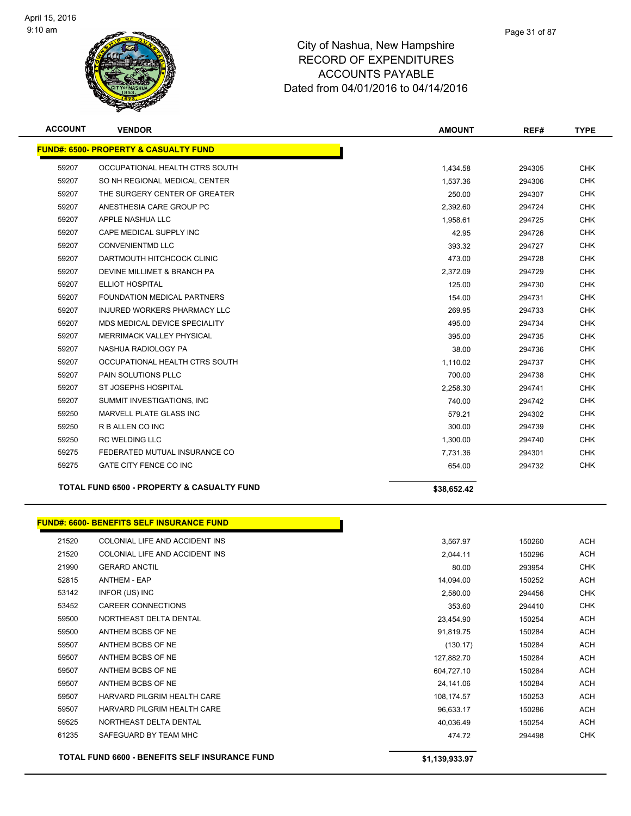

| <b>ACCOUNT</b> | <b>VENDOR</b>                                         | <b>AMOUNT</b> | REF#   | <b>TYPE</b> |
|----------------|-------------------------------------------------------|---------------|--------|-------------|
|                | <b>FUND#: 6500- PROPERTY &amp; CASUALTY FUND</b>      |               |        |             |
| 59207          | OCCUPATIONAL HEALTH CTRS SOUTH                        | 1,434.58      | 294305 | <b>CHK</b>  |
| 59207          | SO NH REGIONAL MEDICAL CENTER                         | 1,537.36      | 294306 | <b>CHK</b>  |
| 59207          | THE SURGERY CENTER OF GREATER                         | 250.00        | 294307 | <b>CHK</b>  |
| 59207          | ANESTHESIA CARE GROUP PC                              | 2,392.60      | 294724 | <b>CHK</b>  |
| 59207          | APPLE NASHUA LLC                                      | 1,958.61      | 294725 | <b>CHK</b>  |
| 59207          | CAPE MEDICAL SUPPLY INC                               | 42.95         | 294726 | <b>CHK</b>  |
| 59207          | <b>CONVENIENTMD LLC</b>                               | 393.32        | 294727 | <b>CHK</b>  |
| 59207          | DARTMOUTH HITCHCOCK CLINIC                            | 473.00        | 294728 | <b>CHK</b>  |
| 59207          | DEVINE MILLIMET & BRANCH PA                           | 2.372.09      | 294729 | <b>CHK</b>  |
| 59207          | ELLIOT HOSPITAL                                       | 125.00        | 294730 | <b>CHK</b>  |
| 59207          | <b>FOUNDATION MEDICAL PARTNERS</b>                    | 154.00        | 294731 | <b>CHK</b>  |
| 59207          | <b>INJURED WORKERS PHARMACY LLC</b>                   | 269.95        | 294733 | <b>CHK</b>  |
| 59207          | MDS MEDICAL DEVICE SPECIALITY                         | 495.00        | 294734 | <b>CHK</b>  |
| 59207          | <b>MERRIMACK VALLEY PHYSICAL</b>                      | 395.00        | 294735 | <b>CHK</b>  |
| 59207          | NASHUA RADIOLOGY PA                                   | 38.00         | 294736 | <b>CHK</b>  |
| 59207          | OCCUPATIONAL HEALTH CTRS SOUTH                        | 1,110.02      | 294737 | <b>CHK</b>  |
| 59207          | <b>PAIN SOLUTIONS PLLC</b>                            | 700.00        | 294738 | <b>CHK</b>  |
| 59207          | ST JOSEPHS HOSPITAL                                   | 2,258.30      | 294741 | <b>CHK</b>  |
| 59207          | SUMMIT INVESTIGATIONS, INC                            | 740.00        | 294742 | <b>CHK</b>  |
| 59250          | MARVELL PLATE GLASS INC                               | 579.21        | 294302 | <b>CHK</b>  |
| 59250          | R B ALLEN CO INC                                      | 300.00        | 294739 | <b>CHK</b>  |
| 59250          | <b>RC WELDING LLC</b>                                 | 1,300.00      | 294740 | <b>CHK</b>  |
| 59275          | FEDERATED MUTUAL INSURANCE CO                         | 7,731.36      | 294301 | <b>CHK</b>  |
| 59275          | <b>GATE CITY FENCE CO INC</b>                         | 654.00        | 294732 | <b>CHK</b>  |
|                | <b>TOTAL FUND 6500 - PROPERTY &amp; CASUALTY FUND</b> | \$38,652.42   |        |             |

|       | <b>FUND#: 6600- BENEFITS SELF INSURANCE FUND</b> |            |
|-------|--------------------------------------------------|------------|
| 21520 | COLONIAL LIFE AND ACCIDENT INS                   |            |
| 21520 | COLONIAL LIFE AND ACCIDENT INS                   |            |
| 21990 | <b>GERARD ANCTIL</b>                             |            |
| 52815 | <b>ANTHEM - EAP</b>                              |            |
| 53142 | INFOR (US) INC                                   | 2,580.00   |
| 53452 | CAREER CONNECTIONS                               | 353.60     |
| 59500 | NORTHEAST DELTA DENTAL                           | 23,454.90  |
| 59500 | ANTHEM BCBS OF NE                                | 91,819.75  |
| 59507 | ANTHEM BCBS OF NE                                | (130.17)   |
| 59507 | ANTHEM BCBS OF NE                                | 127,882.70 |
| 59507 | ANTHEM BCBS OF NE                                | 604,727.10 |
| 59507 | ANTHEM BCBS OF NE                                | 24,141.06  |
| 59507 | HARVARD PILGRIM HEALTH CARE                      | 108,174.57 |
| 59507 | HARVARD PILGRIM HEALTH CARE                      | 96,633.17  |
| 59525 | NORTHEAST DELTA DENTAL                           | 40,036.49  |
| 61235 | SAFEGUARD BY TEAM MHC                            | 474.72     |

**TOTAL FUND 6600 - BENEFITS SELF INSURANCE FUND \$1,139,933.97**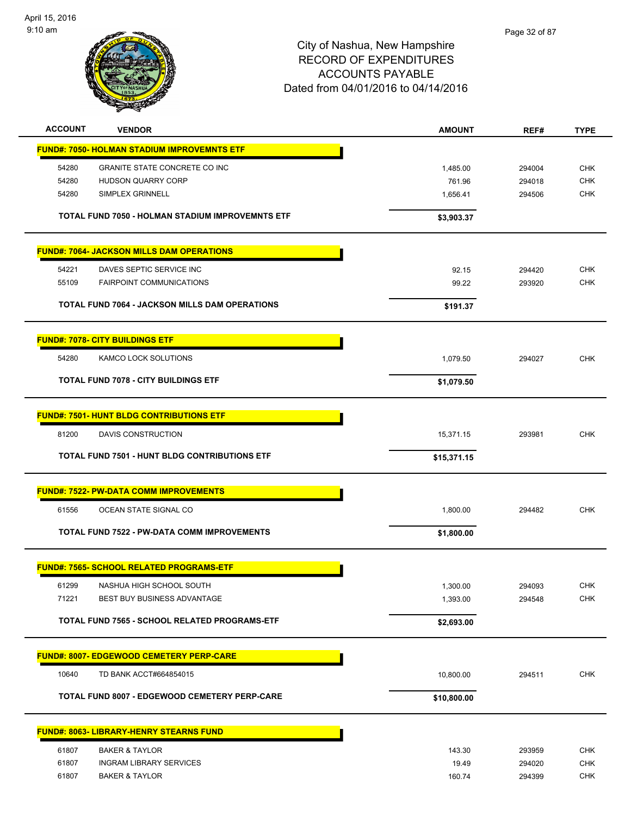

| <b>ACCOUNT</b> | <b>VENDOR</b>                                           | <b>AMOUNT</b> | REF#   | <b>TYPE</b> |
|----------------|---------------------------------------------------------|---------------|--------|-------------|
|                | <b>FUND#: 7050- HOLMAN STADIUM IMPROVEMNTS ETF</b>      |               |        |             |
| 54280          | GRANITE STATE CONCRETE CO INC                           | 1,485.00      | 294004 | <b>CHK</b>  |
| 54280          | <b>HUDSON QUARRY CORP</b>                               | 761.96        | 294018 | <b>CHK</b>  |
| 54280          | SIMPLEX GRINNELL                                        | 1,656.41      | 294506 | <b>CHK</b>  |
|                |                                                         |               |        |             |
|                | <b>TOTAL FUND 7050 - HOLMAN STADIUM IMPROVEMNTS ETF</b> | \$3,903.37    |        |             |
|                | <b>FUND#: 7064- JACKSON MILLS DAM OPERATIONS</b>        |               |        |             |
| 54221          | DAVES SEPTIC SERVICE INC                                | 92.15         | 294420 | <b>CHK</b>  |
| 55109          | <b>FAIRPOINT COMMUNICATIONS</b>                         | 99.22         | 293920 | <b>CHK</b>  |
|                |                                                         |               |        |             |
|                | <b>TOTAL FUND 7064 - JACKSON MILLS DAM OPERATIONS</b>   | \$191.37      |        |             |
|                | <b>FUND#: 7078- CITY BUILDINGS ETF</b>                  |               |        |             |
| 54280          | KAMCO LOCK SOLUTIONS                                    | 1,079.50      | 294027 | <b>CHK</b>  |
|                | <b>TOTAL FUND 7078 - CITY BUILDINGS ETF</b>             | \$1,079.50    |        |             |
|                |                                                         |               |        |             |
|                | <b>FUND#: 7501- HUNT BLDG CONTRIBUTIONS ETF</b>         |               |        |             |
| 81200          | DAVIS CONSTRUCTION                                      | 15,371.15     | 293981 | <b>CHK</b>  |
|                | <b>TOTAL FUND 7501 - HUNT BLDG CONTRIBUTIONS ETF</b>    | \$15,371.15   |        |             |
|                | <b>FUND#: 7522- PW-DATA COMM IMPROVEMENTS</b>           |               |        |             |
|                |                                                         |               |        | <b>CHK</b>  |
| 61556          | OCEAN STATE SIGNAL CO                                   | 1,800.00      | 294482 |             |
|                | <b>TOTAL FUND 7522 - PW-DATA COMM IMPROVEMENTS</b>      | \$1,800.00    |        |             |
|                | <u> FUND#: 7565- SCHOOL RELATED PROGRAMS-ETF</u>        |               |        |             |
| 61299          | NASHUA HIGH SCHOOL SOUTH                                | 1,300.00      | 294093 | <b>CHK</b>  |
| 71221          | BEST BUY BUSINESS ADVANTAGE                             | 1,393.00      | 294548 | <b>CHK</b>  |
|                | TOTAL FUND 7565 - SCHOOL RELATED PROGRAMS-ETF           | \$2,693.00    |        |             |
|                |                                                         |               |        |             |
|                | <b>FUND#: 8007- EDGEWOOD CEMETERY PERP-CARE</b>         |               |        |             |
| 10640          | TD BANK ACCT#664854015                                  | 10,800.00     | 294511 | <b>CHK</b>  |
|                | TOTAL FUND 8007 - EDGEWOOD CEMETERY PERP-CARE           | \$10,800.00   |        |             |
|                | <b>FUND#: 8063- LIBRARY-HENRY STEARNS FUND</b>          |               |        |             |
| 61807          | <b>BAKER &amp; TAYLOR</b>                               | 143.30        | 293959 | <b>CHK</b>  |
| 61807          | <b>INGRAM LIBRARY SERVICES</b>                          | 19.49         | 294020 | <b>CHK</b>  |
| 61807          | <b>BAKER &amp; TAYLOR</b>                               | 160.74        | 294399 | CHK         |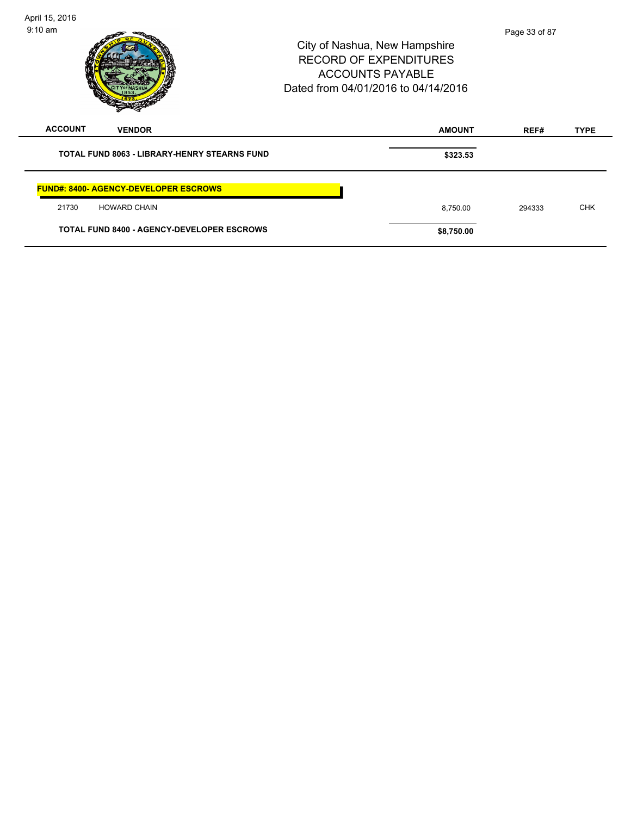| April 15, 2016                                      |                                                                                                                                  |               |             |
|-----------------------------------------------------|----------------------------------------------------------------------------------------------------------------------------------|---------------|-------------|
| $9:10$ am                                           | City of Nashua, New Hampshire<br><b>RECORD OF EXPENDITURES</b><br><b>ACCOUNTS PAYABLE</b><br>Dated from 04/01/2016 to 04/14/2016 | Page 33 of 87 |             |
| <b>ACCOUNT</b><br><b>VENDOR</b>                     | <b>AMOUNT</b>                                                                                                                    | REF#          | <b>TYPE</b> |
| <b>TOTAL FUND 8063 - LIBRARY-HENRY STEARNS FUND</b> | \$323.53                                                                                                                         |               |             |
| <b>FUND#: 8400- AGENCY-DEVELOPER ESCROWS</b>        |                                                                                                                                  |               |             |
| 21730<br><b>HOWARD CHAIN</b>                        | 8,750.00                                                                                                                         | 294333        | <b>CHK</b>  |
| <b>TOTAL FUND 8400 - AGENCY-DEVELOPER ESCROWS</b>   | \$8,750.00                                                                                                                       |               |             |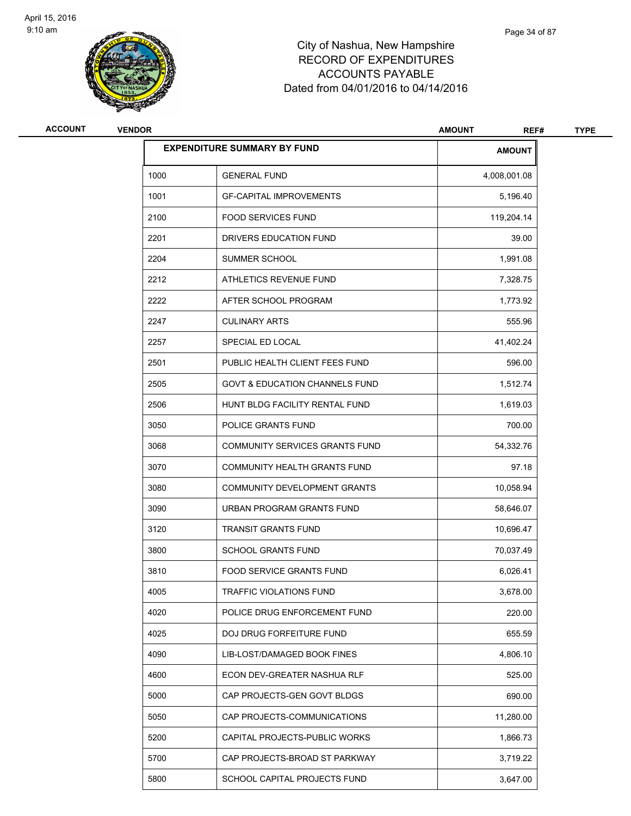

| ACCOUNT | <b>VENDOR</b> | <b>AMOUNT</b><br>REF#                     |               | <b>TYPE</b> |
|---------|---------------|-------------------------------------------|---------------|-------------|
|         |               | <b>EXPENDITURE SUMMARY BY FUND</b>        | <b>AMOUNT</b> |             |
|         | 1000          | <b>GENERAL FUND</b>                       | 4,008,001.08  |             |
|         | 1001          | <b>GF-CAPITAL IMPROVEMENTS</b>            | 5,196.40      |             |
|         | 2100          | <b>FOOD SERVICES FUND</b>                 | 119,204.14    |             |
|         | 2201          | DRIVERS EDUCATION FUND                    | 39.00         |             |
|         | 2204          | SUMMER SCHOOL                             | 1,991.08      |             |
|         | 2212          | ATHLETICS REVENUE FUND                    | 7,328.75      |             |
|         | 2222          | AFTER SCHOOL PROGRAM                      | 1,773.92      |             |
|         | 2247          | <b>CULINARY ARTS</b>                      | 555.96        |             |
|         | 2257          | SPECIAL ED LOCAL                          | 41,402.24     |             |
|         | 2501          | PUBLIC HEALTH CLIENT FEES FUND            | 596.00        |             |
|         | 2505          | <b>GOVT &amp; EDUCATION CHANNELS FUND</b> | 1,512.74      |             |
|         | 2506          | HUNT BLDG FACILITY RENTAL FUND            | 1,619.03      |             |
|         | 3050          | POLICE GRANTS FUND                        | 700.00        |             |
|         | 3068          | COMMUNITY SERVICES GRANTS FUND            | 54,332.76     |             |
|         | 3070          | COMMUNITY HEALTH GRANTS FUND              | 97.18         |             |
|         | 3080          | COMMUNITY DEVELOPMENT GRANTS              | 10,058.94     |             |
|         | 3090          | URBAN PROGRAM GRANTS FUND                 | 58,646.07     |             |
|         | 3120          | <b>TRANSIT GRANTS FUND</b>                | 10,696.47     |             |
|         | 3800          | <b>SCHOOL GRANTS FUND</b>                 | 70,037.49     |             |
|         | 3810          | FOOD SERVICE GRANTS FUND                  | 6,026.41      |             |
|         | 4005          | TRAFFIC VIOLATIONS FUND                   | 3,678.00      |             |
|         | 4020          | POLICE DRUG ENFORCEMENT FUND              | 220.00        |             |
|         | 4025          | DOJ DRUG FORFEITURE FUND                  | 655.59        |             |
|         | 4090          | LIB-LOST/DAMAGED BOOK FINES               | 4,806.10      |             |
|         | 4600          | ECON DEV-GREATER NASHUA RLF               | 525.00        |             |
|         | 5000          | CAP PROJECTS-GEN GOVT BLDGS               | 690.00        |             |
|         | 5050          | CAP PROJECTS-COMMUNICATIONS               | 11,280.00     |             |
|         | 5200          | CAPITAL PROJECTS-PUBLIC WORKS             | 1,866.73      |             |
|         | 5700          | CAP PROJECTS-BROAD ST PARKWAY             | 3,719.22      |             |
|         | 5800          | SCHOOL CAPITAL PROJECTS FUND              | 3,647.00      |             |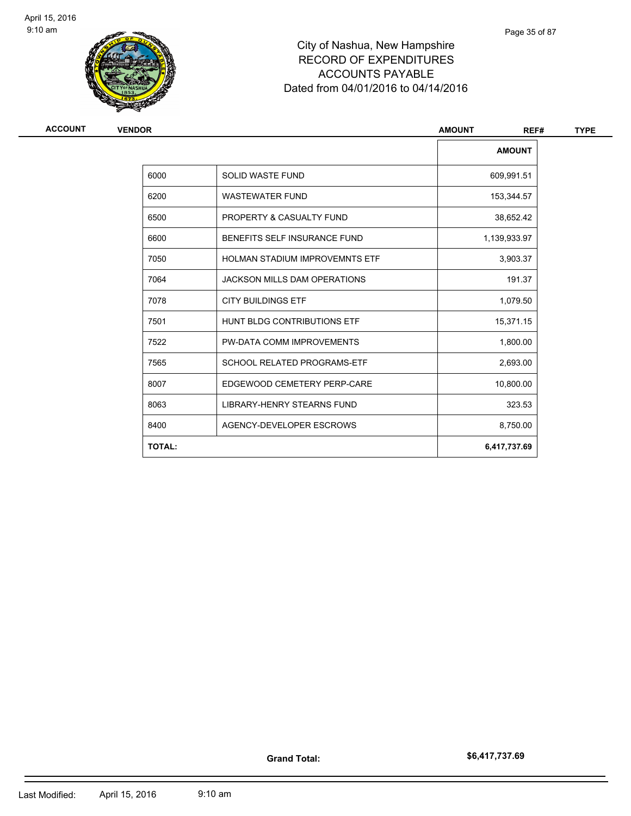

| <b>ACCOUNT</b> | <b>VENDOR</b> |                                       | <b>AMOUNT</b><br>REF# | <b>TYPE</b> |
|----------------|---------------|---------------------------------------|-----------------------|-------------|
|                |               |                                       | <b>AMOUNT</b>         |             |
|                | 6000          | <b>SOLID WASTE FUND</b>               | 609,991.51            |             |
|                | 6200          | <b>WASTEWATER FUND</b>                | 153,344.57            |             |
|                | 6500          | PROPERTY & CASUALTY FUND              | 38,652.42             |             |
|                | 6600          | BENEFITS SELF INSURANCE FUND          | 1,139,933.97          |             |
|                | 7050          | <b>HOLMAN STADIUM IMPROVEMNTS ETF</b> | 3,903.37              |             |
|                | 7064          | <b>JACKSON MILLS DAM OPERATIONS</b>   | 191.37                |             |
|                | 7078          | <b>CITY BUILDINGS ETF</b>             | 1,079.50              |             |
|                | 7501          | HUNT BLDG CONTRIBUTIONS ETF           | 15,371.15             |             |
|                | 7522          | PW-DATA COMM IMPROVEMENTS             | 1,800.00              |             |
|                | 7565          | <b>SCHOOL RELATED PROGRAMS-ETF</b>    | 2,693.00              |             |
|                | 8007          | EDGEWOOD CEMETERY PERP-CARE           | 10,800.00             |             |
|                | 8063          | <b>LIBRARY-HENRY STEARNS FUND</b>     | 323.53                |             |
|                | 8400          | AGENCY-DEVELOPER ESCROWS              | 8,750.00              |             |
|                | <b>TOTAL:</b> |                                       | 6,417,737.69          |             |
|                |               |                                       |                       |             |

**Grand Total:**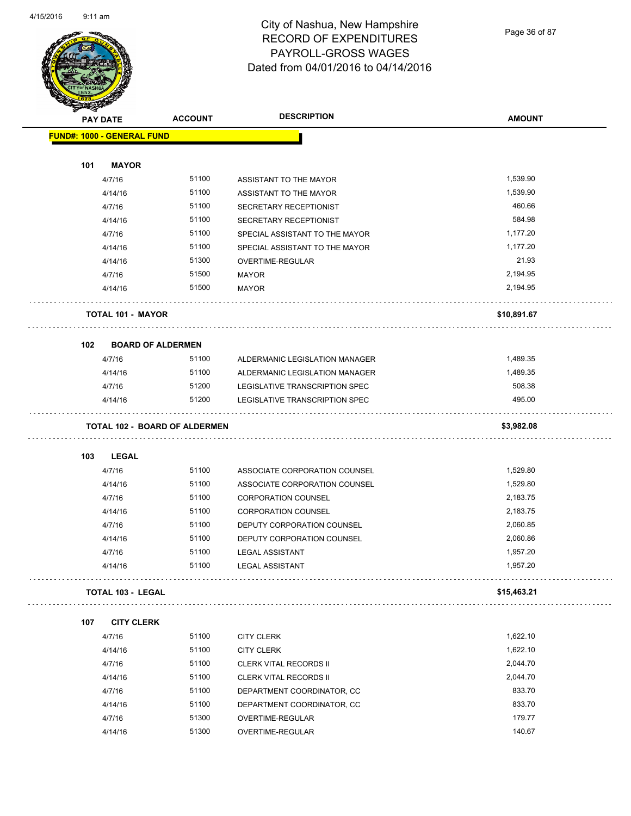#### City of Nashua, New Hampshire RECORD OF EXPENDITURES PAYROLL-GROSS WAGES Dated from 04/01/2016 to 04/14/2016

Page 36 of 87

|     | <b>PAY DATE</b>                      | <b>ACCOUNT</b> | <b>DESCRIPTION</b>             | <b>AMOUNT</b> |
|-----|--------------------------------------|----------------|--------------------------------|---------------|
|     | <b>FUND#: 1000 - GENERAL FUND</b>    |                |                                |               |
| 101 | <b>MAYOR</b>                         |                |                                |               |
|     | 4/7/16                               | 51100          | ASSISTANT TO THE MAYOR         | 1,539.90      |
|     | 4/14/16                              | 51100          | ASSISTANT TO THE MAYOR         | 1,539.90      |
|     | 4/7/16                               | 51100          | SECRETARY RECEPTIONIST         | 460.66        |
|     | 4/14/16                              | 51100          | SECRETARY RECEPTIONIST         | 584.98        |
|     | 4/7/16                               | 51100          | SPECIAL ASSISTANT TO THE MAYOR | 1,177.20      |
|     | 4/14/16                              | 51100          | SPECIAL ASSISTANT TO THE MAYOR | 1,177.20      |
|     | 4/14/16                              | 51300          | OVERTIME-REGULAR               | 21.93         |
|     | 4/7/16                               | 51500          | MAYOR                          | 2,194.95      |
|     | 4/14/16                              | 51500          | MAYOR                          | 2,194.95      |
|     | <b>TOTAL 101 - MAYOR</b>             |                |                                | \$10,891.67   |
| 102 | <b>BOARD OF ALDERMEN</b>             |                |                                |               |
|     | 4/7/16                               | 51100          | ALDERMANIC LEGISLATION MANAGER | 1,489.35      |
|     | 4/14/16                              | 51100          | ALDERMANIC LEGISLATION MANAGER | 1,489.35      |
|     | 4/7/16                               | 51200          | LEGISLATIVE TRANSCRIPTION SPEC | 508.38        |
|     | 4/14/16                              | 51200          | LEGISLATIVE TRANSCRIPTION SPEC | 495.00        |
|     | <b>TOTAL 102 - BOARD OF ALDERMEN</b> |                |                                | \$3,982.08    |
| 103 | <b>LEGAL</b>                         |                |                                |               |
|     | 4/7/16                               | 51100          | ASSOCIATE CORPORATION COUNSEL  | 1,529.80      |
|     | 4/14/16                              | 51100          | ASSOCIATE CORPORATION COUNSEL  | 1,529.80      |
|     | 4/7/16                               | 51100          | <b>CORPORATION COUNSEL</b>     | 2,183.75      |
|     | 4/14/16                              | 51100          | <b>CORPORATION COUNSEL</b>     | 2,183.75      |
|     | 4/7/16                               | 51100          | DEPUTY CORPORATION COUNSEL     | 2,060.85      |
|     | 4/14/16                              | 51100          | DEPUTY CORPORATION COUNSEL     | 2,060.86      |
|     | 4/7/16                               | 51100          | <b>LEGAL ASSISTANT</b>         | 1,957.20      |
|     | 4/14/16                              | 51100          | <b>LEGAL ASSISTANT</b>         | 1,957.20      |
|     | <b>TOTAL 103 - LEGAL</b>             |                |                                | \$15,463.21   |
| 107 | <b>CITY CLERK</b>                    |                |                                |               |
|     | 4/7/16                               | 51100          | <b>CITY CLERK</b>              | 1,622.10      |
|     | 4/14/16                              | 51100          | <b>CITY CLERK</b>              | 1,622.10      |
|     | 4/7/16                               | 51100          | <b>CLERK VITAL RECORDS II</b>  | 2,044.70      |
|     | 4/14/16                              | 51100          | CLERK VITAL RECORDS II         | 2,044.70      |
|     | 4/7/16                               | 51100          | DEPARTMENT COORDINATOR, CC     | 833.70        |
|     | 4/14/16                              | 51100          | DEPARTMENT COORDINATOR, CC     | 833.70        |
|     | 4/7/16                               | 51300          | OVERTIME-REGULAR               | 179.77        |
|     | 4/14/16                              | 51300          | OVERTIME-REGULAR               | 140.67        |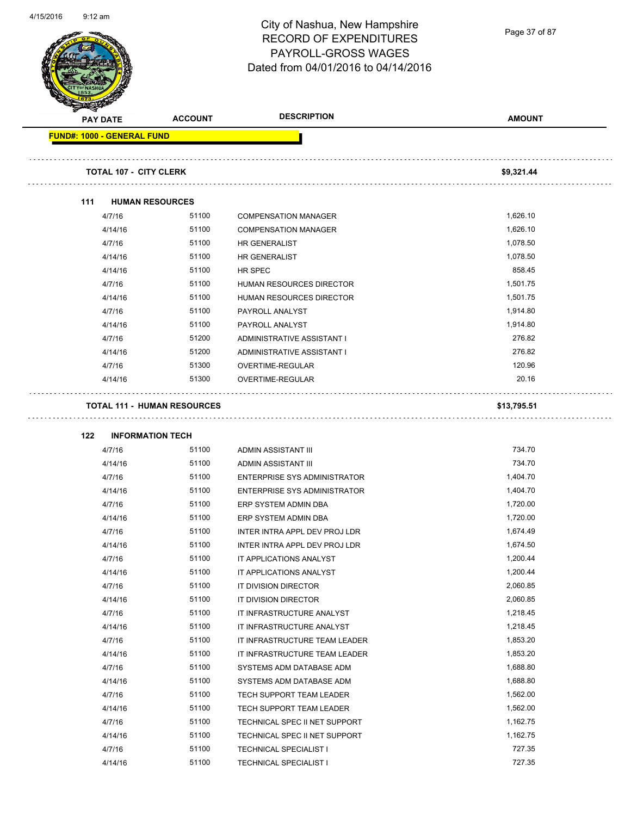

Page 37 of 87

|                                   | <b>PAY DATE</b> | <b>ACCOUNT</b>                     | <b>DESCRIPTION</b>                                        | <b>AMOUNT</b> |
|-----------------------------------|-----------------|------------------------------------|-----------------------------------------------------------|---------------|
| <b>FUND#: 1000 - GENERAL FUND</b> |                 |                                    |                                                           |               |
|                                   |                 |                                    |                                                           |               |
|                                   |                 | <b>TOTAL 107 - CITY CLERK</b>      |                                                           | \$9,321.44    |
|                                   |                 |                                    |                                                           |               |
| 111                               |                 | <b>HUMAN RESOURCES</b>             |                                                           |               |
|                                   | 4/7/16          | 51100                              | <b>COMPENSATION MANAGER</b>                               | 1,626.10      |
|                                   | 4/14/16         | 51100                              | <b>COMPENSATION MANAGER</b>                               | 1,626.10      |
|                                   | 4/7/16          | 51100                              | HR GENERALIST                                             | 1,078.50      |
|                                   | 4/14/16         | 51100                              | HR GENERALIST                                             | 1,078.50      |
|                                   | 4/14/16         | 51100                              | HR SPEC                                                   | 858.45        |
|                                   | 4/7/16          | 51100                              | HUMAN RESOURCES DIRECTOR                                  | 1,501.75      |
|                                   | 4/14/16         | 51100                              | HUMAN RESOURCES DIRECTOR                                  | 1,501.75      |
|                                   | 4/7/16          | 51100                              | PAYROLL ANALYST                                           | 1,914.80      |
|                                   | 4/14/16         | 51100                              | PAYROLL ANALYST                                           | 1,914.80      |
|                                   | 4/7/16          | 51200                              | ADMINISTRATIVE ASSISTANT I                                | 276.82        |
|                                   | 4/14/16         | 51200                              | ADMINISTRATIVE ASSISTANT I                                | 276.82        |
|                                   | 4/7/16          | 51300                              | OVERTIME-REGULAR                                          | 120.96        |
|                                   | 4/14/16         | 51300                              | OVERTIME-REGULAR                                          | 20.16         |
|                                   |                 | <b>TOTAL 111 - HUMAN RESOURCES</b> |                                                           | \$13,795.51   |
| 122                               |                 | <b>INFORMATION TECH</b>            |                                                           |               |
|                                   | 4/7/16          | 51100                              | ADMIN ASSISTANT III                                       | 734.70        |
|                                   | 4/14/16         | 51100                              | ADMIN ASSISTANT III                                       | 734.70        |
|                                   | 4/7/16          | 51100                              | ENTERPRISE SYS ADMINISTRATOR                              | 1,404.70      |
|                                   | 4/14/16         | 51100                              | ENTERPRISE SYS ADMINISTRATOR                              | 1,404.70      |
|                                   | 4/7/16          | 51100                              | ERP SYSTEM ADMIN DBA                                      | 1,720.00      |
|                                   | 4/14/16         | 51100                              | ERP SYSTEM ADMIN DBA                                      | 1,720.00      |
|                                   | 4/7/16          | 51100                              | INTER INTRA APPL DEV PROJ LDR                             | 1,674.49      |
|                                   | 4/14/16         | 51100                              | INTER INTRA APPL DEV PROJ LDR                             | 1,674.50      |
|                                   | 4/7/16          | 51100                              | IT APPLICATIONS ANALYST                                   | 1,200.44      |
|                                   | 4/14/16         | 51100                              | IT APPLICATIONS ANALYST                                   | 1,200.44      |
|                                   | 4/7/16          | 51100                              | IT DIVISION DIRECTOR                                      | 2,060.85      |
|                                   | 4/14/16         | 51100                              | IT DIVISION DIRECTOR                                      | 2,060.85      |
|                                   | 4/7/16          | 51100                              | IT INFRASTRUCTURE ANALYST                                 | 1,218.45      |
|                                   | 4/14/16         | 51100                              | IT INFRASTRUCTURE ANALYST                                 | 1,218.45      |
|                                   | 4/7/16          | 51100                              | IT INFRASTRUCTURE TEAM LEADER                             | 1,853.20      |
|                                   | 4/14/16         | 51100                              |                                                           | 1,853.20      |
|                                   | 4/7/16          | 51100                              | IT INFRASTRUCTURE TEAM LEADER<br>SYSTEMS ADM DATABASE ADM | 1,688.80      |
|                                   | 4/14/16         | 51100                              | SYSTEMS ADM DATABASE ADM                                  | 1,688.80      |
|                                   |                 | 51100                              |                                                           | 1,562.00      |
|                                   | 4/7/16          |                                    | TECH SUPPORT TEAM LEADER                                  |               |
|                                   | 4/14/16         | 51100                              | TECH SUPPORT TEAM LEADER                                  | 1,562.00      |
|                                   | 4/7/16          | 51100                              | TECHNICAL SPEC II NET SUPPORT                             | 1,162.75      |
|                                   | 4/14/16         | 51100                              | TECHNICAL SPEC II NET SUPPORT                             | 1,162.75      |
|                                   | 4/7/16          | 51100                              | <b>TECHNICAL SPECIALIST I</b>                             | 727.35        |
|                                   | 4/14/16         | 51100                              | <b>TECHNICAL SPECIALIST I</b>                             | 727.35        |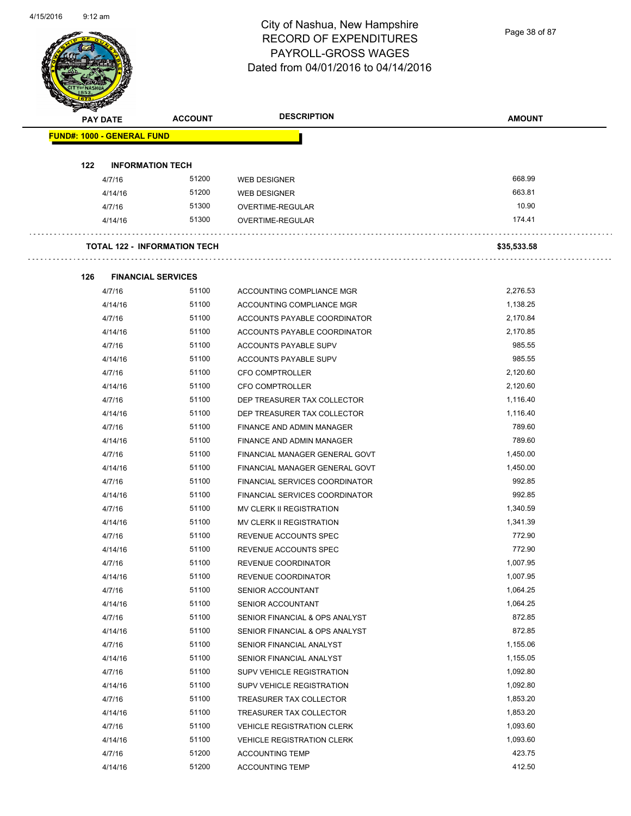Page 38 of 87

| <b>PAY DATE</b> |                                     | <b>ACCOUNT</b> | <b>DESCRIPTION</b>                | <b>AMOUNT</b> |
|-----------------|-------------------------------------|----------------|-----------------------------------|---------------|
|                 | <b>FUND#: 1000 - GENERAL FUND</b>   |                |                                   |               |
| 122             | <b>INFORMATION TECH</b>             |                |                                   |               |
|                 | 4/7/16                              | 51200          | <b>WEB DESIGNER</b>               | 668.99        |
|                 | 4/14/16                             | 51200          | <b>WEB DESIGNER</b>               | 663.81        |
|                 | 4/7/16                              | 51300          | OVERTIME-REGULAR                  | 10.90         |
|                 | 4/14/16                             | 51300          | OVERTIME-REGULAR                  | 174.41        |
|                 | <b>TOTAL 122 - INFORMATION TECH</b> |                |                                   | \$35,533.58   |
| 126             | <b>FINANCIAL SERVICES</b>           |                |                                   |               |
|                 | 4/7/16                              | 51100          | ACCOUNTING COMPLIANCE MGR         | 2,276.53      |
|                 | 4/14/16                             | 51100          | ACCOUNTING COMPLIANCE MGR         | 1,138.25      |
|                 | 4/7/16                              | 51100          | ACCOUNTS PAYABLE COORDINATOR      | 2,170.84      |
|                 | 4/14/16                             | 51100          | ACCOUNTS PAYABLE COORDINATOR      | 2,170.85      |
|                 | 4/7/16                              | 51100          | ACCOUNTS PAYABLE SUPV             | 985.55        |
|                 | 4/14/16                             | 51100          | ACCOUNTS PAYABLE SUPV             | 985.55        |
|                 | 4/7/16                              | 51100          | <b>CFO COMPTROLLER</b>            | 2,120.60      |
|                 | 4/14/16                             | 51100          | <b>CFO COMPTROLLER</b>            | 2,120.60      |
|                 | 4/7/16                              | 51100          | DEP TREASURER TAX COLLECTOR       | 1,116.40      |
|                 | 4/14/16                             | 51100          | DEP TREASURER TAX COLLECTOR       | 1,116.40      |
|                 | 4/7/16                              | 51100          | FINANCE AND ADMIN MANAGER         | 789.60        |
|                 | 4/14/16                             | 51100          | FINANCE AND ADMIN MANAGER         | 789.60        |
|                 | 4/7/16                              | 51100          | FINANCIAL MANAGER GENERAL GOVT    | 1,450.00      |
|                 | 4/14/16                             | 51100          | FINANCIAL MANAGER GENERAL GOVT    | 1,450.00      |
|                 | 4/7/16                              | 51100          | FINANCIAL SERVICES COORDINATOR    | 992.85        |
|                 | 4/14/16                             | 51100          | FINANCIAL SERVICES COORDINATOR    | 992.85        |
|                 | 4/7/16                              | 51100          | <b>MV CLERK II REGISTRATION</b>   | 1,340.59      |
|                 | 4/14/16                             | 51100          | MV CLERK II REGISTRATION          | 1,341.39      |
|                 | 4/7/16                              | 51100          | REVENUE ACCOUNTS SPEC             | 772.90        |
|                 | 4/14/16                             | 51100          | REVENUE ACCOUNTS SPEC             | 772.90        |
|                 | 4/7/16                              | 51100          | REVENUE COORDINATOR               | 1,007.95      |
|                 | 4/14/16                             | 51100          | REVENUE COORDINATOR               | 1,007.95      |
|                 | 4/7/16                              | 51100          | SENIOR ACCOUNTANT                 | 1,064.25      |
|                 | 4/14/16                             | 51100          | SENIOR ACCOUNTANT                 | 1,064.25      |
|                 | 4/7/16                              | 51100          | SENIOR FINANCIAL & OPS ANALYST    | 872.85        |
|                 | 4/14/16                             | 51100          | SENIOR FINANCIAL & OPS ANALYST    | 872.85        |
|                 | 4/7/16                              | 51100          | SENIOR FINANCIAL ANALYST          | 1,155.06      |
|                 | 4/14/16                             | 51100          | SENIOR FINANCIAL ANALYST          | 1,155.05      |
|                 | 4/7/16                              | 51100          | SUPV VEHICLE REGISTRATION         | 1,092.80      |
|                 | 4/14/16                             | 51100          | SUPV VEHICLE REGISTRATION         | 1,092.80      |
|                 | 4/7/16                              | 51100          | TREASURER TAX COLLECTOR           | 1,853.20      |
|                 | 4/14/16                             | 51100          | TREASURER TAX COLLECTOR           | 1,853.20      |
|                 | 4/7/16                              | 51100          | <b>VEHICLE REGISTRATION CLERK</b> | 1,093.60      |
|                 | 4/14/16                             | 51100          | <b>VEHICLE REGISTRATION CLERK</b> | 1,093.60      |
|                 | 4/7/16                              | 51200          | <b>ACCOUNTING TEMP</b>            | 423.75        |
|                 | 4/14/16                             | 51200          | <b>ACCOUNTING TEMP</b>            | 412.50        |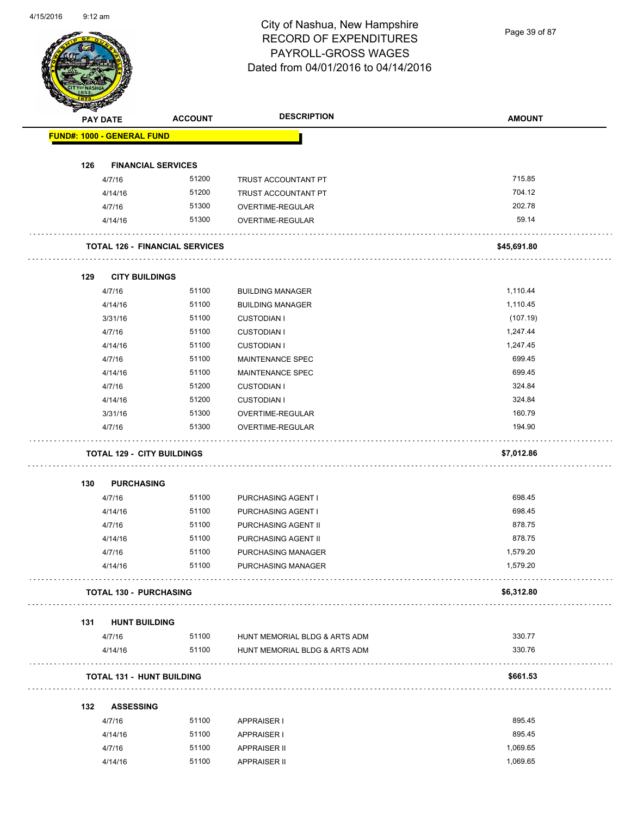Page 39 of 87

| <b>PAY DATE</b>                   | <b>ACCOUNT</b>                        | <b>DESCRIPTION</b>            | <b>AMOUNT</b> |
|-----------------------------------|---------------------------------------|-------------------------------|---------------|
| <b>FUND#: 1000 - GENERAL FUND</b> |                                       |                               |               |
| 126                               | <b>FINANCIAL SERVICES</b>             |                               |               |
| 4/7/16                            | 51200                                 | TRUST ACCOUNTANT PT           | 715.85        |
| 4/14/16                           | 51200                                 | TRUST ACCOUNTANT PT           | 704.12        |
| 4/7/16                            | 51300                                 | OVERTIME-REGULAR              | 202.78        |
| 4/14/16                           | 51300                                 | OVERTIME-REGULAR              | 59.14         |
|                                   | <b>TOTAL 126 - FINANCIAL SERVICES</b> |                               | \$45,691.80   |
| 129                               | <b>CITY BUILDINGS</b>                 |                               |               |
| 4/7/16                            | 51100                                 | <b>BUILDING MANAGER</b>       | 1,110.44      |
| 4/14/16                           | 51100                                 | <b>BUILDING MANAGER</b>       | 1,110.45      |
| 3/31/16                           | 51100                                 | <b>CUSTODIAN I</b>            | (107.19)      |
| 4/7/16                            | 51100                                 | <b>CUSTODIAN I</b>            | 1,247.44      |
| 4/14/16                           | 51100                                 | <b>CUSTODIAN I</b>            | 1,247.45      |
| 4/7/16                            | 51100                                 | <b>MAINTENANCE SPEC</b>       | 699.45        |
| 4/14/16                           | 51100                                 | MAINTENANCE SPEC              | 699.45        |
| 4/7/16                            | 51200                                 | <b>CUSTODIAN I</b>            | 324.84        |
| 4/14/16                           | 51200                                 | <b>CUSTODIAN I</b>            | 324.84        |
| 3/31/16                           | 51300                                 | OVERTIME-REGULAR              | 160.79        |
| 4/7/16                            | 51300                                 | OVERTIME-REGULAR              | 194.90        |
|                                   | <b>TOTAL 129 - CITY BUILDINGS</b>     |                               | \$7,012.86    |
| <b>PURCHASING</b><br>130          |                                       |                               |               |
| 4/7/16                            | 51100                                 | PURCHASING AGENT I            | 698.45        |
| 4/14/16                           | 51100                                 | PURCHASING AGENT I            | 698.45        |
| 4/7/16                            | 51100                                 | PURCHASING AGENT II           | 878.75        |
| 4/14/16                           | 51100                                 | PURCHASING AGENT II           | 878.75        |
| 4/7/16                            | 51100                                 | PURCHASING MANAGER            | 1,579.20      |
| 4/14/16                           | 51100                                 | PURCHASING MANAGER            | 1,579.20      |
|                                   | <b>TOTAL 130 - PURCHASING</b>         |                               | \$6,312.80    |
| 131<br><b>HUNT BUILDING</b>       |                                       |                               |               |
| 4/7/16                            | 51100                                 | HUNT MEMORIAL BLDG & ARTS ADM | 330.77        |
| 4/14/16                           | 51100                                 | HUNT MEMORIAL BLDG & ARTS ADM | 330.76        |
|                                   | <b>TOTAL 131 - HUNT BUILDING</b>      |                               | \$661.53      |
| <b>ASSESSING</b><br>132           |                                       |                               |               |
| 4/7/16                            | 51100                                 | APPRAISER I                   | 895.45        |
| 4/14/16                           | 51100                                 | <b>APPRAISER I</b>            | 895.45        |
| 4/7/16                            | 51100                                 | <b>APPRAISER II</b>           | 1,069.65      |
|                                   |                                       |                               |               |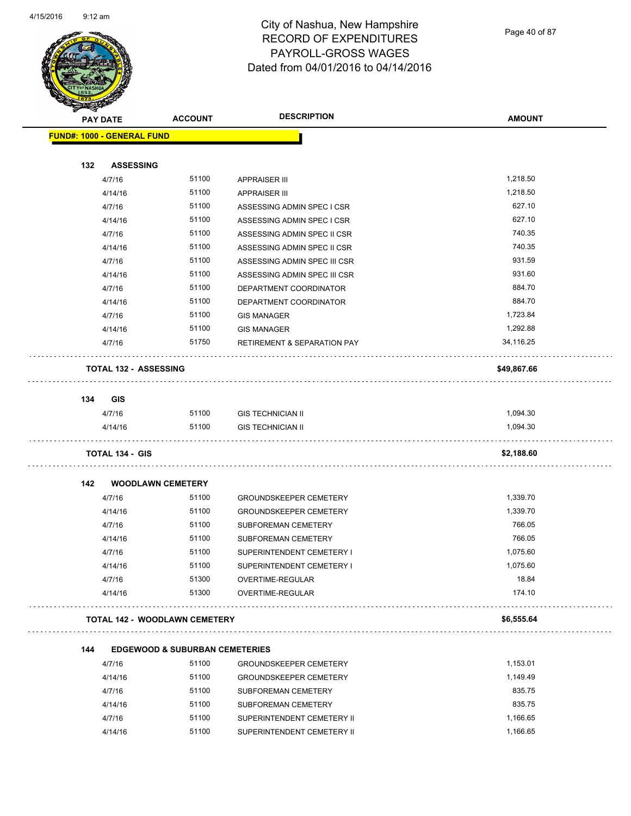

Page 40 of 87

| <b>STARTING</b> |                                           |                |                                        |                 |
|-----------------|-------------------------------------------|----------------|----------------------------------------|-----------------|
|                 | <b>PAY DATE</b>                           | <b>ACCOUNT</b> | <b>DESCRIPTION</b>                     | <b>AMOUNT</b>   |
|                 | <b>FUND#: 1000 - GENERAL FUND</b>         |                |                                        |                 |
|                 |                                           |                |                                        |                 |
| 132             | <b>ASSESSING</b>                          |                |                                        |                 |
|                 | 4/7/16                                    | 51100          | <b>APPRAISER III</b>                   | 1,218.50        |
|                 | 4/14/16                                   | 51100          | <b>APPRAISER III</b>                   | 1,218.50        |
|                 | 4/7/16                                    | 51100          | ASSESSING ADMIN SPEC I CSR             | 627.10          |
|                 | 4/14/16                                   | 51100          | ASSESSING ADMIN SPEC I CSR             | 627.10          |
|                 | 4/7/16                                    | 51100          | ASSESSING ADMIN SPEC II CSR            | 740.35          |
|                 | 4/14/16                                   | 51100          | ASSESSING ADMIN SPEC II CSR            | 740.35          |
|                 | 4/7/16                                    | 51100          | ASSESSING ADMIN SPEC III CSR           | 931.59          |
|                 | 4/14/16                                   | 51100          | ASSESSING ADMIN SPEC III CSR           | 931.60          |
|                 | 4/7/16                                    | 51100          | DEPARTMENT COORDINATOR                 | 884.70          |
|                 | 4/14/16                                   | 51100          | DEPARTMENT COORDINATOR                 | 884.70          |
|                 | 4/7/16                                    | 51100          | <b>GIS MANAGER</b>                     | 1,723.84        |
|                 | 4/14/16                                   | 51100          | <b>GIS MANAGER</b>                     | 1,292.88        |
|                 | 4/7/16                                    | 51750          | <b>RETIREMENT &amp; SEPARATION PAY</b> | 34,116.25       |
|                 | <b>TOTAL 132 - ASSESSING</b>              |                |                                        | \$49,867.66     |
| 134             | <b>GIS</b>                                |                |                                        |                 |
|                 | 4/7/16                                    | 51100          | <b>GIS TECHNICIAN II</b>               | 1,094.30        |
|                 | 4/14/16                                   | 51100          | <b>GIS TECHNICIAN II</b>               | 1,094.30        |
|                 | <b>TOTAL 134 - GIS</b>                    |                |                                        | \$2,188.60      |
|                 |                                           |                |                                        |                 |
| 142             | <b>WOODLAWN CEMETERY</b>                  |                |                                        |                 |
|                 | 4/7/16                                    | 51100          | <b>GROUNDSKEEPER CEMETERY</b>          | 1,339.70        |
|                 | 4/14/16                                   | 51100          | <b>GROUNDSKEEPER CEMETERY</b>          | 1,339.70        |
|                 | 4/7/16                                    | 51100          | SUBFOREMAN CEMETERY                    | 766.05          |
|                 | 4/14/16                                   | 51100          | SUBFOREMAN CEMETERY                    | 766.05          |
|                 | 4/7/16                                    | 51100          | SUPERINTENDENT CEMETERY I              | 1,075.60        |
|                 | 4/14/16                                   | 51100          | SUPERINTENDENT CEMETERY I              | 1,075.60        |
|                 | 4/7/16<br>4/14/16                         | 51300<br>51300 | OVERTIME-REGULAR<br>OVERTIME-REGULAR   | 18.84<br>174.10 |
|                 | <b>TOTAL 142 - WOODLAWN CEMETERY</b>      |                |                                        | \$6,555.64      |
|                 |                                           |                |                                        |                 |
| 144             | <b>EDGEWOOD &amp; SUBURBAN CEMETERIES</b> |                |                                        |                 |
|                 | 4/7/16                                    | 51100          | <b>GROUNDSKEEPER CEMETERY</b>          | 1,153.01        |
|                 | 4/14/16                                   | 51100          | <b>GROUNDSKEEPER CEMETERY</b>          | 1,149.49        |
|                 | 4/7/16                                    | 51100          | SUBFOREMAN CEMETERY                    | 835.75          |
|                 | 4/14/16                                   | 51100          | SUBFOREMAN CEMETERY                    | 835.75          |
|                 | 4/7/16                                    | 51100          | SUPERINTENDENT CEMETERY II             | 1,166.65        |
|                 | 4/14/16                                   | 51100          | SUPERINTENDENT CEMETERY II             | 1,166.65        |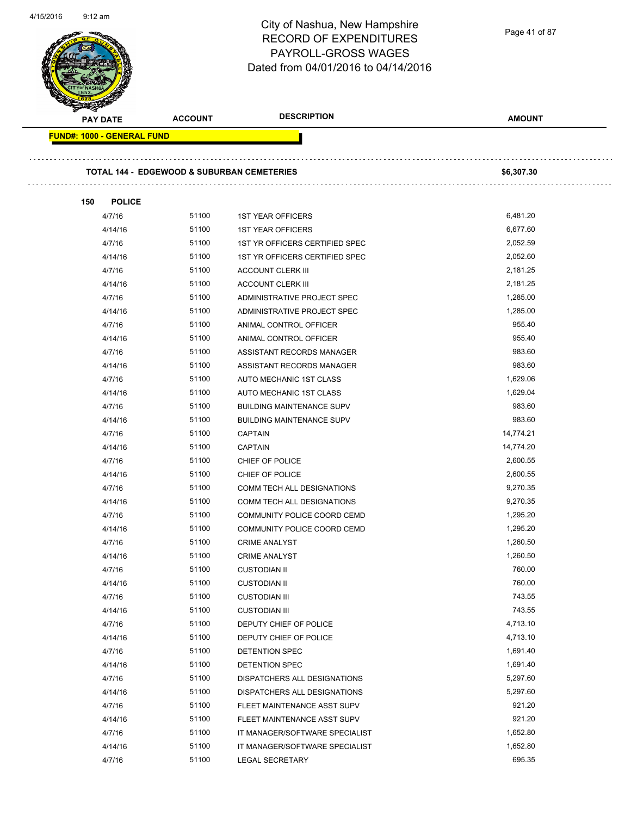|                            |                | City of Nashua, New Hampshire<br><b>RECORD OF EXPENDITURES</b><br>PAYROLL-GROSS WAGES<br>Dated from 04/01/2016 to 04/14/2016 | Page 41 of 87 |
|----------------------------|----------------|------------------------------------------------------------------------------------------------------------------------------|---------------|
| <b>PAY DATE</b>            | <b>ACCOUNT</b> | <b>DESCRIPTION</b>                                                                                                           | <b>AMOUNT</b> |
| FUND#: 1000 - GENERAL FUND |                |                                                                                                                              |               |
|                            |                | <b>TOTAL 144 - EDGEWOOD &amp; SUBURBAN CEMETERIES</b>                                                                        | \$6,307.30    |
| 150<br><b>POLICE</b>       |                |                                                                                                                              |               |
| 4/7/16                     | 51100          | <b>1ST YEAR OFFICERS</b>                                                                                                     | 6,481.20      |
| 4/14/16                    | 51100          | <b>1ST YEAR OFFICERS</b>                                                                                                     | 6,677.60      |
| 4/7/16                     | 51100          | 1ST YR OFFICERS CERTIFIED SPEC                                                                                               | 2,052.59      |
| 4/14/16                    | 51100          | 1ST YR OFFICERS CERTIFIED SPEC                                                                                               | 2,052.60      |
| 4/7/16                     | 51100          | <b>ACCOUNT CLERK III</b>                                                                                                     | 2,181.25      |
| 4/14/16                    | 51100          | <b>ACCOUNT CLERK III</b>                                                                                                     | 2,181.25      |
| 4/7/16                     | 51100          | ADMINISTRATIVE PROJECT SPEC                                                                                                  | 1,285.00      |
| 4/14/16                    | 51100          | ADMINISTRATIVE PROJECT SPEC                                                                                                  | 1,285.00      |
| 4/7/16                     | 51100          | ANIMAL CONTROL OFFICER                                                                                                       | 955.40        |
| 4/14/16                    | 51100          | ANIMAL CONTROL OFFICER                                                                                                       | 955.40        |
| 4/7/16                     | 51100          | ASSISTANT RECORDS MANAGER                                                                                                    | 983.60        |
| 4/14/16                    | 51100          | ASSISTANT RECORDS MANAGER                                                                                                    | 983.60        |
| 4/7/16                     | 51100          | AUTO MECHANIC 1ST CLASS                                                                                                      | 1,629.06      |
| 4/14/16                    | 51100          | AUTO MECHANIC 1ST CLASS                                                                                                      | 1,629.04      |
| 4/7/16                     | 51100          | <b>BUILDING MAINTENANCE SUPV</b>                                                                                             | 983.60        |
| 4/14/16                    | 51100          | <b>BUILDING MAINTENANCE SUPV</b>                                                                                             | 983.60        |
| 4/7/16                     | 51100          | <b>CAPTAIN</b>                                                                                                               | 14,774.21     |
| 4/14/16                    | 51100          | <b>CAPTAIN</b>                                                                                                               | 14,774.20     |
| 4/7/16                     | 51100          | CHIEF OF POLICE                                                                                                              | 2,600.55      |
| 4/14/16                    | 51100          | CHIEF OF POLICE                                                                                                              | 2,600.55      |
| 4/7/16                     | 51100          | COMM TECH ALL DESIGNATIONS                                                                                                   | 9,270.35      |
| 4/14/16                    | 51100          | COMM TECH ALL DESIGNATIONS                                                                                                   | 9,270.35      |
| 4/7/16                     | 51100          | COMMUNITY POLICE COORD CEMD                                                                                                  | 1,295.20      |
| 4/14/16                    | 51100          | COMMUNITY POLICE COORD CEMD                                                                                                  | 1,295.20      |
| 4/7/16                     | 51100          | <b>CRIME ANALYST</b>                                                                                                         | 1,260.50      |
| 4/14/16                    | 51100          | <b>CRIME ANALYST</b>                                                                                                         | 1,260.50      |
| 4/7/16                     | 51100          | <b>CUSTODIAN II</b>                                                                                                          | 760.00        |
| 4/14/16                    | 51100          | <b>CUSTODIAN II</b>                                                                                                          | 760.00        |
| 4/7/16                     | 51100          | <b>CUSTODIAN III</b>                                                                                                         | 743.55        |
| 4/14/16                    | 51100          | <b>CUSTODIAN III</b>                                                                                                         | 743.55        |
| 4/7/16                     | 51100          | DEPUTY CHIEF OF POLICE                                                                                                       | 4,713.10      |
| 4/14/16                    | 51100          | DEPUTY CHIEF OF POLICE                                                                                                       | 4,713.10      |
| 4/7/16                     | 51100          | DETENTION SPEC                                                                                                               | 1,691.40      |
| 4/14/16                    | 51100          | DETENTION SPEC                                                                                                               | 1,691.40      |
| 4/7/16                     | 51100          | DISPATCHERS ALL DESIGNATIONS                                                                                                 | 5,297.60      |
| 4/14/16                    | 51100          | DISPATCHERS ALL DESIGNATIONS                                                                                                 | 5,297.60      |
| 4/7/16                     | 51100          | FLEET MAINTENANCE ASST SUPV                                                                                                  | 921.20        |
| 4/14/16                    | 51100          | FLEET MAINTENANCE ASST SUPV                                                                                                  | 921.20        |
| 4/7/16                     | 51100          | IT MANAGER/SOFTWARE SPECIALIST                                                                                               | 1,652.80      |
| 4/14/16                    | 51100          | IT MANAGER/SOFTWARE SPECIALIST                                                                                               | 1,652.80      |
| 4/7/16                     | 51100          | LEGAL SECRETARY                                                                                                              | 695.35        |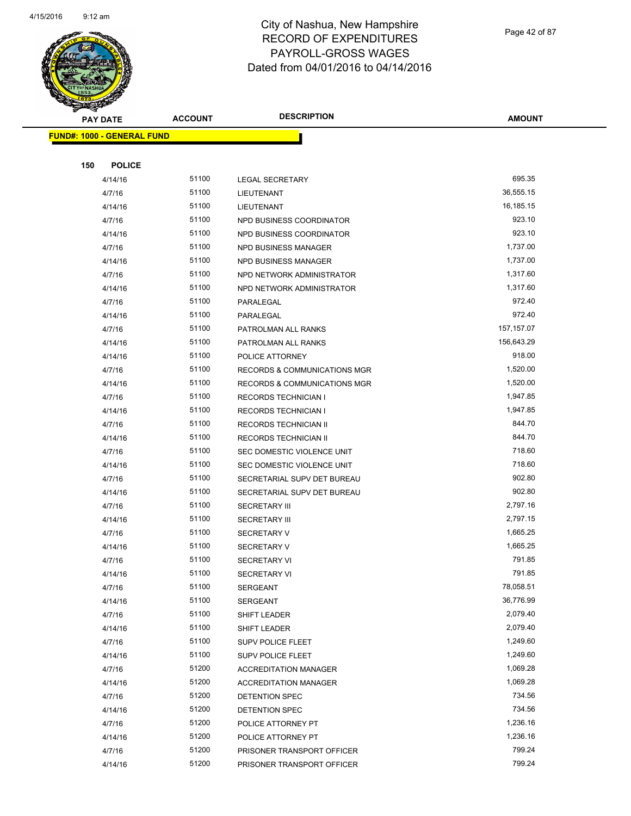

Page 42 of 87

**AMOUNT**

| <b>FUND#: 1000 - GENERAL FUND</b> |                |                                          |                      |  |
|-----------------------------------|----------------|------------------------------------------|----------------------|--|
|                                   |                |                                          |                      |  |
| 150<br><b>POLICE</b>              |                |                                          |                      |  |
| 4/14/16                           | 51100          | <b>LEGAL SECRETARY</b>                   | 695.35               |  |
| 4/7/16                            | 51100          | LIEUTENANT                               | 36,555.15            |  |
| 4/14/16                           | 51100          | LIEUTENANT                               | 16,185.15            |  |
| 4/7/16                            | 51100          | NPD BUSINESS COORDINATOR                 | 923.10               |  |
| 4/14/16                           | 51100          | NPD BUSINESS COORDINATOR                 | 923.10               |  |
| 4/7/16                            | 51100          | NPD BUSINESS MANAGER                     | 1,737.00             |  |
| 4/14/16                           | 51100          | NPD BUSINESS MANAGER                     | 1,737.00             |  |
| 4/7/16                            | 51100          | NPD NETWORK ADMINISTRATOR                | 1,317.60             |  |
| 4/14/16                           | 51100          | NPD NETWORK ADMINISTRATOR                | 1,317.60             |  |
| 4/7/16                            | 51100          | PARALEGAL                                | 972.40               |  |
| 4/14/16                           | 51100          | PARALEGAL                                | 972.40               |  |
| 4/7/16                            | 51100          | PATROLMAN ALL RANKS                      | 157,157.07           |  |
| 4/14/16                           | 51100          | PATROLMAN ALL RANKS                      | 156,643.29           |  |
| 4/14/16                           | 51100          | POLICE ATTORNEY                          | 918.00               |  |
| 4/7/16                            | 51100          | RECORDS & COMMUNICATIONS MGR             | 1,520.00             |  |
| 4/14/16                           | 51100          | <b>RECORDS &amp; COMMUNICATIONS MGR</b>  | 1,520.00             |  |
| 4/7/16                            | 51100          | <b>RECORDS TECHNICIAN I</b>              | 1,947.85             |  |
| 4/14/16                           | 51100          | <b>RECORDS TECHNICIAN I</b>              | 1,947.85             |  |
| 4/7/16                            | 51100          | <b>RECORDS TECHNICIAN II</b>             | 844.70               |  |
| 4/14/16                           | 51100          | <b>RECORDS TECHNICIAN II</b>             | 844.70               |  |
| 4/7/16                            | 51100          | SEC DOMESTIC VIOLENCE UNIT               | 718.60               |  |
| 4/14/16                           | 51100          | SEC DOMESTIC VIOLENCE UNIT               | 718.60               |  |
| 4/7/16                            | 51100          | SECRETARIAL SUPV DET BUREAU              | 902.80               |  |
| 4/14/16                           | 51100          | SECRETARIAL SUPV DET BUREAU              | 902.80               |  |
| 4/7/16                            | 51100<br>51100 | <b>SECRETARY III</b>                     | 2,797.16<br>2,797.15 |  |
| 4/14/16<br>4/7/16                 | 51100          | <b>SECRETARY III</b>                     | 1,665.25             |  |
| 4/14/16                           | 51100          | <b>SECRETARY V</b><br><b>SECRETARY V</b> | 1,665.25             |  |
| 4/7/16                            | 51100          | <b>SECRETARY VI</b>                      | 791.85               |  |
| 4/14/16                           | 51100          | <b>SECRETARY VI</b>                      | 791.85               |  |
| 4/7/16                            | 51100          | SERGEANT                                 | 78,058.51            |  |
| 4/14/16                           | 51100          | SERGEANT                                 | 36,776.99            |  |
| 4/7/16                            | 51100          | <b>SHIFT LEADER</b>                      | 2,079.40             |  |
| 4/14/16                           | 51100          | SHIFT LEADER                             | 2,079.40             |  |
| 4/7/16                            | 51100          | SUPV POLICE FLEET                        | 1,249.60             |  |
| 4/14/16                           | 51100          | SUPV POLICE FLEET                        | 1,249.60             |  |
| 4/7/16                            | 51200          | <b>ACCREDITATION MANAGER</b>             | 1,069.28             |  |
| 4/14/16                           | 51200          | <b>ACCREDITATION MANAGER</b>             | 1,069.28             |  |
| 4/7/16                            | 51200          | DETENTION SPEC                           | 734.56               |  |
| 4/14/16                           | 51200          | DETENTION SPEC                           | 734.56               |  |
| 4/7/16                            | 51200          | POLICE ATTORNEY PT                       | 1,236.16             |  |
| 4/14/16                           | 51200          | POLICE ATTORNEY PT                       | 1,236.16             |  |
| 4/7/16                            | 51200          | PRISONER TRANSPORT OFFICER               | 799.24               |  |
| 4/14/16                           | 51200          | PRISONER TRANSPORT OFFICER               | 799.24               |  |
|                                   |                |                                          |                      |  |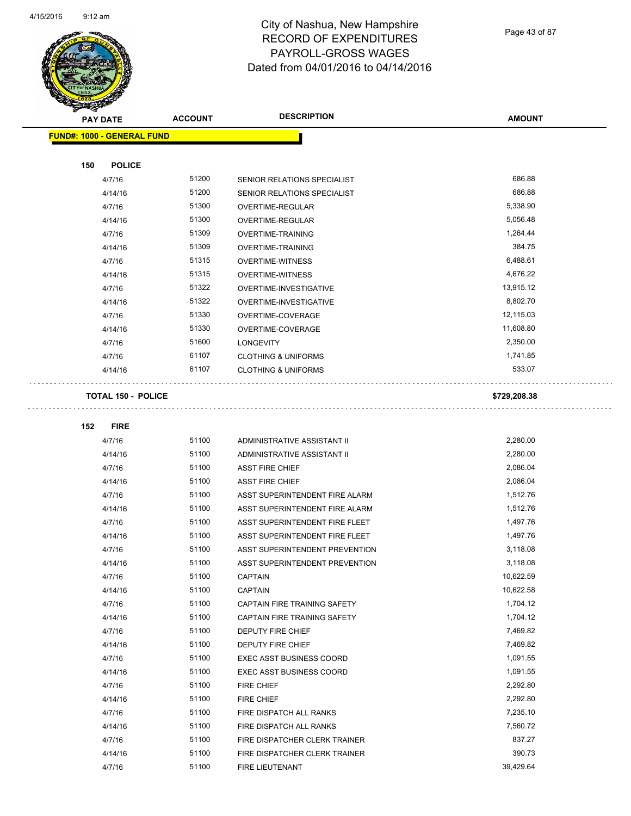$\overline{a}$ 



## City of Nashua, New Hampshire RECORD OF EXPENDITURES PAYROLL-GROSS WAGES Dated from 04/01/2016 to 04/14/2016

Page 43 of 87

 $\bar{z}$  .

| <b>PAY DATE</b>                   | <b>ACCOUNT</b> | <b>DESCRIPTION</b>                    | <b>AMOUNT</b>    |
|-----------------------------------|----------------|---------------------------------------|------------------|
| <b>FUND#: 1000 - GENERAL FUND</b> |                |                                       |                  |
|                                   |                |                                       |                  |
| <b>POLICE</b><br>150              |                |                                       |                  |
| 4/7/16                            | 51200          | SENIOR RELATIONS SPECIALIST           | 686.88           |
| 4/14/16                           | 51200          | SENIOR RELATIONS SPECIALIST           | 686.88           |
| 4/7/16                            | 51300          | OVERTIME-REGULAR                      | 5,338.90         |
| 4/14/16                           | 51300          | OVERTIME-REGULAR                      | 5,056.48         |
| 4/7/16                            | 51309          | OVERTIME-TRAINING                     | 1,264.44         |
| 4/14/16                           | 51309          | <b>OVERTIME-TRAINING</b>              | 384.75           |
| 4/7/16                            | 51315          | <b>OVERTIME-WITNESS</b>               | 6,488.61         |
| 4/14/16                           | 51315          | <b>OVERTIME-WITNESS</b>               | 4,676.22         |
| 4/7/16                            | 51322          | OVERTIME-INVESTIGATIVE                | 13,915.12        |
| 4/14/16                           | 51322          | OVERTIME-INVESTIGATIVE                | 8,802.70         |
| 4/7/16                            | 51330          | OVERTIME-COVERAGE                     | 12,115.03        |
| 4/14/16                           | 51330          | OVERTIME-COVERAGE                     | 11,608.80        |
| 4/7/16                            | 51600          | <b>LONGEVITY</b>                      | 2,350.00         |
| 4/7/16                            | 61107          | <b>CLOTHING &amp; UNIFORMS</b>        | 1,741.85         |
| 4/14/16                           | 61107          | <b>CLOTHING &amp; UNIFORMS</b>        | 533.07           |
|                                   |                |                                       |                  |
| <b>TOTAL 150 - POLICE</b>         |                |                                       | \$729,208.38     |
|                                   |                |                                       |                  |
| 152<br><b>FIRE</b>                |                |                                       |                  |
| 4/7/16                            | 51100          | ADMINISTRATIVE ASSISTANT II           | 2,280.00         |
| 4/14/16                           | 51100          | ADMINISTRATIVE ASSISTANT II           | 2,280.00         |
| 4/7/16                            | 51100          | <b>ASST FIRE CHIEF</b>                | 2,086.04         |
| 4/14/16                           | 51100          | <b>ASST FIRE CHIEF</b>                | 2,086.04         |
| 4/7/16                            | 51100          | ASST SUPERINTENDENT FIRE ALARM        | 1,512.76         |
| 4/14/16                           | 51100          | ASST SUPERINTENDENT FIRE ALARM        | 1,512.76         |
| 4/7/16                            | 51100          | ASST SUPERINTENDENT FIRE FLEET        | 1,497.76         |
| 4/14/16                           | 51100          | ASST SUPERINTENDENT FIRE FLEET        | 1,497.76         |
| 4/7/16                            | 51100          | <b>ASST SUPERINTENDENT PREVENTION</b> | 3,118.08         |
| 4/14/16                           | 51100          | ASST SUPERINTENDENT PREVENTION        | 3,118.08         |
| 4/7/16                            | 51100          | CAPTAIN                               | 10,622.59        |
| 4/14/16                           | 51100          | <b>CAPTAIN</b>                        | 10,622.58        |
| 4/7/16                            | 51100          | CAPTAIN FIRE TRAINING SAFETY          | 1,704.12         |
| 4/14/16                           | 51100          | CAPTAIN FIRE TRAINING SAFETY          | 1,704.12         |
| 4/7/16                            | 51100          | DEPUTY FIRE CHIEF                     | 7,469.82         |
| 4/14/16                           | 51100          | DEPUTY FIRE CHIEF                     | 7,469.82         |
| 4/7/16                            | 51100          | EXEC ASST BUSINESS COORD              | 1,091.55         |
| 4/14/16                           | 51100          | <b>EXEC ASST BUSINESS COORD</b>       | 1,091.55         |
| 4/7/16                            | 51100          | FIRE CHIEF                            | 2,292.80         |
| 4/14/16                           | 51100          | FIRE CHIEF                            | 2,292.80         |
| 4/7/16                            | 51100          | FIRE DISPATCH ALL RANKS               | 7,235.10         |
| 4/14/16                           | 51100          | FIRE DISPATCH ALL RANKS               | 7,560.72         |
| 4/7/16                            | 51100          | FIRE DISPATCHER CLERK TRAINER         | 837.27<br>390.73 |
| 4/14/16                           | 51100<br>51100 | FIRE DISPATCHER CLERK TRAINER         | 39,429.64        |
| 4/7/16                            |                | FIRE LIEUTENANT                       |                  |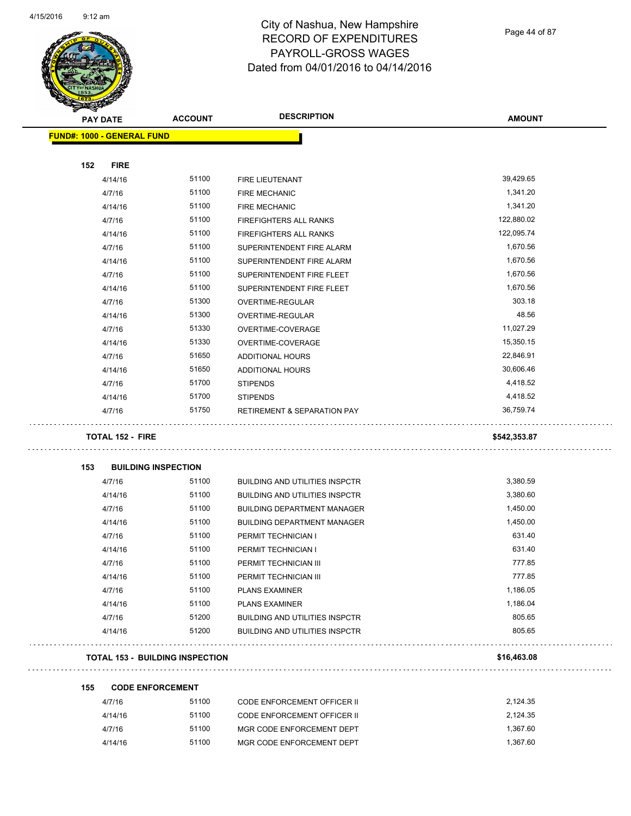$\overline{\phantom{a}}$ 



## City of Nashua, New Hampshire RECORD OF EXPENDITURES PAYROLL-GROSS WAGES Dated from 04/01/2016 to 04/14/2016

Page 44 of 87

| <b>KILITER</b> |                                   |                                        |                                        |               |
|----------------|-----------------------------------|----------------------------------------|----------------------------------------|---------------|
|                | <b>PAY DATE</b>                   | <b>ACCOUNT</b>                         | <b>DESCRIPTION</b>                     | <b>AMOUNT</b> |
|                | <b>FUND#: 1000 - GENERAL FUND</b> |                                        |                                        |               |
|                |                                   |                                        |                                        |               |
| 152            | <b>FIRE</b>                       |                                        |                                        |               |
|                | 4/14/16                           | 51100                                  | FIRE LIEUTENANT                        | 39,429.65     |
|                | 4/7/16                            | 51100                                  | <b>FIRE MECHANIC</b>                   | 1,341.20      |
|                | 4/14/16                           | 51100                                  | <b>FIRE MECHANIC</b>                   | 1,341.20      |
|                | 4/7/16                            | 51100                                  | <b>FIREFIGHTERS ALL RANKS</b>          | 122,880.02    |
|                | 4/14/16                           | 51100                                  | FIREFIGHTERS ALL RANKS                 | 122,095.74    |
|                | 4/7/16                            | 51100                                  | SUPERINTENDENT FIRE ALARM              | 1,670.56      |
|                | 4/14/16                           | 51100                                  | SUPERINTENDENT FIRE ALARM              | 1,670.56      |
|                | 4/7/16                            | 51100                                  | SUPERINTENDENT FIRE FLEET              | 1,670.56      |
|                | 4/14/16                           | 51100                                  | SUPERINTENDENT FIRE FLEET              | 1,670.56      |
|                | 4/7/16                            | 51300                                  | OVERTIME-REGULAR                       | 303.18        |
|                | 4/14/16                           | 51300                                  | OVERTIME-REGULAR                       | 48.56         |
|                | 4/7/16                            | 51330                                  | OVERTIME-COVERAGE                      | 11,027.29     |
|                | 4/14/16                           | 51330                                  | OVERTIME-COVERAGE                      | 15,350.15     |
|                | 4/7/16                            | 51650                                  | ADDITIONAL HOURS                       | 22,846.91     |
|                | 4/14/16                           | 51650                                  | <b>ADDITIONAL HOURS</b>                | 30,606.46     |
|                | 4/7/16                            | 51700                                  | <b>STIPENDS</b>                        | 4,418.52      |
|                | 4/14/16                           | 51700                                  | <b>STIPENDS</b>                        | 4,418.52      |
|                | 4/7/16                            | 51750                                  | <b>RETIREMENT &amp; SEPARATION PAY</b> | 36,759.74     |
|                | <b>TOTAL 152 - FIRE</b>           |                                        |                                        | \$542,353.87  |
| 153            |                                   | <b>BUILDING INSPECTION</b>             |                                        |               |
|                | 4/7/16                            | 51100                                  | <b>BUILDING AND UTILITIES INSPCTR</b>  | 3,380.59      |
|                | 4/14/16                           | 51100                                  | <b>BUILDING AND UTILITIES INSPCTR</b>  | 3,380.60      |
|                | 4/7/16                            | 51100                                  | <b>BUILDING DEPARTMENT MANAGER</b>     | 1,450.00      |
|                | 4/14/16                           | 51100                                  | <b>BUILDING DEPARTMENT MANAGER</b>     | 1,450.00      |
|                | 4/7/16                            | 51100                                  | PERMIT TECHNICIAN I                    | 631.40        |
|                | 4/14/16                           | 51100                                  | PERMIT TECHNICIAN I                    | 631.40        |
|                | 4/7/16                            | 51100                                  | PERMIT TECHNICIAN III                  | 777.85        |
|                | 4/14/16                           | 51100                                  | PERMIT TECHNICIAN III                  | 777.85        |
|                | 4/7/16                            | 51100                                  | <b>PLANS EXAMINER</b>                  | 1,186.05      |
|                | 4/14/16                           | 51100                                  | <b>PLANS EXAMINER</b>                  | 1,186.04      |
|                | 4/7/16                            | 51200                                  | <b>BUILDING AND UTILITIES INSPCTR</b>  | 805.65        |
|                | 4/14/16                           | 51200                                  | <b>BUILDING AND UTILITIES INSPCTR</b>  | 805.65        |
|                |                                   | <b>TOTAL 153 - BUILDING INSPECTION</b> |                                        | \$16,463.08   |
| 155            |                                   |                                        |                                        |               |
|                | 4/7/16                            | <b>CODE ENFORCEMENT</b><br>51100       | <b>CODE ENFORCEMENT OFFICER II</b>     | 2,124.35      |
|                | 4/14/16                           | 51100                                  | <b>CODE ENFORCEMENT OFFICER II</b>     | 2,124.35      |
|                | 4/7/16                            | 51100                                  | MGR CODE ENFORCEMENT DEPT              | 1,367.60      |

4/14/16 51100 MGR CODE ENFORCEMENT DEPT 1,367.60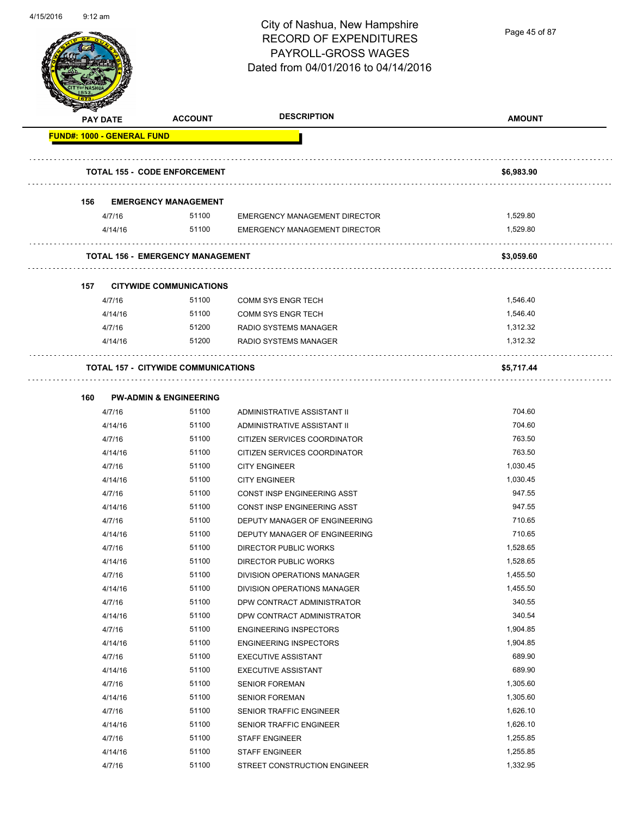

Page 45 of 87

| <b>MARGALE</b>                    | <b>PAY DATE</b> | <b>ACCOUNT</b>                             | <b>DESCRIPTION</b>                   | <b>AMOUNT</b> |
|-----------------------------------|-----------------|--------------------------------------------|--------------------------------------|---------------|
| <b>FUND#: 1000 - GENERAL FUND</b> |                 |                                            |                                      |               |
|                                   |                 | <b>TOTAL 155 - CODE ENFORCEMENT</b>        |                                      | \$6,983.90    |
| 156                               |                 | <b>EMERGENCY MANAGEMENT</b>                |                                      |               |
|                                   | 4/7/16          | 51100                                      | <b>EMERGENCY MANAGEMENT DIRECTOR</b> | 1,529.80      |
|                                   | 4/14/16         | 51100                                      | <b>EMERGENCY MANAGEMENT DIRECTOR</b> | 1,529.80      |
|                                   |                 |                                            |                                      |               |
|                                   |                 | <b>TOTAL 156 - EMERGENCY MANAGEMENT</b>    |                                      | \$3,059.60    |
| 157                               |                 | <b>CITYWIDE COMMUNICATIONS</b>             |                                      |               |
|                                   | 4/7/16          | 51100                                      | <b>COMM SYS ENGR TECH</b>            | 1,546.40      |
|                                   | 4/14/16         | 51100                                      | <b>COMM SYS ENGR TECH</b>            | 1,546.40      |
|                                   | 4/7/16          | 51200                                      | <b>RADIO SYSTEMS MANAGER</b>         | 1,312.32      |
|                                   | 4/14/16         | 51200                                      | RADIO SYSTEMS MANAGER                | 1,312.32      |
|                                   |                 | <b>TOTAL 157 - CITYWIDE COMMUNICATIONS</b> |                                      | \$5,717.44    |
|                                   |                 |                                            |                                      |               |
| 160                               |                 | <b>PW-ADMIN &amp; ENGINEERING</b>          |                                      |               |
|                                   | 4/7/16          | 51100                                      | ADMINISTRATIVE ASSISTANT II          | 704.60        |
|                                   | 4/14/16         | 51100                                      | ADMINISTRATIVE ASSISTANT II          | 704.60        |
|                                   | 4/7/16          | 51100                                      | CITIZEN SERVICES COORDINATOR         | 763.50        |
|                                   | 4/14/16         | 51100                                      | CITIZEN SERVICES COORDINATOR         | 763.50        |
|                                   | 4/7/16          | 51100                                      | <b>CITY ENGINEER</b>                 | 1,030.45      |
|                                   | 4/14/16         | 51100                                      | <b>CITY ENGINEER</b>                 | 1,030.45      |
|                                   | 4/7/16          | 51100                                      | CONST INSP ENGINEERING ASST          | 947.55        |
|                                   | 4/14/16         | 51100                                      | CONST INSP ENGINEERING ASST          | 947.55        |
|                                   | 4/7/16          | 51100                                      | DEPUTY MANAGER OF ENGINEERING        | 710.65        |
|                                   | 4/14/16         | 51100                                      | DEPUTY MANAGER OF ENGINEERING        | 710.65        |
|                                   | 4/7/16          | 51100                                      | <b>DIRECTOR PUBLIC WORKS</b>         | 1,528.65      |
|                                   | 4/14/16         | 51100                                      | <b>DIRECTOR PUBLIC WORKS</b>         | 1.528.65      |
|                                   | 4/7/16          | 51100                                      | DIVISION OPERATIONS MANAGER          | 1,455.50      |
|                                   | 4/14/16         | 51100                                      | DIVISION OPERATIONS MANAGER          | 1,455.50      |
|                                   | 4/7/16          | 51100                                      | DPW CONTRACT ADMINISTRATOR           | 340.55        |
|                                   | 4/14/16         | 51100                                      | DPW CONTRACT ADMINISTRATOR           | 340.54        |
|                                   | 4/7/16          | 51100                                      | <b>ENGINEERING INSPECTORS</b>        | 1,904.85      |
|                                   | 4/14/16         | 51100                                      | <b>ENGINEERING INSPECTORS</b>        | 1,904.85      |
|                                   | 4/7/16          | 51100                                      | <b>EXECUTIVE ASSISTANT</b>           | 689.90        |
|                                   | 4/14/16         | 51100                                      | <b>EXECUTIVE ASSISTANT</b>           | 689.90        |
|                                   | 4/7/16          | 51100                                      | <b>SENIOR FOREMAN</b>                | 1,305.60      |
|                                   | 4/14/16         | 51100                                      | <b>SENIOR FOREMAN</b>                | 1,305.60      |
|                                   | 4/7/16          | 51100                                      | SENIOR TRAFFIC ENGINEER              | 1,626.10      |
|                                   | 4/14/16         | 51100                                      | SENIOR TRAFFIC ENGINEER              | 1,626.10      |
|                                   | 4/7/16          | 51100                                      | <b>STAFF ENGINEER</b>                | 1,255.85      |
|                                   | 4/14/16         | 51100                                      | <b>STAFF ENGINEER</b>                | 1,255.85      |
|                                   | 4/7/16          | 51100                                      | STREET CONSTRUCTION ENGINEER         | 1,332.95      |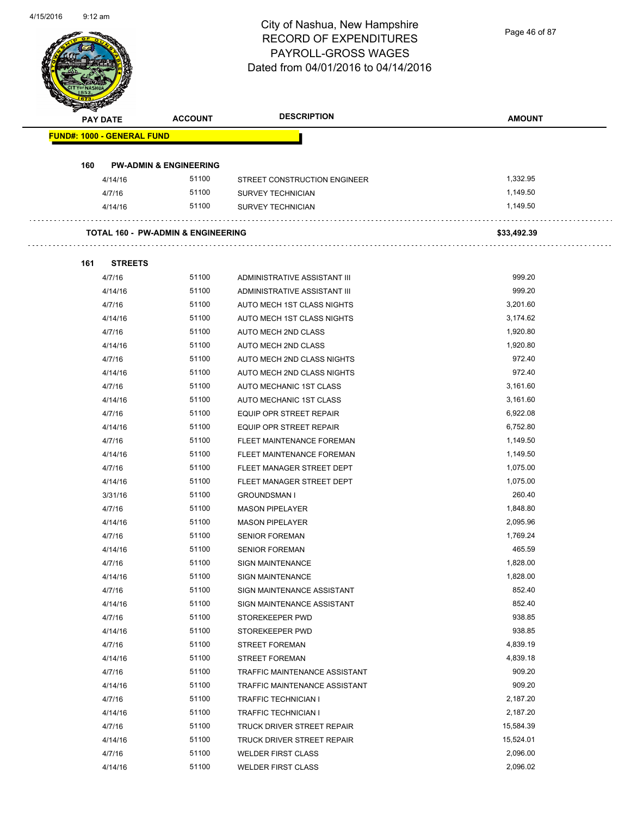Page 46 of 87

| <b>PAY DATE</b> |                                   | <b>ACCOUNT</b>                                | <b>DESCRIPTION</b>            | <b>AMOUNT</b> |
|-----------------|-----------------------------------|-----------------------------------------------|-------------------------------|---------------|
|                 | <b>FUND#: 1000 - GENERAL FUND</b> |                                               |                               |               |
| 160             |                                   | <b>PW-ADMIN &amp; ENGINEERING</b>             |                               |               |
| 4/14/16         |                                   | 51100                                         | STREET CONSTRUCTION ENGINEER  | 1,332.95      |
| 4/7/16          |                                   | 51100                                         | <b>SURVEY TECHNICIAN</b>      | 1,149.50      |
| 4/14/16         |                                   | 51100                                         | <b>SURVEY TECHNICIAN</b>      | 1,149.50      |
|                 |                                   | <b>TOTAL 160 - PW-ADMIN &amp; ENGINEERING</b> |                               | \$33,492.39   |
|                 |                                   |                                               |                               |               |
| 161<br>4/7/16   | <b>STREETS</b>                    | 51100                                         | ADMINISTRATIVE ASSISTANT III  | 999.20        |
| 4/14/16         |                                   | 51100                                         | ADMINISTRATIVE ASSISTANT III  | 999.20        |
| 4/7/16          |                                   | 51100                                         | AUTO MECH 1ST CLASS NIGHTS    | 3,201.60      |
| 4/14/16         |                                   | 51100                                         | AUTO MECH 1ST CLASS NIGHTS    | 3,174.62      |
| 4/7/16          |                                   | 51100                                         | AUTO MECH 2ND CLASS           | 1,920.80      |
| 4/14/16         |                                   | 51100                                         | AUTO MECH 2ND CLASS           | 1,920.80      |
| 4/7/16          |                                   | 51100                                         | AUTO MECH 2ND CLASS NIGHTS    | 972.40        |
| 4/14/16         |                                   | 51100                                         | AUTO MECH 2ND CLASS NIGHTS    | 972.40        |
| 4/7/16          |                                   | 51100                                         | AUTO MECHANIC 1ST CLASS       | 3,161.60      |
| 4/14/16         |                                   | 51100                                         | AUTO MECHANIC 1ST CLASS       | 3,161.60      |
| 4/7/16          |                                   | 51100                                         | EQUIP OPR STREET REPAIR       | 6,922.08      |
| 4/14/16         |                                   | 51100                                         | EQUIP OPR STREET REPAIR       | 6,752.80      |
| 4/7/16          |                                   | 51100                                         | FLEET MAINTENANCE FOREMAN     | 1,149.50      |
| 4/14/16         |                                   | 51100                                         | FLEET MAINTENANCE FOREMAN     | 1,149.50      |
| 4/7/16          |                                   | 51100                                         | FLEET MANAGER STREET DEPT     | 1,075.00      |
| 4/14/16         |                                   | 51100                                         | FLEET MANAGER STREET DEPT     | 1,075.00      |
| 3/31/16         |                                   | 51100                                         | <b>GROUNDSMAN I</b>           | 260.40        |
| 4/7/16          |                                   | 51100                                         | <b>MASON PIPELAYER</b>        | 1,848.80      |
| 4/14/16         |                                   | 51100                                         | <b>MASON PIPELAYER</b>        | 2,095.96      |
| 4/7/16          |                                   | 51100                                         | <b>SENIOR FOREMAN</b>         | 1,769.24      |
| 4/14/16         |                                   | 51100                                         | <b>SENIOR FOREMAN</b>         | 465.59        |
| 4/7/16          |                                   | 51100                                         | <b>SIGN MAINTENANCE</b>       | 1,828.00      |
| 4/14/16         |                                   | 51100                                         | <b>SIGN MAINTENANCE</b>       | 1,828.00      |
| 4/7/16          |                                   | 51100                                         | SIGN MAINTENANCE ASSISTANT    | 852.40        |
| 4/14/16         |                                   | 51100                                         | SIGN MAINTENANCE ASSISTANT    | 852.40        |
| 4/7/16          |                                   | 51100                                         | STOREKEEPER PWD               | 938.85        |
| 4/14/16         |                                   | 51100                                         | STOREKEEPER PWD               | 938.85        |
| 4/7/16          |                                   | 51100                                         | <b>STREET FOREMAN</b>         | 4,839.19      |
| 4/14/16         |                                   | 51100                                         | <b>STREET FOREMAN</b>         | 4,839.18      |
| 4/7/16          |                                   | 51100                                         | TRAFFIC MAINTENANCE ASSISTANT | 909.20        |
| 4/14/16         |                                   | 51100                                         | TRAFFIC MAINTENANCE ASSISTANT | 909.20        |
| 4/7/16          |                                   | 51100                                         | <b>TRAFFIC TECHNICIAN I</b>   | 2,187.20      |
| 4/14/16         |                                   | 51100                                         | <b>TRAFFIC TECHNICIAN I</b>   | 2,187.20      |
| 4/7/16          |                                   | 51100                                         | TRUCK DRIVER STREET REPAIR    | 15,584.39     |
| 4/14/16         |                                   | 51100                                         | TRUCK DRIVER STREET REPAIR    | 15,524.01     |
| 4/7/16          |                                   | 51100                                         | <b>WELDER FIRST CLASS</b>     | 2,096.00      |
| 4/14/16         |                                   | 51100                                         | <b>WELDER FIRST CLASS</b>     | 2,096.02      |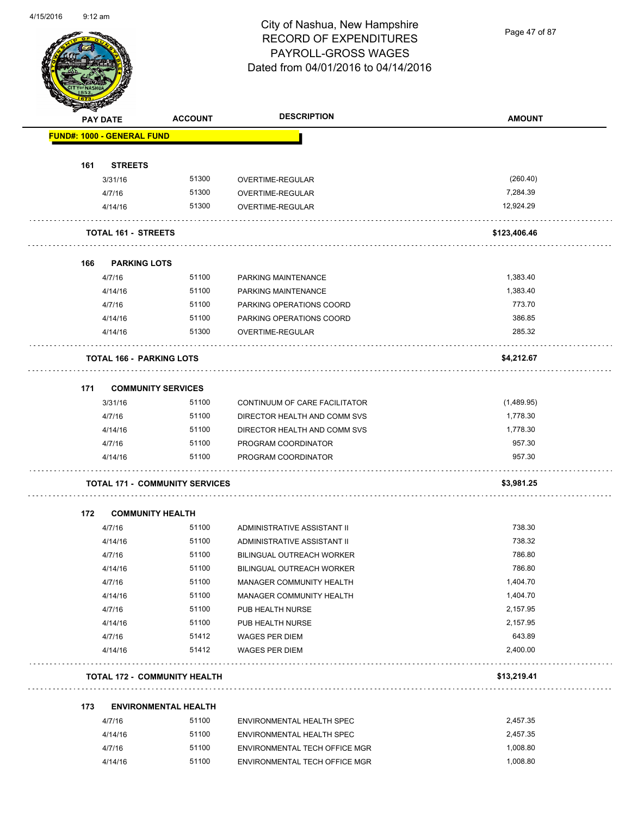Page 47 of 87

|     | <b>PAY DATE</b>                   | <b>ACCOUNT</b>                        | <b>DESCRIPTION</b>            | <b>AMOUNT</b> |
|-----|-----------------------------------|---------------------------------------|-------------------------------|---------------|
|     | <b>FUND#: 1000 - GENERAL FUND</b> |                                       |                               |               |
| 161 | <b>STREETS</b>                    |                                       |                               |               |
|     | 3/31/16                           | 51300                                 | OVERTIME-REGULAR              | (260.40)      |
|     | 4/7/16                            | 51300                                 | OVERTIME-REGULAR              | 7,284.39      |
|     | 4/14/16                           | 51300                                 | OVERTIME-REGULAR              | 12,924.29     |
|     | <b>TOTAL 161 - STREETS</b>        |                                       |                               | \$123,406.46  |
| 166 | <b>PARKING LOTS</b>               |                                       |                               |               |
|     | 4/7/16                            | 51100                                 | PARKING MAINTENANCE           | 1,383.40      |
|     | 4/14/16                           | 51100                                 | PARKING MAINTENANCE           | 1,383.40      |
|     | 4/7/16                            | 51100                                 | PARKING OPERATIONS COORD      | 773.70        |
|     | 4/14/16                           | 51100                                 | PARKING OPERATIONS COORD      | 386.85        |
|     | 4/14/16                           | 51300                                 | OVERTIME-REGULAR              | 285.32        |
|     | <b>TOTAL 166 - PARKING LOTS</b>   |                                       |                               | \$4,212.67    |
| 171 |                                   | <b>COMMUNITY SERVICES</b>             |                               |               |
|     | 3/31/16                           | 51100                                 | CONTINUUM OF CARE FACILITATOR | (1,489.95)    |
|     | 4/7/16                            | 51100                                 | DIRECTOR HEALTH AND COMM SVS  | 1,778.30      |
|     | 4/14/16                           | 51100                                 | DIRECTOR HEALTH AND COMM SVS  | 1,778.30      |
|     | 4/7/16                            | 51100                                 | PROGRAM COORDINATOR           | 957.30        |
|     | 4/14/16                           | 51100                                 | PROGRAM COORDINATOR           | 957.30        |
|     |                                   | <b>TOTAL 171 - COMMUNITY SERVICES</b> |                               | \$3,981.25    |
| 172 | <b>COMMUNITY HEALTH</b>           |                                       |                               |               |
|     | 4/7/16                            | 51100                                 | ADMINISTRATIVE ASSISTANT II   | 738.30        |
|     | 4/14/16                           | 51100                                 | ADMINISTRATIVE ASSISTANT II   | 738.32        |
|     | 4/7/16                            | 51100                                 | BILINGUAL OUTREACH WORKER     | 786.80        |
|     | 4/14/16                           | 51100                                 | BILINGUAL OUTREACH WORKER     | 786.80        |
|     | 4/7/16                            | 51100                                 | MANAGER COMMUNITY HEALTH      | 1,404.70      |
|     | 4/14/16                           | 51100                                 | MANAGER COMMUNITY HEALTH      | 1,404.70      |
|     | 4/7/16                            | 51100                                 | PUB HEALTH NURSE              | 2,157.95      |
|     | 4/14/16                           | 51100                                 | PUB HEALTH NURSE              | 2,157.95      |
|     | 4/7/16                            | 51412                                 | <b>WAGES PER DIEM</b>         | 643.89        |
|     | 4/14/16                           | 51412                                 | <b>WAGES PER DIEM</b>         | 2,400.00      |
|     |                                   |                                       |                               |               |
|     |                                   | <b>TOTAL 172 - COMMUNITY HEALTH</b>   |                               | \$13,219.41   |
| 173 |                                   | <b>ENVIRONMENTAL HEALTH</b>           |                               |               |
|     | 4/7/16                            | 51100                                 | ENVIRONMENTAL HEALTH SPEC     | 2,457.35      |
|     | 4/14/16                           | 51100                                 | ENVIRONMENTAL HEALTH SPEC     | 2,457.35      |
|     | 4/7/16                            | 51100                                 | ENVIRONMENTAL TECH OFFICE MGR | 1,008.80      |
|     |                                   |                                       |                               |               |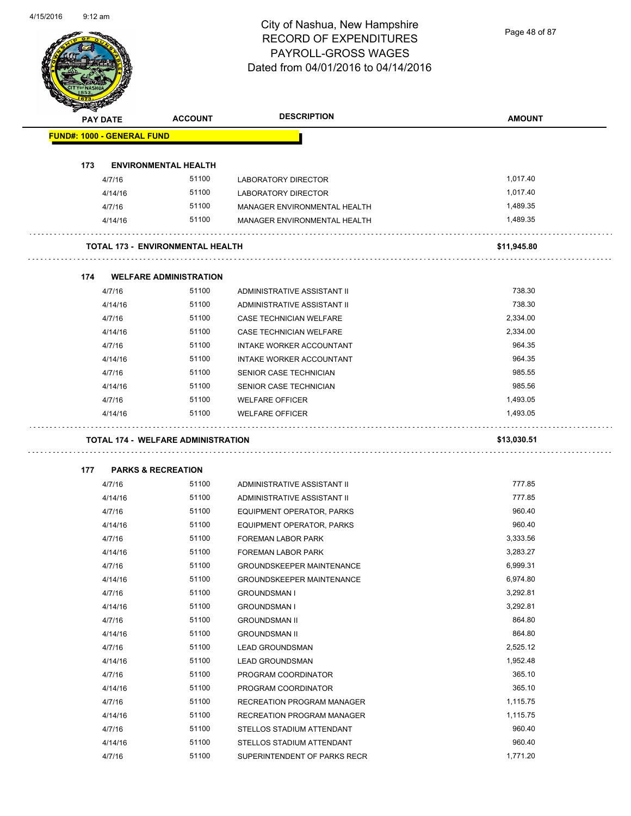Page 48 of 87

|     | <b>PAY DATE</b>                   | <b>ACCOUNT</b>                            | <b>DESCRIPTION</b>               | <b>AMOUNT</b> |
|-----|-----------------------------------|-------------------------------------------|----------------------------------|---------------|
|     | <b>FUND#: 1000 - GENERAL FUND</b> |                                           |                                  |               |
| 173 |                                   | <b>ENVIRONMENTAL HEALTH</b>               |                                  |               |
|     | 4/7/16                            | 51100                                     | <b>LABORATORY DIRECTOR</b>       | 1,017.40      |
|     | 4/14/16                           | 51100                                     | <b>LABORATORY DIRECTOR</b>       | 1,017.40      |
|     | 4/7/16                            | 51100                                     | MANAGER ENVIRONMENTAL HEALTH     | 1,489.35      |
|     | 4/14/16                           | 51100                                     | MANAGER ENVIRONMENTAL HEALTH     | 1,489.35      |
|     |                                   | <b>TOTAL 173 - ENVIRONMENTAL HEALTH</b>   |                                  | \$11,945.80   |
| 174 |                                   | <b>WELFARE ADMINISTRATION</b>             |                                  |               |
|     | 4/7/16                            | 51100                                     | ADMINISTRATIVE ASSISTANT II      | 738.30        |
|     | 4/14/16                           | 51100                                     | ADMINISTRATIVE ASSISTANT II      | 738.30        |
|     | 4/7/16                            | 51100                                     | <b>CASE TECHNICIAN WELFARE</b>   | 2,334.00      |
|     | 4/14/16                           | 51100                                     | CASE TECHNICIAN WELFARE          | 2,334.00      |
|     | 4/7/16                            | 51100                                     | INTAKE WORKER ACCOUNTANT         | 964.35        |
|     | 4/14/16                           | 51100                                     | INTAKE WORKER ACCOUNTANT         | 964.35        |
|     | 4/7/16                            | 51100                                     | SENIOR CASE TECHNICIAN           | 985.55        |
|     | 4/14/16                           | 51100                                     | SENIOR CASE TECHNICIAN           | 985.56        |
|     | 4/7/16                            | 51100                                     | <b>WELFARE OFFICER</b>           | 1,493.05      |
|     | 4/14/16                           | 51100                                     | <b>WELFARE OFFICER</b>           | 1,493.05      |
|     |                                   | <b>TOTAL 174 - WELFARE ADMINISTRATION</b> |                                  | \$13,030.51   |
| 177 |                                   | <b>PARKS &amp; RECREATION</b>             |                                  |               |
|     | 4/7/16                            | 51100                                     | ADMINISTRATIVE ASSISTANT II      | 777.85        |
|     | 4/14/16                           | 51100                                     | ADMINISTRATIVE ASSISTANT II      | 777.85        |
|     | 4/7/16                            | 51100                                     | EQUIPMENT OPERATOR, PARKS        | 960.40        |
|     | 4/14/16                           | 51100                                     | EQUIPMENT OPERATOR, PARKS        | 960.40        |
|     | 4/7/16                            | 51100                                     | FOREMAN LABOR PARK               | 3,333.56      |
|     |                                   |                                           | FOREMAN LABOR PARK               |               |
|     | 4/14/16                           | 51100                                     |                                  | 3,283.27      |
|     | 4/7/16                            | 51100                                     | <b>GROUNDSKEEPER MAINTENANCE</b> | 6,999.31      |
|     | 4/14/16                           | 51100                                     | <b>GROUNDSKEEPER MAINTENANCE</b> | 6,974.80      |
|     | 4/7/16                            | 51100                                     | <b>GROUNDSMAN I</b>              | 3,292.81      |
|     | 4/14/16                           | 51100                                     | <b>GROUNDSMAN I</b>              | 3,292.81      |
|     | 4/7/16                            | 51100                                     | <b>GROUNDSMAN II</b>             | 864.80        |
|     | 4/14/16                           | 51100                                     | <b>GROUNDSMAN II</b>             | 864.80        |
|     | 4/7/16                            | 51100                                     | <b>LEAD GROUNDSMAN</b>           | 2,525.12      |
|     | 4/14/16                           | 51100                                     | LEAD GROUNDSMAN                  | 1,952.48      |
|     | 4/7/16                            | 51100                                     | PROGRAM COORDINATOR              | 365.10        |
|     | 4/14/16                           | 51100                                     | PROGRAM COORDINATOR              | 365.10        |
|     | 4/7/16                            | 51100                                     | RECREATION PROGRAM MANAGER       | 1,115.75      |
|     | 4/14/16                           | 51100                                     | RECREATION PROGRAM MANAGER       | 1,115.75      |
|     | 4/7/16                            | 51100                                     | STELLOS STADIUM ATTENDANT        | 960.40        |
|     | 4/14/16                           | 51100                                     | STELLOS STADIUM ATTENDANT        | 960.40        |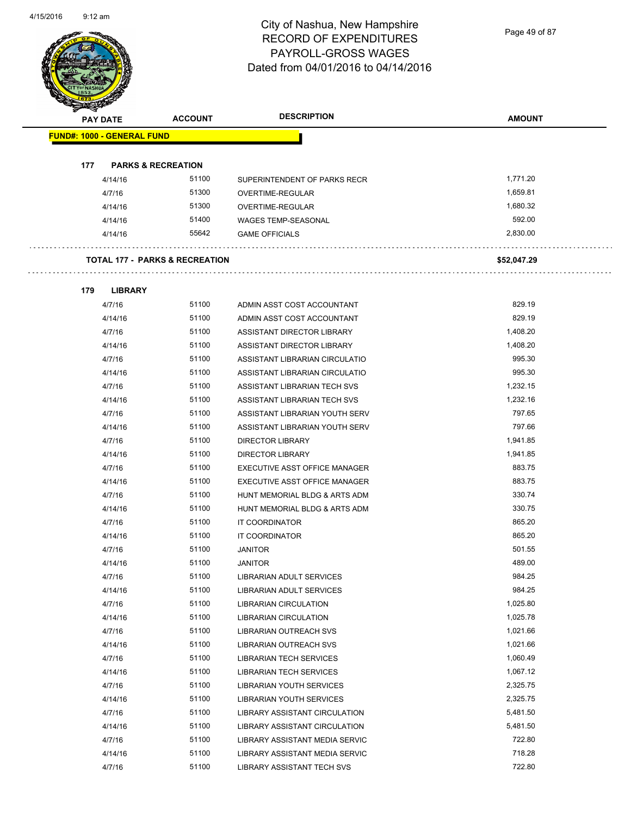Page 49 of 87

| <b>PAY DATE</b>                   | <b>ACCOUNT</b>                 | <b>DESCRIPTION</b>             | <b>AMOUNT</b> |
|-----------------------------------|--------------------------------|--------------------------------|---------------|
| <b>FUND#: 1000 - GENERAL FUND</b> |                                |                                |               |
|                                   |                                |                                |               |
| 177                               | <b>PARKS &amp; RECREATION</b>  |                                |               |
| 4/14/16                           | 51100                          | SUPERINTENDENT OF PARKS RECR   | 1,771.20      |
| 4/7/16                            | 51300                          | OVERTIME-REGULAR               | 1,659.81      |
| 4/14/16                           | 51300                          | OVERTIME-REGULAR               | 1,680.32      |
| 4/14/16                           | 51400                          | WAGES TEMP-SEASONAL            | 592.00        |
| 4/14/16                           | 55642                          | <b>GAME OFFICIALS</b>          | 2,830.00      |
|                                   | TOTAL 177 - PARKS & RECREATION |                                | \$52,047.29   |
| 179<br><b>LIBRARY</b>             |                                |                                |               |
| 4/7/16                            | 51100                          | ADMIN ASST COST ACCOUNTANT     | 829.19        |
| 4/14/16                           | 51100                          | ADMIN ASST COST ACCOUNTANT     | 829.19        |
| 4/7/16                            | 51100                          | ASSISTANT DIRECTOR LIBRARY     | 1,408.20      |
| 4/14/16                           | 51100                          | ASSISTANT DIRECTOR LIBRARY     | 1,408.20      |
| 4/7/16                            | 51100                          | ASSISTANT LIBRARIAN CIRCULATIO | 995.30        |
| 4/14/16                           | 51100                          | ASSISTANT LIBRARIAN CIRCULATIO | 995.30        |
| 4/7/16                            | 51100                          | ASSISTANT LIBRARIAN TECH SVS   | 1,232.15      |
| 4/14/16                           | 51100                          | ASSISTANT LIBRARIAN TECH SVS   | 1,232.16      |
| 4/7/16                            | 51100                          | ASSISTANT LIBRARIAN YOUTH SERV | 797.65        |
| 4/14/16                           | 51100                          | ASSISTANT LIBRARIAN YOUTH SERV | 797.66        |
| 4/7/16                            | 51100                          | <b>DIRECTOR LIBRARY</b>        | 1,941.85      |
| 4/14/16                           | 51100                          | <b>DIRECTOR LIBRARY</b>        | 1,941.85      |
| 4/7/16                            | 51100                          | EXECUTIVE ASST OFFICE MANAGER  | 883.75        |
| 4/14/16                           | 51100                          | EXECUTIVE ASST OFFICE MANAGER  | 883.75        |
| 4/7/16                            | 51100                          | HUNT MEMORIAL BLDG & ARTS ADM  | 330.74        |
| 4/14/16                           | 51100                          | HUNT MEMORIAL BLDG & ARTS ADM  | 330.75        |
| 4/7/16                            | 51100                          | IT COORDINATOR                 | 865.20        |
| 4/14/16                           | 51100                          | IT COORDINATOR                 | 865.20        |
| 4/7/16                            | 51100                          | <b>JANITOR</b>                 | 501.55        |
| 4/14/16                           | 51100                          | <b>JANITOR</b>                 | 489.00        |
| 4/7/16                            | 51100                          | LIBRARIAN ADULT SERVICES       | 984.25        |
| 4/14/16                           | 51100                          | LIBRARIAN ADULT SERVICES       | 984.25        |
| 4/7/16                            | 51100                          | <b>LIBRARIAN CIRCULATION</b>   | 1,025.80      |
| 4/14/16                           | 51100                          | LIBRARIAN CIRCULATION          | 1,025.78      |
| 4/7/16                            | 51100                          | <b>LIBRARIAN OUTREACH SVS</b>  | 1,021.66      |
| 4/14/16                           | 51100                          | LIBRARIAN OUTREACH SVS         | 1,021.66      |
| 4/7/16                            | 51100                          | LIBRARIAN TECH SERVICES        | 1,060.49      |
| 4/14/16                           | 51100                          | LIBRARIAN TECH SERVICES        | 1,067.12      |
| 4/7/16                            | 51100                          | LIBRARIAN YOUTH SERVICES       | 2,325.75      |
| 4/14/16                           | 51100                          | LIBRARIAN YOUTH SERVICES       | 2,325.75      |
| 4/7/16                            | 51100                          | LIBRARY ASSISTANT CIRCULATION  | 5,481.50      |
| 4/14/16                           | 51100                          | LIBRARY ASSISTANT CIRCULATION  | 5,481.50      |
| 4/7/16                            | 51100                          | LIBRARY ASSISTANT MEDIA SERVIC | 722.80        |
| 4/14/16                           | 51100                          | LIBRARY ASSISTANT MEDIA SERVIC | 718.28        |
| 4/7/16                            | 51100                          | LIBRARY ASSISTANT TECH SVS     | 722.80        |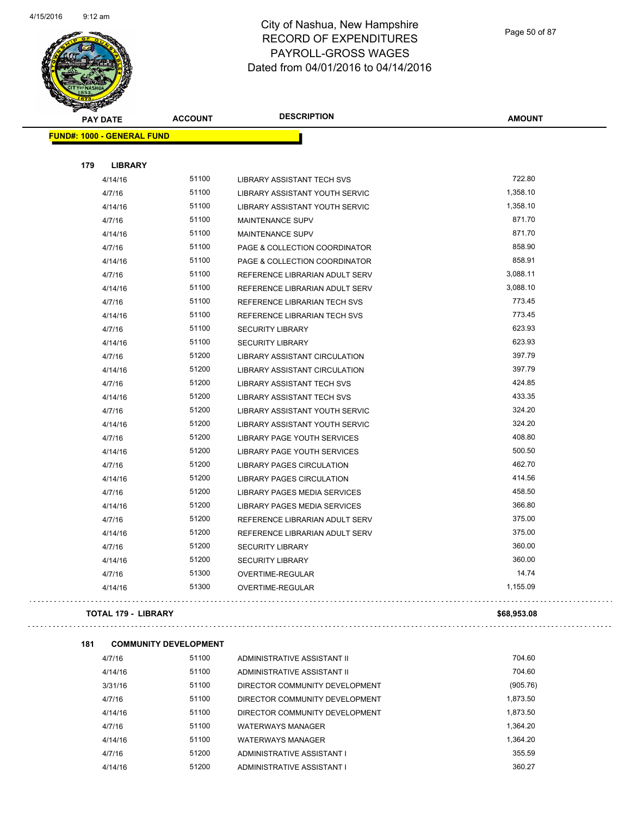

Page 50 of 87

 $\bar{1}$  is a  $\bar{1}$ 

| <b>PAY DATE</b>                   | <b>ACCOUNT</b> | <b>DESCRIPTION</b>                | <b>AMOUNT</b> |
|-----------------------------------|----------------|-----------------------------------|---------------|
| <b>FUND#: 1000 - GENERAL FUND</b> |                |                                   |               |
|                                   |                |                                   |               |
| 179<br><b>LIBRARY</b>             |                |                                   |               |
| 4/14/16                           | 51100          | LIBRARY ASSISTANT TECH SVS        | 722.80        |
| 4/7/16                            | 51100          | LIBRARY ASSISTANT YOUTH SERVIC    | 1,358.10      |
| 4/14/16                           | 51100          | LIBRARY ASSISTANT YOUTH SERVIC    | 1,358.10      |
| 4/7/16                            | 51100          | MAINTENANCE SUPV                  | 871.70        |
| 4/14/16                           | 51100          | MAINTENANCE SUPV                  | 871.70        |
| 4/7/16                            | 51100          | PAGE & COLLECTION COORDINATOR     | 858.90        |
| 4/14/16                           | 51100          | PAGE & COLLECTION COORDINATOR     | 858.91        |
| 4/7/16                            | 51100          | REFERENCE LIBRARIAN ADULT SERV    | 3,088.11      |
| 4/14/16                           | 51100          | REFERENCE LIBRARIAN ADULT SERV    | 3,088.10      |
| 4/7/16                            | 51100          | REFERENCE LIBRARIAN TECH SVS      | 773.45        |
| 4/14/16                           | 51100          | REFERENCE LIBRARIAN TECH SVS      | 773.45        |
| 4/7/16                            | 51100          | <b>SECURITY LIBRARY</b>           | 623.93        |
| 4/14/16                           | 51100          | <b>SECURITY LIBRARY</b>           | 623.93        |
| 4/7/16                            | 51200          | LIBRARY ASSISTANT CIRCULATION     | 397.79        |
| 4/14/16                           | 51200          | LIBRARY ASSISTANT CIRCULATION     | 397.79        |
| 4/7/16                            | 51200          | <b>LIBRARY ASSISTANT TECH SVS</b> | 424.85        |
| 4/14/16                           | 51200          | <b>LIBRARY ASSISTANT TECH SVS</b> | 433.35        |
| 4/7/16                            | 51200          | LIBRARY ASSISTANT YOUTH SERVIC    | 324.20        |
| 4/14/16                           | 51200          | LIBRARY ASSISTANT YOUTH SERVIC    | 324.20        |
| 4/7/16                            | 51200          | LIBRARY PAGE YOUTH SERVICES       | 408.80        |
| 4/14/16                           | 51200          | LIBRARY PAGE YOUTH SERVICES       | 500.50        |
| 4/7/16                            | 51200          | <b>LIBRARY PAGES CIRCULATION</b>  | 462.70        |
| 4/14/16                           | 51200          | <b>LIBRARY PAGES CIRCULATION</b>  | 414.56        |
| 4/7/16                            | 51200          | LIBRARY PAGES MEDIA SERVICES      | 458.50        |
| 4/14/16                           | 51200          | LIBRARY PAGES MEDIA SERVICES      | 366.80        |
| 4/7/16                            | 51200          | REFERENCE LIBRARIAN ADULT SERV    | 375.00        |
| 4/14/16                           | 51200          | REFERENCE LIBRARIAN ADULT SERV    | 375.00        |
| 4/7/16                            | 51200          | <b>SECURITY LIBRARY</b>           | 360.00        |
| 4/14/16                           | 51200          | <b>SECURITY LIBRARY</b>           | 360.00        |
| 4/7/16                            | 51300          | OVERTIME-REGULAR                  | 14.74         |
| 4/14/16                           | 51300          | OVERTIME-REGULAR                  | 1,155.09      |
| <b>TOTAL 179 - LIBRARY</b>        |                |                                   | \$68,953.08   |

| 4/7/16  | 51100 | ADMINISTRATIVE ASSISTANT II    | 704.60   |
|---------|-------|--------------------------------|----------|
| 4/14/16 | 51100 | ADMINISTRATIVE ASSISTANT II    | 704.60   |
| 3/31/16 | 51100 | DIRECTOR COMMUNITY DEVELOPMENT | (905.76) |
| 4/7/16  | 51100 | DIRECTOR COMMUNITY DEVELOPMENT | 1,873.50 |
| 4/14/16 | 51100 | DIRECTOR COMMUNITY DEVELOPMENT | 1.873.50 |
| 4/7/16  | 51100 | <b>WATERWAYS MANAGER</b>       | 1.364.20 |
| 4/14/16 | 51100 | <b>WATERWAYS MANAGER</b>       | 1.364.20 |
| 4/7/16  | 51200 | ADMINISTRATIVE ASSISTANT I     | 355.59   |
| 4/14/16 | 51200 | ADMINISTRATIVE ASSISTANT I     | 360.27   |

**181 COMMUNITY DEVELOPMENT**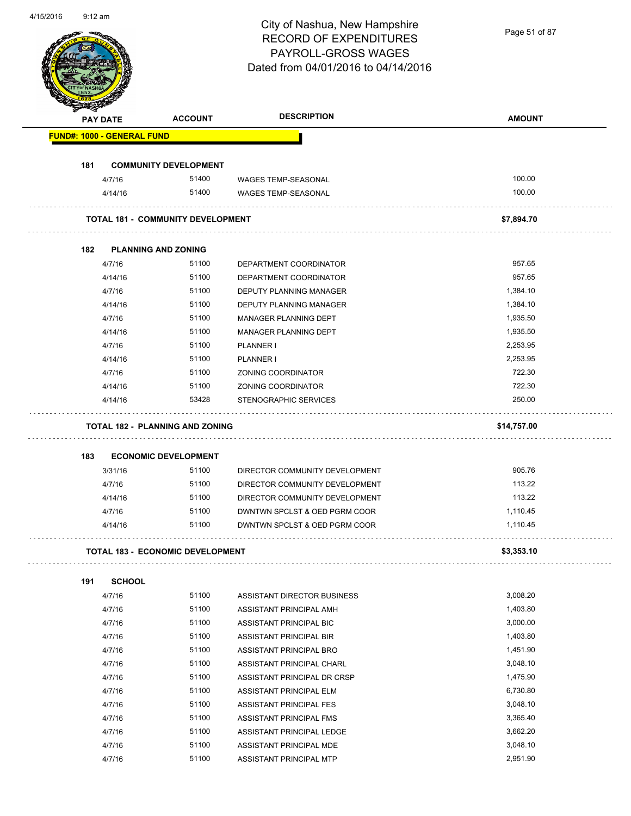Page 51 of 87

|     | <b>PAY DATE</b>                   | <b>ACCOUNT</b>                           | <b>DESCRIPTION</b>             | <b>AMOUNT</b>        |
|-----|-----------------------------------|------------------------------------------|--------------------------------|----------------------|
|     | <b>FUND#: 1000 - GENERAL FUND</b> |                                          |                                |                      |
|     |                                   |                                          |                                |                      |
| 181 |                                   | <b>COMMUNITY DEVELOPMENT</b>             |                                |                      |
|     | 4/7/16                            | 51400                                    | WAGES TEMP-SEASONAL            | 100.00               |
|     | 4/14/16                           | 51400                                    | <b>WAGES TEMP-SEASONAL</b>     | 100.00               |
|     |                                   | <b>TOTAL 181 - COMMUNITY DEVELOPMENT</b> |                                | \$7,894.70           |
| 182 |                                   | <b>PLANNING AND ZONING</b>               |                                |                      |
|     | 4/7/16                            | 51100                                    | DEPARTMENT COORDINATOR         | 957.65               |
|     | 4/14/16                           | 51100                                    | DEPARTMENT COORDINATOR         | 957.65               |
|     | 4/7/16                            | 51100                                    | DEPUTY PLANNING MANAGER        | 1,384.10             |
|     | 4/14/16                           | 51100                                    | <b>DEPUTY PLANNING MANAGER</b> | 1,384.10             |
|     | 4/7/16                            | 51100                                    | <b>MANAGER PLANNING DEPT</b>   | 1,935.50             |
|     | 4/14/16                           | 51100                                    | MANAGER PLANNING DEPT          | 1,935.50             |
|     | 4/7/16                            | 51100                                    | PLANNER I                      | 2,253.95             |
|     | 4/14/16                           | 51100                                    | PLANNER I                      | 2,253.95             |
|     | 4/7/16                            | 51100                                    | ZONING COORDINATOR             | 722.30               |
|     | 4/14/16                           | 51100                                    | ZONING COORDINATOR             | 722.30               |
|     | 4/14/16                           | 53428                                    | STENOGRAPHIC SERVICES          | 250.00               |
|     |                                   | <b>TOTAL 182 - PLANNING AND ZONING</b>   |                                | \$14,757.00          |
| 183 |                                   | <b>ECONOMIC DEVELOPMENT</b>              |                                |                      |
|     | 3/31/16                           | 51100                                    | DIRECTOR COMMUNITY DEVELOPMENT | 905.76               |
|     | 4/7/16                            | 51100                                    | DIRECTOR COMMUNITY DEVELOPMENT | 113.22               |
|     | 4/14/16                           | 51100                                    | DIRECTOR COMMUNITY DEVELOPMENT | 113.22               |
|     | 4/7/16                            | 51100                                    | DWNTWN SPCLST & OED PGRM COOR  | 1,110.45             |
|     | 4/14/16                           | 51100                                    | DWNTWN SPCLST & OED PGRM COOR  | 1,110.45             |
|     |                                   | <b>TOTAL 183 - ECONOMIC DEVELOPMENT</b>  |                                | \$3,353.10           |
| 191 | <b>SCHOOL</b>                     |                                          |                                |                      |
|     | 4/7/16                            | 51100                                    | ASSISTANT DIRECTOR BUSINESS    | 3,008.20             |
|     | 4/7/16                            | 51100                                    | ASSISTANT PRINCIPAL AMH        | 1,403.80             |
|     | 4/7/16                            | 51100                                    | ASSISTANT PRINCIPAL BIC        | 3,000.00             |
|     | 4/7/16                            | 51100                                    | ASSISTANT PRINCIPAL BIR        | 1,403.80             |
|     | 4/7/16                            | 51100                                    | ASSISTANT PRINCIPAL BRO        | 1,451.90             |
|     |                                   | 51100                                    |                                | 3,048.10             |
|     | 4/7/16                            | 51100                                    | ASSISTANT PRINCIPAL CHARL      | 1,475.90             |
|     | 4/7/16                            | 51100                                    | ASSISTANT PRINCIPAL DR CRSP    | 6,730.80             |
|     | 4/7/16                            |                                          | ASSISTANT PRINCIPAL ELM        |                      |
|     | 4/7/16                            | 51100                                    | ASSISTANT PRINCIPAL FES        | 3,048.10             |
|     | 4/7/16                            | 51100                                    | ASSISTANT PRINCIPAL FMS        | 3,365.40             |
|     | 4/7/16                            | 51100                                    | ASSISTANT PRINCIPAL LEDGE      | 3,662.20             |
|     | 4/7/16<br>4/7/16                  | 51100<br>51100                           | ASSISTANT PRINCIPAL MDE        | 3,048.10<br>2,951.90 |
|     |                                   |                                          | ASSISTANT PRINCIPAL MTP        |                      |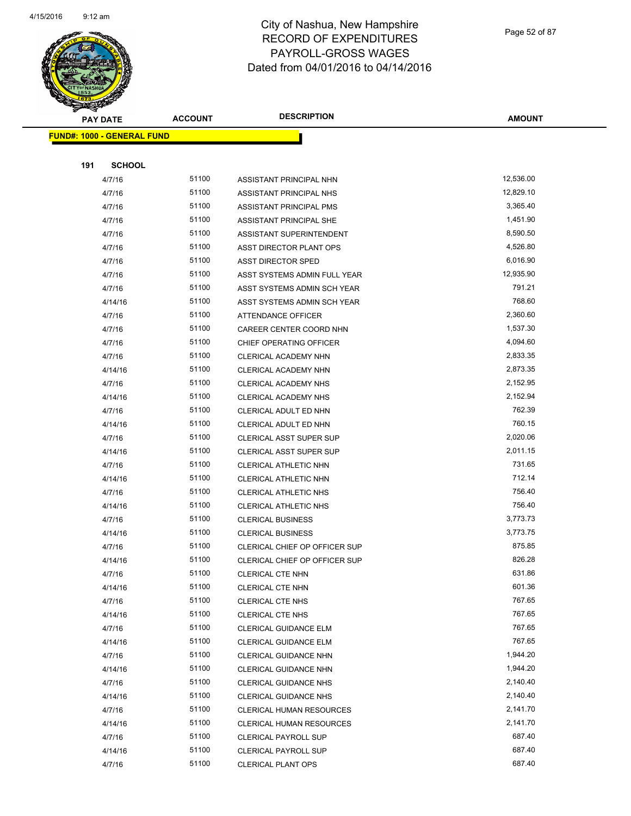

Page 52 of 87

| <b>PAY DATE</b>                   | <b>ACCOUNT</b> | <b>DESCRIPTION</b>             | <b>AMOUNT</b> |
|-----------------------------------|----------------|--------------------------------|---------------|
| <b>FUND#: 1000 - GENERAL FUND</b> |                |                                |               |
|                                   |                |                                |               |
| 191<br><b>SCHOOL</b>              |                |                                |               |
| 4/7/16                            | 51100          | ASSISTANT PRINCIPAL NHN        | 12,536.00     |
| 4/7/16                            | 51100          | ASSISTANT PRINCIPAL NHS        | 12,829.10     |
| 4/7/16                            | 51100          | ASSISTANT PRINCIPAL PMS        | 3,365.40      |
| 4/7/16                            | 51100          | ASSISTANT PRINCIPAL SHE        | 1,451.90      |
| 4/7/16                            | 51100          | ASSISTANT SUPERINTENDENT       | 8,590.50      |
| 4/7/16                            | 51100          | ASST DIRECTOR PLANT OPS        | 4,526.80      |
| 4/7/16                            | 51100          | ASST DIRECTOR SPED             | 6,016.90      |
| 4/7/16                            | 51100          | ASST SYSTEMS ADMIN FULL YEAR   | 12,935.90     |
| 4/7/16                            | 51100          | ASST SYSTEMS ADMIN SCH YEAR    | 791.21        |
| 4/14/16                           | 51100          | ASST SYSTEMS ADMIN SCH YEAR    | 768.60        |
| 4/7/16                            | 51100          | ATTENDANCE OFFICER             | 2,360.60      |
| 4/7/16                            | 51100          | CAREER CENTER COORD NHN        | 1,537.30      |
| 4/7/16                            | 51100          | CHIEF OPERATING OFFICER        | 4,094.60      |
| 4/7/16                            | 51100          | CLERICAL ACADEMY NHN           | 2,833.35      |
| 4/14/16                           | 51100          | CLERICAL ACADEMY NHN           | 2,873.35      |
| 4/7/16                            | 51100          | CLERICAL ACADEMY NHS           | 2,152.95      |
| 4/14/16                           | 51100          | CLERICAL ACADEMY NHS           | 2,152.94      |
| 4/7/16                            | 51100          | CLERICAL ADULT ED NHN          | 762.39        |
| 4/14/16                           | 51100          | CLERICAL ADULT ED NHN          | 760.15        |
| 4/7/16                            | 51100          | <b>CLERICAL ASST SUPER SUP</b> | 2,020.06      |
| 4/14/16                           | 51100          | CLERICAL ASST SUPER SUP        | 2,011.15      |
| 4/7/16                            | 51100          | <b>CLERICAL ATHLETIC NHN</b>   | 731.65        |
| 4/14/16                           | 51100          | <b>CLERICAL ATHLETIC NHN</b>   | 712.14        |
| 4/7/16                            | 51100          | CLERICAL ATHLETIC NHS          | 756.40        |
| 4/14/16                           | 51100          | CLERICAL ATHLETIC NHS          | 756.40        |
| 4/7/16                            | 51100          | <b>CLERICAL BUSINESS</b>       | 3,773.73      |
| 4/14/16                           | 51100          | <b>CLERICAL BUSINESS</b>       | 3,773.75      |
| 4/7/16                            | 51100          | CLERICAL CHIEF OP OFFICER SUP  | 875.85        |
| 4/14/16                           | 51100          | CLERICAL CHIEF OP OFFICER SUP  | 826.28        |
| 4/7/16                            | 51100          | CLERICAL CTE NHN               | 631.86        |
| 4/14/16                           | 51100          | CLERICAL CTE NHN               | 601.36        |
| 4/7/16                            | 51100          | CLERICAL CTE NHS               | 767.65        |
| 4/14/16                           | 51100          | CLERICAL CTE NHS               | 767.65        |
| 4/7/16                            | 51100          | CLERICAL GUIDANCE ELM          | 767.65        |
| 4/14/16                           | 51100          | CLERICAL GUIDANCE ELM          | 767.65        |
| 4/7/16                            | 51100          | CLERICAL GUIDANCE NHN          | 1,944.20      |
| 4/14/16                           | 51100          | CLERICAL GUIDANCE NHN          | 1,944.20      |
| 4/7/16                            | 51100          | CLERICAL GUIDANCE NHS          | 2,140.40      |
| 4/14/16                           | 51100          | CLERICAL GUIDANCE NHS          | 2,140.40      |
| 4/7/16                            | 51100          | CLERICAL HUMAN RESOURCES       | 2,141.70      |
| 4/14/16                           | 51100          | CLERICAL HUMAN RESOURCES       | 2,141.70      |
| 4/7/16                            | 51100          | <b>CLERICAL PAYROLL SUP</b>    | 687.40        |
| 4/14/16                           | 51100          | <b>CLERICAL PAYROLL SUP</b>    | 687.40        |
| 4/7/16                            | 51100          | <b>CLERICAL PLANT OPS</b>      | 687.40        |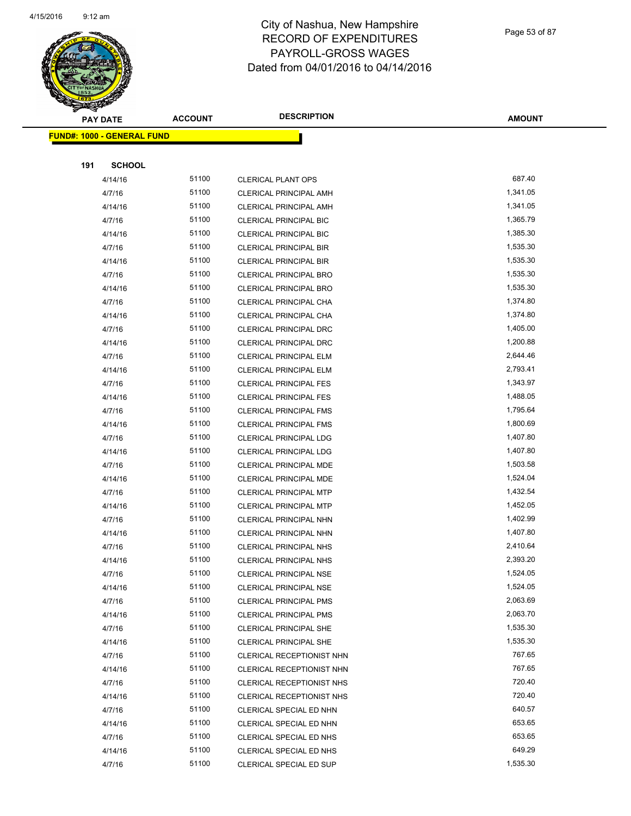

Page 53 of 87

| <b>PAY DATE</b>                   | <b>ACCOUNT</b> | <b>DESCRIPTION</b>                                     | <b>AMOUNT</b>        |
|-----------------------------------|----------------|--------------------------------------------------------|----------------------|
| <b>FUND#: 1000 - GENERAL FUND</b> |                |                                                        |                      |
|                                   |                |                                                        |                      |
| 191<br><b>SCHOOL</b>              |                |                                                        |                      |
| 4/14/16                           | 51100          | <b>CLERICAL PLANT OPS</b>                              | 687.40               |
| 4/7/16                            | 51100          | <b>CLERICAL PRINCIPAL AMH</b>                          | 1,341.05             |
| 4/14/16                           | 51100          | <b>CLERICAL PRINCIPAL AMH</b>                          | 1,341.05             |
| 4/7/16                            | 51100          | <b>CLERICAL PRINCIPAL BIC</b>                          | 1,365.79             |
| 4/14/16                           | 51100          | <b>CLERICAL PRINCIPAL BIC</b>                          | 1,385.30             |
| 4/7/16                            | 51100          | <b>CLERICAL PRINCIPAL BIR</b>                          | 1,535.30             |
| 4/14/16                           | 51100          | <b>CLERICAL PRINCIPAL BIR</b>                          | 1,535.30             |
| 4/7/16                            | 51100          | CLERICAL PRINCIPAL BRO                                 | 1,535.30             |
| 4/14/16                           | 51100          | <b>CLERICAL PRINCIPAL BRO</b>                          | 1,535.30             |
| 4/7/16                            | 51100          | CLERICAL PRINCIPAL CHA                                 | 1,374.80             |
| 4/14/16                           | 51100          | CLERICAL PRINCIPAL CHA                                 | 1,374.80             |
| 4/7/16                            | 51100          | CLERICAL PRINCIPAL DRC                                 | 1,405.00             |
| 4/14/16                           | 51100          | CLERICAL PRINCIPAL DRC                                 | 1,200.88             |
| 4/7/16                            | 51100          | <b>CLERICAL PRINCIPAL ELM</b>                          | 2,644.46             |
| 4/14/16                           | 51100          | <b>CLERICAL PRINCIPAL ELM</b>                          | 2,793.41             |
| 4/7/16                            | 51100          | <b>CLERICAL PRINCIPAL FES</b>                          | 1,343.97             |
| 4/14/16                           | 51100          | <b>CLERICAL PRINCIPAL FES</b>                          | 1,488.05             |
| 4/7/16                            | 51100          | <b>CLERICAL PRINCIPAL FMS</b>                          | 1,795.64             |
| 4/14/16                           | 51100          | <b>CLERICAL PRINCIPAL FMS</b>                          | 1,800.69             |
| 4/7/16                            | 51100          | <b>CLERICAL PRINCIPAL LDG</b>                          | 1,407.80             |
| 4/14/16                           | 51100          | <b>CLERICAL PRINCIPAL LDG</b>                          | 1,407.80             |
| 4/7/16                            | 51100          | <b>CLERICAL PRINCIPAL MDE</b>                          | 1,503.58             |
| 4/14/16                           | 51100          | <b>CLERICAL PRINCIPAL MDE</b>                          | 1,524.04             |
| 4/7/16                            | 51100          | <b>CLERICAL PRINCIPAL MTP</b>                          | 1,432.54             |
| 4/14/16                           | 51100          | <b>CLERICAL PRINCIPAL MTP</b>                          | 1,452.05             |
| 4/7/16                            | 51100          | CLERICAL PRINCIPAL NHN                                 | 1,402.99             |
| 4/14/16                           | 51100          | CLERICAL PRINCIPAL NHN                                 | 1,407.80             |
| 4/7/16                            | 51100          | CLERICAL PRINCIPAL NHS                                 | 2,410.64             |
| 4/14/16                           | 51100          | <b>CLERICAL PRINCIPAL NHS</b>                          | 2,393.20             |
| 4/7/16                            | 51100          | CLERICAL PRINCIPAL NSE                                 | 1,524.05             |
| 4/14/16                           | 51100          | <b>CLERICAL PRINCIPAL NSE</b>                          | 1,524.05             |
| 4/7/16                            | 51100          | <b>CLERICAL PRINCIPAL PMS</b>                          | 2,063.69             |
| 4/14/16                           | 51100          | <b>CLERICAL PRINCIPAL PMS</b>                          | 2,063.70             |
| 4/7/16                            | 51100<br>51100 | <b>CLERICAL PRINCIPAL SHE</b>                          | 1,535.30<br>1,535.30 |
| 4/14/16<br>4/7/16                 | 51100          | CLERICAL PRINCIPAL SHE                                 | 767.65               |
| 4/14/16                           | 51100          | CLERICAL RECEPTIONIST NHN<br>CLERICAL RECEPTIONIST NHN | 767.65               |
| 4/7/16                            | 51100          | CLERICAL RECEPTIONIST NHS                              | 720.40               |
| 4/14/16                           | 51100          | CLERICAL RECEPTIONIST NHS                              | 720.40               |
| 4/7/16                            | 51100          | CLERICAL SPECIAL ED NHN                                | 640.57               |
| 4/14/16                           | 51100          | CLERICAL SPECIAL ED NHN                                | 653.65               |
| 4/7/16                            | 51100          | CLERICAL SPECIAL ED NHS                                | 653.65               |
| 4/14/16                           | 51100          | CLERICAL SPECIAL ED NHS                                | 649.29               |
| 4/7/16                            | 51100          | CLERICAL SPECIAL ED SUP                                | 1,535.30             |
|                                   |                |                                                        |                      |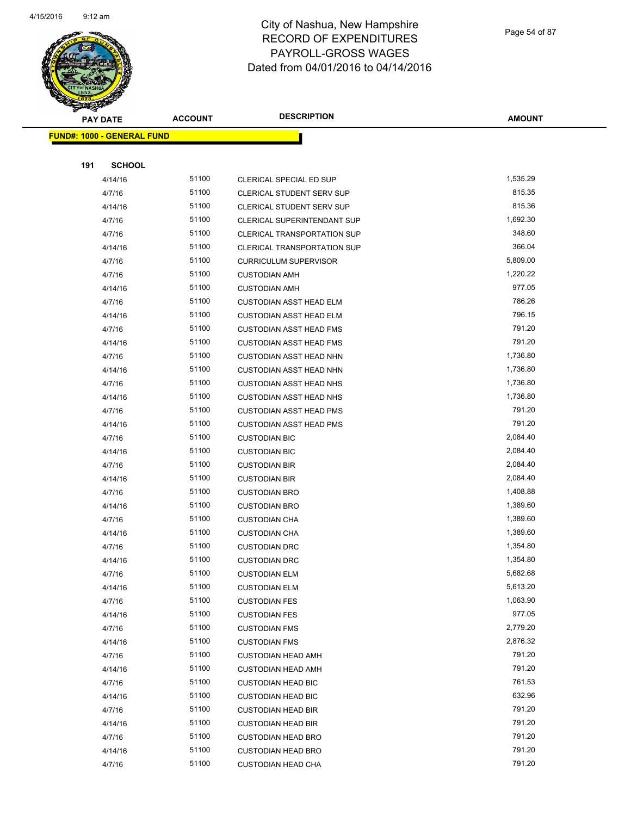

Page 54 of 87

| <b>PAY DATE</b>                   | <b>ACCOUNT</b> | <b>DESCRIPTION</b>                 | <b>AMOUNT</b>    |
|-----------------------------------|----------------|------------------------------------|------------------|
| <b>FUND#: 1000 - GENERAL FUND</b> |                |                                    |                  |
|                                   |                |                                    |                  |
| 191<br><b>SCHOOL</b>              |                |                                    |                  |
| 4/14/16                           | 51100          | CLERICAL SPECIAL ED SUP            | 1,535.29         |
| 4/7/16                            | 51100          | <b>CLERICAL STUDENT SERV SUP</b>   | 815.35           |
| 4/14/16                           | 51100          | CLERICAL STUDENT SERV SUP          | 815.36           |
| 4/7/16                            | 51100          | CLERICAL SUPERINTENDANT SUP        | 1,692.30         |
| 4/7/16                            | 51100          | <b>CLERICAL TRANSPORTATION SUP</b> | 348.60           |
| 4/14/16                           | 51100          | CLERICAL TRANSPORTATION SUP        | 366.04           |
| 4/7/16                            | 51100          | <b>CURRICULUM SUPERVISOR</b>       | 5,809.00         |
| 4/7/16                            | 51100          | <b>CUSTODIAN AMH</b>               | 1,220.22         |
| 4/14/16                           | 51100          | <b>CUSTODIAN AMH</b>               | 977.05           |
| 4/7/16                            | 51100          | <b>CUSTODIAN ASST HEAD ELM</b>     | 786.26           |
| 4/14/16                           | 51100          | <b>CUSTODIAN ASST HEAD ELM</b>     | 796.15           |
| 4/7/16                            | 51100          | <b>CUSTODIAN ASST HEAD FMS</b>     | 791.20           |
| 4/14/16                           | 51100          | <b>CUSTODIAN ASST HEAD FMS</b>     | 791.20           |
| 4/7/16                            | 51100          | <b>CUSTODIAN ASST HEAD NHN</b>     | 1,736.80         |
| 4/14/16                           | 51100          | <b>CUSTODIAN ASST HEAD NHN</b>     | 1,736.80         |
| 4/7/16                            | 51100          | <b>CUSTODIAN ASST HEAD NHS</b>     | 1,736.80         |
| 4/14/16                           | 51100          | <b>CUSTODIAN ASST HEAD NHS</b>     | 1,736.80         |
| 4/7/16                            | 51100          | <b>CUSTODIAN ASST HEAD PMS</b>     | 791.20           |
| 4/14/16                           | 51100          | <b>CUSTODIAN ASST HEAD PMS</b>     | 791.20           |
| 4/7/16                            | 51100          | <b>CUSTODIAN BIC</b>               | 2,084.40         |
| 4/14/16                           | 51100          | <b>CUSTODIAN BIC</b>               | 2,084.40         |
| 4/7/16                            | 51100          | <b>CUSTODIAN BIR</b>               | 2,084.40         |
| 4/14/16                           | 51100          | <b>CUSTODIAN BIR</b>               | 2,084.40         |
| 4/7/16                            | 51100          | <b>CUSTODIAN BRO</b>               | 1,408.88         |
| 4/14/16                           | 51100          | <b>CUSTODIAN BRO</b>               | 1,389.60         |
| 4/7/16                            | 51100          | <b>CUSTODIAN CHA</b>               | 1,389.60         |
| 4/14/16                           | 51100          | <b>CUSTODIAN CHA</b>               | 1,389.60         |
| 4/7/16                            | 51100          | <b>CUSTODIAN DRC</b>               | 1,354.80         |
| 4/14/16                           | 51100          | <b>CUSTODIAN DRC</b>               | 1,354.80         |
| 4/7/16                            | 51100          | <b>CUSTODIAN ELM</b>               | 5,682.68         |
| 4/14/16                           | 51100          | <b>CUSTODIAN ELM</b>               | 5,613.20         |
| 4/7/16                            | 51100          | <b>CUSTODIAN FES</b>               | 1,063.90         |
| 4/14/16                           | 51100          | <b>CUSTODIAN FES</b>               | 977.05           |
| 4/7/16                            | 51100          | <b>CUSTODIAN FMS</b>               | 2,779.20         |
| 4/14/16                           | 51100          | <b>CUSTODIAN FMS</b>               | 2,876.32         |
| 4/7/16                            | 51100          | <b>CUSTODIAN HEAD AMH</b>          | 791.20           |
| 4/14/16                           | 51100          | <b>CUSTODIAN HEAD AMH</b>          | 791.20           |
| 4/7/16                            | 51100          | <b>CUSTODIAN HEAD BIC</b>          | 761.53           |
| 4/14/16                           | 51100          | <b>CUSTODIAN HEAD BIC</b>          | 632.96           |
| 4/7/16                            | 51100          | <b>CUSTODIAN HEAD BIR</b>          | 791.20           |
| 4/14/16                           | 51100<br>51100 | <b>CUSTODIAN HEAD BIR</b>          | 791.20           |
| 4/7/16                            | 51100          | <b>CUSTODIAN HEAD BRO</b>          | 791.20<br>791.20 |
| 4/14/16                           | 51100          | <b>CUSTODIAN HEAD BRO</b>          | 791.20           |
| 4/7/16                            |                | <b>CUSTODIAN HEAD CHA</b>          |                  |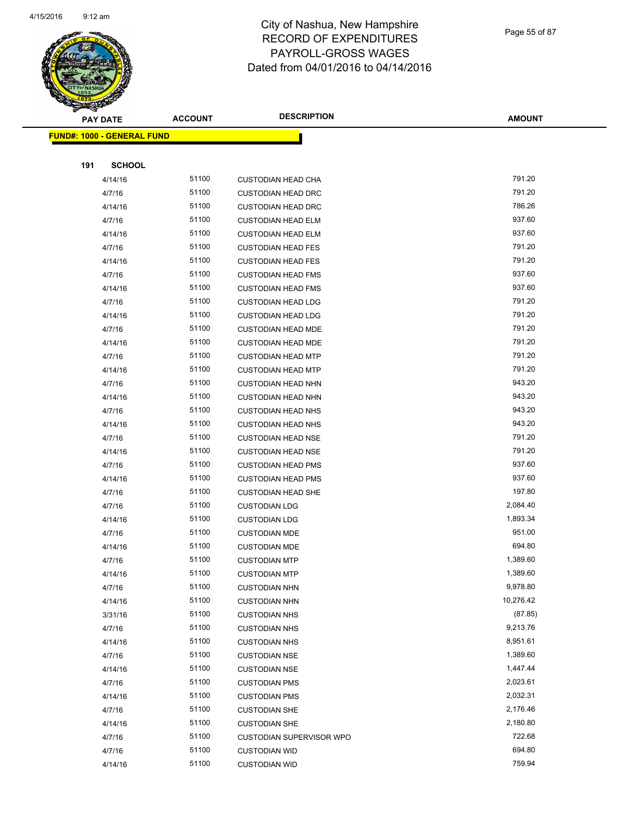

Page 55 of 87

| ⊲   | <b>PAY DATE</b>                   | <b>ACCOUNT</b> | <b>DESCRIPTION</b>              | <b>AMOUNT</b> |
|-----|-----------------------------------|----------------|---------------------------------|---------------|
|     | <b>FUND#: 1000 - GENERAL FUND</b> |                |                                 |               |
|     |                                   |                |                                 |               |
| 191 | <b>SCHOOL</b>                     |                |                                 |               |
|     | 4/14/16                           | 51100          | <b>CUSTODIAN HEAD CHA</b>       | 791.20        |
|     | 4/7/16                            | 51100          | <b>CUSTODIAN HEAD DRC</b>       | 791.20        |
|     | 4/14/16                           | 51100          | <b>CUSTODIAN HEAD DRC</b>       | 786.26        |
|     | 4/7/16                            | 51100          | <b>CUSTODIAN HEAD ELM</b>       | 937.60        |
|     | 4/14/16                           | 51100          | <b>CUSTODIAN HEAD ELM</b>       | 937.60        |
|     | 4/7/16                            | 51100          | <b>CUSTODIAN HEAD FES</b>       | 791.20        |
|     | 4/14/16                           | 51100          | <b>CUSTODIAN HEAD FES</b>       | 791.20        |
|     | 4/7/16                            | 51100          | <b>CUSTODIAN HEAD FMS</b>       | 937.60        |
|     | 4/14/16                           | 51100          | <b>CUSTODIAN HEAD FMS</b>       | 937.60        |
|     | 4/7/16                            | 51100          | <b>CUSTODIAN HEAD LDG</b>       | 791.20        |
|     | 4/14/16                           | 51100          | <b>CUSTODIAN HEAD LDG</b>       | 791.20        |
|     | 4/7/16                            | 51100          | <b>CUSTODIAN HEAD MDE</b>       | 791.20        |
|     | 4/14/16                           | 51100          | <b>CUSTODIAN HEAD MDE</b>       | 791.20        |
|     | 4/7/16                            | 51100          | <b>CUSTODIAN HEAD MTP</b>       | 791.20        |
|     | 4/14/16                           | 51100          | <b>CUSTODIAN HEAD MTP</b>       | 791.20        |
|     | 4/7/16                            | 51100          | <b>CUSTODIAN HEAD NHN</b>       | 943.20        |
|     | 4/14/16                           | 51100          | <b>CUSTODIAN HEAD NHN</b>       | 943.20        |
|     | 4/7/16                            | 51100          | <b>CUSTODIAN HEAD NHS</b>       | 943.20        |
|     | 4/14/16                           | 51100          | <b>CUSTODIAN HEAD NHS</b>       | 943.20        |
|     | 4/7/16                            | 51100          | <b>CUSTODIAN HEAD NSE</b>       | 791.20        |
|     | 4/14/16                           | 51100          | <b>CUSTODIAN HEAD NSE</b>       | 791.20        |
|     | 4/7/16                            | 51100          | <b>CUSTODIAN HEAD PMS</b>       | 937.60        |
|     | 4/14/16                           | 51100          | <b>CUSTODIAN HEAD PMS</b>       | 937.60        |
|     | 4/7/16                            | 51100          | <b>CUSTODIAN HEAD SHE</b>       | 197.80        |
|     | 4/7/16                            | 51100          | <b>CUSTODIAN LDG</b>            | 2,084.40      |
|     | 4/14/16                           | 51100          | <b>CUSTODIAN LDG</b>            | 1,893.34      |
|     | 4/7/16                            | 51100          | <b>CUSTODIAN MDE</b>            | 951.00        |
|     | 4/14/16                           | 51100          | <b>CUSTODIAN MDE</b>            | 694.80        |
|     | 4/7/16                            | 51100          | <b>CUSTODIAN MTP</b>            | 1,389.60      |
|     | 4/14/16                           | 51100          | <b>CUSTODIAN MTP</b>            | 1,389.60      |
|     | 4/7/16                            | 51100          | <b>CUSTODIAN NHN</b>            | 9,978.80      |
|     | 4/14/16                           | 51100          | <b>CUSTODIAN NHN</b>            | 10,276.42     |
|     | 3/31/16                           | 51100          | <b>CUSTODIAN NHS</b>            | (87.85)       |
|     | 4/7/16                            | 51100          | <b>CUSTODIAN NHS</b>            | 9,213.76      |
|     | 4/14/16                           | 51100          | <b>CUSTODIAN NHS</b>            | 8,951.61      |
|     | 4/7/16                            | 51100          | <b>CUSTODIAN NSE</b>            | 1,389.60      |
|     | 4/14/16                           | 51100          | <b>CUSTODIAN NSE</b>            | 1,447.44      |
|     | 4/7/16                            | 51100          | <b>CUSTODIAN PMS</b>            | 2,023.61      |
|     | 4/14/16                           | 51100          | <b>CUSTODIAN PMS</b>            | 2,032.31      |
|     | 4/7/16                            | 51100          | <b>CUSTODIAN SHE</b>            | 2,176.46      |
|     | 4/14/16                           | 51100          | <b>CUSTODIAN SHE</b>            | 2,180.80      |
|     | 4/7/16                            | 51100          | <b>CUSTODIAN SUPERVISOR WPO</b> | 722.68        |
|     | 4/7/16                            | 51100          | <b>CUSTODIAN WID</b>            | 694.80        |
|     | 4/14/16                           | 51100          | <b>CUSTODIAN WID</b>            | 759.94        |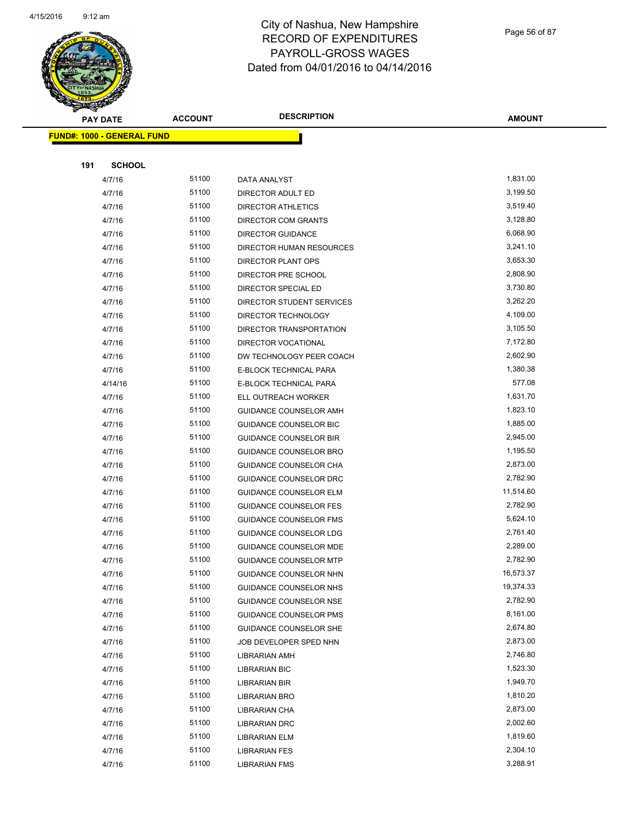

Page 56 of 87

| <b>PAY DATE</b>                   | <b>ACCOUNT</b> | <b>DESCRIPTION</b>            | <b>AMOUNT</b> |
|-----------------------------------|----------------|-------------------------------|---------------|
| <b>FUND#: 1000 - GENERAL FUND</b> |                |                               |               |
|                                   |                |                               |               |
| 191<br><b>SCHOOL</b>              |                |                               |               |
| 4/7/16                            | 51100          | DATA ANALYST                  | 1,831.00      |
| 4/7/16                            | 51100          | DIRECTOR ADULT ED             | 3,199.50      |
| 4/7/16                            | 51100          | DIRECTOR ATHLETICS            | 3,519.40      |
| 4/7/16                            | 51100          | <b>DIRECTOR COM GRANTS</b>    | 3,128.80      |
| 4/7/16                            | 51100          | <b>DIRECTOR GUIDANCE</b>      | 6,068.90      |
| 4/7/16                            | 51100          | DIRECTOR HUMAN RESOURCES      | 3,241.10      |
| 4/7/16                            | 51100          | DIRECTOR PLANT OPS            | 3,653.30      |
| 4/7/16                            | 51100          | DIRECTOR PRE SCHOOL           | 2,808.90      |
| 4/7/16                            | 51100          | DIRECTOR SPECIAL ED           | 3,730.80      |
| 4/7/16                            | 51100          | DIRECTOR STUDENT SERVICES     | 3,262.20      |
| 4/7/16                            | 51100          | DIRECTOR TECHNOLOGY           | 4,109.00      |
| 4/7/16                            | 51100          | DIRECTOR TRANSPORTATION       | 3,105.50      |
| 4/7/16                            | 51100          | DIRECTOR VOCATIONAL           | 7,172.80      |
| 4/7/16                            | 51100          | DW TECHNOLOGY PEER COACH      | 2,602.90      |
| 4/7/16                            | 51100          | E-BLOCK TECHNICAL PARA        | 1,380.38      |
| 4/14/16                           | 51100          | E-BLOCK TECHNICAL PARA        | 577.08        |
| 4/7/16                            | 51100          | ELL OUTREACH WORKER           | 1,631.70      |
| 4/7/16                            | 51100          | GUIDANCE COUNSELOR AMH        | 1,823.10      |
| 4/7/16                            | 51100          | GUIDANCE COUNSELOR BIC        | 1,885.00      |
| 4/7/16                            | 51100          | <b>GUIDANCE COUNSELOR BIR</b> | 2,945.00      |
| 4/7/16                            | 51100          | GUIDANCE COUNSELOR BRO        | 1,195.50      |
| 4/7/16                            | 51100          | GUIDANCE COUNSELOR CHA        | 2,873.00      |
| 4/7/16                            | 51100          | GUIDANCE COUNSELOR DRC        | 2,782.90      |
| 4/7/16                            | 51100          | <b>GUIDANCE COUNSELOR ELM</b> | 11,514.60     |
| 4/7/16                            | 51100          | <b>GUIDANCE COUNSELOR FES</b> | 2,782.90      |
| 4/7/16                            | 51100          | <b>GUIDANCE COUNSELOR FMS</b> | 5,624.10      |
| 4/7/16                            | 51100          | <b>GUIDANCE COUNSELOR LDG</b> | 2,761.40      |
| 4/7/16                            | 51100          | <b>GUIDANCE COUNSELOR MDE</b> | 2,289.00      |
| 4/7/16                            | 51100          | <b>GUIDANCE COUNSELOR MTP</b> | 2,782.90      |
| 4/7/16                            | 51100          | <b>GUIDANCE COUNSELOR NHN</b> | 16,573.37     |
| 4/7/16                            | 51100          | GUIDANCE COUNSELOR NHS        | 19,374.33     |
| 4/7/16                            | 51100          | <b>GUIDANCE COUNSELOR NSE</b> | 2,782.90      |
| 4/7/16                            | 51100          | GUIDANCE COUNSELOR PMS        | 8,161.00      |
| 4/7/16                            | 51100          | GUIDANCE COUNSELOR SHE        | 2,674.80      |
| 4/7/16                            | 51100          | JOB DEVELOPER SPED NHN        | 2,873.00      |
| 4/7/16                            | 51100          | LIBRARIAN AMH                 | 2,746.80      |
| 4/7/16                            | 51100          | <b>LIBRARIAN BIC</b>          | 1,523.30      |
| 4/7/16                            | 51100          | LIBRARIAN BIR                 | 1,949.70      |
| 4/7/16                            | 51100          | LIBRARIAN BRO                 | 1,810.20      |
| 4/7/16                            | 51100          | LIBRARIAN CHA                 | 2,873.00      |
| 4/7/16                            | 51100          | LIBRARIAN DRC                 | 2,002.60      |
| 4/7/16                            | 51100          | LIBRARIAN ELM                 | 1,819.60      |
| 4/7/16                            | 51100          | <b>LIBRARIAN FES</b>          | 2,304.10      |
| 4/7/16                            | 51100          | <b>LIBRARIAN FMS</b>          | 3,288.91      |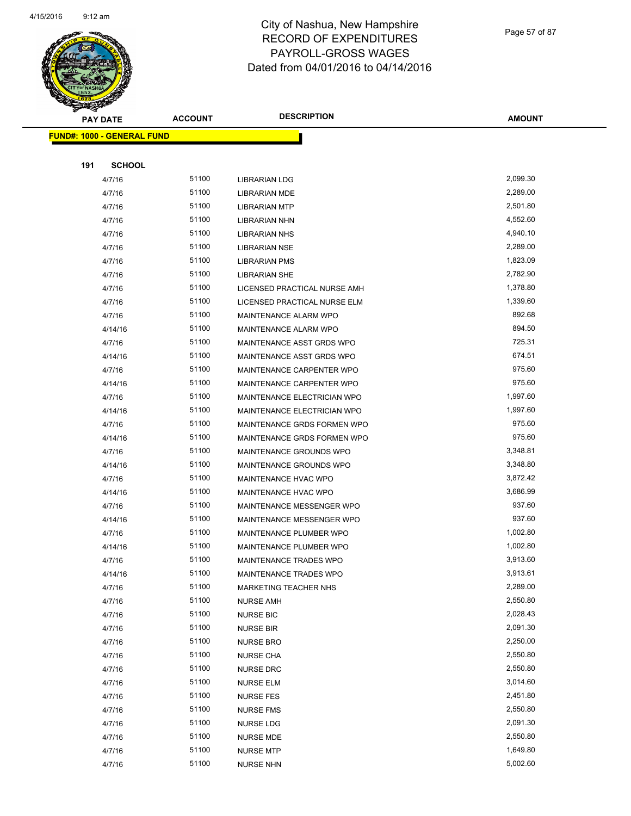

|     | <b>PAY DATE</b>                   | <b>ACCOUNT</b> | <b>DESCRIPTION</b>           | <b>AMOUNT</b> |
|-----|-----------------------------------|----------------|------------------------------|---------------|
|     | <b>FUND#: 1000 - GENERAL FUND</b> |                |                              |               |
|     |                                   |                |                              |               |
| 191 | <b>SCHOOL</b>                     |                |                              |               |
|     | 4/7/16                            | 51100          | <b>LIBRARIAN LDG</b>         | 2,099.30      |
|     | 4/7/16                            | 51100          | LIBRARIAN MDE                | 2,289.00      |
|     | 4/7/16                            | 51100          | <b>LIBRARIAN MTP</b>         | 2,501.80      |
|     | 4/7/16                            | 51100          | <b>LIBRARIAN NHN</b>         | 4,552.60      |
|     | 4/7/16                            | 51100          | <b>LIBRARIAN NHS</b>         | 4,940.10      |
|     | 4/7/16                            | 51100          | <b>LIBRARIAN NSE</b>         | 2,289.00      |
|     | 4/7/16                            | 51100          | <b>LIBRARIAN PMS</b>         | 1,823.09      |
|     | 4/7/16                            | 51100          | <b>LIBRARIAN SHE</b>         | 2,782.90      |
|     | 4/7/16                            | 51100          | LICENSED PRACTICAL NURSE AMH | 1,378.80      |
|     | 4/7/16                            | 51100          | LICENSED PRACTICAL NURSE ELM | 1,339.60      |
|     | 4/7/16                            | 51100          | MAINTENANCE ALARM WPO        | 892.68        |
|     | 4/14/16                           | 51100          | MAINTENANCE ALARM WPO        | 894.50        |
|     | 4/7/16                            | 51100          | MAINTENANCE ASST GRDS WPO    | 725.31        |
|     | 4/14/16                           | 51100          | MAINTENANCE ASST GRDS WPO    | 674.51        |
|     | 4/7/16                            | 51100          | MAINTENANCE CARPENTER WPO    | 975.60        |
|     | 4/14/16                           | 51100          | MAINTENANCE CARPENTER WPO    | 975.60        |
|     | 4/7/16                            | 51100          | MAINTENANCE ELECTRICIAN WPO  | 1,997.60      |
|     | 4/14/16                           | 51100          | MAINTENANCE ELECTRICIAN WPO  | 1,997.60      |
|     | 4/7/16                            | 51100          | MAINTENANCE GRDS FORMEN WPO  | 975.60        |
|     | 4/14/16                           | 51100          | MAINTENANCE GRDS FORMEN WPO  | 975.60        |
|     | 4/7/16                            | 51100          | MAINTENANCE GROUNDS WPO      | 3,348.81      |
|     | 4/14/16                           | 51100          | MAINTENANCE GROUNDS WPO      | 3,348.80      |
|     | 4/7/16                            | 51100          | MAINTENANCE HVAC WPO         | 3,872.42      |
|     | 4/14/16                           | 51100          | MAINTENANCE HVAC WPO         | 3,686.99      |
|     | 4/7/16                            | 51100          | MAINTENANCE MESSENGER WPO    | 937.60        |
|     | 4/14/16                           | 51100          | MAINTENANCE MESSENGER WPO    | 937.60        |
|     | 4/7/16                            | 51100          | MAINTENANCE PLUMBER WPO      | 1,002.80      |
|     | 4/14/16                           | 51100          | MAINTENANCE PLUMBER WPO      | 1,002.80      |
|     | 4/7/16                            | 51100          | MAINTENANCE TRADES WPO       | 3,913.60      |
|     | 4/14/16                           | 51100          | MAINTENANCE TRADES WPO       | 3,913.61      |
|     | 4/7/16                            | 51100          | <b>MARKETING TEACHER NHS</b> | 2,289.00      |
|     | 4/7/16                            | 51100          | <b>NURSE AMH</b>             | 2,550.80      |
|     | 4/7/16                            | 51100          | <b>NURSE BIC</b>             | 2,028.43      |
|     | 4/7/16                            | 51100          | <b>NURSE BIR</b>             | 2,091.30      |
|     | 4/7/16                            | 51100          | <b>NURSE BRO</b>             | 2,250.00      |
|     | 4/7/16                            | 51100          | <b>NURSE CHA</b>             | 2,550.80      |
|     | 4/7/16                            | 51100          | NURSE DRC                    | 2,550.80      |
|     | 4/7/16                            | 51100          | <b>NURSE ELM</b>             | 3,014.60      |
|     | 4/7/16                            | 51100          | <b>NURSE FES</b>             | 2,451.80      |
|     | 4/7/16                            | 51100          | <b>NURSE FMS</b>             | 2,550.80      |
|     | 4/7/16                            | 51100          | <b>NURSE LDG</b>             | 2,091.30      |
|     | 4/7/16                            | 51100          | NURSE MDE                    | 2,550.80      |
|     | 4/7/16                            | 51100          | <b>NURSE MTP</b>             | 1,649.80      |
|     | 4/7/16                            | 51100          | <b>NURSE NHN</b>             | 5,002.60      |

Page 57 of 87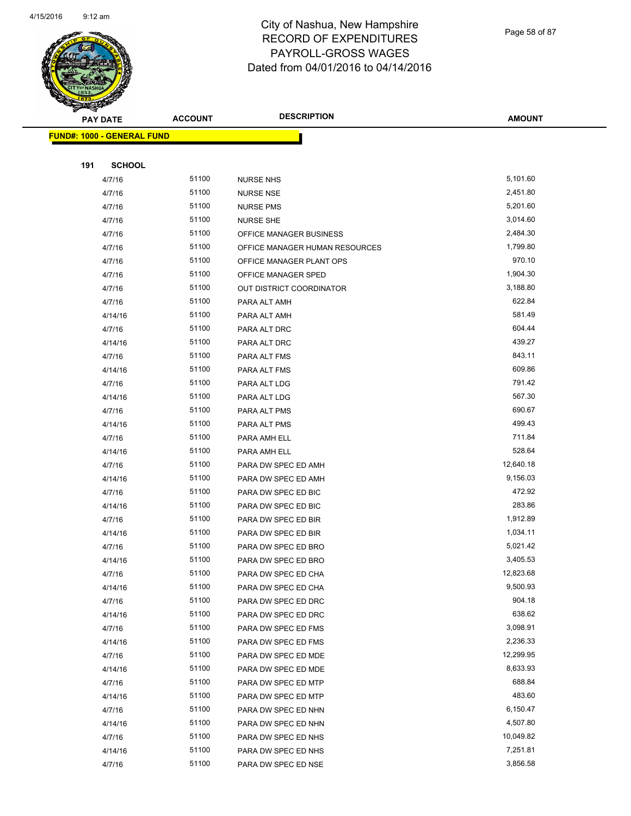

| <b>PAY DATE</b>                   | <b>ACCOUNT</b> | <b>DESCRIPTION</b>             | <b>AMOUNT</b>         |
|-----------------------------------|----------------|--------------------------------|-----------------------|
| <b>FUND#: 1000 - GENERAL FUND</b> |                |                                |                       |
|                                   |                |                                |                       |
| 191                               | <b>SCHOOL</b>  |                                |                       |
| 4/7/16                            | 51100          | <b>NURSE NHS</b>               | 5,101.60              |
| 4/7/16                            | 51100          | <b>NURSE NSE</b>               | 2,451.80              |
| 4/7/16                            | 51100          | <b>NURSE PMS</b>               | 5,201.60              |
| 4/7/16                            | 51100          | <b>NURSE SHE</b>               | 3,014.60              |
| 4/7/16                            | 51100          | OFFICE MANAGER BUSINESS        | 2,484.30              |
| 4/7/16                            | 51100          | OFFICE MANAGER HUMAN RESOURCES | 1,799.80              |
| 4/7/16                            | 51100          | OFFICE MANAGER PLANT OPS       | 970.10                |
| 4/7/16                            | 51100          | OFFICE MANAGER SPED            | 1,904.30              |
| 4/7/16                            | 51100          | OUT DISTRICT COORDINATOR       | 3,188.80              |
| 4/7/16                            | 51100          | PARA ALT AMH                   | 622.84                |
| 4/14/16                           | 51100          | PARA ALT AMH                   | 581.49                |
| 4/7/16                            | 51100          | PARA ALT DRC                   | 604.44                |
| 4/14/16                           | 51100          | PARA ALT DRC                   | 439.27                |
| 4/7/16                            | 51100          | PARA ALT FMS                   | 843.11                |
| 4/14/16                           | 51100          | PARA ALT FMS                   | 609.86                |
| 4/7/16                            | 51100          | PARA ALT LDG                   | 791.42                |
| 4/14/16                           | 51100          | PARA ALT LDG                   | 567.30                |
| 4/7/16                            | 51100          | PARA ALT PMS                   | 690.67                |
| 4/14/16                           | 51100          | PARA ALT PMS                   | 499.43                |
| 4/7/16                            | 51100          | PARA AMH ELL                   | 711.84                |
| 4/14/16                           | 51100          | PARA AMH ELL                   | 528.64                |
| 4/7/16                            | 51100          | PARA DW SPEC ED AMH            | 12,640.18             |
| 4/14/16                           | 51100          | PARA DW SPEC ED AMH            | 9,156.03              |
| 4/7/16                            | 51100          | PARA DW SPEC ED BIC            | 472.92                |
| 4/14/16                           | 51100          | PARA DW SPEC ED BIC            | 283.86                |
| 4/7/16                            | 51100          | PARA DW SPEC ED BIR            | 1,912.89              |
| 4/14/16                           | 51100          | PARA DW SPEC ED BIR            | 1,034.11              |
| 4/7/16                            | 51100          | PARA DW SPEC ED BRO            | 5,021.42              |
| 4/14/16                           | 51100          | PARA DW SPEC ED BRO            | 3,405.53              |
| 4/7/16                            | 51100          | PARA DW SPEC ED CHA            | 12,823.68             |
| 4/14/16                           | 51100          | PARA DW SPEC ED CHA            | 9,500.93              |
| 4/7/16                            | 51100          | PARA DW SPEC ED DRC            | 904.18                |
| 4/14/16                           | 51100          | PARA DW SPEC ED DRC            | 638.62                |
| 4/7/16                            | 51100          | PARA DW SPEC ED FMS            | 3,098.91              |
| 4/14/16                           | 51100          | PARA DW SPEC ED FMS            | 2,236.33              |
| 4/7/16                            | 51100          | PARA DW SPEC ED MDE            | 12,299.95             |
| 4/14/16                           | 51100          | PARA DW SPEC ED MDE            | 8,633.93              |
| 4/7/16                            | 51100          | PARA DW SPEC ED MTP            | 688.84                |
| 4/14/16                           | 51100          | PARA DW SPEC ED MTP            | 483.60                |
| 4/7/16                            | 51100          | PARA DW SPEC ED NHN            | 6,150.47              |
| 4/14/16                           | 51100<br>51100 | PARA DW SPEC ED NHN            | 4,507.80<br>10,049.82 |
| 4/7/16<br>4/14/16                 | 51100          | PARA DW SPEC ED NHS            | 7,251.81              |
| 4/7/16                            | 51100          | PARA DW SPEC ED NHS            | 3,856.58              |
|                                   |                | PARA DW SPEC ED NSE            |                       |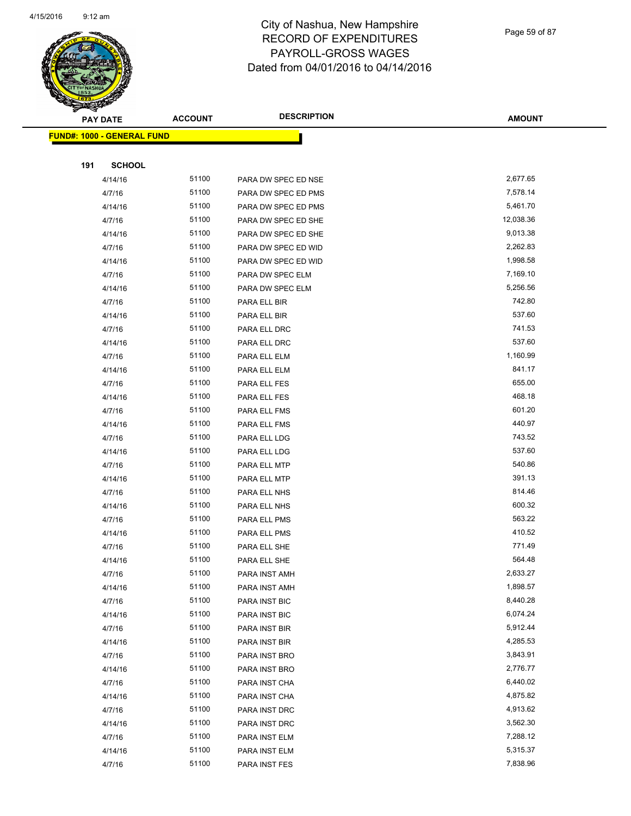

Page 59 of 87

| <b>PAY DATE</b>                   | <b>ACCOUNT</b> | <b>DESCRIPTION</b>             | <b>AMOUNT</b>        |
|-----------------------------------|----------------|--------------------------------|----------------------|
| <b>FUND#: 1000 - GENERAL FUND</b> |                |                                |                      |
|                                   |                |                                |                      |
| <b>SCHOOL</b><br>191              |                |                                |                      |
| 4/14/16                           | 51100          | PARA DW SPEC ED NSE            | 2,677.65             |
| 4/7/16                            | 51100          | PARA DW SPEC ED PMS            | 7,578.14             |
| 4/14/16                           | 51100          | PARA DW SPEC ED PMS            | 5,461.70             |
| 4/7/16                            | 51100          | PARA DW SPEC ED SHE            | 12,038.36            |
| 4/14/16                           | 51100          | PARA DW SPEC ED SHE            | 9,013.38             |
| 4/7/16                            | 51100          | PARA DW SPEC ED WID            | 2,262.83             |
| 4/14/16                           | 51100          | PARA DW SPEC ED WID            | 1,998.58             |
| 4/7/16                            | 51100          | PARA DW SPEC ELM               | 7,169.10             |
| 4/14/16                           | 51100          | PARA DW SPEC ELM               | 5,256.56             |
| 4/7/16                            | 51100          | PARA ELL BIR                   | 742.80               |
| 4/14/16                           | 51100          | PARA ELL BIR                   | 537.60               |
| 4/7/16                            | 51100          | PARA ELL DRC                   | 741.53               |
| 4/14/16                           | 51100          | PARA ELL DRC                   | 537.60               |
| 4/7/16                            | 51100          | PARA ELL ELM                   | 1,160.99             |
| 4/14/16                           | 51100          | PARA ELL ELM                   | 841.17               |
| 4/7/16                            | 51100          | PARA ELL FES                   | 655.00               |
| 4/14/16                           | 51100          | PARA ELL FES                   | 468.18               |
| 4/7/16                            | 51100          | PARA ELL FMS                   | 601.20               |
| 4/14/16                           | 51100          | PARA ELL FMS                   | 440.97               |
| 4/7/16                            | 51100          | PARA ELL LDG                   | 743.52               |
| 4/14/16                           | 51100          | PARA ELL LDG                   | 537.60               |
| 4/7/16                            | 51100          | PARA ELL MTP                   | 540.86               |
| 4/14/16                           | 51100          | PARA ELL MTP                   | 391.13               |
| 4/7/16                            | 51100          | PARA ELL NHS                   | 814.46               |
| 4/14/16                           | 51100          | PARA ELL NHS                   | 600.32               |
| 4/7/16                            | 51100          | PARA ELL PMS                   | 563.22               |
| 4/14/16                           | 51100          | PARA ELL PMS                   | 410.52               |
| 4/7/16                            | 51100          | PARA ELL SHE                   | 771.49               |
| 4/14/16                           | 51100          | PARA ELL SHE                   | 564.48               |
| 4/7/16                            | 51100          | PARA INST AMH                  | 2,633.27             |
| 4/14/16                           | 51100          | PARA INST AMH                  | 1,898.57<br>8,440.28 |
| 4/7/16                            | 51100          | PARA INST BIC                  |                      |
| 4/14/16                           | 51100<br>51100 | PARA INST BIC                  | 6,074.24<br>5,912.44 |
| 4/7/16                            | 51100          | PARA INST BIR                  | 4,285.53             |
| 4/14/16<br>4/7/16                 | 51100          | PARA INST BIR<br>PARA INST BRO | 3,843.91             |
| 4/14/16                           | 51100          | PARA INST BRO                  | 2,776.77             |
| 4/7/16                            | 51100          | PARA INST CHA                  | 6,440.02             |
| 4/14/16                           | 51100          | PARA INST CHA                  | 4,875.82             |
| 4/7/16                            | 51100          | PARA INST DRC                  | 4,913.62             |
| 4/14/16                           | 51100          | PARA INST DRC                  | 3,562.30             |
| 4/7/16                            | 51100          | PARA INST ELM                  | 7,288.12             |
| 4/14/16                           | 51100          | PARA INST ELM                  | 5,315.37             |
| 4/7/16                            | 51100          | PARA INST FES                  | 7,838.96             |
|                                   |                |                                |                      |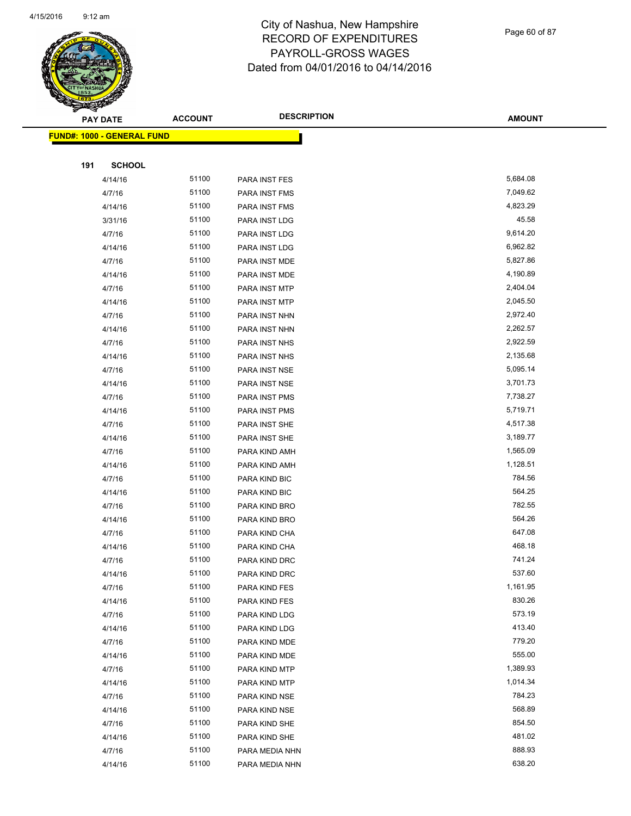

Page 60 of 87

|     | <b>PAY DATE</b>                   | <b>ACCOUNT</b> | <b>DESCRIPTION</b>   | <b>AMOUNT</b>    |
|-----|-----------------------------------|----------------|----------------------|------------------|
|     | <b>FUND#: 1000 - GENERAL FUND</b> |                |                      |                  |
|     |                                   |                |                      |                  |
| 191 | <b>SCHOOL</b>                     |                |                      |                  |
|     | 4/14/16                           | 51100          | PARA INST FES        | 5,684.08         |
|     | 4/7/16                            | 51100          | <b>PARA INST FMS</b> | 7,049.62         |
|     | 4/14/16                           | 51100          | PARA INST FMS        | 4,823.29         |
|     | 3/31/16                           | 51100          | PARA INST LDG        | 45.58            |
|     | 4/7/16                            | 51100          | PARA INST LDG        | 9,614.20         |
|     | 4/14/16                           | 51100          | PARA INST LDG        | 6,962.82         |
|     | 4/7/16                            | 51100          | PARA INST MDE        | 5,827.86         |
|     | 4/14/16                           | 51100          | PARA INST MDE        | 4,190.89         |
|     | 4/7/16                            | 51100          | PARA INST MTP        | 2,404.04         |
|     | 4/14/16                           | 51100          | PARA INST MTP        | 2,045.50         |
|     | 4/7/16                            | 51100          | PARA INST NHN        | 2,972.40         |
|     | 4/14/16                           | 51100          | PARA INST NHN        | 2,262.57         |
|     | 4/7/16                            | 51100          | PARA INST NHS        | 2,922.59         |
|     | 4/14/16                           | 51100          | PARA INST NHS        | 2,135.68         |
|     | 4/7/16                            | 51100          | PARA INST NSE        | 5,095.14         |
|     | 4/14/16                           | 51100          | PARA INST NSE        | 3,701.73         |
|     | 4/7/16                            | 51100          | PARA INST PMS        | 7,738.27         |
|     | 4/14/16                           | 51100          | PARA INST PMS        | 5,719.71         |
|     | 4/7/16                            | 51100          | PARA INST SHE        | 4,517.38         |
|     | 4/14/16                           | 51100          | PARA INST SHE        | 3,189.77         |
|     | 4/7/16                            | 51100          | PARA KIND AMH        | 1,565.09         |
|     | 4/14/16                           | 51100          | PARA KIND AMH        | 1,128.51         |
|     | 4/7/16                            | 51100          | PARA KIND BIC        | 784.56           |
|     | 4/14/16                           | 51100          | PARA KIND BIC        | 564.25           |
|     | 4/7/16                            | 51100          | PARA KIND BRO        | 782.55           |
|     | 4/14/16                           | 51100          | PARA KIND BRO        | 564.26           |
|     | 4/7/16                            | 51100          | PARA KIND CHA        | 647.08           |
|     | 4/14/16                           | 51100          | PARA KIND CHA        | 468.18           |
|     | 4/7/16                            | 51100          | PARA KIND DRC        | 741.24           |
|     | 4/14/16                           | 51100          | PARA KIND DRC        | 537.60           |
|     | 4/7/16                            | 51100          | PARA KIND FES        | 1,161.95         |
|     | 4/14/16                           | 51100          | PARA KIND FES        | 830.26           |
|     | 4/7/16                            | 51100          | PARA KIND LDG        | 573.19           |
|     | 4/14/16                           | 51100          | PARA KIND LDG        | 413.40           |
|     | 4/7/16                            | 51100          | PARA KIND MDE        | 779.20           |
|     | 4/14/16                           | 51100          | PARA KIND MDE        | 555.00           |
|     | 4/7/16                            | 51100          | PARA KIND MTP        | 1,389.93         |
|     | 4/14/16                           | 51100          | PARA KIND MTP        | 1,014.34         |
|     | 4/7/16                            | 51100          | PARA KIND NSE        | 784.23           |
|     | 4/14/16                           | 51100          | PARA KIND NSE        | 568.89<br>854.50 |
|     | 4/7/16                            | 51100<br>51100 | PARA KIND SHE        | 481.02           |
|     | 4/14/16<br>4/7/16                 | 51100          | PARA KIND SHE        | 888.93           |
|     | 4/14/16                           | 51100          | PARA MEDIA NHN       | 638.20           |
|     |                                   |                | PARA MEDIA NHN       |                  |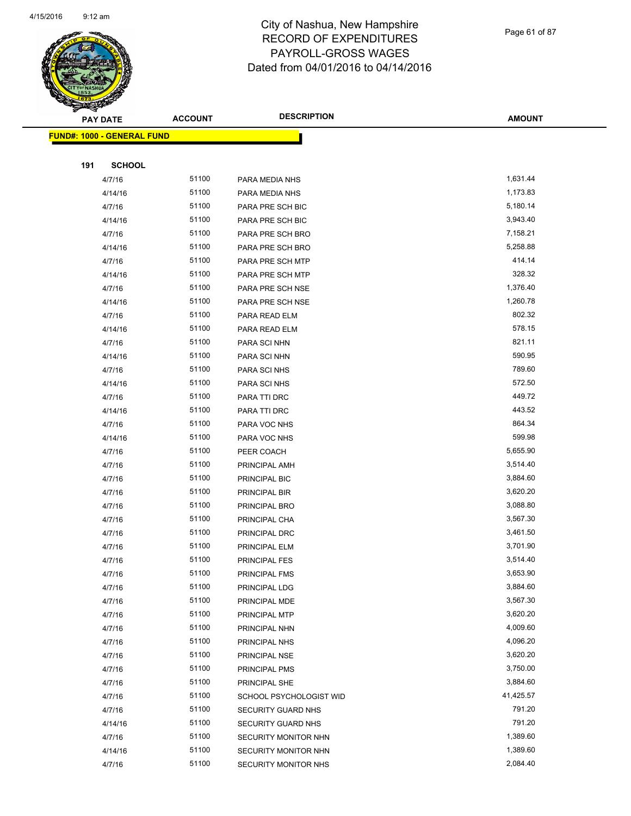

Page 61 of 87

| T<br>B.<br><b>PAY DATE</b>        | <b>ACCOUNT</b> | <b>DESCRIPTION</b>      | <b>AMOUNT</b> |
|-----------------------------------|----------------|-------------------------|---------------|
| <b>FUND#: 1000 - GENERAL FUND</b> |                |                         |               |
|                                   |                |                         |               |
| 191<br><b>SCHOOL</b>              |                |                         |               |
| 4/7/16                            | 51100          | PARA MEDIA NHS          | 1,631.44      |
| 4/14/16                           | 51100          | PARA MEDIA NHS          | 1,173.83      |
| 4/7/16                            | 51100          | PARA PRE SCH BIC        | 5,180.14      |
| 4/14/16                           | 51100          | PARA PRE SCH BIC        | 3,943.40      |
| 4/7/16                            | 51100          | PARA PRE SCH BRO        | 7,158.21      |
| 4/14/16                           | 51100          | PARA PRE SCH BRO        | 5,258.88      |
| 4/7/16                            | 51100          | PARA PRE SCH MTP        | 414.14        |
| 4/14/16                           | 51100          | PARA PRE SCH MTP        | 328.32        |
| 4/7/16                            | 51100          | PARA PRE SCH NSE        | 1,376.40      |
| 4/14/16                           | 51100          | PARA PRE SCH NSE        | 1,260.78      |
| 4/7/16                            | 51100          | PARA READ ELM           | 802.32        |
| 4/14/16                           | 51100          | PARA READ ELM           | 578.15        |
| 4/7/16                            | 51100          | PARA SCI NHN            | 821.11        |
| 4/14/16                           | 51100          | PARA SCI NHN            | 590.95        |
| 4/7/16                            | 51100          | PARA SCI NHS            | 789.60        |
| 4/14/16                           | 51100          | PARA SCI NHS            | 572.50        |
| 4/7/16                            | 51100          | PARA TTI DRC            | 449.72        |
| 4/14/16                           | 51100          | PARA TTI DRC            | 443.52        |
| 4/7/16                            | 51100          | PARA VOC NHS            | 864.34        |
| 4/14/16                           | 51100          | PARA VOC NHS            | 599.98        |
| 4/7/16                            | 51100          | PEER COACH              | 5,655.90      |
| 4/7/16                            | 51100          | PRINCIPAL AMH           | 3,514.40      |
| 4/7/16                            | 51100          | PRINCIPAL BIC           | 3,884.60      |
| 4/7/16                            | 51100          | PRINCIPAL BIR           | 3,620.20      |
| 4/7/16                            | 51100          | PRINCIPAL BRO           | 3,088.80      |
| 4/7/16                            | 51100          | PRINCIPAL CHA           | 3,567.30      |
| 4/7/16                            | 51100          | PRINCIPAL DRC           | 3,461.50      |
| 4/7/16                            | 51100          | PRINCIPAL ELM           | 3,701.90      |
| 4/7/16                            | 51100          | PRINCIPAL FES           | 3,514.40      |
| 4/7/16                            | 51100          | PRINCIPAL FMS           | 3,653.90      |
| 4/7/16                            | 51100          | PRINCIPAL LDG           | 3,884.60      |
| 4/7/16                            | 51100          | PRINCIPAL MDE           | 3,567.30      |
| 4/7/16                            | 51100          | PRINCIPAL MTP           | 3,620.20      |
| 4/7/16                            | 51100          | PRINCIPAL NHN           | 4,009.60      |
| 4/7/16                            | 51100          | PRINCIPAL NHS           | 4,096.20      |
| 4/7/16                            | 51100          | PRINCIPAL NSE           | 3,620.20      |
| 4/7/16                            | 51100          | PRINCIPAL PMS           | 3,750.00      |
| 4/7/16                            | 51100          | PRINCIPAL SHE           | 3,884.60      |
| 4/7/16                            | 51100          | SCHOOL PSYCHOLOGIST WID | 41,425.57     |
| 4/7/16                            | 51100          | SECURITY GUARD NHS      | 791.20        |
| 4/14/16                           | 51100          | SECURITY GUARD NHS      | 791.20        |
| 4/7/16                            | 51100          | SECURITY MONITOR NHN    | 1,389.60      |
| 4/14/16                           | 51100          | SECURITY MONITOR NHN    | 1,389.60      |
| 4/7/16                            | 51100          | SECURITY MONITOR NHS    | 2,084.40      |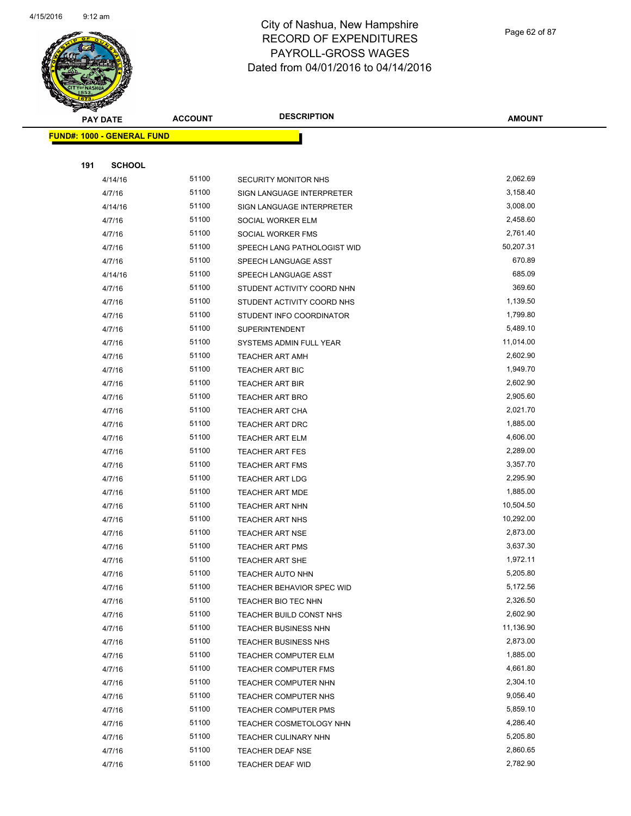

Page 62 of 87

| <b>PAY DATE</b>                   | <b>ACCOUNT</b> | <b>DESCRIPTION</b>          | <b>AMOUNT</b>        |
|-----------------------------------|----------------|-----------------------------|----------------------|
| <b>FUND#: 1000 - GENERAL FUND</b> |                |                             |                      |
|                                   |                |                             |                      |
| 191<br><b>SCHOOL</b>              |                |                             |                      |
| 4/14/16                           | 51100          | <b>SECURITY MONITOR NHS</b> | 2,062.69             |
| 4/7/16                            | 51100          | SIGN LANGUAGE INTERPRETER   | 3,158.40             |
| 4/14/16                           | 51100          | SIGN LANGUAGE INTERPRETER   | 3,008.00             |
| 4/7/16                            | 51100          | SOCIAL WORKER ELM           | 2,458.60             |
| 4/7/16                            | 51100          | SOCIAL WORKER FMS           | 2,761.40             |
| 4/7/16                            | 51100          | SPEECH LANG PATHOLOGIST WID | 50,207.31            |
| 4/7/16                            | 51100          | SPEECH LANGUAGE ASST        | 670.89               |
| 4/14/16                           | 51100          | SPEECH LANGUAGE ASST        | 685.09               |
| 4/7/16                            | 51100          | STUDENT ACTIVITY COORD NHN  | 369.60               |
| 4/7/16                            | 51100          | STUDENT ACTIVITY COORD NHS  | 1,139.50             |
| 4/7/16                            | 51100          | STUDENT INFO COORDINATOR    | 1,799.80             |
| 4/7/16                            | 51100          | <b>SUPERINTENDENT</b>       | 5,489.10             |
| 4/7/16                            | 51100          | SYSTEMS ADMIN FULL YEAR     | 11,014.00            |
| 4/7/16                            | 51100          | <b>TEACHER ART AMH</b>      | 2,602.90             |
| 4/7/16                            | 51100          | TEACHER ART BIC             | 1,949.70             |
| 4/7/16                            | 51100          | <b>TEACHER ART BIR</b>      | 2,602.90             |
| 4/7/16                            | 51100          | <b>TEACHER ART BRO</b>      | 2,905.60             |
| 4/7/16                            | 51100          | TEACHER ART CHA             | 2,021.70             |
| 4/7/16                            | 51100          | TEACHER ART DRC             | 1,885.00             |
| 4/7/16                            | 51100          | <b>TEACHER ART ELM</b>      | 4,606.00             |
| 4/7/16                            | 51100          | <b>TEACHER ART FES</b>      | 2,289.00             |
| 4/7/16                            | 51100          | <b>TEACHER ART FMS</b>      | 3,357.70             |
| 4/7/16                            | 51100          | <b>TEACHER ART LDG</b>      | 2,295.90             |
| 4/7/16                            | 51100          | <b>TEACHER ART MDE</b>      | 1,885.00             |
| 4/7/16                            | 51100          | TEACHER ART NHN             | 10,504.50            |
| 4/7/16                            | 51100          | TEACHER ART NHS             | 10,292.00            |
| 4/7/16                            | 51100          | <b>TEACHER ART NSE</b>      | 2,873.00             |
| 4/7/16                            | 51100          | <b>TEACHER ART PMS</b>      | 3,637.30             |
| 4/7/16                            | 51100          | <b>TEACHER ART SHE</b>      | 1,972.11             |
| 4/7/16                            | 51100          | TEACHER AUTO NHN            | 5,205.80             |
| 4/7/16                            | 51100          | TEACHER BEHAVIOR SPEC WID   | 5,172.56             |
| 4/7/16                            | 51100          | TEACHER BIO TEC NHN         | 2,326.50             |
| 4/7/16                            | 51100          | TEACHER BUILD CONST NHS     | 2,602.90             |
| 4/7/16                            | 51100          | <b>TEACHER BUSINESS NHN</b> | 11,136.90            |
| 4/7/16                            | 51100          | <b>TEACHER BUSINESS NHS</b> | 2,873.00             |
| 4/7/16                            | 51100          | TEACHER COMPUTER ELM        | 1,885.00             |
| 4/7/16                            | 51100          | <b>TEACHER COMPUTER FMS</b> | 4,661.80             |
| 4/7/16                            | 51100          | TEACHER COMPUTER NHN        | 2,304.10<br>9,056.40 |
| 4/7/16                            | 51100          | TEACHER COMPUTER NHS        |                      |
| 4/7/16                            | 51100          | <b>TEACHER COMPUTER PMS</b> | 5,859.10             |
| 4/7/16                            | 51100          | TEACHER COSMETOLOGY NHN     | 4,286.40<br>5,205.80 |
| 4/7/16                            | 51100          | <b>TEACHER CULINARY NHN</b> |                      |
| 4/7/16                            | 51100          | <b>TEACHER DEAF NSE</b>     | 2,860.65             |
| 4/7/16                            | 51100          | TEACHER DEAF WID            | 2,782.90             |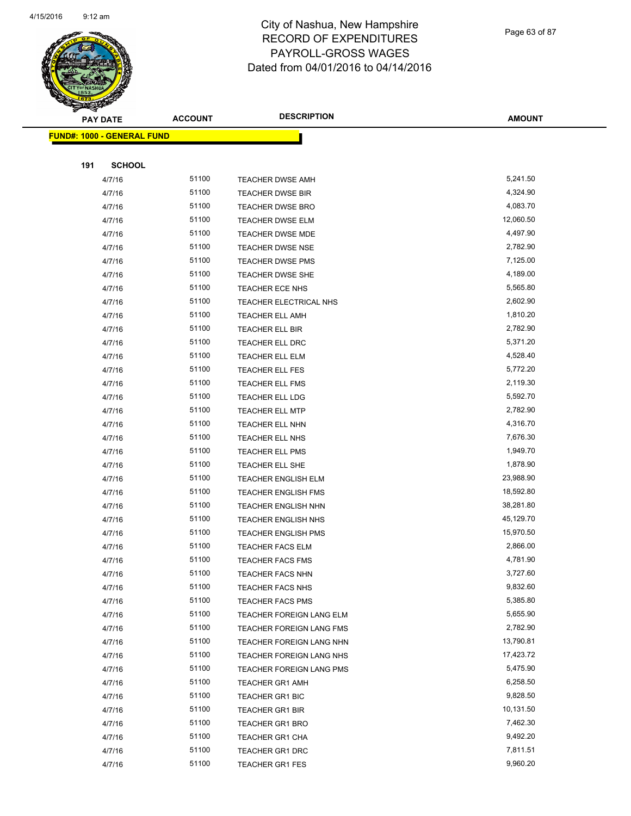

Page 63 of 87

| <b>PAY DATE</b>                   | <b>ACCOUNT</b> | <b>DESCRIPTION</b>         | <b>AMOUNT</b> |
|-----------------------------------|----------------|----------------------------|---------------|
| <b>FUND#: 1000 - GENERAL FUND</b> |                |                            |               |
|                                   |                |                            |               |
| 191<br><b>SCHOOL</b>              |                |                            |               |
| 4/7/16                            | 51100          | <b>TEACHER DWSE AMH</b>    | 5,241.50      |
| 4/7/16                            | 51100          | <b>TEACHER DWSE BIR</b>    | 4,324.90      |
| 4/7/16                            | 51100          | <b>TEACHER DWSE BRO</b>    | 4,083.70      |
| 4/7/16                            | 51100          | <b>TEACHER DWSE ELM</b>    | 12,060.50     |
| 4/7/16                            | 51100          | <b>TEACHER DWSE MDE</b>    | 4,497.90      |
| 4/7/16                            | 51100          | <b>TEACHER DWSE NSE</b>    | 2,782.90      |
| 4/7/16                            | 51100          | <b>TEACHER DWSE PMS</b>    | 7,125.00      |
| 4/7/16                            | 51100          | <b>TEACHER DWSE SHE</b>    | 4,189.00      |
| 4/7/16                            | 51100          | TEACHER ECE NHS            | 5,565.80      |
| 4/7/16                            | 51100          | TEACHER ELECTRICAL NHS     | 2,602.90      |
| 4/7/16                            | 51100          | <b>TEACHER ELL AMH</b>     | 1,810.20      |
| 4/7/16                            | 51100          | <b>TEACHER ELL BIR</b>     | 2,782.90      |
| 4/7/16                            | 51100          | <b>TEACHER ELL DRC</b>     | 5,371.20      |
| 4/7/16                            | 51100          | <b>TEACHER ELL ELM</b>     | 4,528.40      |
| 4/7/16                            | 51100          | <b>TEACHER ELL FES</b>     | 5,772.20      |
| 4/7/16                            | 51100          | <b>TEACHER ELL FMS</b>     | 2,119.30      |
| 4/7/16                            | 51100          | <b>TEACHER ELL LDG</b>     | 5,592.70      |
| 4/7/16                            | 51100          | <b>TEACHER ELL MTP</b>     | 2,782.90      |
| 4/7/16                            | 51100          | <b>TEACHER ELL NHN</b>     | 4,316.70      |
| 4/7/16                            | 51100          | <b>TEACHER ELL NHS</b>     | 7,676.30      |
| 4/7/16                            | 51100          | <b>TEACHER ELL PMS</b>     | 1,949.70      |
| 4/7/16                            | 51100          | TEACHER ELL SHE            | 1,878.90      |
| 4/7/16                            | 51100          | <b>TEACHER ENGLISH ELM</b> | 23,988.90     |
| 4/7/16                            | 51100          | <b>TEACHER ENGLISH FMS</b> | 18,592.80     |
| 4/7/16                            | 51100          | <b>TEACHER ENGLISH NHN</b> | 38,281.80     |
| 4/7/16                            | 51100          | <b>TEACHER ENGLISH NHS</b> | 45,129.70     |
| 4/7/16                            | 51100          | <b>TEACHER ENGLISH PMS</b> | 15,970.50     |
| 4/7/16                            | 51100          | <b>TEACHER FACS ELM</b>    | 2,866.00      |
| 4/7/16                            | 51100          | <b>TEACHER FACS FMS</b>    | 4,781.90      |
| 4/7/16                            | 51100          | <b>TEACHER FACS NHN</b>    | 3,727.60      |
| 4/7/16                            | 51100          | <b>TEACHER FACS NHS</b>    | 9,832.60      |
| 4/7/16                            | 51100          | <b>TEACHER FACS PMS</b>    | 5,385.80      |
| 4/7/16                            | 51100          | TEACHER FOREIGN LANG ELM   | 5,655.90      |
| 4/7/16                            | 51100          | TEACHER FOREIGN LANG FMS   | 2,782.90      |
| 4/7/16                            | 51100          | TEACHER FOREIGN LANG NHN   | 13,790.81     |
| 4/7/16                            | 51100          | TEACHER FOREIGN LANG NHS   | 17,423.72     |
| 4/7/16                            | 51100          | TEACHER FOREIGN LANG PMS   | 5,475.90      |
| 4/7/16                            | 51100          | <b>TEACHER GR1 AMH</b>     | 6,258.50      |
| 4/7/16                            | 51100          | <b>TEACHER GR1 BIC</b>     | 9,828.50      |
| 4/7/16                            | 51100          | TEACHER GR1 BIR            | 10,131.50     |
| 4/7/16                            | 51100          | <b>TEACHER GR1 BRO</b>     | 7,462.30      |
| 4/7/16                            | 51100          | TEACHER GR1 CHA            | 9,492.20      |
| 4/7/16                            | 51100          | <b>TEACHER GR1 DRC</b>     | 7,811.51      |
| 4/7/16                            | 51100          | <b>TEACHER GR1 FES</b>     | 9,960.20      |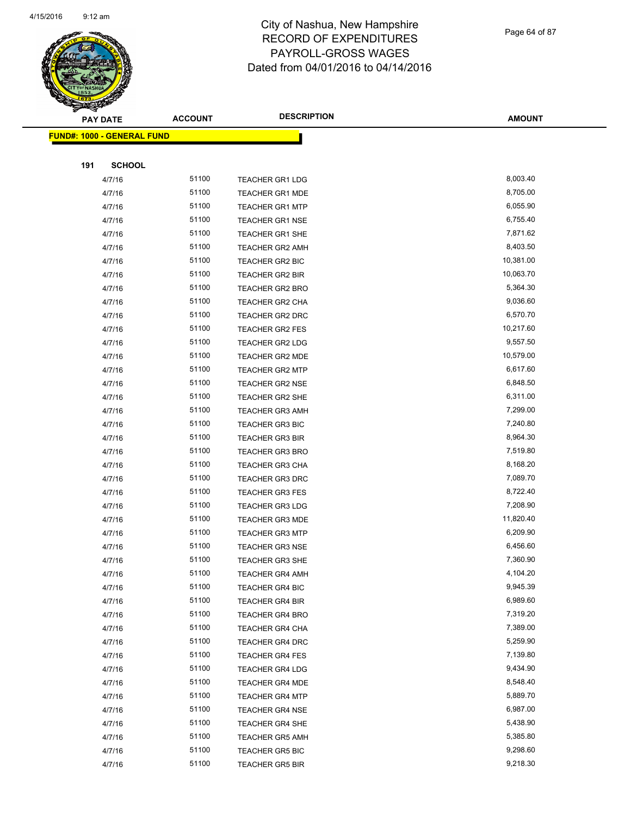

Page 64 of 87

|     | <b>PAY DATE</b>                   | <b>ACCOUNT</b> | <b>DESCRIPTION</b>     | <b>AMOUNT</b> |
|-----|-----------------------------------|----------------|------------------------|---------------|
|     | <b>FUND#: 1000 - GENERAL FUND</b> |                |                        |               |
|     |                                   |                |                        |               |
| 191 | <b>SCHOOL</b>                     |                |                        |               |
|     | 4/7/16                            | 51100          | <b>TEACHER GR1 LDG</b> | 8,003.40      |
|     | 4/7/16                            | 51100          | <b>TEACHER GR1 MDE</b> | 8,705.00      |
|     | 4/7/16                            | 51100          | <b>TEACHER GR1 MTP</b> | 6,055.90      |
|     | 4/7/16                            | 51100          | <b>TEACHER GR1 NSE</b> | 6,755.40      |
|     | 4/7/16                            | 51100          | TEACHER GR1 SHE        | 7,871.62      |
|     | 4/7/16                            | 51100          | TEACHER GR2 AMH        | 8,403.50      |
|     | 4/7/16                            | 51100          | <b>TEACHER GR2 BIC</b> | 10,381.00     |
|     | 4/7/16                            | 51100          | TEACHER GR2 BIR        | 10,063.70     |
|     | 4/7/16                            | 51100          | TEACHER GR2 BRO        | 5,364.30      |
|     | 4/7/16                            | 51100          | TEACHER GR2 CHA        | 9,036.60      |
|     | 4/7/16                            | 51100          | TEACHER GR2 DRC        | 6,570.70      |
|     | 4/7/16                            | 51100          | <b>TEACHER GR2 FES</b> | 10,217.60     |
|     | 4/7/16                            | 51100          | <b>TEACHER GR2 LDG</b> | 9,557.50      |
|     | 4/7/16                            | 51100          | TEACHER GR2 MDE        | 10,579.00     |
|     | 4/7/16                            | 51100          | <b>TEACHER GR2 MTP</b> | 6,617.60      |
|     | 4/7/16                            | 51100          | <b>TEACHER GR2 NSE</b> | 6,848.50      |
|     | 4/7/16                            | 51100          | <b>TEACHER GR2 SHE</b> | 6,311.00      |
|     | 4/7/16                            | 51100          | <b>TEACHER GR3 AMH</b> | 7,299.00      |
|     | 4/7/16                            | 51100          | <b>TEACHER GR3 BIC</b> | 7,240.80      |
|     | 4/7/16                            | 51100          | <b>TEACHER GR3 BIR</b> | 8,964.30      |
|     | 4/7/16                            | 51100          | <b>TEACHER GR3 BRO</b> | 7,519.80      |
|     | 4/7/16                            | 51100          | <b>TEACHER GR3 CHA</b> | 8,168.20      |
|     | 4/7/16                            | 51100          | <b>TEACHER GR3 DRC</b> | 7,089.70      |
|     | 4/7/16                            | 51100          | <b>TEACHER GR3 FES</b> | 8,722.40      |
|     | 4/7/16                            | 51100          | <b>TEACHER GR3 LDG</b> | 7,208.90      |
|     | 4/7/16                            | 51100          | <b>TEACHER GR3 MDE</b> | 11,820.40     |
|     | 4/7/16                            | 51100          | <b>TEACHER GR3 MTP</b> | 6,209.90      |
|     | 4/7/16                            | 51100          | <b>TEACHER GR3 NSE</b> | 6,456.60      |
|     | 4/7/16                            | 51100          | <b>TEACHER GR3 SHE</b> | 7,360.90      |
|     | 4/7/16                            | 51100          | TEACHER GR4 AMH        | 4,104.20      |
|     | 4/7/16                            | 51100          | TEACHER GR4 BIC        | 9,945.39      |
|     | 4/7/16                            | 51100          | TEACHER GR4 BIR        | 6,989.60      |
|     | 4/7/16                            | 51100          | <b>TEACHER GR4 BRO</b> | 7,319.20      |
|     | 4/7/16                            | 51100          | TEACHER GR4 CHA        | 7,389.00      |
|     | 4/7/16                            | 51100          | TEACHER GR4 DRC        | 5,259.90      |
|     | 4/7/16                            | 51100          | <b>TEACHER GR4 FES</b> | 7,139.80      |
|     | 4/7/16                            | 51100          | <b>TEACHER GR4 LDG</b> | 9,434.90      |
|     | 4/7/16                            | 51100          | <b>TEACHER GR4 MDE</b> | 8,548.40      |
|     | 4/7/16                            | 51100          | <b>TEACHER GR4 MTP</b> | 5,889.70      |
|     | 4/7/16                            | 51100          | <b>TEACHER GR4 NSE</b> | 6,987.00      |
|     | 4/7/16                            | 51100          | TEACHER GR4 SHE        | 5,438.90      |
|     | 4/7/16                            | 51100          | <b>TEACHER GR5 AMH</b> | 5,385.80      |
|     | 4/7/16                            | 51100          | <b>TEACHER GR5 BIC</b> | 9,298.60      |
|     | 4/7/16                            | 51100          | TEACHER GR5 BIR        | 9,218.30      |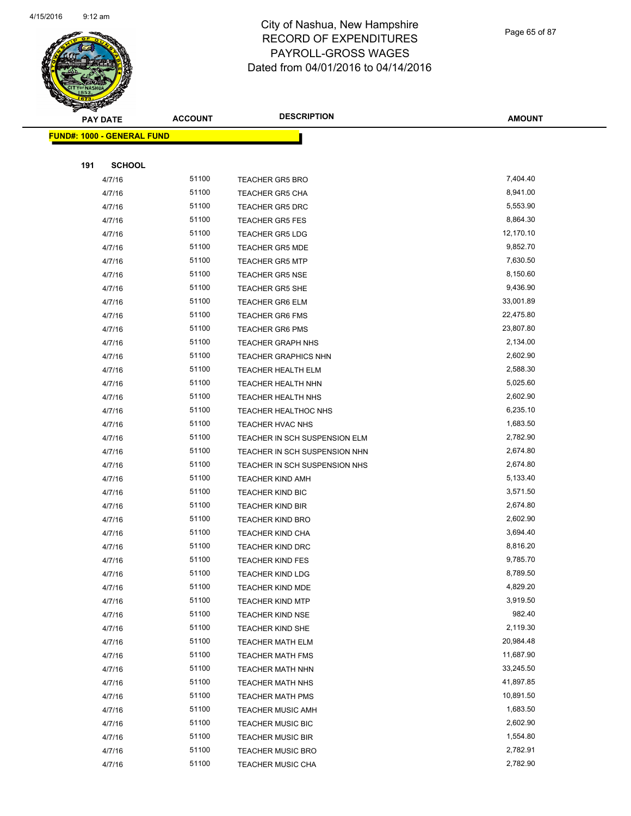

Page 65 of 87

**AMOUNT**

|     | <u> FUND#: 1000 - GENERAL FUND</u> |       |                               |           |
|-----|------------------------------------|-------|-------------------------------|-----------|
|     |                                    |       |                               |           |
| 191 | <b>SCHOOL</b>                      |       |                               |           |
|     | 4/7/16                             | 51100 | <b>TEACHER GR5 BRO</b>        | 7,404.40  |
|     | 4/7/16                             | 51100 | <b>TEACHER GR5 CHA</b>        | 8,941.00  |
|     | 4/7/16                             | 51100 | <b>TEACHER GR5 DRC</b>        | 5,553.90  |
|     | 4/7/16                             | 51100 | <b>TEACHER GR5 FES</b>        | 8,864.30  |
|     | 4/7/16                             | 51100 | <b>TEACHER GR5 LDG</b>        | 12,170.10 |
|     | 4/7/16                             | 51100 | <b>TEACHER GR5 MDE</b>        | 9,852.70  |
|     | 4/7/16                             | 51100 | <b>TEACHER GR5 MTP</b>        | 7,630.50  |
|     | 4/7/16                             | 51100 | <b>TEACHER GR5 NSE</b>        | 8,150.60  |
|     | 4/7/16                             | 51100 | <b>TEACHER GR5 SHE</b>        | 9,436.90  |
|     | 4/7/16                             | 51100 | <b>TEACHER GR6 ELM</b>        | 33,001.89 |
|     | 4/7/16                             | 51100 | <b>TEACHER GR6 FMS</b>        | 22,475.80 |
|     | 4/7/16                             | 51100 | <b>TEACHER GR6 PMS</b>        | 23,807.80 |
|     | 4/7/16                             | 51100 | <b>TEACHER GRAPH NHS</b>      | 2,134.00  |
|     | 4/7/16                             | 51100 | <b>TEACHER GRAPHICS NHN</b>   | 2,602.90  |
|     | 4/7/16                             | 51100 | <b>TEACHER HEALTH ELM</b>     | 2,588.30  |
|     | 4/7/16                             | 51100 | TEACHER HEALTH NHN            | 5,025.60  |
|     | 4/7/16                             | 51100 | TEACHER HEALTH NHS            | 2,602.90  |
|     | 4/7/16                             | 51100 | TEACHER HEALTHOC NHS          | 6,235.10  |
|     | 4/7/16                             | 51100 | TEACHER HVAC NHS              | 1,683.50  |
|     | 4/7/16                             | 51100 | TEACHER IN SCH SUSPENSION ELM | 2,782.90  |
|     | 4/7/16                             | 51100 | TEACHER IN SCH SUSPENSION NHN | 2,674.80  |
|     | 4/7/16                             | 51100 | TEACHER IN SCH SUSPENSION NHS | 2,674.80  |
|     | 4/7/16                             | 51100 | <b>TEACHER KIND AMH</b>       | 5,133.40  |
|     | 4/7/16                             | 51100 | <b>TEACHER KIND BIC</b>       | 3,571.50  |
|     | 4/7/16                             | 51100 | <b>TEACHER KIND BIR</b>       | 2,674.80  |
|     | 4/7/16                             | 51100 | <b>TEACHER KIND BRO</b>       | 2,602.90  |
|     | 4/7/16                             | 51100 | <b>TEACHER KIND CHA</b>       | 3,694.40  |
|     | 4/7/16                             | 51100 | <b>TEACHER KIND DRC</b>       | 8,816.20  |
|     | 4/7/16                             | 51100 | <b>TEACHER KIND FES</b>       | 9,785.70  |
|     | 4/7/16                             | 51100 | <b>TEACHER KIND LDG</b>       | 8,789.50  |
|     | 4/7/16                             | 51100 | TEACHER KIND MDE              | 4,829.20  |
|     | 4/7/16                             | 51100 | <b>TEACHER KIND MTP</b>       | 3,919.50  |
|     | 4/7/16                             | 51100 | <b>TEACHER KIND NSE</b>       | 982.40    |
|     | 4/7/16                             | 51100 | <b>TEACHER KIND SHE</b>       | 2,119.30  |
|     | 4/7/16                             | 51100 | <b>TEACHER MATH ELM</b>       | 20,984.48 |
|     | 4/7/16                             | 51100 | <b>TEACHER MATH FMS</b>       | 11,687.90 |
|     | 4/7/16                             | 51100 | <b>TEACHER MATH NHN</b>       | 33,245.50 |
|     | 4/7/16                             | 51100 | TEACHER MATH NHS              | 41,897.85 |
|     | 4/7/16                             | 51100 | <b>TEACHER MATH PMS</b>       | 10,891.50 |
|     | 4/7/16                             | 51100 | <b>TEACHER MUSIC AMH</b>      | 1,683.50  |
|     | 4/7/16                             | 51100 | <b>TEACHER MUSIC BIC</b>      | 2,602.90  |
|     | 4/7/16                             | 51100 | <b>TEACHER MUSIC BIR</b>      | 1,554.80  |
|     | 4/7/16                             | 51100 | <b>TEACHER MUSIC BRO</b>      | 2,782.91  |
|     | 4/7/16                             | 51100 | TEACHER MUSIC CHA             | 2,782.90  |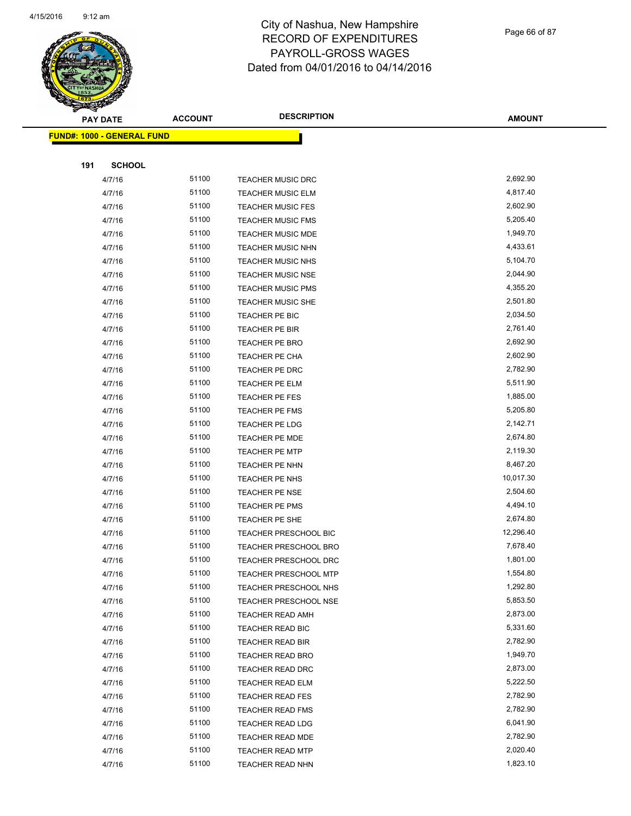

Page 66 of 87

| $\tilde{\phantom{a}}$ | <b>PAY DATE</b>                   | <b>ACCOUNT</b> | <b>DESCRIPTION</b>           | <b>AMOUNT</b> |
|-----------------------|-----------------------------------|----------------|------------------------------|---------------|
|                       | <b>FUND#: 1000 - GENERAL FUND</b> |                |                              |               |
|                       |                                   |                |                              |               |
| 191                   | <b>SCHOOL</b>                     |                |                              |               |
|                       | 4/7/16                            | 51100          | <b>TEACHER MUSIC DRC</b>     | 2,692.90      |
|                       | 4/7/16                            | 51100          | TEACHER MUSIC ELM            | 4,817.40      |
|                       | 4/7/16                            | 51100          | <b>TEACHER MUSIC FES</b>     | 2,602.90      |
|                       | 4/7/16                            | 51100          | <b>TEACHER MUSIC FMS</b>     | 5,205.40      |
|                       | 4/7/16                            | 51100          | <b>TEACHER MUSIC MDE</b>     | 1,949.70      |
|                       | 4/7/16                            | 51100          | TEACHER MUSIC NHN            | 4,433.61      |
|                       | 4/7/16                            | 51100          | TEACHER MUSIC NHS            | 5,104.70      |
|                       | 4/7/16                            | 51100          | TEACHER MUSIC NSE            | 2,044.90      |
|                       | 4/7/16                            | 51100          | <b>TEACHER MUSIC PMS</b>     | 4,355.20      |
|                       | 4/7/16                            | 51100          | <b>TEACHER MUSIC SHE</b>     | 2,501.80      |
|                       | 4/7/16                            | 51100          | TEACHER PE BIC               | 2,034.50      |
|                       | 4/7/16                            | 51100          | TEACHER PE BIR               | 2,761.40      |
|                       | 4/7/16                            | 51100          | TEACHER PE BRO               | 2,692.90      |
|                       | 4/7/16                            | 51100          | TEACHER PE CHA               | 2,602.90      |
|                       | 4/7/16                            | 51100          | TEACHER PE DRC               | 2,782.90      |
|                       | 4/7/16                            | 51100          | TEACHER PE ELM               | 5,511.90      |
|                       | 4/7/16                            | 51100          | TEACHER PE FES               | 1,885.00      |
|                       | 4/7/16                            | 51100          | TEACHER PE FMS               | 5,205.80      |
|                       | 4/7/16                            | 51100          | TEACHER PE LDG               | 2,142.71      |
|                       | 4/7/16                            | 51100          | TEACHER PE MDE               | 2,674.80      |
|                       | 4/7/16                            | 51100          | <b>TEACHER PE MTP</b>        | 2,119.30      |
|                       | 4/7/16                            | 51100          | TEACHER PE NHN               | 8,467.20      |
|                       | 4/7/16                            | 51100          | TEACHER PE NHS               | 10,017.30     |
|                       | 4/7/16                            | 51100          | <b>TEACHER PE NSE</b>        | 2,504.60      |
|                       | 4/7/16                            | 51100          | TEACHER PE PMS               | 4,494.10      |
|                       | 4/7/16                            | 51100          | TEACHER PE SHE               | 2,674.80      |
|                       | 4/7/16                            | 51100          | TEACHER PRESCHOOL BIC        | 12,296.40     |
|                       | 4/7/16                            | 51100          | TEACHER PRESCHOOL BRO        | 7,678.40      |
|                       | 4/7/16                            | 51100          | <b>TEACHER PRESCHOOL DRC</b> | 1,801.00      |
|                       | 4/7/16                            | 51100          | TEACHER PRESCHOOL MTP        | 1,554.80      |
|                       | 4/7/16                            | 51100          | <b>TEACHER PRESCHOOL NHS</b> | 1,292.80      |
|                       | 4/7/16                            | 51100          | TEACHER PRESCHOOL NSE        | 5,853.50      |
|                       | 4/7/16                            | 51100          | <b>TEACHER READ AMH</b>      | 2,873.00      |
|                       | 4/7/16                            | 51100          | TEACHER READ BIC             | 5,331.60      |
|                       | 4/7/16                            | 51100          | TEACHER READ BIR             | 2,782.90      |
|                       | 4/7/16                            | 51100          | TEACHER READ BRO             | 1,949.70      |
|                       | 4/7/16                            | 51100          | <b>TEACHER READ DRC</b>      | 2,873.00      |
|                       | 4/7/16                            | 51100          | <b>TEACHER READ ELM</b>      | 5,222.50      |
|                       | 4/7/16                            | 51100          | <b>TEACHER READ FES</b>      | 2,782.90      |
|                       | 4/7/16                            | 51100          | <b>TEACHER READ FMS</b>      | 2,782.90      |
|                       | 4/7/16                            | 51100          | TEACHER READ LDG             | 6,041.90      |
|                       | 4/7/16                            | 51100          | TEACHER READ MDE             | 2,782.90      |
|                       | 4/7/16                            | 51100          | <b>TEACHER READ MTP</b>      | 2,020.40      |
|                       | 4/7/16                            | 51100          | TEACHER READ NHN             | 1,823.10      |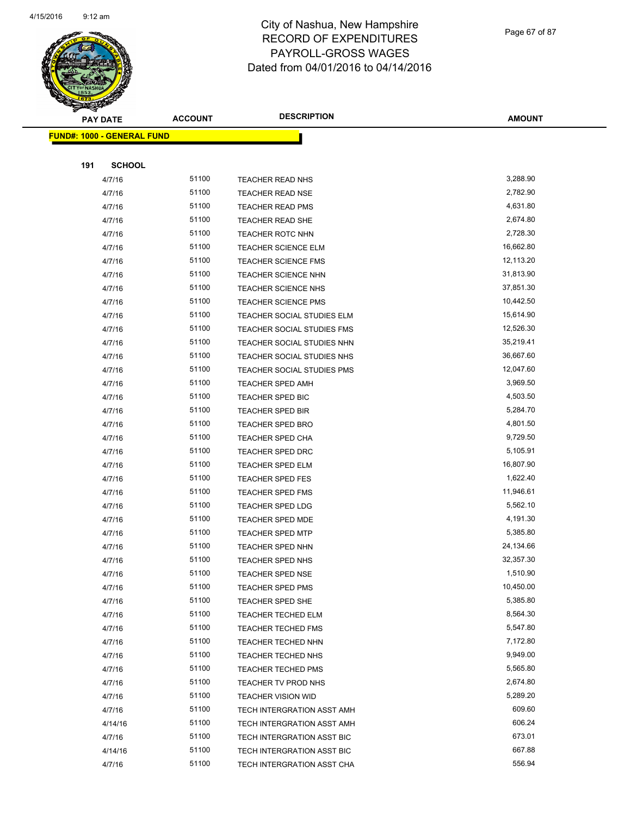**FUND#: 1000 - GENERAL FUND**



## City of Nashua, New Hampshire RECORD OF EXPENDITURES PAYROLL-GROSS WAGES Dated from 04/01/2016 to 04/14/2016

| <b>PAY DATE</b> |                     | <b>ACCOUNT</b> | <b>DESCRIPTION</b>         | <b>AMOUNT</b> |
|-----------------|---------------------|----------------|----------------------------|---------------|
|                 | 1000 - GENERAL FUND |                |                            |               |
|                 |                     |                |                            |               |
| 191             | <b>SCHOOL</b>       |                |                            |               |
|                 | 4/7/16              | 51100          | <b>TEACHER READ NHS</b>    | 3,288.90      |
|                 | 4/7/16              | 51100          | <b>TEACHER READ NSE</b>    | 2,782.90      |
|                 | 4/7/16              | 51100          | <b>TEACHER READ PMS</b>    | 4,631.80      |
|                 | 4/7/16              | 51100          | TEACHER READ SHE           | 2,674.80      |
|                 | 4/7/16              | 51100          | <b>TEACHER ROTC NHN</b>    | 2,728.30      |
|                 | 4/7/16              | 51100          | <b>TEACHER SCIENCE ELM</b> | 16,662.80     |
|                 | 4/7/16              | 51100          | <b>TEACHER SCIENCE FMS</b> | 12,113.20     |
|                 | 4/7/16              | 51100          | <b>TEACHER SCIENCE NHN</b> | 31,813.90     |
|                 | 4/7/16              | 51100          | <b>TEACHER SCIENCE NHS</b> | 37,851.30     |
|                 | 4/7/16              | 51100          | <b>TEACHER SCIENCE PMS</b> | 10,442.50     |
|                 | 4/7/16              | 51100          | TEACHER SOCIAL STUDIES ELM | 15,614.90     |
|                 | 4/7/16              | 51100          | TEACHER SOCIAL STUDIES FMS | 12,526.30     |
|                 | 4/7/16              | 51100          | TEACHER SOCIAL STUDIES NHN | 35,219.41     |
|                 | 4/7/16              | 51100          | TEACHER SOCIAL STUDIES NHS | 36,667.60     |
|                 | 4/7/16              | 51100          | TEACHER SOCIAL STUDIES PMS | 12,047.60     |
|                 | 4/7/16              | 51100          | <b>TEACHER SPED AMH</b>    | 3,969.50      |
|                 | 4/7/16              | 51100          | TEACHER SPED BIC           | 4,503.50      |
|                 | 4/7/16              | 51100          | <b>TEACHER SPED BIR</b>    | 5,284.70      |
|                 | 4/7/16              | 51100          | <b>TEACHER SPED BRO</b>    | 4,801.50      |
|                 | 4/7/16              | 51100          | <b>TEACHER SPED CHA</b>    | 9,729.50      |
|                 | 4/7/16              | 51100          | <b>TEACHER SPED DRC</b>    | 5,105.91      |
|                 | 4/7/16              | 51100          | <b>TEACHER SPED ELM</b>    | 16,807.90     |
|                 | 4/7/16              | 51100          | <b>TEACHER SPED FES</b>    | 1,622.40      |
|                 | 4/7/16              | 51100          | <b>TEACHER SPED FMS</b>    | 11,946.61     |
|                 | 4/7/16              | 51100          | <b>TEACHER SPED LDG</b>    | 5,562.10      |
|                 | 4/7/16              | 51100          | TEACHER SPED MDE           | 4,191.30      |
|                 | 4/7/16              | 51100          | <b>TEACHER SPED MTP</b>    | 5,385.80      |
|                 | 4/7/16              | 51100          | <b>TEACHER SPED NHN</b>    | 24,134.66     |
|                 | 4/7/16              | 51100          | TEACHER SPED NHS           | 32,357.30     |
|                 | 4/7/16              | 51100          | TEACHER SPED NSE           | 1,510.90      |
|                 | 4/7/16              | 51100          | <b>TEACHER SPED PMS</b>    | 10,450.00     |
|                 | 4/7/16              | 51100          | TEACHER SPED SHE           | 5,385.80      |
|                 | 4/7/16              | 51100          | TEACHER TECHED ELM         | 8,564.30      |
|                 | 4/7/16              | 51100          | <b>TEACHER TECHED FMS</b>  | 5,547.80      |
|                 | 4/7/16              | 51100          | <b>TEACHER TECHED NHN</b>  | 7,172.80      |
|                 | 4/7/16              | 51100          | <b>TEACHER TECHED NHS</b>  | 9,949.00      |
|                 | 4/7/16              | 51100          | <b>TEACHER TECHED PMS</b>  | 5,565.80      |
|                 | 4/7/16              | 51100          | TEACHER TV PROD NHS        | 2,674.80      |
|                 | 4/7/16              | 51100          | <b>TEACHER VISION WID</b>  | 5,289.20      |
|                 | 4/7/16              | 51100          | TECH INTERGRATION ASST AMH | 609.60        |
|                 | 4/14/16             | 51100          | TECH INTERGRATION ASST AMH | 606.24        |

4/7/16 51100 TECH INTERGRATION ASST BIC 673.01 4/14/16 51100 TECH INTERGRATION ASST BIC 667.88 4/7/16 51100 TECH INTERGRATION ASST CHA 556.94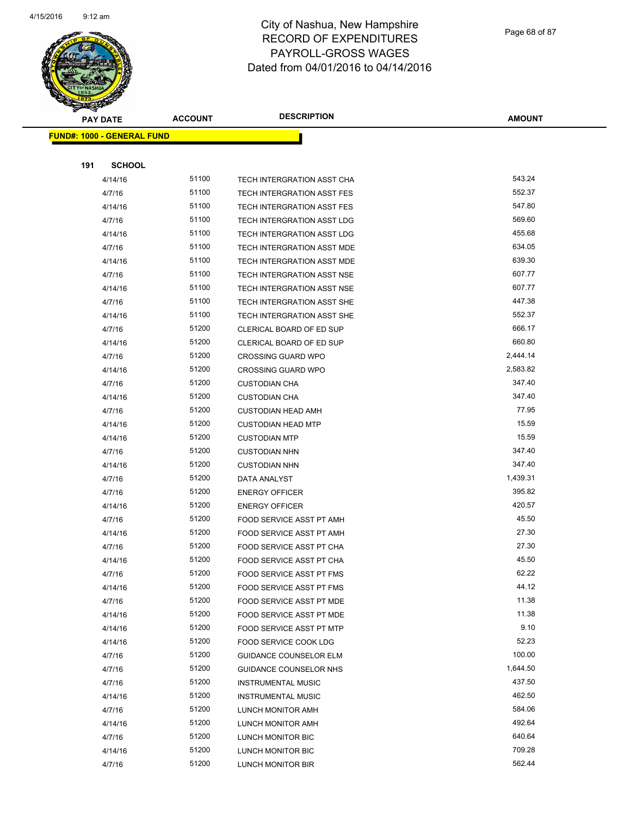

Page 68 of 87

| T<br>$\blacktriangleleft$ .<br><b>PAY DATE</b> | <b>ACCOUNT</b> | <b>DESCRIPTION</b>                                   | <b>AMOUNT</b>   |
|------------------------------------------------|----------------|------------------------------------------------------|-----------------|
| <b>FUND#: 1000 - GENERAL FUND</b>              |                |                                                      |                 |
|                                                |                |                                                      |                 |
| 191<br><b>SCHOOL</b>                           |                |                                                      |                 |
| 4/14/16                                        | 51100          | TECH INTERGRATION ASST CHA                           | 543.24          |
| 4/7/16                                         | 51100          | TECH INTERGRATION ASST FES                           | 552.37          |
| 4/14/16                                        | 51100          | TECH INTERGRATION ASST FES                           | 547.80          |
| 4/7/16                                         | 51100          | TECH INTERGRATION ASST LDG                           | 569.60          |
| 4/14/16                                        | 51100          | TECH INTERGRATION ASST LDG                           | 455.68          |
| 4/7/16                                         | 51100          | TECH INTERGRATION ASST MDE                           | 634.05          |
| 4/14/16                                        | 51100          | TECH INTERGRATION ASST MDE                           | 639.30          |
| 4/7/16                                         | 51100          | TECH INTERGRATION ASST NSE                           | 607.77          |
| 4/14/16                                        | 51100          | TECH INTERGRATION ASST NSE                           | 607.77          |
| 4/7/16                                         | 51100          | TECH INTERGRATION ASST SHE                           | 447.38          |
| 4/14/16                                        | 51100          | TECH INTERGRATION ASST SHE                           | 552.37          |
| 4/7/16                                         | 51200          | CLERICAL BOARD OF ED SUP                             | 666.17          |
| 4/14/16                                        | 51200          | CLERICAL BOARD OF ED SUP                             | 660.80          |
| 4/7/16                                         | 51200          | <b>CROSSING GUARD WPO</b>                            | 2,444.14        |
| 4/14/16                                        | 51200          | <b>CROSSING GUARD WPO</b>                            | 2,583.82        |
| 4/7/16                                         | 51200          | <b>CUSTODIAN CHA</b>                                 | 347.40          |
| 4/14/16                                        | 51200          | <b>CUSTODIAN CHA</b>                                 | 347.40          |
| 4/7/16                                         | 51200          | <b>CUSTODIAN HEAD AMH</b>                            | 77.95           |
| 4/14/16                                        | 51200          | <b>CUSTODIAN HEAD MTP</b>                            | 15.59           |
| 4/14/16                                        | 51200          | <b>CUSTODIAN MTP</b>                                 | 15.59           |
| 4/7/16                                         | 51200          | <b>CUSTODIAN NHN</b>                                 | 347.40          |
| 4/14/16                                        | 51200          | <b>CUSTODIAN NHN</b>                                 | 347.40          |
| 4/7/16                                         | 51200          | DATA ANALYST                                         | 1,439.31        |
| 4/7/16                                         | 51200          | <b>ENERGY OFFICER</b>                                | 395.82          |
| 4/14/16                                        | 51200<br>51200 | <b>ENERGY OFFICER</b>                                | 420.57<br>45.50 |
| 4/7/16<br>4/14/16                              | 51200          | FOOD SERVICE ASST PT AMH<br>FOOD SERVICE ASST PT AMH | 27.30           |
| 4/7/16                                         | 51200          | FOOD SERVICE ASST PT CHA                             | 27.30           |
| 4/14/16                                        | 51200          | FOOD SERVICE ASST PT CHA                             | 45.50           |
| 4/7/16                                         | 51200          | FOOD SERVICE ASST PT FMS                             | 62.22           |
| 4/14/16                                        | 51200          | FOOD SERVICE ASST PT FMS                             | 44.12           |
| 4/7/16                                         | 51200          | FOOD SERVICE ASST PT MDE                             | 11.38           |
| 4/14/16                                        | 51200          | FOOD SERVICE ASST PT MDE                             | 11.38           |
| 4/14/16                                        | 51200          | FOOD SERVICE ASST PT MTP                             | 9.10            |
| 4/14/16                                        | 51200          | FOOD SERVICE COOK LDG                                | 52.23           |
| 4/7/16                                         | 51200          | <b>GUIDANCE COUNSELOR ELM</b>                        | 100.00          |
| 4/7/16                                         | 51200          | <b>GUIDANCE COUNSELOR NHS</b>                        | 1,644.50        |
| 4/7/16                                         | 51200          | <b>INSTRUMENTAL MUSIC</b>                            | 437.50          |
| 4/14/16                                        | 51200          | <b>INSTRUMENTAL MUSIC</b>                            | 462.50          |
| 4/7/16                                         | 51200          | LUNCH MONITOR AMH                                    | 584.06          |
| 4/14/16                                        | 51200          | LUNCH MONITOR AMH                                    | 492.64          |
| 4/7/16                                         | 51200          | LUNCH MONITOR BIC                                    | 640.64          |
| 4/14/16                                        | 51200          | LUNCH MONITOR BIC                                    | 709.28          |
| 4/7/16                                         | 51200          | LUNCH MONITOR BIR                                    | 562.44          |
|                                                |                |                                                      |                 |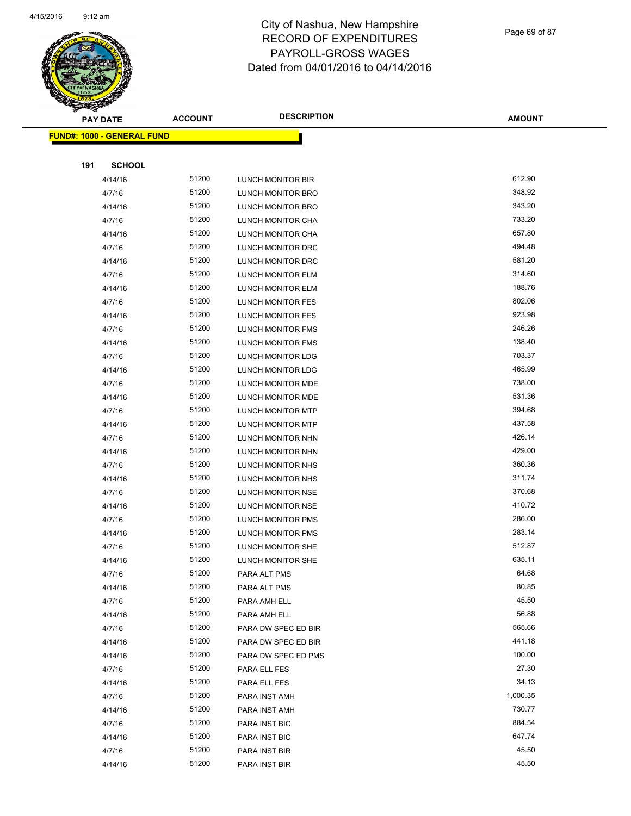

Page 69 of 87

| <b>Anthony</b><br><b>PAY DATE</b> | <b>ACCOUNT</b> | <b>DESCRIPTION</b>       | <b>AMOUNT</b> |
|-----------------------------------|----------------|--------------------------|---------------|
| <b>FUND#: 1000 - GENERAL FUND</b> |                |                          |               |
|                                   |                |                          |               |
| 191<br><b>SCHOOL</b>              |                |                          |               |
| 4/14/16                           | 51200          | LUNCH MONITOR BIR        | 612.90        |
| 4/7/16                            | 51200          | LUNCH MONITOR BRO        | 348.92        |
| 4/14/16                           | 51200          | LUNCH MONITOR BRO        | 343.20        |
| 4/7/16                            | 51200          | LUNCH MONITOR CHA        | 733.20        |
| 4/14/16                           | 51200          | LUNCH MONITOR CHA        | 657.80        |
| 4/7/16                            | 51200          | LUNCH MONITOR DRC        | 494.48        |
| 4/14/16                           | 51200          | LUNCH MONITOR DRC        | 581.20        |
| 4/7/16                            | 51200          | LUNCH MONITOR ELM        | 314.60        |
| 4/14/16                           | 51200          | LUNCH MONITOR ELM        | 188.76        |
| 4/7/16                            | 51200          | <b>LUNCH MONITOR FES</b> | 802.06        |
| 4/14/16                           | 51200          | <b>LUNCH MONITOR FES</b> | 923.98        |
| 4/7/16                            | 51200          | LUNCH MONITOR FMS        | 246.26        |
| 4/14/16                           | 51200          | LUNCH MONITOR FMS        | 138.40        |
| 4/7/16                            | 51200          | LUNCH MONITOR LDG        | 703.37        |
| 4/14/16                           | 51200          | LUNCH MONITOR LDG        | 465.99        |
| 4/7/16                            | 51200          | LUNCH MONITOR MDE        | 738.00        |
| 4/14/16                           | 51200          | LUNCH MONITOR MDE        | 531.36        |
| 4/7/16                            | 51200          | LUNCH MONITOR MTP        | 394.68        |
| 4/14/16                           | 51200          | LUNCH MONITOR MTP        | 437.58        |
| 4/7/16                            | 51200          | LUNCH MONITOR NHN        | 426.14        |
| 4/14/16                           | 51200          | LUNCH MONITOR NHN        | 429.00        |
| 4/7/16                            | 51200          | LUNCH MONITOR NHS        | 360.36        |
| 4/14/16                           | 51200          | LUNCH MONITOR NHS        | 311.74        |
| 4/7/16                            | 51200          | LUNCH MONITOR NSE        | 370.68        |
| 4/14/16                           | 51200          | LUNCH MONITOR NSE        | 410.72        |
| 4/7/16                            | 51200          | <b>LUNCH MONITOR PMS</b> | 286.00        |
| 4/14/16                           | 51200          | LUNCH MONITOR PMS        | 283.14        |
| 4/7/16                            | 51200          | LUNCH MONITOR SHE        | 512.87        |
| 4/14/16                           | 51200          | LUNCH MONITOR SHE        | 635.11        |
| 4/7/16                            | 51200          | PARA ALT PMS             | 64.68         |
| 4/14/16                           | 51200          | PARA ALT PMS             | 80.85         |
| 4/7/16                            | 51200          | PARA AMH ELL             | 45.50         |
| 4/14/16                           | 51200          | PARA AMH ELL             | 56.88         |
| 4/7/16                            | 51200          | PARA DW SPEC ED BIR      | 565.66        |
| 4/14/16                           | 51200          | PARA DW SPEC ED BIR      | 441.18        |
| 4/14/16                           | 51200          | PARA DW SPEC ED PMS      | 100.00        |
| 4/7/16                            | 51200          | PARA ELL FES             | 27.30         |
| 4/14/16                           | 51200          | PARA ELL FES             | 34.13         |
| 4/7/16                            | 51200          | PARA INST AMH            | 1,000.35      |
| 4/14/16                           | 51200          | PARA INST AMH            | 730.77        |
| 4/7/16                            | 51200          | PARA INST BIC            | 884.54        |
| 4/14/16                           | 51200          | PARA INST BIC            | 647.74        |
| 4/7/16                            | 51200          | PARA INST BIR            | 45.50         |
| 4/14/16                           | 51200          | PARA INST BIR            | 45.50         |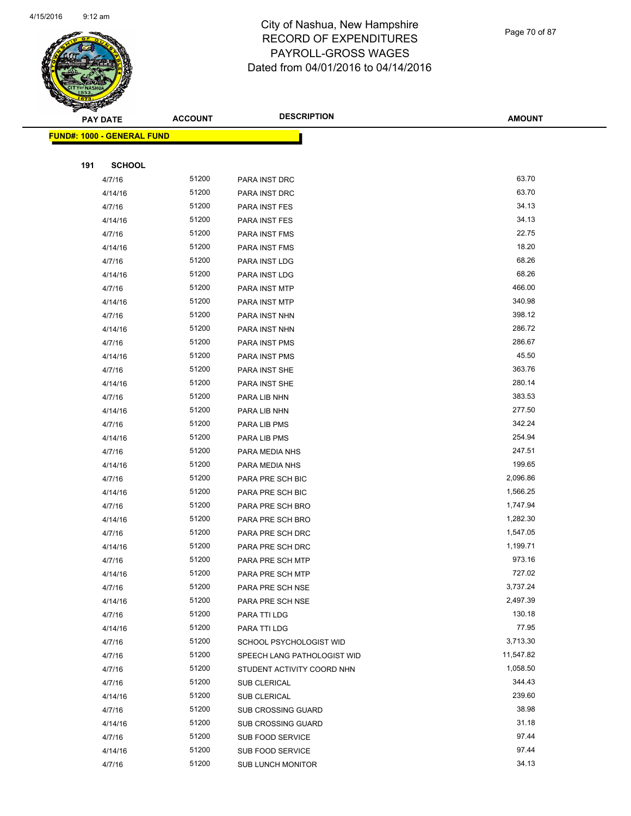

Page 70 of 87

|     | <b>PAY DATE</b>                   | <b>ACCOUNT</b> | <b>DESCRIPTION</b>          | <b>AMOUNT</b> |
|-----|-----------------------------------|----------------|-----------------------------|---------------|
|     | <b>FUND#: 1000 - GENERAL FUND</b> |                |                             |               |
|     |                                   |                |                             |               |
| 191 | <b>SCHOOL</b>                     |                |                             |               |
|     | 4/7/16                            | 51200          | PARA INST DRC               | 63.70         |
|     | 4/14/16                           | 51200          | PARA INST DRC               | 63.70         |
|     | 4/7/16                            | 51200          | PARA INST FES               | 34.13         |
|     | 4/14/16                           | 51200          | PARA INST FES               | 34.13         |
|     | 4/7/16                            | 51200          | PARA INST FMS               | 22.75         |
|     | 4/14/16                           | 51200          | PARA INST FMS               | 18.20         |
|     | 4/7/16                            | 51200          | PARA INST LDG               | 68.26         |
|     | 4/14/16                           | 51200          | PARA INST LDG               | 68.26         |
|     | 4/7/16                            | 51200          | PARA INST MTP               | 466.00        |
|     | 4/14/16                           | 51200          | PARA INST MTP               | 340.98        |
|     | 4/7/16                            | 51200          | PARA INST NHN               | 398.12        |
|     | 4/14/16                           | 51200          | PARA INST NHN               | 286.72        |
|     | 4/7/16                            | 51200          | PARA INST PMS               | 286.67        |
|     | 4/14/16                           | 51200          | PARA INST PMS               | 45.50         |
|     | 4/7/16                            | 51200          | PARA INST SHE               | 363.76        |
|     | 4/14/16                           | 51200          | PARA INST SHE               | 280.14        |
|     | 4/7/16                            | 51200          | PARA LIB NHN                | 383.53        |
|     | 4/14/16                           | 51200          | PARA LIB NHN                | 277.50        |
|     | 4/7/16                            | 51200          | PARA LIB PMS                | 342.24        |
|     | 4/14/16                           | 51200          | PARA LIB PMS                | 254.94        |
|     | 4/7/16                            | 51200          | PARA MEDIA NHS              | 247.51        |
|     | 4/14/16                           | 51200          | PARA MEDIA NHS              | 199.65        |
|     | 4/7/16                            | 51200          | PARA PRE SCH BIC            | 2,096.86      |
|     | 4/14/16                           | 51200          | PARA PRE SCH BIC            | 1,566.25      |
|     | 4/7/16                            | 51200          | PARA PRE SCH BRO            | 1,747.94      |
|     | 4/14/16                           | 51200          | PARA PRE SCH BRO            | 1,282.30      |
|     | 4/7/16                            | 51200          | PARA PRE SCH DRC            | 1,547.05      |
|     | 4/14/16                           | 51200          | PARA PRE SCH DRC            | 1,199.71      |
|     | 4/7/16                            | 51200          | PARA PRE SCH MTP            | 973.16        |
|     | 4/14/16                           | 51200          | PARA PRE SCH MTP            | 727.02        |
|     | 4/7/16                            | 51200          | PARA PRE SCH NSE            | 3,737.24      |
|     | 4/14/16                           | 51200          | PARA PRE SCH NSE            | 2,497.39      |
|     | 4/7/16                            | 51200          | PARA TTI LDG                | 130.18        |
|     | 4/14/16                           | 51200          | PARA TTI LDG                | 77.95         |
|     | 4/7/16                            | 51200          | SCHOOL PSYCHOLOGIST WID     | 3,713.30      |
|     | 4/7/16                            | 51200          | SPEECH LANG PATHOLOGIST WID | 11,547.82     |
|     | 4/7/16                            | 51200          | STUDENT ACTIVITY COORD NHN  | 1,058.50      |
|     | 4/7/16                            | 51200          | SUB CLERICAL                | 344.43        |
|     | 4/14/16                           | 51200          | SUB CLERICAL                | 239.60        |
|     | 4/7/16                            | 51200          | SUB CROSSING GUARD          | 38.98         |
|     | 4/14/16                           | 51200          | SUB CROSSING GUARD          | 31.18         |
|     | 4/7/16                            | 51200          | SUB FOOD SERVICE            | 97.44         |
|     | 4/14/16                           | 51200          | <b>SUB FOOD SERVICE</b>     | 97.44         |
|     | 4/7/16                            | 51200          | <b>SUB LUNCH MONITOR</b>    | 34.13         |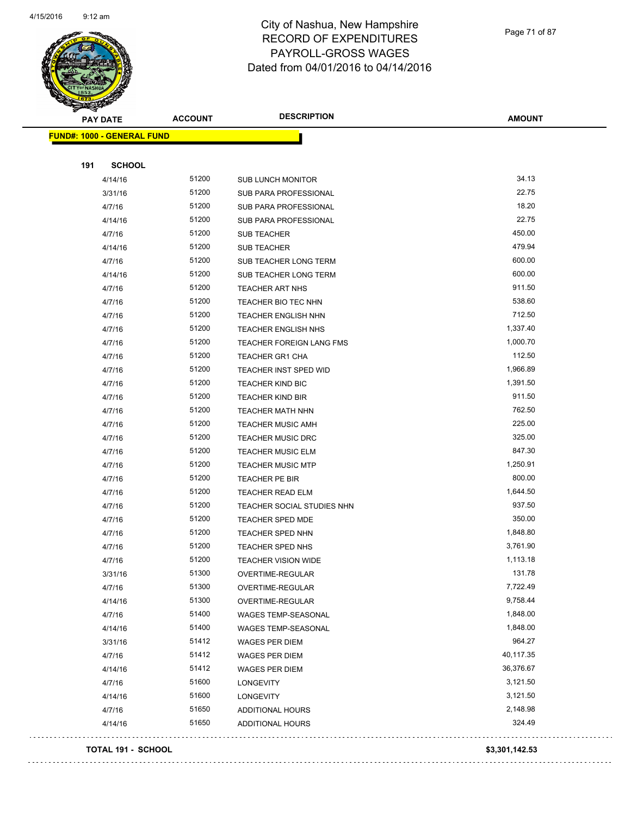

Page 71 of 87

| <b>PAY DATE</b>                   | <b>ACCOUNT</b> | <b>DESCRIPTION</b>              | <b>AMOUNT</b> |
|-----------------------------------|----------------|---------------------------------|---------------|
| <b>FUND#: 1000 - GENERAL FUND</b> |                |                                 |               |
|                                   |                |                                 |               |
| 191                               | <b>SCHOOL</b>  |                                 |               |
| 4/14/16                           | 51200          | <b>SUB LUNCH MONITOR</b>        | 34.13         |
| 3/31/16                           | 51200          | SUB PARA PROFESSIONAL           | 22.75         |
| 4/7/16                            | 51200          | <b>SUB PARA PROFESSIONAL</b>    | 18.20         |
| 4/14/16                           | 51200          | SUB PARA PROFESSIONAL           | 22.75         |
| 4/7/16                            | 51200          | SUB TEACHER                     | 450.00        |
| 4/14/16                           | 51200          | SUB TEACHER                     | 479.94        |
| 4/7/16                            | 51200          | SUB TEACHER LONG TERM           | 600.00        |
| 4/14/16                           | 51200          | SUB TEACHER LONG TERM           | 600.00        |
| 4/7/16                            | 51200          | TEACHER ART NHS                 | 911.50        |
| 4/7/16                            | 51200          | TEACHER BIO TEC NHN             | 538.60        |
| 4/7/16                            | 51200          | <b>TEACHER ENGLISH NHN</b>      | 712.50        |
| 4/7/16                            | 51200          | <b>TEACHER ENGLISH NHS</b>      | 1,337.40      |
| 4/7/16                            | 51200          | <b>TEACHER FOREIGN LANG FMS</b> | 1,000.70      |
| 4/7/16                            | 51200          | <b>TEACHER GR1 CHA</b>          | 112.50        |
| 4/7/16                            | 51200          | TEACHER INST SPED WID           | 1,966.89      |
| 4/7/16                            | 51200          | <b>TEACHER KIND BIC</b>         | 1,391.50      |
| 4/7/16                            | 51200          | <b>TEACHER KIND BIR</b>         | 911.50        |
| 4/7/16                            | 51200          | <b>TEACHER MATH NHN</b>         | 762.50        |
| 4/7/16                            | 51200          | <b>TEACHER MUSIC AMH</b>        | 225.00        |
| 4/7/16                            | 51200          | <b>TEACHER MUSIC DRC</b>        | 325.00        |
| 4/7/16                            | 51200          | <b>TEACHER MUSIC ELM</b>        | 847.30        |
| 4/7/16                            | 51200          | <b>TEACHER MUSIC MTP</b>        | 1,250.91      |
| 4/7/16                            | 51200          | TEACHER PE BIR                  | 800.00        |
| 4/7/16                            | 51200          | <b>TEACHER READ ELM</b>         | 1,644.50      |
| 4/7/16                            | 51200          | TEACHER SOCIAL STUDIES NHN      | 937.50        |
| 4/7/16                            | 51200          | <b>TEACHER SPED MDE</b>         | 350.00        |
| 4/7/16                            | 51200          | <b>TEACHER SPED NHN</b>         | 1,848.80      |
| 4/7/16                            | 51200          | TEACHER SPED NHS                | 3,761.90      |
| 4/7/16                            | 51200          | <b>TEACHER VISION WIDE</b>      | 1,113.18      |
| 3/31/16                           | 51300          | OVERTIME-REGULAR                | 131.78        |
| 4/7/16                            | 51300          | OVERTIME-REGULAR                | 7,722.49      |
| 4/14/16                           | 51300          | OVERTIME-REGULAR                | 9,758.44      |
| 4/7/16                            | 51400          | WAGES TEMP-SEASONAL             | 1,848.00      |
| 4/14/16                           | 51400          | WAGES TEMP-SEASONAL             | 1,848.00      |
| 3/31/16                           | 51412          | WAGES PER DIEM                  | 964.27        |
| 4/7/16                            | 51412          | <b>WAGES PER DIEM</b>           | 40,117.35     |
| 4/14/16                           | 51412          | <b>WAGES PER DIEM</b>           | 36,376.67     |
| 4/7/16                            | 51600          | LONGEVITY                       | 3,121.50      |
| 4/14/16                           | 51600          | LONGEVITY                       | 3,121.50      |
| 4/7/16                            | 51650          | <b>ADDITIONAL HOURS</b>         | 2,148.98      |
| 4/14/16                           | 51650          | <b>ADDITIONAL HOURS</b>         | 324.49        |
|                                   |                |                                 |               |

#### **TOTAL 191 - SCHOOL \$3,301,142.53**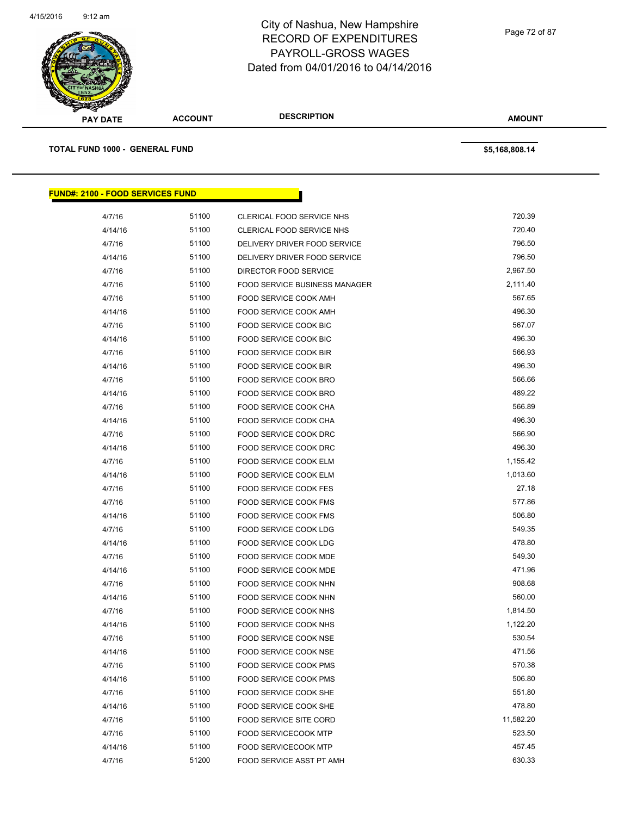

| <b>PAY DATE</b>                         | <b>ACCOUNT</b> | <b>DESCRIPTION</b>                   | <b>AMOUNT</b>  |  |
|-----------------------------------------|----------------|--------------------------------------|----------------|--|
| <b>TOTAL FUND 1000 - GENERAL FUND</b>   |                |                                      | \$5,168,808.14 |  |
| <b>FUND#: 2100 - FOOD SERVICES FUND</b> |                |                                      |                |  |
| 4/7/16                                  | 51100          | CLERICAL FOOD SERVICE NHS            | 720.39         |  |
| 4/14/16                                 | 51100          | CLERICAL FOOD SERVICE NHS            | 720.40         |  |
| 4/7/16                                  | 51100          | DELIVERY DRIVER FOOD SERVICE         | 796.50         |  |
| 4/14/16                                 | 51100          | DELIVERY DRIVER FOOD SERVICE         | 796.50         |  |
| 4/7/16                                  | 51100          | DIRECTOR FOOD SERVICE                | 2,967.50       |  |
| 4/7/16                                  | 51100          | <b>FOOD SERVICE BUSINESS MANAGER</b> | 2,111.40       |  |
| 4/7/16                                  | 51100          | FOOD SERVICE COOK AMH                | 567.65         |  |
| 4/14/16                                 | 51100          | <b>FOOD SERVICE COOK AMH</b>         | 496.30         |  |
| 4/7/16                                  | 51100          | FOOD SERVICE COOK BIC                | 567.07         |  |
| 4/14/16                                 | 51100          | FOOD SERVICE COOK BIC                | 496.30         |  |
| 4/7/16                                  | 51100          | FOOD SERVICE COOK BIR                | 566.93         |  |
| 4/14/16                                 | 51100          | FOOD SERVICE COOK BIR                | 496.30         |  |
| 4/7/16                                  | 51100          | FOOD SERVICE COOK BRO                | 566.66         |  |
| 4/14/16                                 | 51100          | FOOD SERVICE COOK BRO                | 489.22         |  |
| 4/7/16                                  | 51100          | <b>FOOD SERVICE COOK CHA</b>         | 566.89         |  |
| 4/14/16                                 | 51100          | FOOD SERVICE COOK CHA                | 496.30         |  |
| 4/7/16                                  | 51100          | <b>FOOD SERVICE COOK DRC</b>         | 566.90         |  |
| 4/14/16                                 | 51100          | FOOD SERVICE COOK DRC                | 496.30         |  |
| 4/7/16                                  | 51100          | FOOD SERVICE COOK ELM                | 1,155.42       |  |
| 4/14/16                                 | 51100          | FOOD SERVICE COOK ELM                | 1,013.60       |  |
| 4/7/16                                  | 51100          | FOOD SERVICE COOK FES                | 27.18          |  |
| 4/7/16                                  | 51100          | <b>FOOD SERVICE COOK FMS</b>         | 577.86         |  |
| 4/14/16                                 | 51100          | FOOD SERVICE COOK FMS                | 506.80         |  |
| 4/7/16                                  | 51100          | FOOD SERVICE COOK LDG                | 549.35         |  |
| 4/14/16                                 | 51100          | FOOD SERVICE COOK LDG                | 478.80         |  |
| 4/7/16                                  | 51100          | FOOD SERVICE COOK MDE                | 549.30         |  |
| 4/14/16                                 | 51100          | <b>FOOD SERVICE COOK MDE</b>         | 471.96         |  |
| 4/7/16                                  | 51100          | <b>FOOD SERVICE COOK NHN</b>         | 908.68         |  |

4/14/16 51100 FOOD SERVICE COOK NHN 560.00 4/7/16 51100 FOOD SERVICE COOK NHS 1,814.50 4/14/16 51100 FOOD SERVICE COOK NHS 1,122.20 4/7/16 51100 FOOD SERVICE COOK NSE 530.54 4/14/16 51100 FOOD SERVICE COOK NSE 471.56 4/7/16 51100 FOOD SERVICE COOK PMS 570.38 4/14/16 51100 FOOD SERVICE COOK PMS 506.80 A/7/16 51100 FOOD SERVICE COOK SHE 551.80 4/14/16 51100 FOOD SERVICE COOK SHE 478.80 4/7/16 51100 FOOD SERVICE SITE CORD 11,582.20 4/7/16 51100 FOOD SERVICECOOK MTP 523.50 4/14/16 51100 FOOD SERVICECOOK MTP 457.45 4/7/16 51200 FOOD SERVICE ASST PT AMH 630.33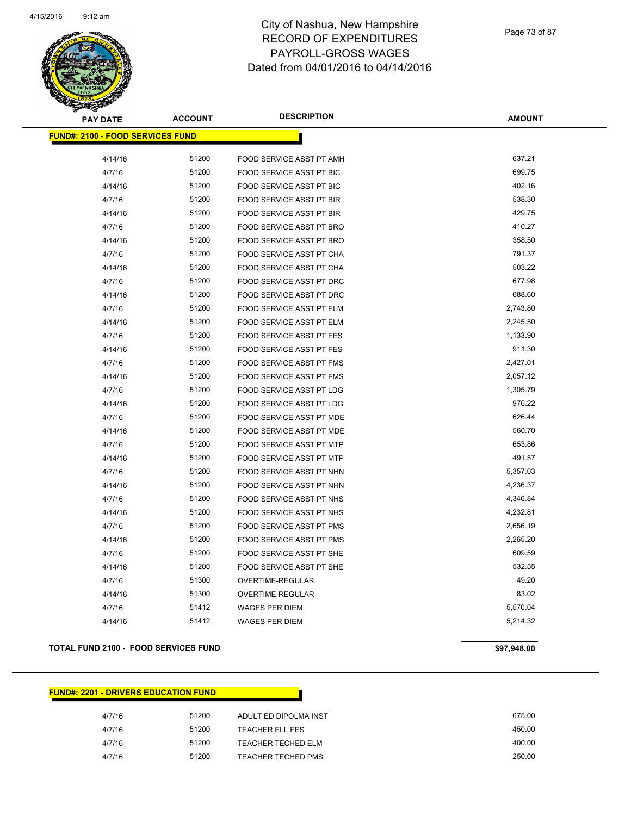

Page 73 of 87

| <b>PAY DATE</b>                         | <b>ACCOUNT</b> | <b>DESCRIPTION</b>       | <b>AMOUNT</b> |
|-----------------------------------------|----------------|--------------------------|---------------|
| <b>FUND#: 2100 - FOOD SERVICES FUND</b> |                |                          |               |
|                                         |                |                          |               |
| 4/14/16                                 | 51200          | FOOD SERVICE ASST PT AMH | 637.21        |
| 4/7/16                                  | 51200          | FOOD SERVICE ASST PT BIC | 699.75        |
| 4/14/16                                 | 51200          | FOOD SERVICE ASST PT BIC | 402.16        |
| 4/7/16                                  | 51200          | FOOD SERVICE ASST PT BIR | 538.30        |
| 4/14/16                                 | 51200          | FOOD SERVICE ASST PT BIR | 429.75        |
| 4/7/16                                  | 51200          | FOOD SERVICE ASST PT BRO | 410.27        |
| 4/14/16                                 | 51200          | FOOD SERVICE ASST PT BRO | 358.50        |
| 4/7/16                                  | 51200          | FOOD SERVICE ASST PT CHA | 791.37        |
| 4/14/16                                 | 51200          | FOOD SERVICE ASST PT CHA | 503.22        |
| 4/7/16                                  | 51200          | FOOD SERVICE ASST PT DRC | 677.98        |
| 4/14/16                                 | 51200          | FOOD SERVICE ASST PT DRC | 688.60        |
| 4/7/16                                  | 51200          | FOOD SERVICE ASST PT ELM | 2,743.80      |
| 4/14/16                                 | 51200          | FOOD SERVICE ASST PT ELM | 2,245.50      |
| 4/7/16                                  | 51200          | FOOD SERVICE ASST PT FES | 1,133.90      |
| 4/14/16                                 | 51200          | FOOD SERVICE ASST PT FES | 911.30        |
| 4/7/16                                  | 51200          | FOOD SERVICE ASST PT FMS | 2,427.01      |
| 4/14/16                                 | 51200          | FOOD SERVICE ASST PT FMS | 2,057.12      |
| 4/7/16                                  | 51200          | FOOD SERVICE ASST PT LDG | 1,305.79      |
| 4/14/16                                 | 51200          | FOOD SERVICE ASST PT LDG | 976.22        |
| 4/7/16                                  | 51200          | FOOD SERVICE ASST PT MDE | 626.44        |
| 4/14/16                                 | 51200          | FOOD SERVICE ASST PT MDE | 560.70        |
| 4/7/16                                  | 51200          | FOOD SERVICE ASST PT MTP | 653.86        |
| 4/14/16                                 | 51200          | FOOD SERVICE ASST PT MTP | 491.57        |
| 4/7/16                                  | 51200          | FOOD SERVICE ASST PT NHN | 5,357.03      |
| 4/14/16                                 | 51200          | FOOD SERVICE ASST PT NHN | 4,236.37      |
| 4/7/16                                  | 51200          | FOOD SERVICE ASST PT NHS | 4,346.84      |
| 4/14/16                                 | 51200          | FOOD SERVICE ASST PT NHS | 4,232.81      |
| 4/7/16                                  | 51200          | FOOD SERVICE ASST PT PMS | 2,656.19      |
| 4/14/16                                 | 51200          | FOOD SERVICE ASST PT PMS | 2,265.20      |
| 4/7/16                                  | 51200          | FOOD SERVICE ASST PT SHE | 609.59        |
| 4/14/16                                 | 51200          | FOOD SERVICE ASST PT SHE | 532.55        |
| 4/7/16                                  | 51300          | OVERTIME-REGULAR         | 49.20         |
| 4/14/16                                 | 51300          | OVERTIME-REGULAR         | 83.02         |
| 4/7/16                                  | 51412          | <b>WAGES PER DIEM</b>    | 5,570.04      |
| 4/14/16                                 | 51412          | <b>WAGES PER DIEM</b>    | 5,214.32      |

#### **TOTAL FUND 2100 - FOOD SERVICES FUND 697,948.00**

**FUND#: 2201 - DRIVERS EDUCATION FUND**

| FUND#: 2201 - DRIVERS EDUCATION FUND. |       |                           |        |
|---------------------------------------|-------|---------------------------|--------|
|                                       |       |                           |        |
| 4/7/16                                | 51200 | ADULT ED DIPOLMA INST     | 675.00 |
| 4/7/16                                | 51200 | <b>TEACHER ELL FES</b>    | 450.00 |
| 4/7/16                                | 51200 | TEACHER TECHED ELM        | 400.00 |
| 4/7/16                                | 51200 | <b>TEACHER TECHED PMS</b> | 250.00 |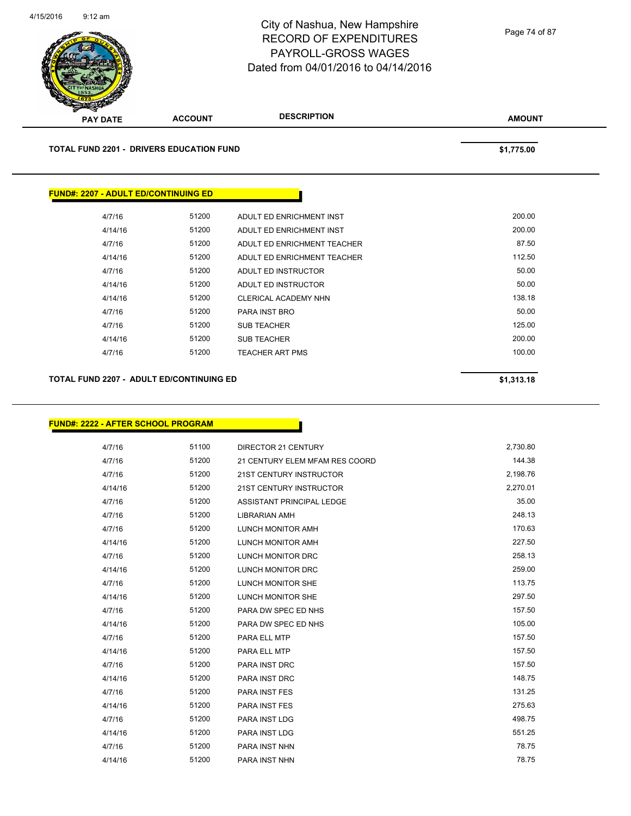**TOTAL FUND 2201 - DRIVERS EDUCATION FUND \$1,775.00** 

# **FUND#: 2207 - ADULT ED/CONTINUING ED**

| 4/7/16  | 51200 | ADULT ED ENRICHMENT INST    | 200.00 |
|---------|-------|-----------------------------|--------|
| 4/14/16 | 51200 | ADULT ED ENRICHMENT INST    | 200.00 |
| 4/7/16  | 51200 | ADULT ED ENRICHMENT TEACHER | 87.50  |
| 4/14/16 | 51200 | ADULT ED ENRICHMENT TEACHER | 112.50 |
| 4/7/16  | 51200 | ADULT ED INSTRUCTOR         | 50.00  |
| 4/14/16 | 51200 | ADULT ED INSTRUCTOR         | 50.00  |
| 4/14/16 | 51200 | CLERICAL ACADEMY NHN        | 138.18 |
| 4/7/16  | 51200 | PARA INST BRO               | 50.00  |
| 4/7/16  | 51200 | <b>SUB TEACHER</b>          | 125.00 |
| 4/14/16 | 51200 | <b>SUB TEACHER</b>          | 200.00 |
| 4/7/16  | 51200 | <b>TEACHER ART PMS</b>      | 100.00 |
|         |       |                             |        |

### **TOTAL FUND 2207 - ADULT ED/CONTINUING ED \$1,313.18**

### **FUND#: 2222 - AFTER SCHOOL PROGRAM**

| 4/7/16  | 51100 | <b>DIRECTOR 21 CENTURY</b>     | 2,730.80 |
|---------|-------|--------------------------------|----------|
| 4/7/16  | 51200 | 21 CENTURY ELEM MFAM RES COORD | 144.38   |
| 4/7/16  | 51200 | 21ST CENTURY INSTRUCTOR        | 2,198.76 |
| 4/14/16 | 51200 | 21ST CENTURY INSTRUCTOR        | 2,270.01 |
| 4/7/16  | 51200 | ASSISTANT PRINCIPAL LEDGE      | 35.00    |
| 4/7/16  | 51200 | <b>LIBRARIAN AMH</b>           | 248.13   |
| 4/7/16  | 51200 | <b>LUNCH MONITOR AMH</b>       | 170.63   |
| 4/14/16 | 51200 | <b>LUNCH MONITOR AMH</b>       | 227.50   |
| 4/7/16  | 51200 | LUNCH MONITOR DRC              | 258.13   |
| 4/14/16 | 51200 | LUNCH MONITOR DRC              | 259.00   |
| 4/7/16  | 51200 | <b>LUNCH MONITOR SHE</b>       | 113.75   |
| 4/14/16 | 51200 | <b>LUNCH MONITOR SHE</b>       | 297.50   |
| 4/7/16  | 51200 | PARA DW SPEC ED NHS            | 157.50   |
| 4/14/16 | 51200 | PARA DW SPEC ED NHS            | 105.00   |
| 4/7/16  | 51200 | PARA ELL MTP                   | 157.50   |
| 4/14/16 | 51200 | PARA ELL MTP                   | 157.50   |
| 4/7/16  | 51200 | PARA INST DRC                  | 157.50   |
| 4/14/16 | 51200 | <b>PARA INST DRC</b>           | 148.75   |
| 4/7/16  | 51200 | <b>PARA INST FES</b>           | 131.25   |
| 4/14/16 | 51200 | <b>PARA INST FES</b>           | 275.63   |
| 4/7/16  | 51200 | <b>PARA INST LDG</b>           | 498.75   |
| 4/14/16 | 51200 | PARA INST LDG                  | 551.25   |
| 4/7/16  | 51200 | PARA INST NHN                  | 78.75    |
| 4/14/16 | 51200 | PARA INST NHN                  | 78.75    |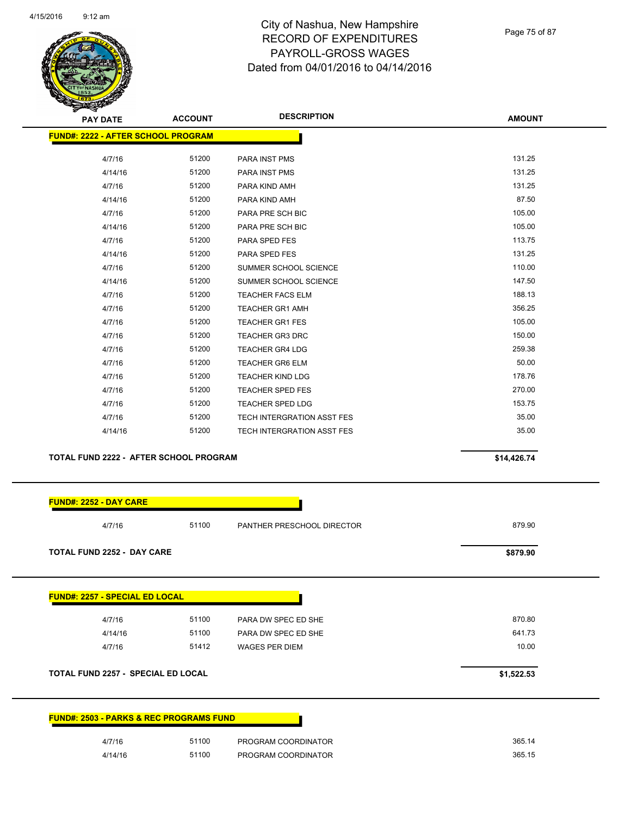

Page 75 of 87

| <b>PAY DATE</b>                               | <b>ACCOUNT</b> | <b>DESCRIPTION</b>         | <b>AMOUNT</b> |
|-----------------------------------------------|----------------|----------------------------|---------------|
| <b>FUND#: 2222 - AFTER SCHOOL PROGRAM</b>     |                |                            |               |
|                                               |                |                            |               |
| 4/7/16                                        | 51200          | PARA INST PMS              | 131.25        |
| 4/14/16                                       | 51200          | <b>PARA INST PMS</b>       | 131.25        |
| 4/7/16                                        | 51200          | PARA KIND AMH              | 131.25        |
| 4/14/16                                       | 51200          | PARA KIND AMH              | 87.50         |
| 4/7/16                                        | 51200          | PARA PRE SCH BIC           | 105.00        |
| 4/14/16                                       | 51200          | PARA PRE SCH BIC           | 105.00        |
| 4/7/16                                        | 51200          | PARA SPED FES              | 113.75        |
| 4/14/16                                       | 51200          | PARA SPED FES              | 131.25        |
| 4/7/16                                        | 51200          | SUMMER SCHOOL SCIENCE      | 110.00        |
| 4/14/16                                       | 51200          | SUMMER SCHOOL SCIENCE      | 147.50        |
| 4/7/16                                        | 51200          | <b>TEACHER FACS ELM</b>    | 188.13        |
| 4/7/16                                        | 51200          | <b>TEACHER GR1 AMH</b>     | 356.25        |
| 4/7/16                                        | 51200          | <b>TEACHER GR1 FES</b>     | 105.00        |
| 4/7/16                                        | 51200          | <b>TEACHER GR3 DRC</b>     | 150.00        |
| 4/7/16                                        | 51200          | <b>TEACHER GR4 LDG</b>     | 259.38        |
| 4/7/16                                        | 51200          | <b>TEACHER GR6 ELM</b>     | 50.00         |
| 4/7/16                                        | 51200          | <b>TEACHER KIND LDG</b>    | 178.76        |
| 4/7/16                                        | 51200          | <b>TEACHER SPED FES</b>    | 270.00        |
| 4/7/16                                        | 51200          | <b>TEACHER SPED LDG</b>    | 153.75        |
| 4/7/16                                        | 51200          | TECH INTERGRATION ASST FES | 35.00         |
| 4/14/16                                       | 51200          | TECH INTERGRATION ASST FES | 35.00         |
| <b>TOTAL FUND 2222 - AFTER SCHOOL PROGRAM</b> |                |                            | \$14,426.74   |
|                                               |                |                            |               |

| <b>TOTAL FUND 2252 - DAY CARE</b>         |       |                       | \$879.90   |
|-------------------------------------------|-------|-----------------------|------------|
| <b>FUND#: 2257 - SPECIAL ED LOCAL</b>     |       |                       |            |
| 4/7/16                                    | 51100 | PARA DW SPEC ED SHE   | 870.80     |
| 4/14/16                                   | 51100 | PARA DW SPEC ED SHE   | 641.73     |
| 4/7/16                                    | 51412 | <b>WAGES PER DIEM</b> | 10.00      |
| <b>TOTAL FUND 2257 - SPECIAL ED LOCAL</b> |       |                       | \$1,522.53 |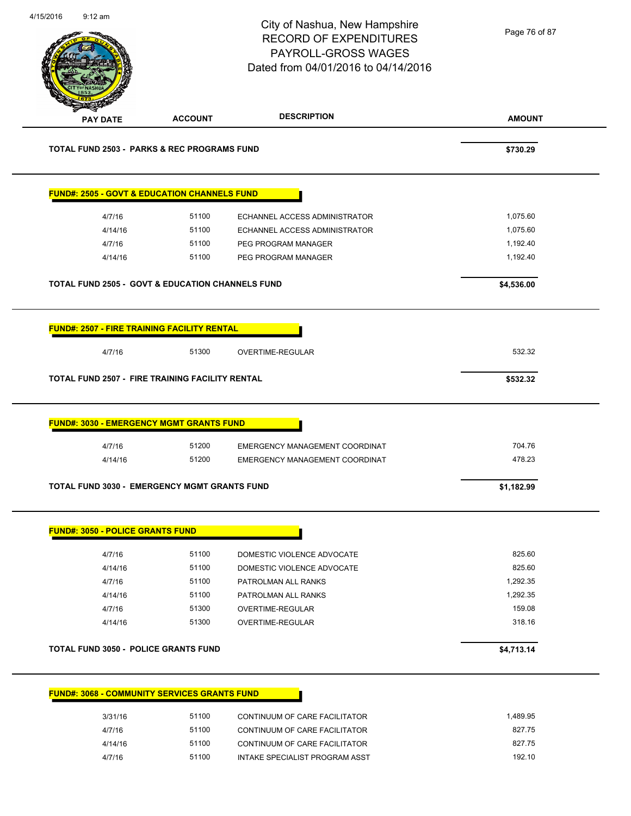| 4/15/2016 | $9:12$ am                               |                                                                   | City of Nashua, New Hampshire<br><b>RECORD OF EXPENDITURES</b><br>PAYROLL-GROSS WAGES<br>Dated from 04/01/2016 to 04/14/2016 | Page 76 of 87    |
|-----------|-----------------------------------------|-------------------------------------------------------------------|------------------------------------------------------------------------------------------------------------------------------|------------------|
|           | <b>PAY DATE</b>                         | <b>ACCOUNT</b>                                                    | <b>DESCRIPTION</b>                                                                                                           | <b>AMOUNT</b>    |
|           |                                         | <b>TOTAL FUND 2503 - PARKS &amp; REC PROGRAMS FUND</b>            |                                                                                                                              | \$730.29         |
|           |                                         | <b>FUND#: 2505 - GOVT &amp; EDUCATION CHANNELS FUND</b>           |                                                                                                                              |                  |
|           | 4/7/16                                  | 51100                                                             | ECHANNEL ACCESS ADMINISTRATOR                                                                                                | 1,075.60         |
|           | 4/14/16                                 | 51100                                                             | ECHANNEL ACCESS ADMINISTRATOR                                                                                                | 1,075.60         |
|           | 4/7/16                                  | 51100                                                             | PEG PROGRAM MANAGER                                                                                                          | 1,192.40         |
|           | 4/14/16                                 | 51100                                                             | PEG PROGRAM MANAGER                                                                                                          | 1,192.40         |
|           |                                         | <b>TOTAL FUND 2505 - GOVT &amp; EDUCATION CHANNELS FUND</b>       |                                                                                                                              | \$4,536.00       |
|           | 4/7/16                                  | FUND#: 2507 - FIRE TRAINING FACILITY RENTAL<br>51300              | OVERTIME-REGULAR                                                                                                             | 532.32           |
|           |                                         | <b>TOTAL FUND 2507 - FIRE TRAINING FACILITY RENTAL</b>            |                                                                                                                              | \$532.32         |
|           | 4/7/16<br>4/14/16                       | <b>FUND#: 3030 - EMERGENCY MGMT GRANTS FUND</b><br>51200<br>51200 | EMERGENCY MANAGEMENT COORDINAT<br>EMERGENCY MANAGEMENT COORDINAT                                                             | 704.76<br>478.23 |
|           |                                         | <b>TOTAL FUND 3030 - EMERGENCY MGMT GRANTS FUND</b>               |                                                                                                                              | \$1,182.99       |
|           | <b>FUND#: 3050 - POLICE GRANTS FUND</b> |                                                                   |                                                                                                                              |                  |
|           | 4/7/16                                  | 51100                                                             | DOMESTIC VIOLENCE ADVOCATE                                                                                                   | 825.60           |
|           | 4/14/16                                 | 51100                                                             | DOMESTIC VIOLENCE ADVOCATE                                                                                                   | 825.60           |
|           | 4/7/16                                  | 51100                                                             | PATROLMAN ALL RANKS                                                                                                          | 1,292.35         |
|           | 4/14/16                                 | 51100                                                             | PATROLMAN ALL RANKS                                                                                                          | 1,292.35         |
|           | 4/7/16                                  | 51300                                                             | OVERTIME-REGULAR                                                                                                             | 159.08           |
|           | 4/14/16                                 | 51300                                                             | OVERTIME-REGULAR                                                                                                             | 318.16           |
|           |                                         | <b>TOTAL FUND 3050 - POLICE GRANTS FUND</b>                       |                                                                                                                              | \$4,713.14       |
|           |                                         | <b>FUND#: 3068 - COMMUNITY SERVICES GRANTS FUND</b>               |                                                                                                                              |                  |
|           | 3/31/16                                 | 51100                                                             | CONTINUUM OF CARE FACILITATOR                                                                                                | 1,489.95         |
|           | 4/7/16                                  | 51100                                                             | CONTINUUM OF CARE FACILITATOR                                                                                                | 827.75           |
|           | 4/14/16                                 | 51100                                                             | CONTINUUM OF CARE FACILITATOR                                                                                                | 827.75           |
|           | 4/7/16                                  | 51100                                                             | INTAKE SPECIALIST PROGRAM ASST                                                                                               | 192.10           |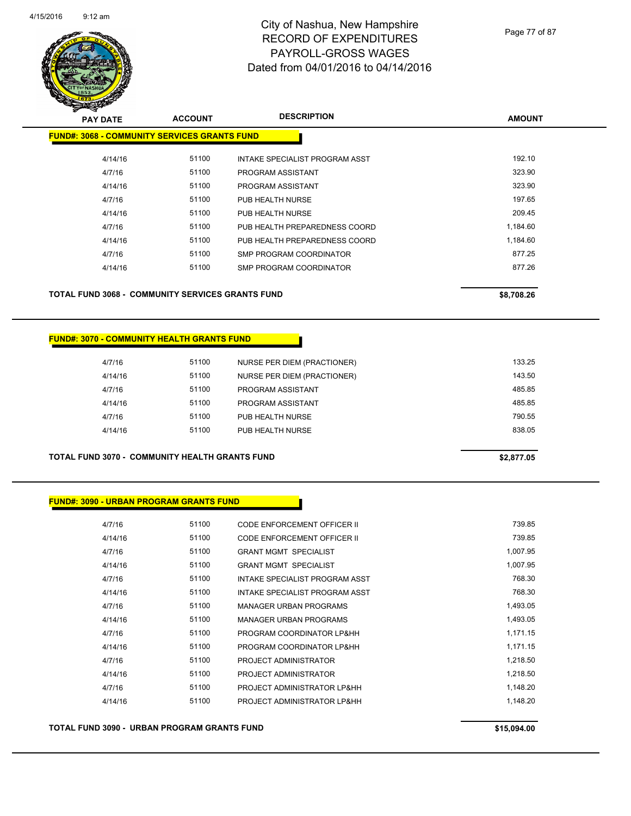

Page 77 of 87

| <b>PAY DATE</b>                                     | <b>ACCOUNT</b> | <b>DESCRIPTION</b>             | <b>AMOUNT</b> |
|-----------------------------------------------------|----------------|--------------------------------|---------------|
| <b>FUND#: 3068 - COMMUNITY SERVICES GRANTS FUND</b> |                |                                |               |
| 4/14/16                                             | 51100          | INTAKE SPECIALIST PROGRAM ASST | 192.10        |
| 4/7/16                                              | 51100          | PROGRAM ASSISTANT              | 323.90        |
| 4/14/16                                             | 51100          | PROGRAM ASSISTANT              | 323.90        |
| 4/7/16                                              | 51100          | PUB HEALTH NURSE               | 197.65        |
| 4/14/16                                             | 51100          | PUB HEALTH NURSE               | 209.45        |
| 4/7/16                                              | 51100          | PUB HEALTH PREPAREDNESS COORD  | 1,184.60      |
| 4/14/16                                             | 51100          | PUB HEALTH PREPAREDNESS COORD  | 1,184.60      |
| 4/7/16                                              | 51100          | SMP PROGRAM COORDINATOR        | 877.25        |
| 4/14/16                                             | 51100          | SMP PROGRAM COORDINATOR        | 877.26        |

#### **FUND#: 3070 - COMMUNITY HEALTH GRANTS FUND**

| 4/7/16  | 51100 | NURSE PER DIEM (PRACTIONER) | 133.25 |
|---------|-------|-----------------------------|--------|
| 4/14/16 | 51100 | NURSE PER DIEM (PRACTIONER) | 143.50 |
| 4/7/16  | 51100 | PROGRAM ASSISTANT           | 485.85 |
| 4/14/16 | 51100 | PROGRAM ASSISTANT           | 485.85 |
| 4/7/16  | 51100 | PUB HEALTH NURSE            | 790.55 |
| 4/14/16 | 51100 | PUB HEALTH NURSE            | 838.05 |
|         |       |                             |        |
|         |       |                             |        |

**TOTAL FUND 3070 - COMMUNITY HEALTH GRANTS FUND \$2,877.05** 

**FUND#: 3090 - URBAN PROGRAM GRANTS FUND**

| 4/7/16  | 51100 | CODE ENFORCEMENT OFFICER II    | 739.85   |
|---------|-------|--------------------------------|----------|
| 4/14/16 | 51100 | CODE ENFORCEMENT OFFICER II    | 739.85   |
| 4/7/16  | 51100 | <b>GRANT MGMT SPECIALIST</b>   | 1,007.95 |
| 4/14/16 | 51100 | <b>GRANT MGMT SPECIALIST</b>   | 1,007.95 |
| 4/7/16  | 51100 | INTAKE SPECIALIST PROGRAM ASST | 768.30   |
| 4/14/16 | 51100 | INTAKE SPECIALIST PROGRAM ASST | 768.30   |
| 4/7/16  | 51100 | <b>MANAGER URBAN PROGRAMS</b>  | 1,493.05 |
| 4/14/16 | 51100 | MANAGER URBAN PROGRAMS         | 1,493.05 |
| 4/7/16  | 51100 | PROGRAM COORDINATOR LP&HH      | 1,171.15 |
| 4/14/16 | 51100 | PROGRAM COORDINATOR LP&HH      | 1.171.15 |
| 4/7/16  | 51100 | PROJECT ADMINISTRATOR          | 1,218.50 |
| 4/14/16 | 51100 | PROJECT ADMINISTRATOR          | 1,218.50 |
| 4/7/16  | 51100 | PROJECT ADMINISTRATOR LP&HH    | 1.148.20 |
| 4/14/16 | 51100 | PROJECT ADMINISTRATOR LP&HH    | 1,148.20 |
|         |       |                                |          |

**TOTAL FUND 3090 - URBAN PROGRAM GRANTS FUND \$15,094.00**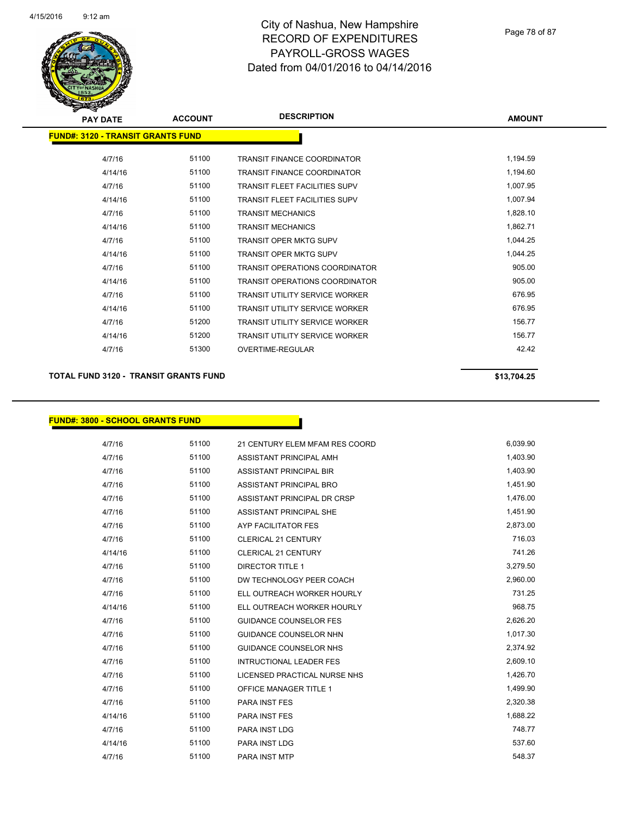

| $\tilde{\phantom{a}}$                    |                |                                       |               |
|------------------------------------------|----------------|---------------------------------------|---------------|
| <b>PAY DATE</b>                          | <b>ACCOUNT</b> | <b>DESCRIPTION</b>                    | <b>AMOUNT</b> |
| <b>FUND#: 3120 - TRANSIT GRANTS FUND</b> |                |                                       |               |
| 4/7/16                                   | 51100          | <b>TRANSIT FINANCE COORDINATOR</b>    | 1,194.59      |
| 4/14/16                                  | 51100          | <b>TRANSIT FINANCE COORDINATOR</b>    | 1,194.60      |
| 4/7/16                                   | 51100          | <b>TRANSIT FLEET FACILITIES SUPV</b>  | 1,007.95      |
| 4/14/16                                  | 51100          | <b>TRANSIT FLEET FACILITIES SUPV</b>  | 1,007.94      |
| 4/7/16                                   | 51100          | <b>TRANSIT MECHANICS</b>              | 1,828.10      |
| 4/14/16                                  | 51100          | <b>TRANSIT MECHANICS</b>              | 1,862.71      |
| 4/7/16                                   | 51100          | <b>TRANSIT OPER MKTG SUPV</b>         | 1,044.25      |
| 4/14/16                                  | 51100          | <b>TRANSIT OPER MKTG SUPV</b>         | 1,044.25      |
| 4/7/16                                   | 51100          | <b>TRANSIT OPERATIONS COORDINATOR</b> | 905.00        |
| 4/14/16                                  | 51100          | <b>TRANSIT OPERATIONS COORDINATOR</b> | 905.00        |
| 4/7/16                                   | 51100          | <b>TRANSIT UTILITY SERVICE WORKER</b> | 676.95        |
| 4/14/16                                  | 51100          | <b>TRANSIT UTILITY SERVICE WORKER</b> | 676.95        |
| 4/7/16                                   | 51200          | <b>TRANSIT UTILITY SERVICE WORKER</b> | 156.77        |
| 4/14/16                                  | 51200          | <b>TRANSIT UTILITY SERVICE WORKER</b> | 156.77        |
| 4/7/16                                   | 51300          | OVERTIME-REGULAR                      | 42.42         |
|                                          |                |                                       |               |

#### **TOTAL FUND 3120 - TRANSIT GRANTS FUND \$13,704.25**

### **FUND#: 3800 - SCHOOL GRANTS FUND**

| 4/7/16  | 51100 | 21 CENTURY ELEM MFAM RES COORD | 6,039.90 |
|---------|-------|--------------------------------|----------|
| 4/7/16  | 51100 | ASSISTANT PRINCIPAL AMH        | 1,403.90 |
| 4/7/16  | 51100 | <b>ASSISTANT PRINCIPAL BIR</b> | 1,403.90 |
| 4/7/16  | 51100 | ASSISTANT PRINCIPAL BRO        | 1,451.90 |
| 4/7/16  | 51100 | ASSISTANT PRINCIPAL DR CRSP    | 1,476.00 |
| 4/7/16  | 51100 | ASSISTANT PRINCIPAL SHE        | 1,451.90 |
| 4/7/16  | 51100 | AYP FACILITATOR FES            | 2,873.00 |
| 4/7/16  | 51100 | <b>CLERICAL 21 CENTURY</b>     | 716.03   |
| 4/14/16 | 51100 | <b>CLERICAL 21 CENTURY</b>     | 741.26   |
| 4/7/16  | 51100 | <b>DIRECTOR TITLE 1</b>        | 3,279.50 |
| 4/7/16  | 51100 | DW TECHNOLOGY PEER COACH       | 2,960.00 |
| 4/7/16  | 51100 | ELL OUTREACH WORKER HOURLY     | 731.25   |
| 4/14/16 | 51100 | ELL OUTREACH WORKER HOURLY     | 968.75   |
| 4/7/16  | 51100 | <b>GUIDANCE COUNSELOR FES</b>  | 2,626.20 |
| 4/7/16  | 51100 | <b>GUIDANCE COUNSELOR NHN</b>  | 1,017.30 |
| 4/7/16  | 51100 | <b>GUIDANCE COUNSELOR NHS</b>  | 2,374.92 |
| 4/7/16  | 51100 | INTRUCTIONAL LEADER FES        | 2,609.10 |
| 4/7/16  | 51100 | LICENSED PRACTICAL NURSE NHS   | 1,426.70 |
| 4/7/16  | 51100 | <b>OFFICE MANAGER TITLE 1</b>  | 1,499.90 |
| 4/7/16  | 51100 | <b>PARA INST FES</b>           | 2,320.38 |
| 4/14/16 | 51100 | <b>PARA INST FES</b>           | 1,688.22 |
| 4/7/16  | 51100 | PARA INST LDG                  | 748.77   |
| 4/14/16 | 51100 | <b>PARA INST LDG</b>           | 537.60   |
| 4/7/16  | 51100 | PARA INST MTP                  | 548.37   |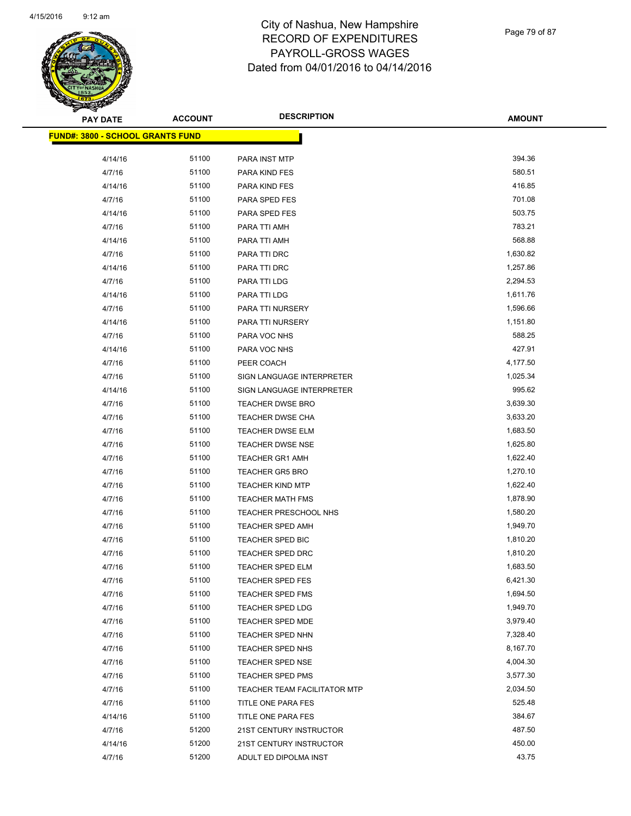

Page 79 of 87

| <b>PAY DATE</b>                         | <b>ACCOUNT</b> | <b>DESCRIPTION</b>           | <b>AMOUNT</b> |
|-----------------------------------------|----------------|------------------------------|---------------|
| <b>FUND#: 3800 - SCHOOL GRANTS FUND</b> |                |                              |               |
|                                         |                |                              |               |
| 4/14/16                                 | 51100          | PARA INST MTP                | 394.36        |
| 4/7/16                                  | 51100          | PARA KIND FES                | 580.51        |
| 4/14/16                                 | 51100          | PARA KIND FES                | 416.85        |
| 4/7/16                                  | 51100          | PARA SPED FES                | 701.08        |
| 4/14/16                                 | 51100          | PARA SPED FES                | 503.75        |
| 4/7/16                                  | 51100          | PARA TTI AMH                 | 783.21        |
| 4/14/16                                 | 51100          | PARA TTI AMH                 | 568.88        |
| 4/7/16                                  | 51100          | PARA TTI DRC                 | 1,630.82      |
| 4/14/16                                 | 51100          | PARA TTI DRC                 | 1,257.86      |
| 4/7/16                                  | 51100          | PARA TTI LDG                 | 2,294.53      |
| 4/14/16                                 | 51100          | PARA TTI LDG                 | 1,611.76      |
| 4/7/16                                  | 51100          | PARA TTI NURSERY             | 1,596.66      |
| 4/14/16                                 | 51100          | PARA TTI NURSERY             | 1,151.80      |
| 4/7/16                                  | 51100          | PARA VOC NHS                 | 588.25        |
| 4/14/16                                 | 51100          | PARA VOC NHS                 | 427.91        |
| 4/7/16                                  | 51100          | PEER COACH                   | 4,177.50      |
| 4/7/16                                  | 51100          | SIGN LANGUAGE INTERPRETER    | 1,025.34      |
| 4/14/16                                 | 51100          | SIGN LANGUAGE INTERPRETER    | 995.62        |
| 4/7/16                                  | 51100          | <b>TEACHER DWSE BRO</b>      | 3,639.30      |
| 4/7/16                                  | 51100          | TEACHER DWSE CHA             | 3,633.20      |
| 4/7/16                                  | 51100          | <b>TEACHER DWSE ELM</b>      | 1,683.50      |
| 4/7/16                                  | 51100          | <b>TEACHER DWSE NSE</b>      | 1,625.80      |
| 4/7/16                                  | 51100          | TEACHER GR1 AMH              | 1,622.40      |
| 4/7/16                                  | 51100          | <b>TEACHER GR5 BRO</b>       | 1,270.10      |
| 4/7/16                                  | 51100          | <b>TEACHER KIND MTP</b>      | 1,622.40      |
| 4/7/16                                  | 51100          | <b>TEACHER MATH FMS</b>      | 1,878.90      |
| 4/7/16                                  | 51100          | TEACHER PRESCHOOL NHS        | 1,580.20      |
| 4/7/16                                  | 51100          | <b>TEACHER SPED AMH</b>      | 1,949.70      |
| 4/7/16                                  | 51100          | TEACHER SPED BIC             | 1,810.20      |
| 4/7/16                                  | 51100          | <b>TEACHER SPED DRC</b>      | 1,810.20      |
| 4/7/16                                  | 51100          | TEACHER SPED ELM             | 1,683.50      |
| 4/7/16                                  | 51100          | <b>TEACHER SPED FES</b>      | 6,421.30      |
| 4/7/16                                  | 51100          | <b>TEACHER SPED FMS</b>      | 1,694.50      |
| 4/7/16                                  | 51100          | TEACHER SPED LDG             | 1,949.70      |
| 4/7/16                                  | 51100          | TEACHER SPED MDE             | 3,979.40      |
| 4/7/16                                  | 51100          | <b>TEACHER SPED NHN</b>      | 7,328.40      |
| 4/7/16                                  | 51100          | TEACHER SPED NHS             | 8,167.70      |
| 4/7/16                                  | 51100          | TEACHER SPED NSE             | 4,004.30      |
| 4/7/16                                  | 51100          | <b>TEACHER SPED PMS</b>      | 3,577.30      |
| 4/7/16                                  | 51100          | TEACHER TEAM FACILITATOR MTP | 2,034.50      |
| 4/7/16                                  | 51100          | TITLE ONE PARA FES           | 525.48        |
| 4/14/16                                 | 51100          | TITLE ONE PARA FES           | 384.67        |
| 4/7/16                                  | 51200          | 21ST CENTURY INSTRUCTOR      | 487.50        |
| 4/14/16                                 | 51200          | 21ST CENTURY INSTRUCTOR      | 450.00        |
| 4/7/16                                  | 51200          | ADULT ED DIPOLMA INST        | 43.75         |
|                                         |                |                              |               |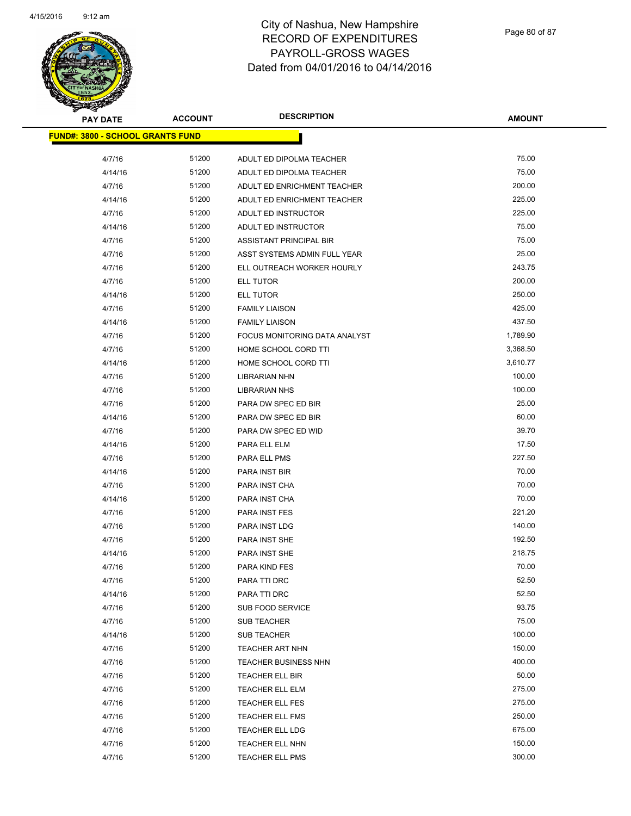

| <b>PAY DATE</b>                         | <b>ACCOUNT</b> | <b>DESCRIPTION</b>            | AMOUNT   |
|-----------------------------------------|----------------|-------------------------------|----------|
| <b>FUND#: 3800 - SCHOOL GRANTS FUND</b> |                |                               |          |
| 4/7/16                                  | 51200          | ADULT ED DIPOLMA TEACHER      | 75.00    |
| 4/14/16                                 | 51200          | ADULT ED DIPOLMA TEACHER      | 75.00    |
| 4/7/16                                  | 51200          | ADULT ED ENRICHMENT TEACHER   | 200.00   |
| 4/14/16                                 | 51200          | ADULT ED ENRICHMENT TEACHER   | 225.00   |
| 4/7/16                                  | 51200          | ADULT ED INSTRUCTOR           | 225.00   |
| 4/14/16                                 | 51200          | ADULT ED INSTRUCTOR           | 75.00    |
| 4/7/16                                  | 51200          | ASSISTANT PRINCIPAL BIR       | 75.00    |
| 4/7/16                                  | 51200          | ASST SYSTEMS ADMIN FULL YEAR  | 25.00    |
| 4/7/16                                  | 51200          | ELL OUTREACH WORKER HOURLY    | 243.75   |
| 4/7/16                                  | 51200          | ELL TUTOR                     | 200.00   |
| 4/14/16                                 | 51200          | ELL TUTOR                     | 250.00   |
| 4/7/16                                  | 51200          | <b>FAMILY LIAISON</b>         | 425.00   |
| 4/14/16                                 | 51200          | <b>FAMILY LIAISON</b>         | 437.50   |
| 4/7/16                                  | 51200          | FOCUS MONITORING DATA ANALYST | 1,789.90 |
| 4/7/16                                  | 51200          | HOME SCHOOL CORD TTI          | 3,368.50 |
| 4/14/16                                 | 51200          | HOME SCHOOL CORD TTI          | 3,610.77 |
| 4/7/16                                  | 51200          | LIBRARIAN NHN                 | 100.00   |
| 4/7/16                                  | 51200          | <b>LIBRARIAN NHS</b>          | 100.00   |
| 4/7/16                                  | 51200          | PARA DW SPEC ED BIR           | 25.00    |
| 4/14/16                                 | 51200          | PARA DW SPEC ED BIR           | 60.00    |
| 4/7/16                                  | 51200          | PARA DW SPEC ED WID           | 39.70    |
| 4/14/16                                 | 51200          | PARA ELL ELM                  | 17.50    |
| 4/7/16                                  | 51200          | PARA ELL PMS                  | 227.50   |
| 4/14/16                                 | 51200          | PARA INST BIR                 | 70.00    |
| 4/7/16                                  | 51200          | PARA INST CHA                 | 70.00    |
| 4/14/16                                 | 51200          | PARA INST CHA                 | 70.00    |
| 4/7/16                                  | 51200          | PARA INST FES                 | 221.20   |
| 4/7/16                                  | 51200          | PARA INST LDG                 | 140.00   |
| 4/7/16                                  | 51200          | PARA INST SHE                 | 192.50   |
| 4/14/16                                 | 51200          | PARA INST SHE                 | 218.75   |
| 4/7/16                                  | 51200          | PARA KIND FES                 | 70.00    |
| 4/7/16                                  | 51200          | PARA TTI DRC                  | 52.50    |
| 4/14/16                                 | 51200          | PARA TTI DRC                  | 52.50    |
| 4/7/16                                  | 51200          | SUB FOOD SERVICE              | 93.75    |
| 4/7/16                                  | 51200          | SUB TEACHER                   | 75.00    |
| 4/14/16                                 | 51200          | SUB TEACHER                   | 100.00   |
| 4/7/16                                  | 51200          | <b>TEACHER ART NHN</b>        | 150.00   |
| 4/7/16                                  | 51200          | TEACHER BUSINESS NHN          | 400.00   |
| 4/7/16                                  | 51200          | TEACHER ELL BIR               | 50.00    |
| 4/7/16                                  | 51200          | <b>TEACHER ELL ELM</b>        | 275.00   |
| 4/7/16                                  | 51200          | TEACHER ELL FES               | 275.00   |
| 4/7/16                                  | 51200          | TEACHER ELL FMS               | 250.00   |
| 4/7/16                                  | 51200          | TEACHER ELL LDG               | 675.00   |
| 4/7/16                                  | 51200          | TEACHER ELL NHN               | 150.00   |
| 4/7/16                                  | 51200          | <b>TEACHER ELL PMS</b>        | 300.00   |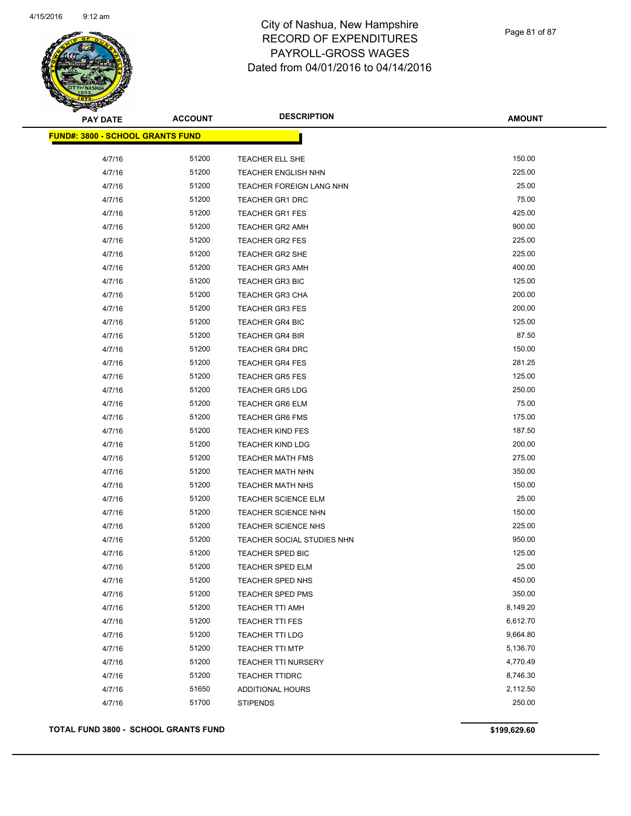

Page 81 of 87

| <b>PAY DATE</b>                         | <b>ACCOUNT</b> | <b>DESCRIPTION</b>         | <b>AMOUNT</b> |
|-----------------------------------------|----------------|----------------------------|---------------|
| <b>FUND#: 3800 - SCHOOL GRANTS FUND</b> |                |                            |               |
|                                         |                |                            |               |
| 4/7/16                                  | 51200          | TEACHER ELL SHE            | 150.00        |
| 4/7/16                                  | 51200          | TEACHER ENGLISH NHN        | 225.00        |
| 4/7/16                                  | 51200          | TEACHER FOREIGN LANG NHN   | 25.00         |
| 4/7/16                                  | 51200          | <b>TEACHER GR1 DRC</b>     | 75.00         |
| 4/7/16                                  | 51200          | <b>TEACHER GR1 FES</b>     | 425.00        |
| 4/7/16                                  | 51200          | <b>TEACHER GR2 AMH</b>     | 900.00        |
| 4/7/16                                  | 51200          | TEACHER GR2 FES            | 225.00        |
| 4/7/16                                  | 51200          | <b>TEACHER GR2 SHE</b>     | 225.00        |
| 4/7/16                                  | 51200          | <b>TEACHER GR3 AMH</b>     | 400.00        |
| 4/7/16                                  | 51200          | TEACHER GR3 BIC            | 125.00        |
| 4/7/16                                  | 51200          | <b>TEACHER GR3 CHA</b>     | 200.00        |
| 4/7/16                                  | 51200          | <b>TEACHER GR3 FES</b>     | 200.00        |
| 4/7/16                                  | 51200          | <b>TEACHER GR4 BIC</b>     | 125.00        |
| 4/7/16                                  | 51200          | <b>TEACHER GR4 BIR</b>     | 87.50         |
| 4/7/16                                  | 51200          | <b>TEACHER GR4 DRC</b>     | 150.00        |
| 4/7/16                                  | 51200          | <b>TEACHER GR4 FES</b>     | 281.25        |
| 4/7/16                                  | 51200          | <b>TEACHER GR5 FES</b>     | 125.00        |
| 4/7/16                                  | 51200          | <b>TEACHER GR5 LDG</b>     | 250.00        |
| 4/7/16                                  | 51200          | <b>TEACHER GR6 ELM</b>     | 75.00         |
| 4/7/16                                  | 51200          | <b>TEACHER GR6 FMS</b>     | 175.00        |
| 4/7/16                                  | 51200          | <b>TEACHER KIND FES</b>    | 187.50        |
| 4/7/16                                  | 51200          | <b>TEACHER KIND LDG</b>    | 200.00        |
| 4/7/16                                  | 51200          | <b>TEACHER MATH FMS</b>    | 275.00        |
| 4/7/16                                  | 51200          | TEACHER MATH NHN           | 350.00        |
| 4/7/16                                  | 51200          | <b>TEACHER MATH NHS</b>    | 150.00        |
| 4/7/16                                  | 51200          | <b>TEACHER SCIENCE ELM</b> | 25.00         |
| 4/7/16                                  | 51200          | TEACHER SCIENCE NHN        | 150.00        |
| 4/7/16                                  | 51200          | <b>TEACHER SCIENCE NHS</b> | 225.00        |
| 4/7/16                                  | 51200          | TEACHER SOCIAL STUDIES NHN | 950.00        |
| 4/7/16                                  | 51200          | <b>TEACHER SPED BIC</b>    | 125.00        |
| 4/7/16                                  | 51200          | <b>TEACHER SPED ELM</b>    | 25.00         |
| 4/7/16                                  | 51200          | TEACHER SPED NHS           | 450.00        |
| 4/7/16                                  | 51200          | <b>TEACHER SPED PMS</b>    | 350.00        |
| 4/7/16                                  | 51200          | <b>TEACHER TTI AMH</b>     | 8,149.20      |
| 4/7/16                                  | 51200          | TEACHER TTI FES            | 6,612.70      |
| 4/7/16                                  | 51200          | <b>TEACHER TTI LDG</b>     | 9,664.80      |
| 4/7/16                                  | 51200          | <b>TEACHER TTI MTP</b>     | 5,136.70      |
| 4/7/16                                  | 51200          | <b>TEACHER TTI NURSERY</b> | 4,770.49      |
| 4/7/16                                  | 51200          | <b>TEACHER TTIDRC</b>      | 8,746.30      |
| 4/7/16                                  | 51650          | ADDITIONAL HOURS           | 2,112.50      |
| 4/7/16                                  | 51700          | <b>STIPENDS</b>            | 250.00        |
|                                         |                |                            |               |

**TOTAL FUND 3800 - SCHOOL GRANTS FUND \$199,629.60**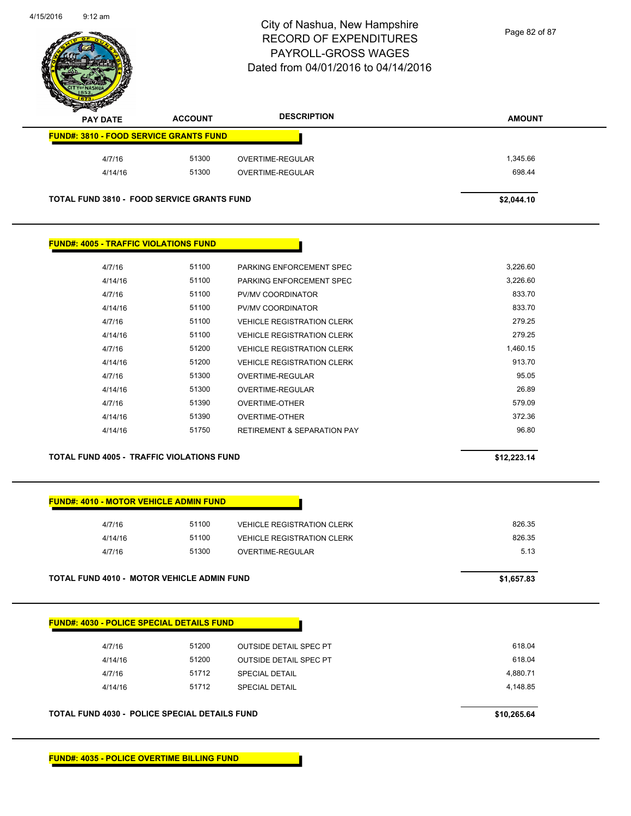

Page 82 of 87

| $\sim$<br><b>PAY DATE</b>                         | <b>ACCOUNT</b> | <b>DESCRIPTION</b> | <b>AMOUNT</b> |
|---------------------------------------------------|----------------|--------------------|---------------|
| <b>FUND#: 3810 - FOOD SERVICE GRANTS FUND</b>     |                |                    |               |
| 4/7/16                                            | 51300          | OVERTIME-REGULAR   | 1,345.66      |
| 4/14/16                                           | 51300          | OVERTIME-REGULAR   | 698.44        |
| <b>TOTAL FUND 3810 - FOOD SERVICE GRANTS FUND</b> |                |                    | \$2,044.10    |

#### **FUND#: 4005 - TRAFFIC VIOLATIONS FUND**

| 4/7/16  | 51100 | PARKING ENFORCEMENT SPEC               | 3,226.60 |
|---------|-------|----------------------------------------|----------|
| 4/14/16 | 51100 | PARKING ENFORCEMENT SPEC               | 3,226.60 |
| 4/7/16  | 51100 | PV/MV COORDINATOR                      | 833.70   |
| 4/14/16 | 51100 | PV/MV COORDINATOR                      | 833.70   |
| 4/7/16  | 51100 | <b>VEHICLE REGISTRATION CLERK</b>      | 279.25   |
| 4/14/16 | 51100 | <b>VEHICLE REGISTRATION CLERK</b>      | 279.25   |
| 4/7/16  | 51200 | <b>VEHICLE REGISTRATION CLERK</b>      | 1,460.15 |
| 4/14/16 | 51200 | <b>VEHICLE REGISTRATION CLERK</b>      | 913.70   |
| 4/7/16  | 51300 | OVERTIME-REGULAR                       | 95.05    |
| 4/14/16 | 51300 | OVERTIME-REGULAR                       | 26.89    |
| 4/7/16  | 51390 | OVERTIME-OTHER                         | 579.09   |
| 4/14/16 | 51390 | OVERTIME-OTHER                         | 372.36   |
| 4/14/16 | 51750 | <b>RETIREMENT &amp; SEPARATION PAY</b> | 96.80    |
|         |       |                                        |          |

#### **TOTAL FUND 4005 - TRAFFIC VIOLATIONS FUND \$12,223.14**

#### **FUND#: 4010 - MOTOR VEHICLE ADMIN FUND**

| <b>TOTAL FUND 4010 - MOTOR VEHICLE ADMIN FUND</b> | \$1,657.83 |                                   |        |
|---------------------------------------------------|------------|-----------------------------------|--------|
| 4/7/16                                            | 51300      | OVERTIME-REGULAR                  | 5.13   |
| 4/14/16                                           | 51100      | <b>VEHICLE REGISTRATION CLERK</b> | 826.35 |
| 4/7/16                                            | 51100      | <b>VEHICLE REGISTRATION CLERK</b> | 826.35 |
|                                                   |            |                                   |        |

# **FUND#: 4030 - POLICE SPECIAL DETAILS FUND**

| <b>TOTAL FUND 4030 - POLICE SPECIAL DETAILS FUND</b> | \$10,265.64 |                               |          |
|------------------------------------------------------|-------------|-------------------------------|----------|
| 4/14/16                                              | 51712       | <b>SPECIAL DETAIL</b>         | 4.148.85 |
| 4/7/16                                               | 51712       | <b>SPECIAL DETAIL</b>         | 4.880.71 |
| 4/14/16                                              | 51200       | <b>OUTSIDE DETAIL SPEC PT</b> | 618.04   |
| 4/7/16                                               | 51200       | <b>OUTSIDE DETAIL SPEC PT</b> | 618.04   |
|                                                      |             |                               |          |

**FUND#: 4035 - POLICE OVERTIME BILLING FUND**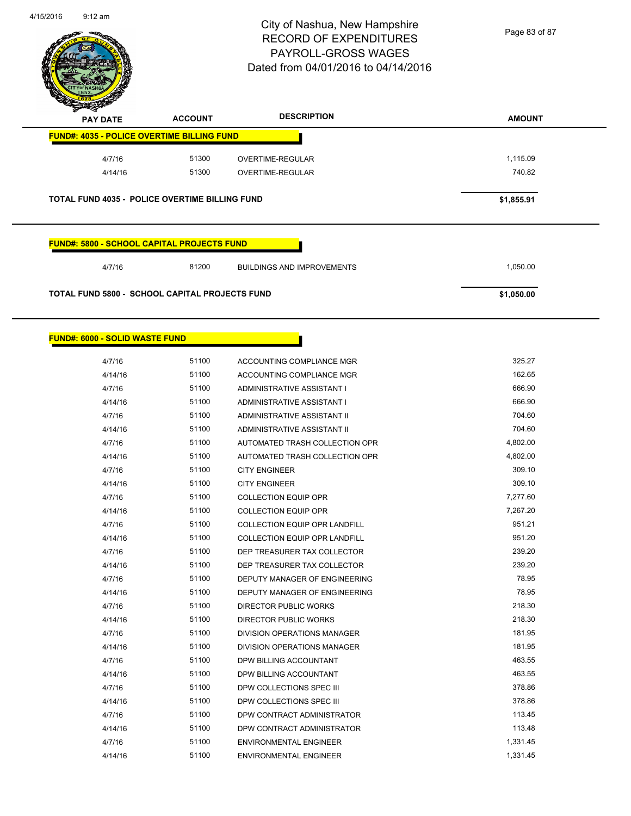

Page 83 of 87

| <b>PAY DATE</b>                                   | <b>ACCOUNT</b> | <b>DESCRIPTION</b>                | <b>AMOUNT</b> |
|---------------------------------------------------|----------------|-----------------------------------|---------------|
| <b>FUND#: 4035 - POLICE OVERTIME BILLING FUND</b> |                |                                   |               |
| 4/7/16                                            | 51300          | <b>OVERTIME-REGULAR</b>           | 1,115.09      |
| 4/14/16                                           | 51300          | <b>OVERTIME-REGULAR</b>           | 740.82        |
| TOTAL FUND 4035 - POLICE OVERTIME BILLING FUND    |                |                                   |               |
| <b>FUND#: 5800 - SCHOOL CAPITAL PROJECTS FUND</b> |                |                                   | \$1,855.91    |
|                                                   |                |                                   |               |
| 4/7/16                                            | 81200          | <b>BUILDINGS AND IMPROVEMENTS</b> | 1,050.00      |

| 4/14/16 | 51100 | ACCOUNTING COMPLIANCE MGR            | 162.65   |
|---------|-------|--------------------------------------|----------|
| 4/7/16  | 51100 | ADMINISTRATIVE ASSISTANT I           | 666.90   |
| 4/14/16 | 51100 | ADMINISTRATIVE ASSISTANT I           | 666.90   |
| 4/7/16  | 51100 | ADMINISTRATIVE ASSISTANT II          | 704.60   |
| 4/14/16 | 51100 | ADMINISTRATIVE ASSISTANT II          | 704.60   |
| 4/7/16  | 51100 | AUTOMATED TRASH COLLECTION OPR       | 4,802.00 |
| 4/14/16 | 51100 | AUTOMATED TRASH COLLECTION OPR       | 4,802.00 |
| 4/7/16  | 51100 | <b>CITY ENGINEER</b>                 | 309.10   |
| 4/14/16 | 51100 | <b>CITY ENGINEER</b>                 | 309.10   |
| 4/7/16  | 51100 | <b>COLLECTION EQUIP OPR</b>          | 7,277.60 |
| 4/14/16 | 51100 | <b>COLLECTION EQUIP OPR</b>          | 7,267.20 |
| 4/7/16  | 51100 | <b>COLLECTION EQUIP OPR LANDFILL</b> | 951.21   |
| 4/14/16 | 51100 | <b>COLLECTION EQUIP OPR LANDFILL</b> | 951.20   |
| 4/7/16  | 51100 | DEP TREASURER TAX COLLECTOR          | 239.20   |
| 4/14/16 | 51100 | DEP TREASURER TAX COLLECTOR          | 239.20   |
| 4/7/16  | 51100 | DEPUTY MANAGER OF ENGINEERING        | 78.95    |
| 4/14/16 | 51100 | DEPUTY MANAGER OF ENGINEERING        | 78.95    |
| 4/7/16  | 51100 | <b>DIRECTOR PUBLIC WORKS</b>         | 218.30   |
| 4/14/16 | 51100 | <b>DIRECTOR PUBLIC WORKS</b>         | 218.30   |
| 4/7/16  | 51100 | <b>DIVISION OPERATIONS MANAGER</b>   | 181.95   |
| 4/14/16 | 51100 | DIVISION OPERATIONS MANAGER          | 181.95   |
| 4/7/16  | 51100 | DPW BILLING ACCOUNTANT               | 463.55   |
| 4/14/16 | 51100 | DPW BILLING ACCOUNTANT               | 463.55   |
| 4/7/16  | 51100 | DPW COLLECTIONS SPEC III             | 378.86   |
| 4/14/16 | 51100 | DPW COLLECTIONS SPEC III             | 378.86   |
| 4/7/16  | 51100 | DPW CONTRACT ADMINISTRATOR           | 113.45   |
| 4/14/16 | 51100 | DPW CONTRACT ADMINISTRATOR           | 113.48   |
| 4/7/16  | 51100 | <b>ENVIRONMENTAL ENGINEER</b>        | 1,331.45 |
| 4/14/16 | 51100 | <b>ENVIRONMENTAL ENGINEER</b>        | 1,331.45 |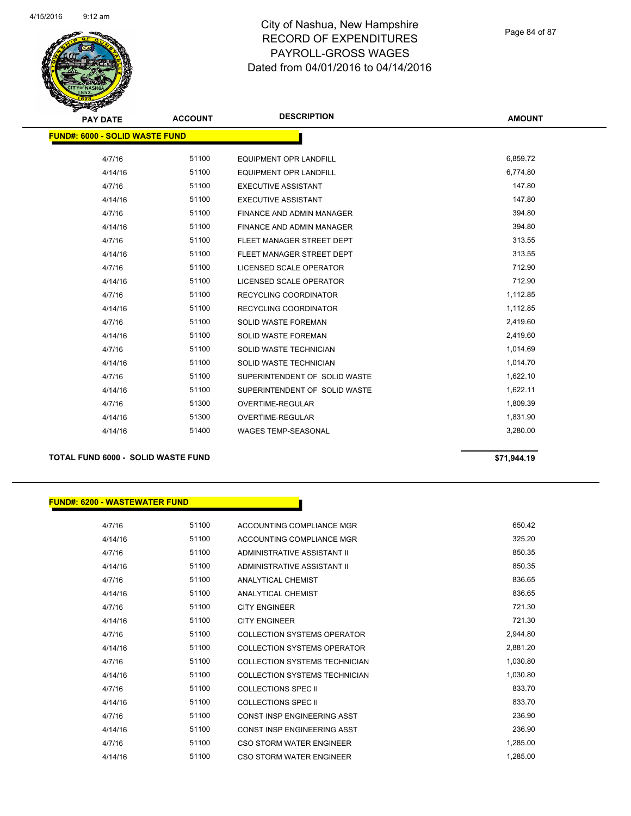

Page 84 of 87

**AMOUNT**

| <b>FUND#: 6000 - SOLID WASTE FUND</b> |       |                                  |          |
|---------------------------------------|-------|----------------------------------|----------|
| 4/7/16                                | 51100 | <b>EQUIPMENT OPR LANDFILL</b>    | 6,859.72 |
| 4/14/16                               | 51100 | <b>EQUIPMENT OPR LANDFILL</b>    | 6,774.80 |
| 4/7/16                                | 51100 | <b>EXECUTIVE ASSISTANT</b>       | 147.80   |
| 4/14/16                               | 51100 | <b>EXECUTIVE ASSISTANT</b>       | 147.80   |
| 4/7/16                                | 51100 | <b>FINANCE AND ADMIN MANAGER</b> | 394.80   |
| 4/14/16                               | 51100 | <b>FINANCE AND ADMIN MANAGER</b> | 394.80   |
| 4/7/16                                | 51100 | FLEET MANAGER STREET DEPT        | 313.55   |
| 4/14/16                               | 51100 | FLEET MANAGER STREET DEPT        | 313.55   |
| 4/7/16                                | 51100 | LICENSED SCALE OPERATOR          | 712.90   |
| 4/14/16                               | 51100 | LICENSED SCALE OPERATOR          | 712.90   |
| 4/7/16                                | 51100 | <b>RECYCLING COORDINATOR</b>     | 1,112.85 |
| 4/14/16                               | 51100 | RECYCLING COORDINATOR            | 1,112.85 |
| 4/7/16                                | 51100 | SOLID WASTE FOREMAN              | 2,419.60 |
| 4/14/16                               | 51100 | <b>SOLID WASTE FOREMAN</b>       | 2,419.60 |
| 4/7/16                                | 51100 | SOLID WASTE TECHNICIAN           | 1,014.69 |
| 4/14/16                               | 51100 | SOLID WASTE TECHNICIAN           | 1,014.70 |
| 4/7/16                                | 51100 | SUPERINTENDENT OF SOLID WASTE    | 1,622.10 |
| 4/14/16                               | 51100 | SUPERINTENDENT OF SOLID WASTE    | 1,622.11 |
| 4/7/16                                | 51300 | <b>OVERTIME-REGULAR</b>          | 1,809.39 |
| 4/14/16                               | 51300 | OVERTIME-REGULAR                 | 1,831.90 |
| 4/14/16                               | 51400 | <b>WAGES TEMP-SEASONAL</b>       | 3,280.00 |
|                                       |       |                                  |          |

#### **TOTAL FUND 6000 - SOLID WASTE FUND \$71,944.19**

#### **FUND#: 6200 - WASTEWATER FUND**

4/7/16 51100 ACCOUNTING COMPLIANCE MGR 650.42 4/14/16 51100 ACCOUNTING COMPLIANCE MGR 325.20 4/7/16 51100 ADMINISTRATIVE ASSISTANT II 850.35 4/14/16 51100 ADMINISTRATIVE ASSISTANT II 850.35 4/7/16 51100 ANALYTICAL CHEMIST 836.65 4/14/16 51100 ANALYTICAL CHEMIST 836.65 4/7/16 51100 CITY ENGINEER 721.30 4/14/16 51100 CITY ENGINEER 721.30 4/7/16 51100 COLLECTION SYSTEMS OPERATOR 2,944.80 4/14/16 51100 COLLECTION SYSTEMS OPERATOR 2,881.20 4/7/16 51100 COLLECTION SYSTEMS TECHNICIAN 1,030.80 4/14/16 51100 COLLECTION SYSTEMS TECHNICIAN 1,030.80 4/7/16 51100 COLLECTIONS SPEC II 833.70 4/14/16 51100 COLLECTIONS SPEC II 833.70 4/7/16 51100 CONST INSP ENGINEERING ASST 236.90 4/14/16 51100 CONST INSP ENGINEERING ASST 236.90 4/7/16 51100 CSO STORM WATER ENGINEER 1,285.00 4/14/16 51100 CSO STORM WATER ENGINEER 1,285.00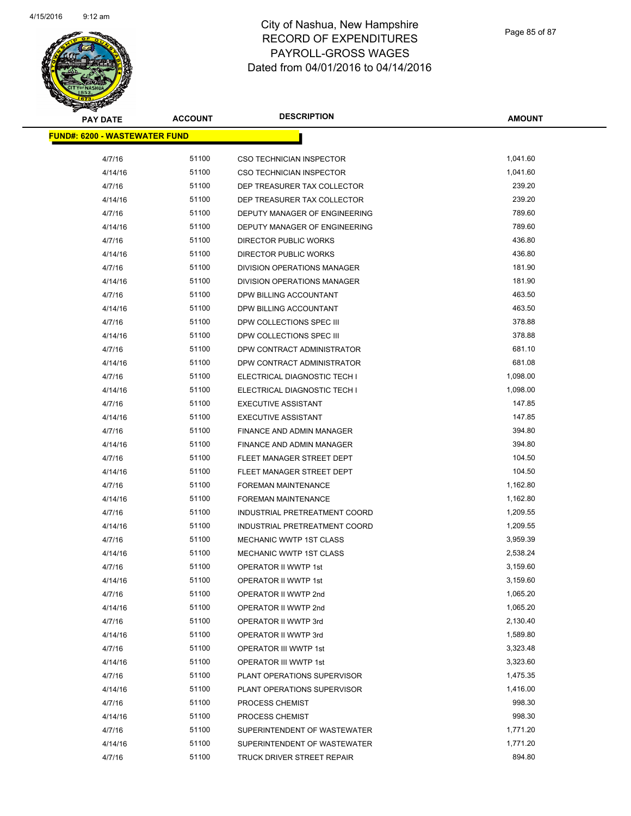

| <b>PAY DATE</b>                      | <b>ACCOUNT</b> | <b>DESCRIPTION</b>            | <b>AMOUNT</b> |
|--------------------------------------|----------------|-------------------------------|---------------|
| <b>FUND#: 6200 - WASTEWATER FUND</b> |                |                               |               |
| 4/7/16                               | 51100          | CSO TECHNICIAN INSPECTOR      | 1,041.60      |
| 4/14/16                              | 51100          | CSO TECHNICIAN INSPECTOR      | 1,041.60      |
| 4/7/16                               | 51100          | DEP TREASURER TAX COLLECTOR   | 239.20        |
| 4/14/16                              | 51100          | DEP TREASURER TAX COLLECTOR   | 239.20        |
| 4/7/16                               | 51100          | DEPUTY MANAGER OF ENGINEERING | 789.60        |
| 4/14/16                              | 51100          | DEPUTY MANAGER OF ENGINEERING | 789.60        |
| 4/7/16                               | 51100          | DIRECTOR PUBLIC WORKS         | 436.80        |
| 4/14/16                              | 51100          | <b>DIRECTOR PUBLIC WORKS</b>  | 436.80        |
| 4/7/16                               | 51100          | DIVISION OPERATIONS MANAGER   | 181.90        |
| 4/14/16                              | 51100          | DIVISION OPERATIONS MANAGER   | 181.90        |
| 4/7/16                               | 51100          | DPW BILLING ACCOUNTANT        | 463.50        |
| 4/14/16                              | 51100          | DPW BILLING ACCOUNTANT        | 463.50        |
| 4/7/16                               | 51100          | DPW COLLECTIONS SPEC III      | 378.88        |
| 4/14/16                              | 51100          | DPW COLLECTIONS SPEC III      | 378.88        |
| 4/7/16                               | 51100          | DPW CONTRACT ADMINISTRATOR    | 681.10        |
| 4/14/16                              | 51100          | DPW CONTRACT ADMINISTRATOR    | 681.08        |
| 4/7/16                               | 51100          | ELECTRICAL DIAGNOSTIC TECH I  | 1,098.00      |
| 4/14/16                              | 51100          | ELECTRICAL DIAGNOSTIC TECH I  | 1,098.00      |
| 4/7/16                               | 51100          | <b>EXECUTIVE ASSISTANT</b>    | 147.85        |
| 4/14/16                              | 51100          | <b>EXECUTIVE ASSISTANT</b>    | 147.85        |
| 4/7/16                               | 51100          | FINANCE AND ADMIN MANAGER     | 394.80        |
| 4/14/16                              | 51100          | FINANCE AND ADMIN MANAGER     | 394.80        |
| 4/7/16                               | 51100          | FLEET MANAGER STREET DEPT     | 104.50        |
| 4/14/16                              | 51100          | FLEET MANAGER STREET DEPT     | 104.50        |
| 4/7/16                               | 51100          | FOREMAN MAINTENANCE           | 1,162.80      |
| 4/14/16                              | 51100          | FOREMAN MAINTENANCE           | 1,162.80      |
| 4/7/16                               | 51100          | INDUSTRIAL PRETREATMENT COORD | 1,209.55      |
| 4/14/16                              | 51100          | INDUSTRIAL PRETREATMENT COORD | 1,209.55      |
| 4/7/16                               | 51100          | MECHANIC WWTP 1ST CLASS       | 3,959.39      |
| 4/14/16                              | 51100          | MECHANIC WWTP 1ST CLASS       | 2,538.24      |
| 4/7/16                               | 51100          | <b>OPERATOR II WWTP 1st</b>   | 3,159.60      |
| 4/14/16                              | 51100          | OPERATOR II WWTP 1st          | 3,159.60      |
| 4/7/16                               | 51100          | OPERATOR II WWTP 2nd          | 1,065.20      |
| 4/14/16                              | 51100          | OPERATOR II WWTP 2nd          | 1,065.20      |
| 4/7/16                               | 51100          | OPERATOR II WWTP 3rd          | 2,130.40      |
| 4/14/16                              | 51100          | OPERATOR II WWTP 3rd          | 1,589.80      |
| 4/7/16                               | 51100          | <b>OPERATOR III WWTP 1st</b>  | 3,323.48      |
| 4/14/16                              | 51100          | <b>OPERATOR III WWTP 1st</b>  | 3,323.60      |
| 4/7/16                               | 51100          | PLANT OPERATIONS SUPERVISOR   | 1,475.35      |
| 4/14/16                              | 51100          | PLANT OPERATIONS SUPERVISOR   | 1,416.00      |
| 4/7/16                               | 51100          | PROCESS CHEMIST               | 998.30        |
| 4/14/16                              | 51100          | PROCESS CHEMIST               | 998.30        |
| 4/7/16                               | 51100          | SUPERINTENDENT OF WASTEWATER  | 1,771.20      |
| 4/14/16                              | 51100          | SUPERINTENDENT OF WASTEWATER  | 1,771.20      |
| 4/7/16                               | 51100          | TRUCK DRIVER STREET REPAIR    | 894.80        |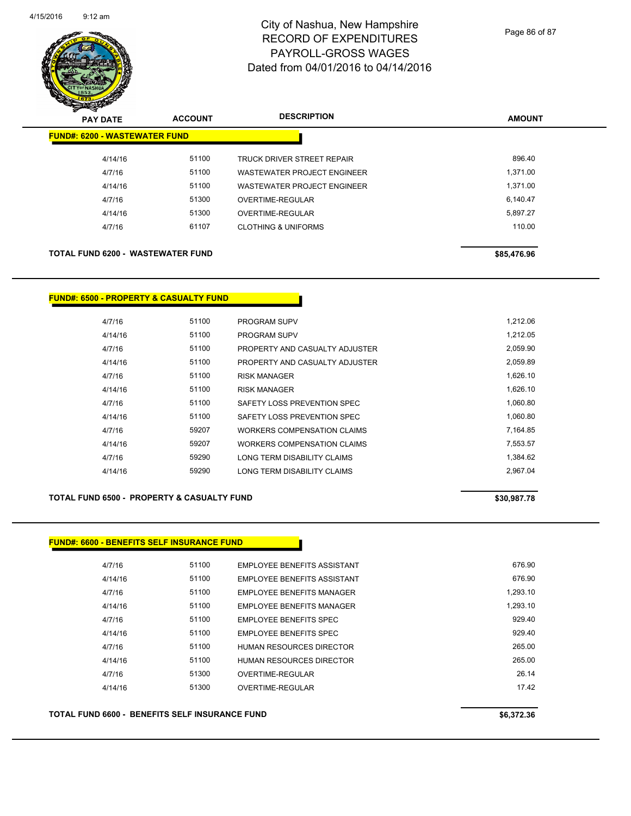

| $\mathbf{z}$<br>$\sim$<br><b>PAY DATE</b> | <b>ACCOUNT</b> | <b>DESCRIPTION</b>                 | <b>AMOUNT</b> |
|-------------------------------------------|----------------|------------------------------------|---------------|
| <b>FUND#: 6200 - WASTEWATER FUND</b>      |                |                                    |               |
| 4/14/16                                   | 51100          | TRUCK DRIVER STREET REPAIR         | 896.40        |
| 4/7/16                                    | 51100          | <b>WASTEWATER PROJECT ENGINEER</b> | 1,371.00      |
| 4/14/16                                   | 51100          | WASTEWATER PROJECT ENGINEER        | 1,371.00      |
| 4/7/16                                    | 51300          | OVERTIME-REGULAR                   | 6.140.47      |
| 4/14/16                                   | 51300          | OVERTIME-REGULAR                   | 5,897.27      |
| 4/7/16                                    | 61107          | <b>CLOTHING &amp; UNIFORMS</b>     | 110.00        |
| <b>TOTAL FUND 6200 - WASTEWATER FUND</b>  |                |                                    | \$85,476.96   |

#### **FUND#: 6500 - PROPERTY & CASUALTY FUND**

| 4/7/16  | 51100 | <b>PROGRAM SUPV</b>            | 1.212.06 |
|---------|-------|--------------------------------|----------|
| 4/14/16 | 51100 | <b>PROGRAM SUPV</b>            | 1.212.05 |
| 4/7/16  | 51100 | PROPERTY AND CASUALTY ADJUSTER | 2,059.90 |
| 4/14/16 | 51100 | PROPERTY AND CASUALTY ADJUSTER | 2,059.89 |
| 4/7/16  | 51100 | <b>RISK MANAGER</b>            | 1.626.10 |
| 4/14/16 | 51100 | <b>RISK MANAGER</b>            | 1.626.10 |
| 4/7/16  | 51100 | SAFETY LOSS PREVENTION SPEC    | 1.060.80 |
| 4/14/16 | 51100 | SAFETY LOSS PREVENTION SPEC    | 1,060.80 |
| 4/7/16  | 59207 | WORKERS COMPENSATION CLAIMS    | 7,164.85 |
| 4/14/16 | 59207 | WORKERS COMPENSATION CLAIMS    | 7.553.57 |
| 4/7/16  | 59290 | LONG TERM DISABILITY CLAIMS    | 1.384.62 |
| 4/14/16 | 59290 | LONG TERM DISABILITY CLAIMS    | 2.967.04 |

#### **TOTAL FUND 6500 - PROPERTY & CASUALTY FUND \$30,987.78**

#### **FUND#: 6600 - BENEFITS SELF INSURANCE FUND**

| 4/7/16  | 51100 | EMPLOYEE BENEFITS ASSISTANT   | 676.90   |
|---------|-------|-------------------------------|----------|
| 4/14/16 | 51100 | EMPLOYEE BENEFITS ASSISTANT   | 676.90   |
| 4/7/16  | 51100 | EMPLOYEE BENEFITS MANAGER     | 1.293.10 |
| 4/14/16 | 51100 | EMPLOYEE BENEFITS MANAGER     | 1.293.10 |
| 4/7/16  | 51100 | <b>EMPLOYEE BENEFITS SPEC</b> | 929.40   |
| 4/14/16 | 51100 | EMPLOYEE BENEFITS SPEC        | 929.40   |
| 4/7/16  | 51100 | HUMAN RESOURCES DIRECTOR      | 265.00   |
| 4/14/16 | 51100 | HUMAN RESOURCES DIRECTOR      | 265.00   |
| 4/7/16  | 51300 | OVERTIME-REGULAR              | 26.14    |
| 4/14/16 | 51300 | OVERTIME-REGULAR              | 1742     |
|         |       |                               |          |

TOTAL FUND 6600 - BENEFITS SELF INSURANCE FUND<br>
\$6,372.36